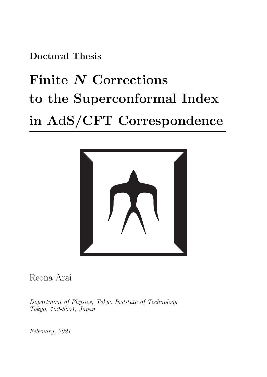**Doctoral Thesis**

# **Finite** *N* **Corrections to the Superconformal Index in AdS/CFT Correspondence**



Reona Arai

*Department of Physics, Tokyo Institute of Technology Tokyo, 152-8551, Japan*

*February, 2021*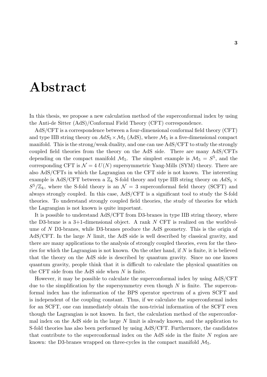# **Abstract**

In this thesis, we propose a new calculation method of the superconformal index by using the Anti-de Sitter (AdS)/Conformal Field Theory (CFT) correspondence.

AdS/CFT is a correspondence between a four-dimensional conformal field theory (CFT) and type IIB string theory on  $AdS_5 \times \mathcal{M}_5$  (AdS), where  $\mathcal{M}_5$  is a five-dimensional compact manifold. This is the strong/weak duality, and one can use AdS/CFT to study the strongly coupled field theories from the theory on the AdS side. There are many AdS/CFTs depending on the compact manifold  $\mathcal{M}_5$ . The simplest example is  $\mathcal{M}_5 = S^5$ , and the corresponding CFT is  $\mathcal{N} = 4$   $U(N)$  supersymmetric Yang-Mills (SYM) theory. There are also AdS/CFTs in which the Lagrangian on the CFT side is not known. The interesting example is AdS/CFT between a  $\mathbb{Z}_k$  S-fold theory and type IIB string theory on  $AdS_5 \times$  $S^5/\mathbb{Z}_k$ , where the S-fold theory is an  $\mathcal{N}=3$  superconformal field theory (SCFT) and always strongly coupled. In this case, AdS/CFT is a significant tool to study the S-fold theories. To understand strongly coupled field theories, the study of theories for which the Lagrangian is not known is quite important.

It is possible to understand AdS/CFT from D3-branes in type IIB string theory, where the D3-brane is a 3+1-dimensional object. A rank *N* CFT is realized on the worldvolume of *N* D3-branes, while D3-branes produce the AdS geometry. This is the origin of AdS/CFT. In the large *N* limit, the AdS side is well described by classical gravity, and there are many applications to the analysis of strongly coupled theories, even for the theories for which the Lagrangian is not known. On the other hand, if *N* is finite, it is believed that the theory on the AdS side is described by quantum gravity. Since no one knows quantum gravity, people think that it is difficult to calculate the physical quantities on the CFT side from the AdS side when *N* is finite.

However, it may be possible to calculate the superconformal index by using AdS/CFT due to the simplification by the supersymmetry even though *N* is finite. The superconformal index has the information of the BPS operator spectrum of a given SCFT and is independent of the coupling constant. Thus, if we calculate the superconformal index for an SCFT, one can immediately obtain the non-trivial information of the SCFT even though the Lagrangian is not known. In fact, the calculation method of the superconformal index on the AdS side in the large *N* limit is already known, and the application to S-fold theories has also been performed by using AdS/CFT. Furthermore, the candidates that contribute to the superconformal index on the AdS side in the finite *N* region are known: the D3-branes wrapped on three-cycles in the compact manifold  $\mathcal{M}_5$ .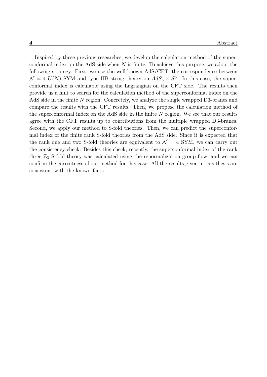Inspired by these previous researches, we develop the calculation method of the superconformal index on the AdS side when *N* is finite. To achieve this purpose, we adopt the following strategy. First, we use the well-known AdS/CFT: the correspondence between  $\mathcal{N} = 4$  *U(N)* SYM and type IIB string theory on  $AdS_5 \times S^5$ . In this case, the superconformal index is calculable using the Lagrangian on the CFT side. The results then provide us a hint to search for the calculation method of the superconformal index on the AdS side in the finite *N* region. Concretely, we analyze the single wrapped D3-branes and compare the results with the CFT results. Then, we propose the calculation method of the superconformal index on the AdS side in the finite *N* region. We see that our results agree with the CFT results up to contributions from the multiple wrapped D3-branes. Second, we apply our method to S-fold theories. Then, we can predict the superconformal index of the finite rank S-fold theories from the AdS side. Since it is expected that the rank one and two S-fold theories are equivalent to  $\mathcal{N}=4$  SYM, we can carry out the consistency check. Besides this check, recently, the superconformal index of the rank three  $\mathbb{Z}_3$  S-fold theory was calculated using the renormalization group flow, and we can confirm the correctness of our method for this case. All the results given in this thesis are consistent with the known facts.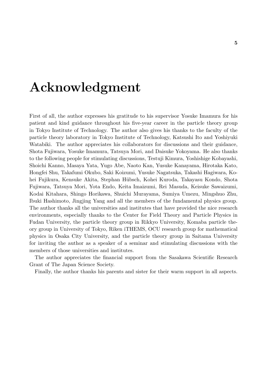# **Acknowledgment**

First of all, the author expresses his gratitude to his supervisor Yosuke Imamura for his patient and kind guidance throughout his five-year career in the particle theory group in Tokyo Institute of Technology. The author also gives his thanks to the faculty of the particle theory laboratory in Tokyo Institute of Technology, Katsushi Ito and Yoshiyuki Watabiki. The author appreciates his collaborators for discussions and their guidance, Shota Fujiwara, Yosuke Imamura, Tatsuya Mori, and Daisuke Yokoyama. He also thanks to the following people for stimulating discussions, Testuji Kimura, Yoshishige Kobayashi, Shoichi Kanno, Masaya Yata, Yugo Abe, Naoto Kan, Yusuke Kanayama, Hirotaka Kato, Hongfei Shu, Takafumi Okubo, Saki Koizumi, Yusuke Nagatsuka, Takashi Hagiwara, Kohei Fujikura, Kensuke Akita, Stephan Hübsch, Kohei Kuroda, Takayasu Kondo, Shota Fujiwara, Tatsuya Mori, Yota Endo, Keita Imaizumi, Rei Masuda, Keisuke Sawaizumi, Kodai Kitahara, Shingo Horikawa, Shuichi Murayama, Sumiya Umezu, Mingshuo Zhu, Ibuki Hashimoto, Jingjing Yang and all the members of the fundamental physics group. The author thanks all the universities and institutes that have provided the nice research environments, especially thanks to the Center for Field Theory and Particle Physics in Fudan University, the particle theory group in Rikkyo University, Komaba particle theory group in University of Tokyo, Riken iTHEMS, OCU research group for mathematical physics in Osaka City University, and the particle theory group in Saitama University for inviting the author as a speaker of a seminar and stimulating discussions with the members of those universities and institutes.

The author appreciates the financial support from the Sasakawa Scientific Research Grant of The Japan Science Society.

Finally, the author thanks his parents and sister for their warm support in all aspects.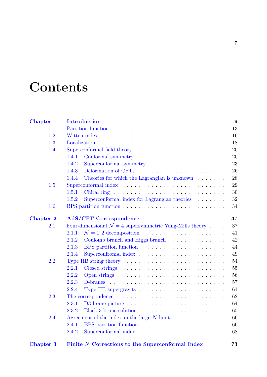# **Contents**

| <b>Chapter 1</b> | <b>Introduction</b>                                                                  | 9  |
|------------------|--------------------------------------------------------------------------------------|----|
| 1.1              | Partition function                                                                   | 13 |
| 1.2              |                                                                                      | 16 |
| 1.3              |                                                                                      | 18 |
| 1.4              |                                                                                      | 20 |
|                  | 1.4.1                                                                                | 20 |
|                  | 1.4.2                                                                                | 23 |
|                  | 1.4.3                                                                                | 26 |
|                  | 1.4.4<br>Theories for which the Lagrangian is unknown $\ldots \ldots$                | 28 |
| 1.5              |                                                                                      | 29 |
|                  | 1.5.1                                                                                | 30 |
|                  | Superconformal index for Lagrangian theories $\ldots \ldots$<br>1.5.2                | 32 |
| 1.6              |                                                                                      | 34 |
| <b>Chapter 2</b> | <b>AdS/CFT Correspondence</b>                                                        | 37 |
| 2.1              | Four-dimensional $\mathcal{N}=4$ supersymmetric Yang-Mills theory                    | 37 |
|                  | 2.1.1                                                                                | 41 |
|                  | Coulomb branch and Higgs branch<br>2.1.2                                             | 42 |
|                  | 2.1.3<br>BPS partition function                                                      | 44 |
|                  | 2.1.4                                                                                | 49 |
| 2.2              | Type IIB string theory $\dots \dots \dots \dots \dots \dots \dots \dots \dots \dots$ | 54 |
|                  | 2.2.1                                                                                | 55 |
|                  | 2.2.2                                                                                | 56 |
|                  | 2.2.3                                                                                | 57 |
|                  | 2.2.4<br>Type IIB supergravity $\dots \dots \dots \dots \dots \dots \dots$           | 61 |
| 2.3              |                                                                                      | 62 |
|                  | 2.3.1                                                                                | 64 |
|                  | 2.3.2                                                                                | 65 |
| 2.4              | Agreement of the index in the large $N$ limit $\ldots \ldots \ldots \ldots$          | 66 |
|                  | 2.4.1                                                                                | 66 |
|                  | 2.4.2                                                                                | 68 |
| <b>Chapter 3</b> | Finite N Corrections to the Superconformal Index                                     | 73 |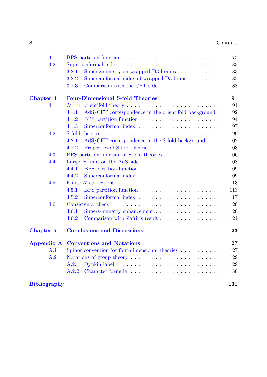| 3.1                 |                                                                                    | 75  |
|---------------------|------------------------------------------------------------------------------------|-----|
| 3.2                 |                                                                                    | 83  |
|                     | Supersymmetry on wrapped D3-branes<br>3.2.1                                        | 83  |
|                     | Superconformal index of wrapped D3-brane<br>3.2.2                                  | 85  |
|                     | Comparison with the CFT side<br>3.2.3                                              | 88  |
| <b>Chapter 4</b>    | <b>Four-Dimensional S-fold Theories</b>                                            | 91  |
| 4.1                 |                                                                                    | 91  |
|                     | $AdS/CFT$ correspondence in the orientifold background $\ldots$<br>4.1.1           | 92  |
|                     | BPS partition function<br>4.1.2                                                    | 94  |
|                     | 4.1.3                                                                              | 97  |
| 4.2                 | S-fold theories                                                                    | 99  |
|                     | $AdS/CFT$ correspondence in the S-fold background $\ldots$ .<br>4.2.1              | 102 |
|                     | 4.2.2                                                                              | 103 |
| 4.3                 | BPS partition function of S-fold theories                                          | 106 |
| 4.4                 | Large $N$ limit on the AdS side $\ldots \ldots \ldots \ldots \ldots \ldots \ldots$ | 108 |
|                     | 4.4.1                                                                              | 109 |
|                     | 4.4.2                                                                              | 109 |
| 4.5                 | Finite N corrections $\ldots \ldots \ldots \ldots \ldots \ldots \ldots \ldots$     | 113 |
|                     | 4.5.1<br>BPS partition function                                                    | 113 |
|                     | 4.5.2                                                                              | 117 |
| 4.6                 |                                                                                    | 120 |
|                     | 4.6.1<br>Supersymmetry enhancement                                                 | 120 |
|                     | 4.6.2<br>Comparison with Zafrir's result                                           | 121 |
|                     |                                                                                    |     |
| Chapter 5           | <b>Conclusions and Discussions</b>                                                 | 123 |
| <b>Appendix A</b>   | <b>Conventions and Notations</b>                                                   | 127 |
| A.1                 | Spinor convention for four-dimensional theories $\ldots \ldots \ldots$             | 127 |
| A.2                 |                                                                                    | 129 |
|                     | A.2.1                                                                              | 129 |
|                     | A.2.2                                                                              | 130 |
| <b>Bibliography</b> |                                                                                    | 131 |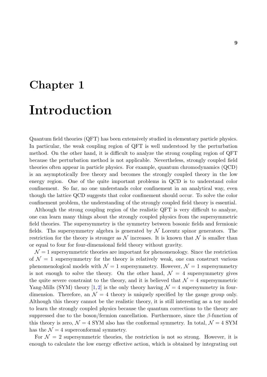# <span id="page-8-0"></span>**Chapter 1 Introduction**

Quantum field theories (QFT) has been extensively studied in elementary particle physics. In particular, the weak coupling region of QFT is well understood by the perturbation method. On the other hand, it is difficult to analyze the strong coupling region of QFT because the perturbation method is not applicable. Nevertheless, strongly coupled field theories often appear in particle physics. For example, quantum chromodynamics (QCD) is an asymptotically free theory and becomes the strongly coupled theory in the low energy region. One of the quite important problems in QCD is to understand color confinement. So far, no one understands color confinement in an analytical way, even though the lattice QCD suggests that color confinement should occur. To solve the color confinement problem, the understanding of the strongly coupled field theory is essential.

Although the strong coupling region of the realistic QFT is very difficult to analyze, one can learn many things about the strongly coupled physics from the supersymmetric field theories. The supersymmetry is the symmetry between bosonic fields and fermionic fields. Ths supersymmetry algebra is generated by *N* Lorentz spinor generators. The restriction for the theory is stronger as  $\mathcal N$  increases. It is known that  $\mathcal N$  is smaller than or equal to four for four-dimensional field theory without gravity.

 $\mathcal{N}=1$  supersymmetric theories are important for phenomenology. Since the restriction of  $\mathcal{N} = 1$  supersymmetry for the theory is relatively weak, one can construct various phenomenological models with  $\mathcal{N} = 1$  supersymmetry. However,  $\mathcal{N} = 1$  supersymmetry is not enough to solve the theory. On the other hand,  $\mathcal{N} = 4$  supersymmetry gives the quite severe constraint to the theory, and it is believed that  $\mathcal{N}=4$  supersymmetric Yang-Mills (SYM) theory  $[1, 2]$  is the only theory having  $\mathcal{N}=4$  supersymmetry in fourdimension. Therefore, an  $\mathcal{N} = 4$  theory is uniquely specified by the gauge group only. Although this theory cannot be the realistic theory, it is still interesting as a toy model to learn the strongly coupl[ed](#page-130-0) [p](#page-130-1)hysics because the quantum corrections to the theory are suppressed due to the boson/fermion cancellation. Furthermore, since the *β*-function of this theory is zero,  $\mathcal{N} = 4$  SYM also has the conformal symmetry. In total,  $\mathcal{N} = 4$  SYM has the  $\mathcal{N}=4$  superconformal symmetry.

For  $\mathcal{N}=2$  supersymmetric theories, the restriction is not so strong. However, it is enough to calculate the low energy effective action, which is obtained by integrating out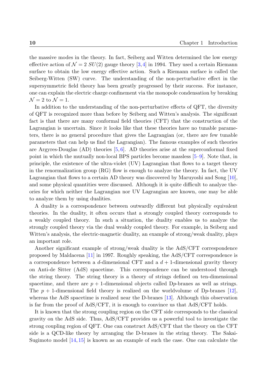the massive modes in the theory. In fact, Seiberg and Witten determined the low energy effective action of  $\mathcal{N} = 2$  *SU*(2) gauge theory [3,4] in 1994. They used a certain Riemann surface to obtain the low energy effective action. Such a Riemann surface is called the Seiberg-Witten (SW) curve. The understanding of the non-perturbative effect in the supersymmetric field theory has been greatly [p](#page-130-2)[ro](#page-130-3)gressed by their success. For instance, one can explain the electric charge confinement via the monopole condensation by breaking  $\mathcal{N}=2$  to  $\mathcal{N}=1$ .

In addition to the understanding of the non-perturbative effects of QFT, the diversity of QFT is recognized more than before by Seiberg and Witten's analysis. The significant fact is that there are many conformal field theories (CFT) that the construction of the Lagrangian is uncertain. Since it looks like that these theories have no tunable parameters, there is no general procedure that gives the Lagrangian (or, there are few tunable parameters that can help us find the Lagrangian). The famous examples of such theories are Argyres-Douglas  $(AD)$  theories  $[5, 6]$ . AD theories arise at the superconformal fixed point in which the mutually non-local BPS particles become massless [5–9]. Note that, in principle, the existence of the ultra-violet (UV) Lagrangian that flows to a target theory in the renormalization group (RG) [flo](#page-130-4)[w](#page-130-5) is enough to analyze the theory. In fact, the UV Lagrangian that flows to a certain AD theory was discovered by Maru[yos](#page-130-4)[hi](#page-130-6) and Song [10], and some physical quantities were discussed. Although it is quite difficult to analyze theories for which neither the Lagrangian nor UV Lagrangian are known, one may be able to analyze them by using dualities.

A duality is a correspondence between outwardly different but physically equivalent theories. In the duality, it often occurs that a strongly coupled theory corresponds to a weakly coupled theory. In such a situation, the duality enables us to analyze the strongly coupled theory via the dual weakly coupled theory. For example, in Seiberg and Witten's analysis, the electric-magnetic duality, an example of strong/weak duality, plays an important role.

Another significant example of strong/weak duality is the AdS/CFT correspondence proposed by Maldacena [11] in 1997. Roughly speaking, the AdS/CFT correspondence is a correspondence between a *d*-dimensional CFT and a *d* + 1-dimensional gravity theory on Anti-de Sitter (AdS) spacetime. This correspondence can be understood through the string theory. The [stri](#page-131-0)ng theory is a theory of strings defined on ten-dimensional spacetime, and there are  $p + 1$ -dimensional objects called  $Dp$ -branes as well as strings. The  $p + 1$ -dimensional field theory is realized on the worldvolume of D<sub>p</sub>-branes [12], whereas the AdS spacetime is realized near the D-branes [13]. Although this observation is far from the proof of AdS/CFT, it is enough to convince us that AdS/CFT holds.

It is known that the strong coupling region on the CFT side corresponds to the clas[sica](#page-131-1)l gravity on the AdS side. Thus, AdS/CFT provides us a [pow](#page-131-2)erful tool to investigate the strong coupling region of QFT. One can construct AdS/CFT that the theory on the CFT side is a QCD-like theory by arranging the D-branes in the string theory. The Sakai-Sugimoto model [14, 15] is known as an example of such the case. One can calculate the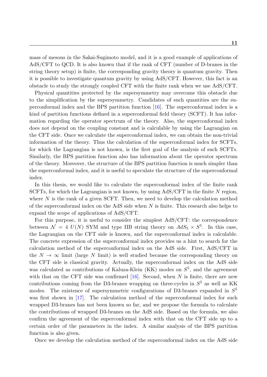mass of mesons in the Sakai-Sugimoto model, and it is a good example of applications of AdS/CFT to QCD. It is also known that if the rank of CFT (number of D-branes in the string theory setup) is finite, the corresponding gravity theory is quantum gravity. Then it is possible to investigate quantum gravity by using AdS/CFT. However, this fact is an obstacle to study the strongly coupled CFT with the finite rank when we use AdS/CFT.

Physical quantities protected by the supersymmetry may overcome this obstacle due to the simplification by the supersymmetry. Candidates of such quantities are the superconformal index and the BPS partition function [16]. The superconformal index is a kind of partition functions defined in a superconformal field theory (SCFT). It has information regarding the operator spectrum of the theory. Also, the superconformal index does not depend on the coupling constant and is cal[cul](#page-131-3)able by using the Lagrangian on the CFT side. Once we calculate the superconformal index, we can obtain the non-trivial information of the theory. Thus the calculation of the superconformal index for SCFTs, for which the Lagrangian is not known, is the first goal of the analysis of such SCFTs. Similarly, the BPS partition function also has information about the operator spectrum of the theory. Moreover, the structure of the BPS partition function is much simpler than the superconformal index, and it is useful to speculate the structure of the superconformal index.

In this thesis, we would like to calculate the superconformal index of the finite rank SCFTs, for which the Lagrangian is not known, by using AdS/CFT in the finite *N* region, where N is the rank of a given SCFT. Then, we need to develop the calculation method of the superconformal index on the AdS side when *N* is finite. This research also helps to expand the scope of applications of AdS/CFT.

For this purpose, it is useful to consider the simplest AdS/CFT: the correspondence between  $\mathcal{N} = 4$   $U(N)$  SYM and type IIB string theory on  $AdS_5 \times S^5$ . In this case, the Lagrangian on the CFT side is known, and the superconformal index is calculable. The concrete expression of the superconformal index provides us a hint to search for the calculation method of the superconformal index on the AdS side. First, AdS/CFT in the  $N \to \infty$  limit (large N limit) is well studied because the corresponding theory on the CFT side is classical gravity. Actually, the superconformal index on the AdS side was calculated as contributions of Kaluza-Klein (KK) modes on  $S^5$ , and the agreement with that on the CFT side was confirmed [16]. Second, when *N* is finite, there are new contributions coming from the D3-branes wrapping on three-cycles in  $S<sup>5</sup>$  as well as KK modes. The existence of supersymmetric configurations of D3-branes expanded in *S* 5 was first shown in [17]. The calculation [meth](#page-131-3)od of the superconformal index for such wrapped D3-branes has not been known so far, and we propose the formula to calculate the contributions of wrapped D3-branes on the AdS side. Based on the formula, we also confirm the agreem[ent](#page-131-4) of the superconformal index with that on the CFT side up to a certain order of the parameters in the index. A similar analysis of the BPS partition function is also given.

Once we develop the calculation method of the superconformal index on the AdS side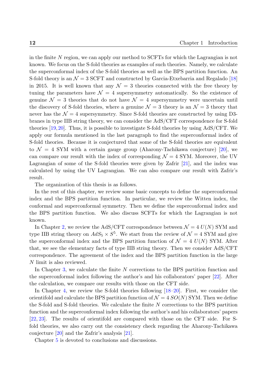in the finite *N* region, we can apply our method to SCFTs for which the Lagrangian is not known. We focus on the S-fold theories as examples of such theories. Namely, we calculate the superconformal index of the S-fold theories as well as the BPS partition function. An S-fold theory is an  $\mathcal{N}=3$  SCFT and constructed by Garcia-Etxebarria and Regalado [18] in 2015. It is well known that any  $\mathcal{N} = 3$  theories connected with the free theory by tuning the parameters have  $\mathcal{N} = 4$  supersymmetry automatically. So the existence of genuine  $\mathcal{N} = 3$  theories that do not have  $\mathcal{N} = 4$  supersymmetry were uncertain u[ntil](#page-131-5) the discovery of S-fold theories, where a genuine  $\mathcal{N}=3$  theory is an  $\mathcal{N}=3$  theory that never has the  $\mathcal{N} = 4$  supersymmetry. Since S-fold theories are constructed by using D3branes in type IIB string theory, we can consider the AdS/CFT correspondence for S-fold theories [19,20]. Thus, it is possible to investigate S-fold theories by using AdS/CFT. We apply our formula mentioned in the last paragraph to find the superconformal index of S-fold theories. Because it is conjectured that some of the S-fold theories are equivalent to  $\mathcal{N} = 4$  $\mathcal{N} = 4$  [SYM](#page-131-7) with a certain gauge group (Aharony-Tachikawa conjecture) [20], we can compare our result with the index of corresponding  $\mathcal{N}=4$  SYM. Moreover, the UV Lagrangian of some of the S-fold theories were given by Zafrir [21], and the index was calculated by using the UV Lagrangian. We can also compare our result with [Za](#page-131-7)frir's result.

The organization of this thesis is as follows.

In the rest of this chapter, we review some basic concepts to define the superconformal index and the BPS partition function. In particular, we review the Witten index, the conformal and superconformal symmetry. Then we define the superconformal index and the BPS partition function. We also discuss SCFTs for which the Lagrangian is not known.

In Chapter 2, we review the AdS/CFT correspondence between  $\mathcal{N} = 4$   $U(N)$  SYM and type IIB string theory on  $AdS_5 \times S^5$ . We start from the review of  $\mathcal{N} = 4$  SYM and give the superconformal index and the BPS partition function of  $\mathcal{N} = 4$   $U(N)$  SYM. After that, we seet[he](#page-36-0) elementary facts of type IIB string theory. Then we consider AdS/CFT correspondence. The agreement of the index and the BPS partition function in the large *N* limit is also reviewed.

In Chapter 3, we calculate the finite *N* corrections to the BPS partition function and the superconformal index following the author's and his collaborators' paper [22]. After the calculation, we compare our results with those on the CFT side.

In Chapter [4,](#page-72-0) we review the S-fold theories following [18–20]. First, we consider the orientifold and calculate the BPS partition function of  $\mathcal{N} = 4$   $SO(N)$  SYM. The[n w](#page-131-8)e define the S-fold and S-fold theories. We calculate the finite *N* corrections to the BPS partition function and t[he](#page-90-0) superconformal index following the autho[r's](#page-131-5) [and](#page-131-7) his collaborators' papers [22, 23]. The results of orientifold are compared with those on the CFT side. For Sfold theories, we also carry out the consistency check regarding the Aharony-Tachikawa conjecture [20] and the Zafrir's analysis [21].

[C](#page-131-8)[hap](#page-132-0)ter 5 is devoted to conclusions and discussions.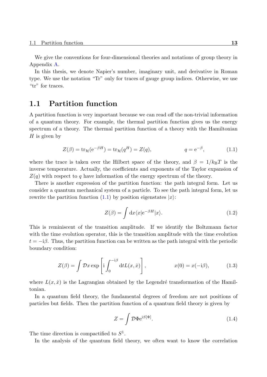We give the conventions for four-dimensional theories and notations of group theory in Appendix A.

In this thesis, we denote Napier's number, imaginary unit, and derivative in Roman type. We use the notation "Tr" only for traces of gauge group indices. Otherwise, we use "tr" for tr[ace](#page-126-0)s.

## **1.1 Partition function**

<span id="page-12-0"></span>A partition function is very important because we can read off the non-trivial information of a quantum theory. For example, the thermal partition function gives us the energy spectrum of a theory. The thermal partition function of a theory with the Hamiltonian *H* is given by

$$
Z(\beta) = \text{tr}_{\mathcal{H}}(e^{-\beta H}) = \text{tr}_{\mathcal{H}}(q^H) = Z(q), \qquad q = e^{-\beta}, \qquad (1.1)
$$

where the trace is taken over the Hilbert space of the theory, and  $\beta = 1/k_BT$  is the inverse temperature. Actually, the coefficients and exponents of the Taylor expansion of *Z*(*q*) with respect to *q* have information of the energy spectrum of the theory.

There is another expression of the partition function: the path integral form. Let us consider a quantum mechanical system of a particle. To see the path integral form, let us rewrite the partition function  $(1.1)$  by position eigenstates  $|x\rangle$ :

$$
Z(\beta) = \int \mathrm{d}x \langle x | e^{-\beta H} | x \rangle.
$$
 (1.2)

This is reminiscent of the transition amplitude. If we identify the Boltzmann factor with the time evolution operator, this is the transition amplitude with the time evolution  $t = -i\beta$ . Thus, the partition function can be written as the path integral with the periodic boundary condition:

$$
Z(\beta) = \int \mathcal{D}x \exp\left[i \int_0^{-i\beta} dt L(x, \dot{x})\right], \qquad x(0) = x(-i\beta), \qquad (1.3)
$$

where  $L(x, \dot{x})$  is the Lagrangian obtained by the Legendré transformation of the Hamiltonian.

In a quantum field theory, the fundamental degrees of freedom are not positions of particles but fields. Then the partition function of a quantum field theory is given by

$$
Z = \int \mathcal{D}\Phi \mathrm{e}^{\mathrm{i}S[\Phi]}.
$$
 (1.4)

The time direction is compactified to  $S^1$ .

In the analysis of the quantum field theory, we often want to know the correlation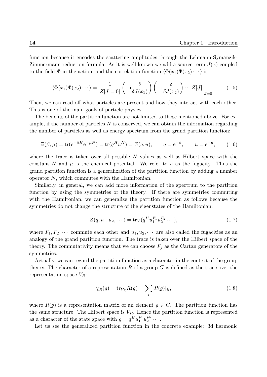function because it encodes the scattering amplitudes through the Lehmann-Symanzik-Zimmermann reduction formula. As it is well known we add a source term  $J(x)$  coupled to the field  $\Phi$  in the action, and the correlation function  $\langle \Phi(x_1) \Phi(x_2) \cdots \rangle$  is

$$
\langle \Phi(x_1)\Phi(x_2)\cdots\rangle = \frac{1}{Z[J=0]} \left( -i\frac{\delta}{\delta J(x_1)} \right) \left( -i\frac{\delta}{\delta J(x_2)} \right) \cdots Z[J] \Big|_{J=0} . \tag{1.5}
$$

Then, we can read off what particles are present and how they interact with each other. This is one of the main goals of particle physics.

The benefits of the partition function are not limited to those mentioned above. For example, if the number of particles *N* is conserved, we can obtain the information regarding the number of particles as well as energy spectrum from the grand partition function:

$$
\Xi(\beta,\mu) = \text{tr}(e^{-\beta H}e^{-\mu N}) = \text{tr}(q^H u^N) = Z(q,u), \qquad q = e^{-\beta}, \qquad u = e^{-\mu}, \qquad (1.6)
$$

where the trace is taken over all possible *N* values as well as Hilbert space with the constant *N* and  $\mu$  is the chemical potential. We refer to  $u$  as the fugacity. Thus the grand partition function is a generalization of the partition function by adding a number operator *N*, which commutes with the Hamiltonian.

Similarly, in general, we can add more information of the spectrum to the partition function by using the symmetries of the theory. If there are symmetries commuting with the Hamiltonian, we can generalize the partition function as follows because the symmetries do not change the structure of the eigenstates of the Hamiltonian:

$$
Z(q, u_1, u_2, \cdots) = \text{tr}_V(q^H u_1^{F_1} u_2^{F_2} \cdots), \qquad (1.7)
$$

where  $F_1, F_2, \cdots$  commute each other and  $u_1, u_2, \cdots$  are also called the fugacities as an analogy of the grand partition function. The trace is taken over the Hilbert space of the theory. The commutativity means that we can choose  $F_j$  as the Cartan generators of the symmetries.

Actually, we can regard the partition function as a character in the context of the group theory. The character of a representation *R* of a group *G* is defined as the trace over the representation space *VR*:

$$
\chi_R(g) = \text{tr}_{V_R} R(g) = \sum_i [R(g)]_{ii},\tag{1.8}
$$

where  $R(g)$  is a representation matrix of an element  $g \in G$ . The partition function has the same structure. The Hilbert space is  $V_R$ . Hence the partition function is represented as a character of the state space with  $g = q^H u_1^{F_1} u_2^{F_2} \cdots$ .

Let us see the generalized partition function in the concrete example: 3d harmonic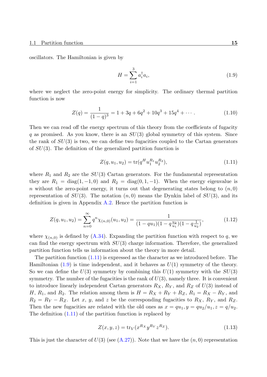oscillators. The Hamiltonian is given by

<span id="page-14-1"></span>
$$
H = \sum_{i=1}^{3} a_i^{\dagger} a_i,
$$
\n(1.9)

where we neglect the zero-point energy for simplicity. The ordinary thermal partition function is now

$$
Z(q) = \frac{1}{(1-q)^3} = 1 + 3q + 6q^2 + 10q^3 + 15q^4 + \cdots
$$
 (1.10)

Then we can read off the energy spectrum of this theory from the coefficients of fugacity *q* as promised. As you know, there is an *SU*(3) global symmetry of this system. Since the rank of *SU*(3) is two, we can define two fugacities coupled to the Cartan generators of *SU*(3). The definition of the generalized partition function is

<span id="page-14-2"></span><span id="page-14-0"></span>
$$
Z(q, u_1, u_2) = \text{tr}(q^H u_1^{R_1} u_2^{R_2}), \qquad (1.11)
$$

where  $R_1$  and  $R_2$  are the  $SU(3)$  Cartan generators. For the fundamental representation they are  $R_1 = \text{diag}(1, -1, 0)$  and  $R_2 = \text{diag}(0, 1, -1)$ . When the energy eigenvalue is *n* without the zero-point energy, it turns out that degenerating states belong to  $(n, 0)$ representation of  $SU(3)$ . The notation  $(n,0)$  means the Dynkin label of  $SU(3)$ , and its definition is given in Appendix  $A.2$ . Hence the partition function is

$$
Z(q, u_1, u_2) = \sum_{n=0}^{\infty} q^n \chi_{(n,0)}(u_1, u_2) = \frac{1}{(1 - qu_1)(1 - q \frac{u_2}{u_1})(1 - q \frac{1}{u_2})},
$$
(1.12)

where  $\chi_{(n,0)}$  is defined by  $(A.34)$ . Expanding the partition function with respect to q, we can find the energy spectrum with *SU*(3) charge information. Therefore, the generalized partition function tells us information about the theory in more detail.

The partition function ([1.11\) i](#page-129-0)s expressed as the character as we introduced before. The Hamiltonian (1.9) is time independent, and it behaves as *U*(1) symmetry of the theory. So we can define the *U*(3) symmetry by combining this *U*(1) symmetry with the *SU*(3) symmetry. The number o[f the f](#page-14-0)ugacities is the rank of *U*(3), namely three. It is convenient to introducel[inea](#page-14-1)rly independent Cartan generators *RX*, *R<sup>Y</sup>* , and *R<sup>Z</sup>* of *U*(3) instead of *H*, *R*<sub>1</sub>, and *R*<sub>2</sub>. The relation among them is  $H = R_X + R_Y + R_Z$ ,  $R_1 = R_X - R_Y$ , and  $R_2 = R_Y - R_Z$ . Let *x*, *y*, and *z* be the corresponding fugacities to  $R_X$ ,  $R_Y$ , and  $R_Z$ . Then the new fugacities are related with the old ones as  $x = qu_1, y = qu_2/u_1, z = q/u_2$ . The definition (1.11) of the partition function is replaced by

$$
Z(x, y, z) = \text{tr}_V(x^{R_X} y^{R_Y} z^{R_Z}).
$$
\n(1.13)

This is just the [chara](#page-14-0)cter of  $U(3)$  (see  $(A.27)$ ). Note that we have the  $(n,0)$  representation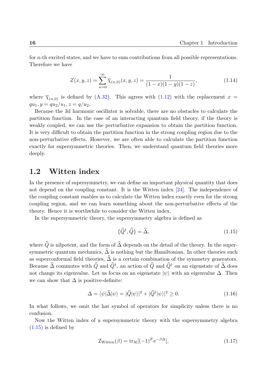for *n*-th excited states, and we have to sum contributions from all possible representations. Therefore we have

$$
Z(x, y, z) = \sum_{n=0}^{\infty} \overline{\chi}_{(n,0)}(x, y, z) = \frac{1}{(1-x)(1-y)(1-z)},
$$
\n(1.14)

where  $\overline{\chi}_{(n,0)}$  is defined by (A.32). This agrees with (1.12) with the replacement  $x =$  $qu_1, y = qu_2/u_1, z = q/u_2.$ 

Because the 3d harmonic oscillator is solvable, there are no obstacles to calculate the partition function. In the [case o](#page-129-1)f an interacting quan[tum](#page-14-2) field theory, if the theory is weakly coupled, we can use the perturbative expansion to obtain the partition function. It is very difficult to obtain the partition function in the strong coupling region due to the non-perturbative effects. However, we are often able to calculate the partition function exactly for supersymmetric theories. Then, we understand quantum field theories more deeply.

# **1.2 Witten index**

<span id="page-15-0"></span>In the presence of supersymmetry, we can define an important physical quantity that does not depend on the coupling constant. It is the Witten index  $[24]$ . The independence of the coupling constant enables us to calculate the Witten index exactly even for the strong coupling region, and we can learn something about the non-perturbative effects of the theory. Hence it is worthwhile to consider the Witten index.

In the supersymmetric theory, the supersymmetry algebra is defined as

<span id="page-15-1"></span>
$$
\{\hat{Q}^{\dagger}, \hat{Q}\} = \hat{\Delta},\tag{1.15}
$$

where  $\widehat{Q}$  is nilpotent, and the form of  $\widehat{\Delta}$  depends on the detail of the theory. In the supersymmetric quantum mechanics,  $\hat{\Delta}$  is nothing but the Hamiltonian. In other theories such as superconformal field theories,  $\widehat{\Delta}$  is a certain combination of the symmetry generators. Because  $\widehat{\Delta}$  commutes with  $\widehat{Q}$  and  $\widehat{Q}^{\dagger}$ , an action of  $\widehat{Q}$  and  $\widehat{Q}^{\dagger}$  on an eigenstate of  $\widehat{\Delta}$  does not change its eigenvalue. Let us focus on an eigenstate  $|\psi\rangle$  with an eigenvalue  $\Delta$ . Then we can show that  $\Delta$  is positive-definite:

$$
\Delta = \langle \psi | \hat{\Delta} | \psi \rangle = | \hat{Q} | \psi \rangle |^2 + | \hat{Q}^{\dagger} | \psi \rangle |^2 \ge 0. \tag{1.16}
$$

In what follows, we omit the hat symbol of operators for simplicity unless there is no confusion.

Now the Witten index of a supersymmetric theory with the supersymmetry algebra  $(1.15)$  is defined by

$$
\mathcal{I}_{\text{Witten}}(\beta) = \text{tr}_{\mathcal{H}}[(-1)^F e^{-\beta \Delta}], \qquad (1.17)
$$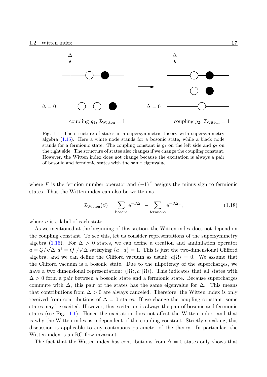

<span id="page-16-0"></span>Fig. 1.1 The structure of states in a supersymmetric theory with supersymmetry algebra (1.15). Here a white node stands for a bosonic state, while a black node stands for a fermionic state. The coupling constant is  $g_1$  on the left side and  $g_2$  on the right side. The structure of states also changes if we change the coupling constant. However, the Witten index does not change because the excitation is always a pair of boson[ic and](#page-15-1) fermionic states with the same eigenvalue.

where *F* is the fermion number operator and  $(-1)^F$  assigns the minus sign to fermionic states. Thus the Witten index can also be written as

$$
\mathcal{I}_{\text{Witten}}(\beta) = \sum_{\text{bosons}} e^{-\beta \Delta_n} - \sum_{\text{fermions}} e^{-\beta \Delta_n},\tag{1.18}
$$

where *n* is a label of each state.

As we mentioned at the beginning of this section, the Witten index does not depend on the coupling constant. To see this, let us consider representations of the supersymmetry algebra (1.15). For  $\Delta > 0$  states, we can define a creation and annihilation operator *a* =  $Q/\sqrt{\Delta}, a^{\dagger} = Q^{\dagger}/\sqrt{\Delta}$  satisfying  $\{a^{\dagger}, a\} = 1$ . This is just the two-dimensional Clifford algebra, and we can define the Clifford vacuum as usual:  $a|\Omega\rangle = 0$ . We assume that the Cliff[ord v](#page-15-1)acuum is a bosonic state. Due to the nilpotency of the supercharges, we have a two dimensional representation:  $(|\Omega\rangle, a^{\dagger}|\Omega\rangle)$ . This indicates that all states with ∆ *>* 0 form a pair between a bosonic state and a fermionic state. Because supercharges commute with  $\Delta$ , this pair of the states has the same eigenvalue for  $\Delta$ . This means that contributions from  $\Delta > 0$  are always canceled. Therefore, the Witten index is only received from contributions of  $\Delta = 0$  states. If we change the coupling constant, some states may be excited. However, this excitation is always the pair of bosonic and fermionic states (see Fig. 1.1). Hence the excitation does not affect the Witten index, and that is why the Witten index is independent of the coupling constant. Strictly speaking, this discussion is applicable to any continuous parameter of the theory. In particular, the Witten index is [an R](#page-16-0)G flow invariant.

The fact that the Witten index has contributions from  $\Delta = 0$  states only shows that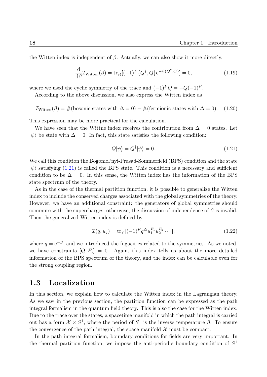the Witten index is independent of  $\beta$ . Actually, we can also show it more directly.

$$
\frac{\mathrm{d}}{\mathrm{d}\beta}\mathcal{I}_{\mathrm{Witten}}(\beta) = \mathrm{tr}_{\mathcal{H}}[(-1)^{F}\{Q^{\dagger}, Q\}e^{-\beta\{Q^{\dagger}, Q\}}] = 0,\tag{1.19}
$$

where we used the cyclic symmetry of the trace and  $(-1)^F Q = -Q(-1)^F$ .

According to the above discussion, we also express the Witten index as

$$
\mathcal{I}_{\text{Witten}}(\beta) = \#(\text{bosonic states with } \Delta = 0) - \#(\text{fermionic states with } \Delta = 0). \tag{1.20}
$$

This expression may be more practical for the calculation.

We have seen that the Wittne index receives the contribution from  $\Delta = 0$  states. Let  $|\psi\rangle$  be state with  $\Delta = 0$ . In fact, this state satisfies the following condition:

<span id="page-17-1"></span>
$$
Q|\psi\rangle = Q^{\dagger}|\psi\rangle = 0.
$$
\n(1.21)

We call this condition the Bogomol'nyi-Prasad-Sommerfield (BPS) condition and the state  $|\psi\rangle$  satisfying (1.21) is called the BPS state. This condition is a necessary and sufficient condition to be  $\Delta = 0$ . In this sense, the Witten index has the information of the BPS state spectrum of the theory.

As in the ca[se of](#page-17-1) the thermal partition function, it is possible to generalize the Witten index to include the conserved charges associated with the global symmetries of the theory. However, we have an additional constraint: the generators of global symmetries should commute with the supercharges; otherwise, the discussion of independence of  $\beta$  is invalid. Then the generalized Witten index is defined by

$$
\mathcal{I}(q, u_j) = \text{tr}_V[(-1)^F q^{\Delta} u_1^{F_1} u_2^{F_2} \cdots], \qquad (1.22)
$$

where  $q = e^{-\beta}$ , and we introduced the fugacities related to the symmetries. As we noted, we have constraints  $[Q, F_j] = 0$ . Again, this index tells us about the more detailed information of the BPS spectrum of the theory, and the index can be calculable even for the strong coupling region.

### **1.3 Localization**

<span id="page-17-0"></span>In this section, we explain how to calculate the Witten index in the Lagrangian theory. As we saw in the previous section, the partition function can be expressed as the path integral formalism in the quantum field theory. This is also the case for the Witten index. Due to the trace over the states, a spacetime manifold in which the path integral is carried out has a form  $\mathcal{X} \times S^1$ , where the period of  $S^1$  is the inverse temperature  $\beta$ . To ensure the convergence of the path integral, the space manifold  $\mathcal X$  must be compact.

In the path integral formalism, boundary conditions for fields are very important. In the thermal partition function, we impose the anti-periodic boundary condition of *S* 1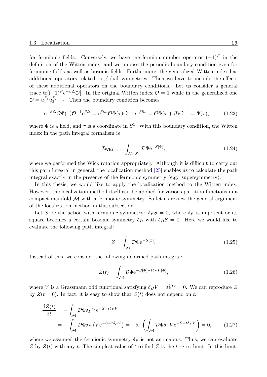for fermionic fields. Conversely, we have the fermion number operator  $(-1)^F$  in the definition of the Witten index, and we impose the periodic boundary condition even for fermionic fields as well as bosonic fields. Furthermore, the generalized Witten index has additional operators related to global symmetries. Then we have to include the effects of these additional operators on the boundary conditions. Let us consider a general trace tr[ $(-1)^F e^{-\beta \Delta} O$ ]. In the original Witten index  $O = 1$  while in the generalized one  $\mathcal{O} = u_1^{F_1} u_2^{F_2} \cdots$ . Then the boundary condition becomes

$$
e^{-\beta \Delta} \mathcal{O} \Phi(\tau) \mathcal{O}^{-1} e^{\beta \Delta} = e^{\beta \partial_{\tau}} \mathcal{O} \Phi(\tau) \mathcal{O}^{-1} e^{-\beta \partial_{\tau}} = \mathcal{O} \Phi(\tau + \beta) \mathcal{O}^{-1} = \Phi(\tau), \tag{1.23}
$$

where  $\Phi$  is a field, and  $\tau$  is a coordinate in  $S^1$ . With this boundary condition, the Witten index in the path integral formalism is

$$
\mathcal{I}_{\text{Witten}} = \int_{\mathcal{X} \times S^1} \mathcal{D} \Phi \, \mathrm{e}^{-S[\Phi]},\tag{1.24}
$$

where we performed the Wick rotation appropriately. Although it is difficult to carry out this path integral in general, the localization method [25] enables us to calculate the path integral exactly in the presence of the fermionic symmetry (e.g., supersymmetry).

In this thesis, we would like to apply the localization method to the Witten index. However, the localization method itself can be applie[d fo](#page-132-1)r various partition functions in a compact manifold *M* with a fermionic symmetry. So let us review the general argument of the localization method in this subsection.

Let *S* be the action with fermionic symmetry:  $\delta_F S = 0$ , where  $\delta_F$  is nilpotent or its square becomes a certain bosonic symmetry  $\delta_B$  with  $\delta_B S = 0$ . Here we would like to evaluate the following path integral:

$$
Z = \int_{\mathcal{M}} \mathcal{D}\Phi \mathrm{e}^{-S[\Phi]}.
$$
 (1.25)

Instead of this, we consider the following deformed path integral:

$$
Z(t) = \int_{\mathcal{M}} \mathcal{D}\Phi e^{-S[\Phi] - t\delta_F V[\Phi]}, \qquad (1.26)
$$

where *V* is a Grassmann odd functional satisfying  $\delta_B V = \delta_F^2 V = 0$ . We can reproduce *Z* by  $Z(t=0)$ . In fact, it is easy to show that  $Z(t)$  does not depend on *t*:

$$
\frac{dZ(t)}{dt} = -\int_{\mathcal{M}} \mathcal{D}\Phi \delta_F V e^{-S - t\delta_F V} \n= -\int_{\mathcal{M}} \mathcal{D}\Phi \delta_F (V e^{-S - t\delta_F V}) = -\delta_F \left( \int_{\mathcal{M}} \mathcal{D}\Phi \delta_F V e^{-S - t\delta_F V} \right) = 0, \quad (1.27)
$$

where we assumed the fermionic symmetry  $\delta_F$  is not anomalous. Thus, we can evaluate *Z* by  $Z(t)$  with any *t*. The simplest value of *t* to find *Z* is the  $t \to \infty$  limit. In this limit,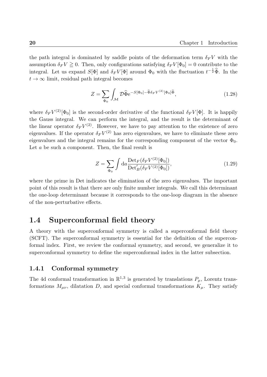the path integral is dominated by saddle points of the deformation term  $\delta_F V$  with the assumption  $\delta_F V \geq 0$ . Then, only configurations satisfying  $\delta_F V[\Phi_0] = 0$  contribute to the integral. Let us expand  $S[\Phi]$  and  $\delta_F V[\Phi]$  around  $\Phi_0$  with the fluctuation  $t^{-\frac{1}{2}}\widehat{\Phi}$ . In the  $t \to \infty$  limit, residual path integral becomes

$$
Z = \sum_{\Phi_0} \int_{\mathcal{M}} \mathcal{D}\widehat{\Phi} e^{-S[\Phi_0] - \widehat{\Phi}\delta_F V^{(2)}[\Phi_0]\widehat{\Phi}}, \qquad (1.28)
$$

where  $\delta_F V^{(2)}[\Phi_0]$  is the second-order derivative of the functional  $\delta_F V[\Phi]$ . It is happily the Gauss integral. We can perform the integral, and the result is the determinant of the linear operator  $\delta_F V^{(2)}$ . However, we have to pay attention to the existence of zero eigenvalues. If the operator  $\delta_F V^{(2)}$  has zero eigenvalues, we have to eliminate these zero eigenvalues and the integral remains for the corresponding component of the vector  $\Phi_0$ . Let *a* be such a component. Then, the final result is

$$
Z = \sum_{\Phi_0} \int \mathrm{d}a \frac{\mathrm{Det}_F(\delta_F V^{(2)}[\Phi_0])}{\mathrm{Det}'_B(\delta_F V^{(2)}[\Phi_0])},\tag{1.29}
$$

where the prime in Det indicates the elimination of the zero eigenvalues. The important point of this result is that there are only finite number integrals. We call this determinant the one-loop determinant because it corresponds to the one-loop diagram in the absence of the non-perturbative effects.

# <span id="page-19-0"></span>**1.4 Superconformal field theory**

A theory with the superconformal symmetry is called a superconformal field theory (SCFT). The superconformal symmetry is essential for the definition of the superconformal index. First, we review the conformal symmetry, and second, we generalize it to superconformal symmetry to define the superconformal index in the latter subsection.

#### <span id="page-19-1"></span>**1.4.1 Conformal symmetry**

The 4d conformal transformation in  $\mathbb{R}^{1,3}$  is generated by translations  $P_{\mu}$ , Lorentz transformations  $M_{\mu\nu}$ , dilatation *D*, and special conformal transformations  $K_{\mu}$ . They satisfy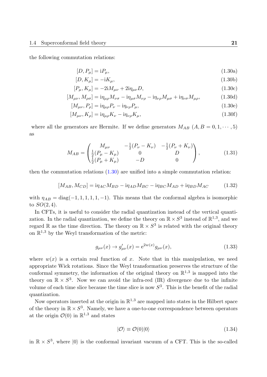the following commutation relations:

$$
[D, P_{\mu}] = \mathrm{i} P_{\mu},\tag{1.30a}
$$

$$
[D, K_{\mu}] = -\mathrm{i}K_{\mu},\tag{1.30b}
$$

$$
[P_{\mu}, K_{\mu}] = -2iM_{\mu\nu} + 2i\eta_{\mu\nu}D,\tag{1.30c}
$$

$$
[M_{\mu\nu}, M_{\rho\sigma}] = i\eta_{\mu\rho} M_{\nu\sigma} - i\eta_{\mu\sigma} M_{\nu\rho} - i\eta_{\nu\rho} M_{\mu\sigma} + i\eta_{\nu\sigma} M_{\mu\rho}, \qquad (1.30d)
$$

<span id="page-20-0"></span>
$$
[M_{\mu\nu}, P_{\rho}] = i\eta_{\mu\rho} P_{\nu} - i\eta_{\nu\rho} P_{\mu}, \qquad (1.30e)
$$

$$
[M_{\mu\nu}, K_{\rho}] = i\eta_{\mu\rho} K_{\nu} - i\eta_{\nu\rho} K_{\mu}, \qquad (1.30f)
$$

where all the generators are Hermite. If we define generators  $M_{AB}$   $(A, B = 0, 1, \dots, 5)$ as

$$
M_{AB} = \begin{pmatrix} M_{\mu\nu} & -\frac{1}{2}(P_{\nu} - K_{\nu}) & -\frac{1}{2}(P_{\nu} + K_{\nu}) \\ \frac{1}{2}(P_{\mu} - K_{\mu}) & 0 & D \\ \frac{1}{2}(P_{\mu} + K_{\mu}) & -D & 0 \end{pmatrix},
$$
(1.31)

then the commutation relations (1.30) are unified into a simple commutation relation:

$$
[M_{AB}, M_{CD}] = i\eta_{AC}M_{BD} - i\eta_{AD}M_{BC} - i\eta_{BC}M_{AD} + i\eta_{BD}M_{AC}
$$
 (1.32)

with  $\eta_{AB} = \text{diag}(-1, 1, 1, 1, 1, -1)$ . This means that the conformal algebra is isomorphic to  $SO(2,4)$ .

In CFTs, it is useful to consider the radial quantization instead of the vertical quantization. In the radial quantization, we define the theory on  $\mathbb{R} \times S^3$  instead of  $\mathbb{R}^{1,3}$ , and we regard R as the time direction. The theory on  $\mathbb{R} \times S^3$  is related with the original theory on  $\mathbb{R}^{1,3}$  by the Weyl transformation of the metric:

$$
g_{\mu\nu}(x) \to g'_{\mu\nu}(x) = e^{2w(x)} g_{\mu\nu}(x), \tag{1.33}
$$

where  $w(x)$  is a certain real function of x. Note that in this manipulation, we need appropriate Wick rotations. Since the Weyl transformation preserves the structure of the conformal symmetry, the information of the original theory on  $\mathbb{R}^{1,3}$  is mapped into the theory on  $\mathbb{R} \times S^3$ . Now we can avoid the infra-red (IR) divergence due to the infinite volume of each time slice because the time slice is now *S* 3 . This is the benefit of the radial quantization.

Now operators inserted at the origin in  $\mathbb{R}^{1,3}$  are mapped into states in the Hilbert space of the theory in  $\mathbb{R} \times S^3$ . Namely, we have a one-to-one correspondence between operators at the origin  $\mathcal{O}(0)$  in  $\mathbb{R}^{1,3}$  and states

$$
|\mathcal{O}\rangle \equiv \mathcal{O}(0)|0\rangle \tag{1.34}
$$

in  $\mathbb{R} \times S^3$ , where  $|0\rangle$  is the conformal invariant vacuum of a CFT. This is the so-called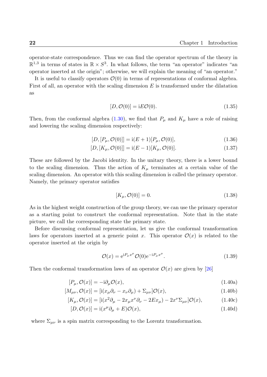operator-state correspondence. Thus we can find the operator spectrum of the theory in  $\mathbb{R}^{1,3}$  in terms of states in  $\mathbb{R} \times S^3$ . In what follows, the term "an operator" indicates "an operator inserted at the origin"; otherwise, we will explain the meaning of "an operator."

It is useful to classify operators  $\mathcal{O}(0)$  in terms of representations of conformal algebra. First of all, an operator with the scaling dimension *E* is transformed under the dilatation as

$$
[D, \mathcal{O}(0)] = iE\mathcal{O}(0). \tag{1.35}
$$

Then, from the conformal algebra  $(1.30)$ , we find that  $P_\mu$  and  $K_\mu$  have a role of raising and lowering the scaling dimension respectively:

$$
[D, [P_{\mu}, \mathcal{O}(0)]] = i(E+1)[P_{\mu}, \mathcal{O}(0)],
$$
\n(1.36)

$$
[D, [K_{\mu}, \mathcal{O}(0)]] = i(E - 1)[K_{\mu}, \mathcal{O}(0)].
$$
\n(1.37)

These are followed by the Jacobi identity. In the unitary theory, there is a lower bound to the scaling dimension. Thus the action of  $K_\mu$  terminates at a certain value of the scaling dimension. An operator with this scaling dimension is called the primary operator. Namely, the primary operator satisfies

$$
[K_{\mu}, \mathcal{O}(0)] = 0. \tag{1.38}
$$

As in the highest weight construction of the group theory, we can use the primary operator as a starting point to construct the conformal representation. Note that in the state picture, we call the corresponding state the primary state.

Before discussing conformal representation, let us give the conformal transformation laws for operators inserted at a generic point x. This operator  $\mathcal{O}(x)$  is related to the operator inserted at the origin by

<span id="page-21-0"></span>
$$
\mathcal{O}(x) = e^{iP_{\mu}x^{\mu}} \mathcal{O}(0) e^{-iP_{\mu}x^{\mu}}.
$$
\n(1.39)

Then the conformal transformation laws of an operator  $\mathcal{O}(x)$  are given by [26]

$$
[P_{\mu}, \mathcal{O}(x)] = -i\partial_{\mu}\mathcal{O}(x),\tag{1.40a}
$$

$$
[M_{\mu\nu}, \mathcal{O}(x)] = [i(x_{\mu}\partial_{\nu} - x_{\nu}\partial_{\mu}) + \Sigma_{\mu\nu}]\mathcal{O}(x), \qquad (1.40b)
$$

$$
[K_{\mu}, \mathcal{O}(x)] = [i(x^2 \partial_{\mu} - 2x_{\mu}x^{\nu}\partial_{\nu} - 2Ex_{\mu}) - 2x^{\nu}\Sigma_{\mu\nu}]\mathcal{O}(x), \qquad (1.40c)
$$

$$
[D, \mathcal{O}(x)] = \mathrm{i}(x^{\mu}\partial_{\mu} + E)\mathcal{O}(x),\tag{1.40d}
$$

where  $\Sigma_{\mu\nu}$  is a spin matrix corresponding to the Lorentz transformation.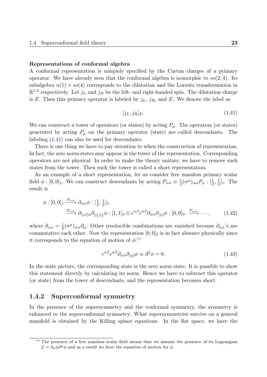#### **Representations of conformal algebra**

A conformal representation is uniquely specified by the Cartan charges of a primary operator. We have already seen that the conformal algebra is isomorphic to  $so(2, 4)$ . Its subalgebra  $u(1) \times so(4)$  corresponds to the dilatation and the Lorentz transformation in  $\mathbb{R}^{1,3}$  respectively. Let  $j_L$  and  $j_R$  be the left- and right-handed spin. The dilatation charge is *E*. Then this primary operator is labeled by  $j_L$ ,  $j_R$ , and *E*. We denote the label as

<span id="page-22-1"></span>
$$
[j_L, j_R]_E. \tag{1.41}
$$

We can construct a tower of operators (or states) by acting  $P_\mu$ . The operators (or states) generated by acting  $P_\mu$  on the primary operator (state) are called descendants. The labeling (1.41) can also be used for descendants.

There is one thing we have to pay attention to when the construction of representation. In fact, the zero norm states may appear in the tower of the representation. Corresponding operator[s are](#page-22-1) not physical. In order to make the theory unitary, we have to remove such states from the tower. Then such the tower is called a short representation.

As an example of a short representation, let us consider free massless primary scalar field  $\phi$  :  $[0,0]_1$ . We can construct descendants by acting  $P_{\alpha\dot{\alpha}} \equiv \frac{1}{2}$  $\frac{1}{2}$ (σ<sup>μ</sup>)<sub>αά</sub> $P$ <sub>μ</sub>: $\left[\frac{1}{2}, \frac{1}{2}\right]$  $\frac{1}{2}]_1$ . The result is

$$
\phi : [0,0]_1 \xrightarrow{P_{\alpha\dot{\alpha}}} \partial_{\alpha\dot{\alpha}} \phi : [\frac{1}{2},\frac{1}{2}]_2
$$
  

$$
\xrightarrow{P_{\alpha\dot{\alpha}}} \partial_{\{\alpha\{\dot{\alpha}}\partial_{\beta\}\dot{\beta}\}} \phi : [1,1]_3 \oplus \epsilon^{\alpha\beta} \epsilon^{\dot{\alpha}\dot{\beta}} \partial_{\alpha\dot{\alpha}} \partial_{\beta\dot{\beta}} \phi : [0,0]_3 \dots \xrightarrow{P_{\alpha\dot{\alpha}}} \dots , \qquad (1.42)
$$

where  $\partial_{\alpha\dot{\alpha}} = \frac{1}{2}$  $\frac{1}{2}(\sigma^{\mu})_{\alpha\dot{\alpha}}\partial_{\mu}$ . Other irreducible combinations are vanished because  $\partial_{\alpha\dot{\alpha}}$ 's are commutative each other. Now the representation  $[0, 0]_3$  is in fact absence physically since it corresponds to the equation of motion of *ϕ*: \*1

$$
\epsilon^{\alpha\beta}\epsilon^{\dot{\alpha}\dot{\beta}}\partial_{\alpha\dot{\alpha}}\partial_{\beta\dot{\beta}}\phi \propto \partial^2\phi = 0.
$$
\n(1.43)

In the state picture, the corresponding state is the zero norm state. It is possible to show this statement directly by calculating its norm. Hence we have to subtract this operator (or state) from the tower of descendants, and the representation becomes short.

#### **1.4.2 Superconformal symmetry**

<span id="page-22-0"></span>In the presence of the supersymmetry and the conformal symmetry, the symmetry is enhanced to the superconformal symmetry. What supersymmetries survive on a general manifold is obtained by the Killing spinor equations. In the flat space, we have the

<sup>&</sup>lt;sup>\*1</sup> The presence of a free massless scalar field means that we assume the presence of its Lagrangian  $\mathcal{L} = \partial_{\mu}\phi\partial^{\mu}\phi$  and as a result we have the equation of motion for  $\phi$ .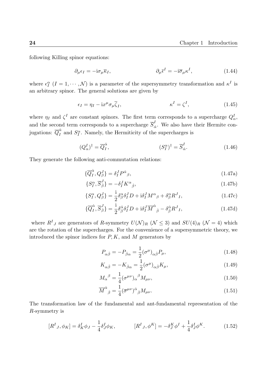following Killing spinor equations:

$$
\partial_{\mu}\epsilon_{I} = -\mathrm{i}\sigma_{\mu}\overline{\kappa}_{I}, \qquad \partial_{\mu}\overline{\epsilon}^{I} = -\mathrm{i}\overline{\sigma}_{\mu}\kappa^{I}, \qquad (1.44)
$$

where  $\epsilon_I^{\alpha}$  (*I* = 1,  $\cdots$ , *N*) is a parameter of the supersymmetry transformation and  $\kappa^I$  is an arbitrary spinor. The general solutions are given by

$$
\epsilon_I = \eta_I - i x^\mu \sigma_\mu \overline{\zeta}_I, \qquad \qquad \kappa^I = \zeta^I, \qquad (1.45)
$$

where  $\eta_I$  and  $\zeta^I$  are constant spinors. The first term corresponds to a supercharge  $Q^I_{\alpha}$ , and the second term corresponds to a supercharge  $\overline{S}_{\dot{c}}^I$  $\alpha_{\dot{\alpha}}$ . We also have their Hermite conjugations:  $\overline{Q}_{I}^{\dot{\alpha}}$  $I_I^{\alpha}$  and  $S_I^{\alpha}$ . Namely, the Hermiticity of the supercharges is

$$
(Q_{\alpha}^{I})^{\dagger} = \overline{Q}_{I}^{\dot{\alpha}}, \qquad (S_{I}^{\alpha})^{\dagger} = \overline{S}_{\dot{\alpha}}^{I}.
$$
 (1.46)

They generate the following anti-commutation relations:

$$
\{\overline{Q}_I^{\dot{\alpha}}, Q_\beta^J\} = \delta_I^J P^{\dot{\alpha}}{}_{\beta},\tag{1.47a}
$$

<span id="page-23-1"></span>
$$
\{S_I^{\alpha}, \overline{S}_{\dot{\beta}}^J\} = -\delta_I^J K^{\alpha}_{\dot{\beta}},\tag{1.47b}
$$

$$
\{S_I^{\alpha}, Q_{\beta}^J\} = \frac{\mathrm{i}}{2} \delta_{\beta}^{\alpha} \delta_I^J D + \mathrm{i} \delta_I^J M^{\alpha}{}_{\beta} + \delta_{\beta}^{\alpha} R^J{}_I, \tag{1.47c}
$$

$$
\{\overline{Q}_{I}^{\dot{\alpha}}, \overline{S}_{\dot{\beta}}^{J}\} = \frac{\mathrm{i}}{2} \delta_{\dot{\beta}}^{\dot{\alpha}} \delta_{I}^{J} D + \mathrm{i} \delta_{I}^{J} \overline{M}^{\dot{\alpha}}{}_{\dot{\beta}} - \delta_{\dot{\beta}}^{\dot{\alpha}} R^{J}{}_{I},\tag{1.47d}
$$

where  $R^I{}_J$  are generators of R-symmetry  $U(\mathcal{N})_R$  ( $\mathcal{N} \leq 3$ ) and  $SU(4)_R$  ( $\mathcal{N} = 4$ ) which are the rotation of the supercharges. For the convenience of a supersymmetric theory, we introduced the spinor indices for *P, K*, and *M* generators by

$$
P_{\alpha\dot{\beta}} = -P_{\dot{\beta}\alpha} = \frac{1}{2} (\sigma^{\mu})_{\alpha\dot{\beta}} P_{\mu}, \qquad (1.48)
$$

$$
K_{\alpha\dot{\beta}} = -K_{\dot{\beta}\alpha} = \frac{1}{2} (\sigma^{\mu})_{\alpha\dot{\beta}} K_{\mu},
$$
\n(1.49)

$$
M_{\alpha}{}^{\beta} = \frac{1}{4} (\sigma^{\mu\nu})_{\alpha}{}^{\beta} M_{\mu\nu}, \qquad (1.50)
$$

<span id="page-23-0"></span>
$$
\overline{M}^{\dot{\alpha}}{}_{\dot{\beta}} = \frac{1}{4} (\overline{\sigma}^{\mu\nu})^{\dot{\alpha}}{}_{\dot{\beta}} M_{\mu\nu}.
$$
\n(1.51)

The transformation law of the fundamental and ant-fundamental representation of the *R*-symmetry is

$$
[R^{I}{}_{J}, \phi_{K}] = \delta^{I}_{K} \phi_{J} - \frac{1}{4} \delta^{I}_{J} \phi_{K}, \qquad [R^{I}{}_{J}, \phi^{K}] = -\delta^{K}_{J} \phi^{I} + \frac{1}{4} \delta^{I}_{J} \phi^{K}.
$$
 (1.52)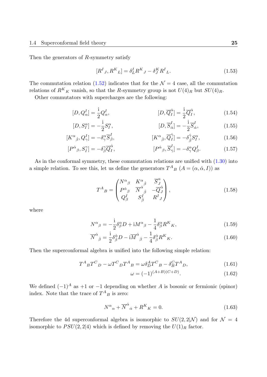Then the generators of *R*-symmetry satisfy

$$
[R^I{}_J, R^K{}_L] = \delta^I_L R^K{}_J - \delta^K_J R^I{}_L. \tag{1.53}
$$

The commutation relation (1.52) indicates that for the  $\mathcal{N}=4$  case, all the commutation relations of  $R^K{}_K$  vanish, so that the *R*-symmetry group is not  $U(4)_R$  but  $SU(4)_R$ .

Other commutators with supercharges are the following:

$$
[D, Q_{\alpha}^{I}] = \frac{1}{2} Q_{\alpha}^{I}, \qquad [D, \overline{Q}_{I}^{\dot{\alpha}}] = \frac{1}{2} \overline{Q}_{I}^{\dot{\alpha}}, \qquad (1.54)
$$

$$
[D, S_I^{\alpha}] = -\frac{i}{2} S_I^{\alpha}, \qquad [D, \overline{S}_{\dot{\alpha}}^I] = -\frac{i}{2} \overline{S}_{\dot{\alpha}}^I, \qquad (1.55)
$$

$$
[K^{\alpha}{}_{\dot{\beta}}, Q^I_{\gamma}] = -\delta^{\alpha}_{\gamma} \overline{S}^I_{\dot{\beta}}, \qquad [K^{\alpha}{}_{\dot{\beta}}, \overline{Q}^{\dot{\gamma}}_I] = -\delta^{\dot{\gamma}}_{\dot{\beta}} S^{\alpha}_I, \qquad (1.56)
$$

$$
[P^{\dot{\alpha}}{}_{\beta}, S^{\gamma}_{I}] = -\delta^{\gamma}_{\beta} \overline{Q}^{\dot{\alpha}}_{I}, \qquad [P^{\dot{\alpha}}{}_{\beta}, \overline{S}^{I}_{\dot{\gamma}}] = -\delta^{\alpha}_{\gamma} Q^{I}_{\beta}. \qquad (1.57)
$$

As in the conformal symmetry, these commutation relations are unified with  $(1.30)$  into a simple relation. To see this, let us define the generators  $T^{A}_{B}$   $(A = (\alpha, \dot{\alpha}, I))$  as

<span id="page-24-1"></span><span id="page-24-0"></span>
$$
T^{A}{}_{B} = \begin{pmatrix} N^{\alpha}{}_{\beta} & K^{\alpha}{}_{\dot{\beta}} & \overline{S}_{J}^{\alpha} \\ P^{\dot{\alpha}}{}_{\beta} & \overline{N}^{\dot{\alpha}}{}_{\dot{\beta}} & -\overline{Q}_{J}^{\dot{\alpha}} \\ Q^{I}_{\beta} & S^{I}_{\dot{\beta}} & R^{I}{}_{J} \end{pmatrix},
$$
\n(1.58)

where

$$
N^{\alpha}{}_{\beta} = -\frac{\mathrm{i}}{2} \delta^{\alpha}_{\beta} D + \mathrm{i} M^{\alpha}{}_{\beta} - \frac{1}{4} \delta^{\alpha}_{\beta} R^{K}{}_{K},\tag{1.59}
$$

$$
\overline{N}^{\dot{\alpha}}{}_{\dot{\beta}} = \frac{i}{2} \delta^{\dot{\alpha}}_{\dot{\beta}} D - i \overline{M}^{\dot{\alpha}}{}_{\dot{\beta}} - \frac{1}{4} \delta^{\dot{\alpha}}_{\dot{\beta}} R^{K}{}_{K}.
$$
\n(1.60)

Then the superconformal algebra is unified into the following simple relation:

$$
T^{A}{}_{B}T^{C}{}_{D} - \omega T^{C}{}_{D}T^{A}{}_{B} = \omega \delta^{A}_{D}T^{C}{}_{B} - \delta^{C}_{B}T^{A}{}_{D},\tag{1.61}
$$

$$
\omega = (-1)^{(A+B)(C+D)}.\tag{1.62}
$$

We defined  $(-1)^A$  as  $+1$  or  $-1$  depending on whether *A* is bosonic or fermionic (spinor) index. Note that the trace of  $T^A{}_B$  is zero:

$$
N^{\alpha}{}_{\alpha} + \overline{N}^{\dot{\alpha}}{}_{\dot{\alpha}} + R^K{}_K = 0.
$$
\n(1.63)

Therefore the 4d superconformal algebra is isomorphic to  $SU(2, 2|\mathcal{N})$  and for  $\mathcal{N} = 4$ isomorphic to  $PSU(2, 2|4)$  which is defined by removing the  $U(1)<sub>R</sub>$  factor.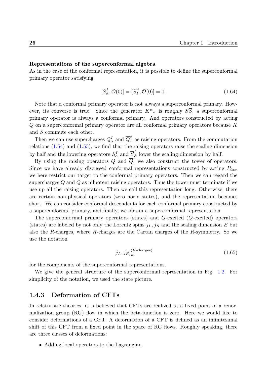#### **Representations of the superconformal algebra**

As in the case of the conformal representation, it is possible to define the superconformal primary operator satisfying

$$
[S^I_{\dot{\alpha}}, \mathcal{O}(0)] = [\overline{S}^{\alpha}_I, \mathcal{O}(0)] = 0.
$$
\n(1.64)

Note that a conformal primary operator is not always a superconformal primary. However, its converse is true. Since the generator  $K^{\alpha}{}_{\dot{\alpha}}$  is roughly  $S\overline{S}$ , a superconformal primary operator is always a conformal primary. And operators constructed by acting *Q* on a superconformal primary operator are all conformal primary operators because *K* and *S* commute each other.

Then we can use supercharges  $Q^I_\alpha$  and  $\overline{Q}^{\dot{\alpha}}_I$  $\frac{a}{I}$  as raising operators. From the commutation relations  $(1.54)$  and  $(1.55)$ , we find that the raising operators raise the scaling dimension by half and the lowering operators  $S^I_\alpha$  and  $\overline{S}^I_{\dot{c}}$  $\alpha_{\dot{\alpha}}$  lower the scaling dimension by half.

By using the raising operators  $Q$  and  $\overline{Q}$ , we also construct the tower of operators. Since we [have](#page-24-0) alrea[dy di](#page-24-1)scussed conformal representations constructed by acting  $P_{\dot{\alpha}\alpha}$ , we here restrict our target to the conformal primary operators. Then we can regard the supercharges *Q* and *Q* as nilpotent raising operators. Thus the tower must terminate if we use up all the raising operators. Then we call this representation long. Otherwise, there are certain non-physical operators (zero norm states), and the representation becomes short. We can consider conformal descendants for each conformal primary constructed by a superconformal primary, and finally, we obtain a superconformal representation.

The superconformal primary operators (states) and *Q*-excited (*Q*-excited) operators (states) are labeled by not only the Lorentz spins  $j_L, j_R$  and the scaling dimension  $E$  but also the *R*-charges, where *R*-charges are the Cartan charges of the *R*-symmetry. So we use the notation

$$
[j_L, j_R]_E^{(R-\text{charges})}
$$
\n(1.65)

for the components of the superconformal representations.

We give the general structure of the superconformal representation in Fig. 1.2. For simplicity of the notation, we used the state picture.

#### **1.4.3 Deformation of CFTs**

<span id="page-25-0"></span>In relativistic theories, it is believed that CFTs are realized at a fixed point of a renormalization group (RG) flow in which the beta-function is zero. Here we would like to consider deformations of a CFT. A deformation of a CFT is defined as an infinitesimal shift of this CFT from a fixed point in the space of RG flows. Roughly speaking, there are three classes of deformations:

• Adding local operators to the Lagrangian.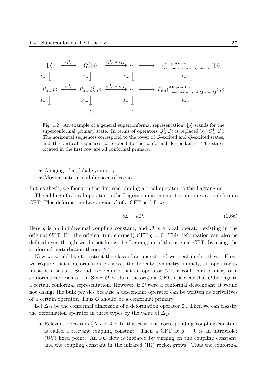

Fig. 1.2 An example of a general superconformal representation. *|p⟩* stands for the superconformal primary state. In terms of operators  $Q^I_\alpha|\mathcal{O}\rangle$  is replaced by  $[Q^I_\alpha, \mathcal{O}]$ . The horizontal sequences correspond to the tower of *Q*-excited and *Q*-excited states, and the vertical sequences correspond to the conformal descendants. The states located in the first row are all conformal primary.

- *•* Gauging of a global symmetry.
- Moving onto a moduli space of vacua.

In this thesis, we focus on the first one: adding a local operator to the Lagrangian.

The adding of a local operator to the Lagrangian is the most common way to deform a CFT. This deforms the Lagrangian *L* of a CFT as follows:

$$
\delta \mathcal{L} = g \mathcal{O}. \tag{1.66}
$$

Here  $g$  is an infinitesimal coupling constant, and  $\mathcal O$  is a local operator existing in the original CFT. For the original (undeformed) CFT  $g = 0$ . This deformation can also be defined even though we do not know the Lagrangian of the original CFT, by using the conformal perturbation theory [27].

Now we would like to restrict the class of an operator  $\mathcal O$  we treat in this thesis. First, we require that a deformation preserves the Lorentz symmetry, namely, an operator *O* must be a scalar. Second, we [req](#page-132-2)uire that an operator  $\mathcal O$  is a conformal primary of a conformal representation. Since  $\mathcal O$  exists in the original CFT, it is clear that  $\mathcal O$  belongs to a certain conformal representation. However, if *O* were a conformal descendant, it would not change the bulk physics because a descendant operator can be written as derivatives of a certain operator. Thus *O* should be a conformal primary.

Let  $\Delta_{\mathcal{O}}$  be the conformal dimension of a deformation operator  $\mathcal{O}$ . Then we can classify the deformation operator in three types by the value of  $\Delta_{\mathcal{O}}$ .

• Relevant operators  $(\Delta_{\mathcal{O}} < 4)$ : In this case, the corresponding coupling constant is called a relevant coupling constant. Then a CFT at  $g = 0$  is an ultraviolet (UV) fixed point. An RG flow is initiated by turning on the coupling constant, and the coupling constant in the infrared (IR) region grows. Thus the conformal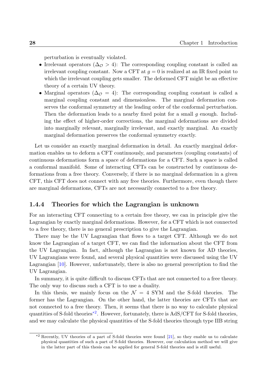perturbation is eventually violated.

- Irrelevant operators  $(\Delta_{\mathcal{O}} > 4)$ : The corresponding coupling constant is called an irrelevant coupling constant. Now a CFT at  $q = 0$  is realized at an IR fixed point to which the irrelevant coupling gets smaller. The deformed CFT might be an effective theory of a certain UV theory.
- Marginal operators  $(\Delta_{\mathcal{O}} = 4)$ : The corresponding coupling constant is called a marginal coupling constant and dimensionless. The marginal deformation conserves the conformal symmetry at the leading order of the conformal perturbation. Then the deformation leads to a nearby fixed point for a small *g* enough. Including the effect of higher-order corrections, the marginal deformations are divided into marginally relevant, marginally irrelevant, and exactly marginal. An exactly marginal deformation preserves the conformal symmetry exactly.

Let us consider an exactly marginal deformation in detail. An exactly marginal deformation enables us to deform a CFT continuously, and parameters (coupling constants) of continuous deformations form a space of deformations for a CFT. Such a space is called a conformal manifold. Some of interacting CFTs can be constructed by continuous deformations from a free theory. Conversely, if there is no marginal deformation in a given CFT, this CFT does not connect with any free theories. Furthermore, even though there are marginal deformations, CFTs are not necessarily connected to a free theory.

#### **1.4.4 Theories for which the Lagrangian is unknown**

<span id="page-27-0"></span>For an interacting CFT connecting to a certain free theory, we can in principle give the Lagrangian by exactly marginal deformations. However, for a CFT which is not connected to a free theory, there is no general prescription to give the Lagrangian.

There may be the UV Lagrangian that flows to a target CFT. Although we do not know the Lagrangian of a target CFT, we can find the information about the CFT from the UV Lagrangian. In fact, although the Lagrangian is not known for AD theories, UV Lagrangians were found, and several physical quantities were discussed using the UV Lagrangian [10]. However, unfortunately, there is also no general prescription to find the UV Lagrangian.

In summary, it is quite difficult to discuss CFTs that are not connected to a free theory. The only w[ay t](#page-131-9)o discuss such a CFT is to use a duality.

In this thesis, we mainly focus on the  $\mathcal{N} = 4$  SYM and the S-fold theories. The former has the Lagrangian. On the other hand, the latter theories are CFTs that are not connected to a free theory. Then, it seems that there is no way to calculate physical quantities of S-fold theories<sup>\*2</sup>. However, fortunately, there is AdS/CFT for S-fold theories, and we may calculate the physical quantities of the S-fold theories through type IIB string

<span id="page-27-1"></span><sup>&</sup>lt;sup>\*2</sup> Recently, UV theories of [a p](#page-27-1)art of S-fold theories were found [21], so they enable us to calculate physical quantities of such a part of S-fold theories. However, our calculation method we will give in the latter part of this thesis can be applied for general S-fold theories and is still useful.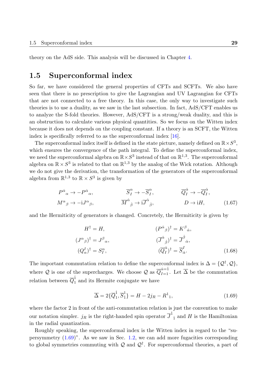theory on the AdS side. This analysis will be discussed in Chapter 4.

## **1.5 Superconformal index**

<span id="page-28-0"></span>So far, we have considered the general properties of CFTs and SCFTs. We also have seen that there is no prescription to give the Lagrangian and UV Lagrangian for CFTs that are not connected to a free theory. In this case, the only way to investigate such theories is to use a duality, as we saw in the last subsection. In fact, AdS/CFT enables us to analyze the S-fold theories. However, AdS/CFT is a strong/weak duality, and this is an obstruction to calculate various physical quantities. So we focus on the Witten index because it does not depends on the coupling constant. If a theory is an SCFT, the Witten index is specifically referred to as the superconformal index [16].

The superconformal index itself is defined in the state picture, namely defined on  $\mathbb{R} \times S^3$ , which ensures the convergence of the path integral. To define the superconformal index, we need the superconformal algebra [on](#page-131-3)  $\mathbb{R} \times S^3$  instead of that on  $\mathbb{R}^{1,3}$ . The superconformal algebra on  $\mathbb{R} \times S^3$  is related to that on  $\mathbb{R}^{1,3}$  by the analog of the Wick rotation. Although we do not give the derivation, the transformation of the generators of the superconformal algebra from  $\mathbb{R}^{1,3}$  to  $\mathbb{R} \times S^3$  is given by

$$
P^{\dot{\alpha}}{}_{\alpha} \to -P^{\dot{\alpha}}{}_{\alpha}, \qquad \overline{S}^{\alpha}_{I} \to -\overline{S}^{\alpha}_{I}, \qquad \overline{Q}^{\dot{\alpha}}_{I} \to -\overline{Q}^{\dot{\alpha}}_{I}, M^{\alpha}{}_{\beta} \to -iJ^{\alpha}{}_{\beta}, \qquad \overline{M}^{\dot{\alpha}}{}_{\dot{\beta}} \to i\overline{J}^{\dot{\alpha}}{}_{\dot{\beta}}, \qquad D \to iH, \qquad (1.67)
$$

and the Hermiticity of generators is changed. Concretely, the Hermiticity is given by

$$
H^{\dagger} = H, \qquad (P^{\dot{\alpha}}{}_{\beta})^{\dagger} = K^{\beta}{}_{\dot{\alpha}},
$$
  
\n
$$
(J^{\alpha}{}_{\beta})^{\dagger} = J^{\beta}{}_{\alpha}, \qquad (\overline{J}^{\dot{\alpha}}{}_{\dot{\beta}})^{\dagger} = \overline{J}^{\dot{\beta}}{}_{\dot{\alpha}},
$$
  
\n
$$
(Q^I_{\alpha})^{\dagger} = S^{\alpha}_I, \qquad (\overline{Q}^{\dot{\alpha}}{}_I)^{\dagger} = \overline{S}^I_{\dot{\alpha}}.
$$
\n(1.68)

The important commutation relation to define the superconformal index is  $\Delta = \{Q^{\dagger}, Q\},\$ where  $Q$  is one of the supercharges. We choose  $Q$  as  $\overline{Q}_{I=1}^{\dot{\alpha}=1}$ . Let  $\overline{\Delta}$  be the commutation relation between  $\overline{Q}_1^{\text{1}}$  $\frac{1}{1}$  and its Hermite conjugate we have

$$
\overline{\Delta} = 2\{\overline{Q}_1^{\dot{1}}, \overline{S}_1^{\dot{1}}\} = H - 2j_R - R^1_{1},\tag{1.69}
$$

where the factor 2 in front of the anti-commutation relation is just the convention to make our notation simpler.  $j_R$  is the right-handed spin operator  $\overline{J}^{\dot{1}}{}_{\dot{1}}$  and  $H$  is the Hamiltonian in the radial quantization.

Roughly speaking, the superconformal index is the Witten index in regard to the "supersymmetry (1.69)". As we saw in Sec. 1.2, we can add more fugacities corresponding to global symmetries commuting with *Q* and *Q†* . For superconformal theories, a part of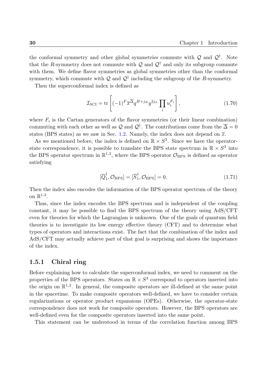the conformal symmetry and other global symmetries commute with *Q* and *Q†* . Note that the *R*-symmetry does not commute with  $Q$  and  $Q^{\dagger}$  and only its subgroup commute with them. We define flavor symmetries as global symmetries other than the conformal symmetry, which commute with  $\mathcal Q$  and  $\mathcal Q^{\dagger}$  including the subgroup of the *R*-symmetry.

Then the superconformal index is defined as

$$
\mathcal{I}_{\text{SCI}} = \text{tr}\left[(-1)^F \overline{x}^{\overline{\Delta}} q^{H+j_R} y^{2j_L} \prod_i u_i^{F_i} \right],\tag{1.70}
$$

where  $F_i$  is the Cartan generators of the flavor symmetries (or their linear combination) commuting with each other as well as  $\mathcal Q$  and  $\mathcal Q^{\dagger}$ . The contributions come from the  $\overline{\Delta} = 0$ states (BPS states) as we saw in Sec. 1.2. Namely, the index does not depend on  $\bar{x}$ .

As we mentioned before, the index is defined on  $\mathbb{R} \times S^3$ . Since we have the operatorstate correspondence, it is possible to translate the BPS state spectrum in  $\mathbb{R} \times S^3$  into the BPS operator spectrum in  $\mathbb{R}^{1,3}$ , [where](#page-15-0) the BPS operator  $\mathcal{O}_{\text{BPS}}$  is defined as operator satisfying

$$
[\overline{Q}_1^{\dot{1}}, \mathcal{O}_{\rm BPS}] = [\overline{S}_1^{\dot{1}}, \mathcal{O}_{\rm BPS}] = 0.
$$
 (1.71)

Then the index also encodes the information of the BPS operator spectrum of the theory on R 1*,*3 .

Thus, since the index encodes the BPS spectrum and is independent of the coupling constant, it may be possible to find the BPS spectrum of the theory using AdS/CFT even for theories for which the Lagrangian is unknown. One of the goals of quantum field theories is to investigate its low energy effective theory (CFT) and to determine what types of operators and interactions exist. The fact that the combination of the index and AdS/CFT may actually achieve part of that goal is surprising and shows the importance of the index.

#### **1.5.1 Chiral ring**

<span id="page-29-0"></span>Before explaining how to calculate the superconformal index, we need to comment on the properties of the BPS operators. States on  $\mathbb{R} \times S^3$  correspond to operators inserted into the origin on  $\mathbb{R}^{1,3}$ . In general, the composite operators are ill-defined at the same point in the spacetime. To make composite operators well-defined, we have to consider certain regularizations or operator product expansions (OPEs). Otherwise, the operator-state correspondence does not work for composite operators. However, the BPS operators are well-defined even for the composite operators inserted into the same point.

This statement can be understood in terms of the correlation function among BPS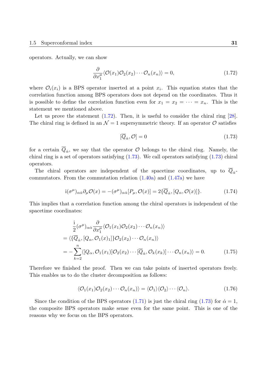operators. Actually, we can show

$$
\frac{\partial}{\partial x_1^{\mu}} \langle \mathcal{O}(x_1) \mathcal{O}_2(x_2) \cdots \mathcal{O}_n(x_n) \rangle = 0, \qquad (1.72)
$$

where  $\mathcal{O}_i(x_i)$  is a BPS operator inserted at a point  $x_i$ . This equation states that the correlation function among BPS operators does not depend on the coordinates. Thus it is possible to define the correlation function even for  $x_1 = x_2 = \cdots = x_n$ . This is the statement we mentioned above.

Let us prove the statement  $(1.72)$ . Then, it is useful to consider the chiral ring  $[28]$ . The chiral ring is defined in an  $\mathcal{N}=1$  supersymmetric theory. If an operator  $\mathcal O$  satisfies

<span id="page-30-0"></span>
$$
[\overline{Q}_{\dot{\alpha}}, \mathcal{O}] = 0 \tag{1.73}
$$

for a certain  $Q_{\dot{\alpha}}$ , we say that the operator  $\mathcal O$  belongs to the chiral ring. Namely, the chiral ring is a set of operators satisfying  $(1.73)$ . We call operators satisfying  $(1.73)$  chiral operators.

The chiral operators are independent of the spacetime coordinates, up to  $Q_{\alpha}$ commutators. From the commut[ation](#page-30-0) relation  $(1.40a)$  and  $(1.47a)$  we have

$$
i(\sigma^{\mu})_{\alpha\dot{\alpha}}\partial_{\mu}\mathcal{O}(x) = -(\sigma^{\mu})_{\alpha\dot{\alpha}}[P_{\mu}, \mathcal{O}(x)] = 2\{\overline{Q}_{\dot{\alpha}}, [Q_{\alpha}, \mathcal{O}(x)]\}.
$$
 (1.74)

This implies that a correlation function among [the ch](#page-21-0)iral o[perator](#page-23-1)s is independent of the spacetime coordinates:

$$
\frac{i}{2}(\sigma^{\mu})_{\alpha\dot{\alpha}}\frac{\partial}{\partial x_1^{\mu}}\langle \mathcal{O}_1(x_1)\mathcal{O}_2(x_2)\cdots\mathcal{O}_n(x_n)\rangle
$$
\n
$$
= \langle\{\overline{Q}_{\dot{\alpha}},[Q_{\alpha},\mathcal{O}_1(x)_1]\}\mathcal{O}_2(x_2)\cdots\mathcal{O}_n(x_n)\rangle
$$
\n
$$
= -\sum_{k=2}^n\langle[Q_{\alpha},\mathcal{O}_1(x_1)]\mathcal{O}_2(x_2)\cdots[\overline{Q}_{\dot{\alpha}},\mathcal{O}_k(x_k)]\cdots\mathcal{O}_n(x_n)\rangle = 0. \qquad (1.75)
$$

Therefore we finished the proof. Then we can take points of inserted operators freely. This enables us to do the cluster decomposition as follows:

$$
\langle \mathcal{O}_1(x_1)\mathcal{O}_2(x_2)\cdots\mathcal{O}_n(x_n)\rangle = \langle \mathcal{O}_1\rangle \langle \mathcal{O}_2\rangle \cdots \langle \mathcal{O}_n\rangle. \tag{1.76}
$$

Since the condition of the BPS operators (1.71) is just the chiral ring (1.73) for  $\dot{\alpha} = 1$ , the composite BPS operators make sense even for the same point. This is one of the reasons why we focus on the BPS operators.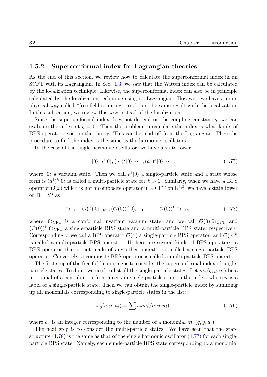#### **1.5.2 Superconformal index for Lagrangian theories**

<span id="page-31-0"></span>As the end of this section, we review how to calculate the superconformal index in an SCFT with its Lagrangian. In Sec. 1.3, we saw that the Witten index can be calculated by the localization technique. Likewise, the superconformal index can also be in principle calculated by the localization technique using its Lagrangian. However, we have a more physical way called "free field coun[ting"](#page-17-0) to obtain the same result with the localization. In this subsection, we review this way instead of the localization.

Since the superconformal index does not depend on the coupling constant *g*, we can evaluate the index at  $g = 0$ . Then the problem to calculate the index is what kinds of BPS operators exist in the theory. This can be read off from the Lagrangian. Then the procedure to find the index is the same as the harmonic oscillators.

In the case of the single harmonic oscillator, we have a state tower

$$
|0\rangle, a^{\dagger}|0\rangle, (a^{\dagger})^2|0\rangle, \cdots, (a^{\dagger})^k|0\rangle, \cdots,
$$
\n(1.77)

where  $|0\rangle$  a vacuum state. Then we call  $a^{\dagger} |0\rangle$  a single-particle state and a state whose form is  $(a^{\dagger})^k|0\rangle$  is called a multi-particle state for  $k>1$ . Similarly, when we have a BPS operator  $\mathcal{O}(x)$  which is not a composite operator in a CFT on  $\mathbb{R}^{1,3}$ , we have a state tower on  $\mathbb{R} \times S^3$  as

$$
|0\rangle_{\text{CFT}}, \mathcal{O}(0)|0\rangle_{\text{CFT}}, (\mathcal{O}(0))^2|0\rangle_{\text{CFT}}, \cdots, (\mathcal{O}(0))^k|0\rangle_{\text{CFT}}, \cdots,
$$
\n(1.78)

where  $|0\rangle$ CFT is a conformal invariant vacuum state, and we call  $\mathcal{O}(0)|0\rangle$ CFT and  $(\mathcal{O}(0))^k |0\rangle$ CFT a single-particle BPS state and a multi-particle BPS state, respectively. Correspondingly, we call a BPS operator  $\mathcal{O}(x)$  a single-particle BPS operator, and  $\mathcal{O}(x)^k$ is called a multi-particle BPS operator. If there are several kinds of BPS operators, a BPS operator that is not made of any other operators is called a single-particle BPS operator. Conversely, a composite BPS operator is called a multi-particle BPS operator.

The first step of the free field counting is to consider the superconformal index of singleparticle states. To do it, we need to list all the single-particle states. Let  $m_n(q, y, u_i)$  be a monomial of a contribution from a certain single-particle state to the index, where *n* is a label of a single-particle state. Then we can obtain the single-particle index by summing up all monomials corresponding to single-particle states in the list:

$$
i_{\rm sp}(q, y, u_i) = \sum_n c_n m_n(q, y, u_i), \qquad (1.79)
$$

where  $c_n$  is an integer corresponding to the number of a monomial  $m_n(q, y, u_i)$ .

The next step is to consider the multi-particle states. We have seen that the state structure  $(1.78)$  is the same as that of the single harmonic oscillator  $(1.77)$  for each singleparticle BPS state. Namely, each single-particle BPS state corresponding to a monomial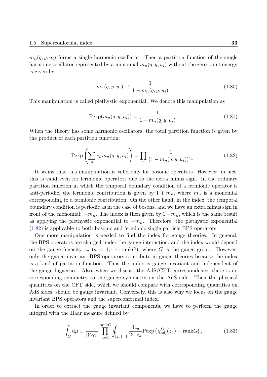$m_n(q, y, u_i)$  forms a single harmonic oscillator. Then a partition function of the single harmonic oscillator represented by a monomial  $m_n(q, y, u_i)$  without the zero point energy is given by

$$
m_n(q, y, u_i) \to \frac{1}{1 - m_n(q, y, u_i)}.\t(1.80)
$$

This manipulation is called plethystic exponential. We denote this manipulation as

<span id="page-32-0"></span>
$$
\text{Pexp}(m_n(q, y, u_i)) = \frac{1}{1 - m_n(q, y, u_i)}.\tag{1.81}
$$

When the theory has some harmonic oscillators, the total partition function is given by the product of each partition function:

$$
\text{Pexp}\left(\sum_{n} c_n m_n(q, y, u_i)\right) = \prod_{n} \frac{1}{(1 - m_n(q, y, u_i))^{c_n}}.
$$
\n(1.82)

It seems that this manipulation is valid only for bosonic operators. However, in fact, this is valid even for fermionic operators due to the extra minus sign. In the ordinary partition function in which the temporal boundary condition of a fermionic operator is anti-periodic, the fermionic contribution is given by  $1 + m_n$ , where  $m_n$  is a monomial corresponding to a fermionic contribution. On the other hand, in the index, the temporal boundary condition is periodic as in the case of bosons, and we have an extra minus sign in front of the monomial:  $-m_n$ . The index is then given by  $1-m_n$ , which is the same result as applying the plethystic exponential to *−mn*. Therefore, the plethystic exponential (1.82) is applicable to both bosonic and fermionic single-particle BPS operators.

One more manipulation is needed to find the index for gauge theories. In general, the BPS operators are charged under the gauge interaction, and the index would depend [on th](#page-32-0)e gauge fugacity  $z_a$  ( $a = 1, \dots, \text{rank }G$ ), where G is the gauge group. However, only the gauge invariant BPS operators contribute in gauge theories because the index is a kind of partition function. Thus the index is gauge invariant and independent of the gauge fugacities. Also, when we discuss the AdS/CFT correspondence, there is no corresponding symmetry to the gauge symmetry on the AdS side. Then the physical quantities on the CFT side, which we should compare with corresponding quantities on AdS sides, should be gauge invariant. Conversely, this is also why we focus on the gauge invariant BPS operators and the superconformal index.

In order to extract the gauge invariant components, we have to perform the gauge integral with the Haar measure defined by

$$
\int_{G} d\mu \equiv \frac{1}{|\mathcal{W}_G|} \prod_{a=1}^{\text{rank}G} \oint_{|z_a|=1} \frac{dz_a}{2\pi i z_a} \text{Pexp}\left(\chi_{\text{adj}}^G(z_a) - \text{rank}G\right),\tag{1.83}
$$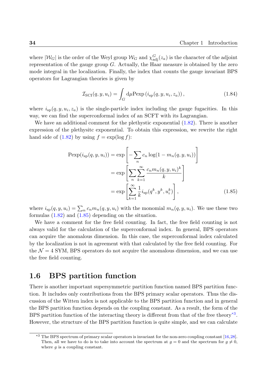where  $|W_G|$  is the order of the Weyl group  $W_G$  and  $\chi^G_{\text{adj}}(z_a)$  is the character of the adjoint representation of the gauge group *G*. Actually, the Haar measure is obtained by the zero mode integral in the localization. Finally, the index that counts the gauge invariant BPS operators for Lagrangian theories is given by

$$
\mathcal{I}_{\text{SCI}}(q, y, u_i) = \int_G d\mu \text{Pexp}\left(i_{\text{sp}}(q, y, u_i, z_a)\right),\tag{1.84}
$$

where  $i_{sp}(q, y, u_i, z_a)$  is the single-particle index including the gauge fugacities. In this way, we can find the superconformal index of an SCFT with its Lagrangian.

We have an additional comment for the plethystic exponential  $(1.82)$ . There is another expression of the plethysitc exponential. To obtain this expression, we rewrite the right hand side of  $(1.82)$  by using  $f = \exp(\log f)$ :

<span id="page-33-1"></span>
$$
\text{Pexp}(i_{\text{sp}}(q, y, u_i)) = \exp\left[-\sum_{n} c_n \log(1 - m_n(q, y, u_i))\right]
$$

$$
= \exp\left[\sum_{n} \sum_{k=1}^{\infty} \frac{c_n m_n(q, y, u_i)^k}{k}\right]
$$

$$
= \exp\left[\sum_{k=1}^{\infty} \frac{1}{k} i_{\text{sp}}(q^k, y^k, u_i^k)\right],
$$
(1.85)

where  $i_{sp}(q, y, u_i) = \sum_n c_n m_n(q, y, u_i)$  with the monomial  $m_n(q, y, u_i)$ . We use these two formulas  $(1.82)$  and  $(1.85)$  depending on the situation.

We have a comment for the free field counting. In fact, the free field counting is not always valid for the calculation of the superconformal index. In general, BPS operators can acqui[re the](#page-32-0) ano[malou](#page-33-1)s dimension. In this case, the superconformal index calculated by the localization is not in agreement with that calculated by the free field counting. For the  $\mathcal{N}=4$  SYM, BPS operators do not acquire the anomalous dimension, and we can use the free field counting.

## **1.6 BPS partition function**

<span id="page-33-0"></span>There is another important supersymmetric partition function named BPS partition function. It includes only contributions from the BPS primary scalar operators. Thus the discussion of the Witten index is not applicable to the BPS partition function and in general the BPS partition function depends on the coupling constant. As a result, the form of the BPS partition function of the interacting theory is different from that of the free theory<sup>\*3</sup>. However, the structure of the BPS partition function is quite simple, and we can calculate

<span id="page-33-2"></span><sup>&</sup>lt;sup>\*3</sup> The BPS spectrum of primary scalar operators is invariant for the non-zero coupling constant [16,[28\].](#page-33-2) Then, all we have to do is to take into account the spectrum at  $g = 0$  and the spectrum for  $g \neq 0$ , where *g* is a coupling constant.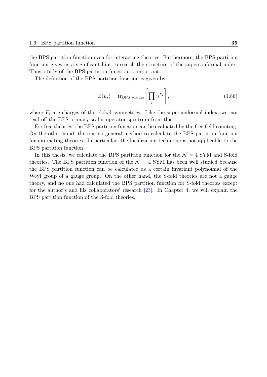the BPS partition function even for interacting theories. Furthermore, the BPS partition function gives us a significant hint to search the structure of the superconformal index. Thus, study of the BPS partition function is important.

The definition of the BPS partition function is given by

$$
Z(u_i) = \text{tr}_{\text{BPS scalars}} \left[ \prod_i u_i^{F_i} \right],\tag{1.86}
$$

where  $F_i$  are charges of the global symmetries. Like the superconformal index, we can read off the BPS primary scalar operator spectrum from this.

For free theories, the BPS partition function can be evaluated by the free field counting. On the other hand, there is no general method to calculate the BPS partition function for interacting theories. In particular, the localization technique is not applicable to the BPS partition function.

In this thesis, we calculate the BPS partition function for the  $\mathcal{N}=4$  SYM and S-fold theories. The BPS partition function of the  $\mathcal{N}=4$  SYM has been well studied because the BPS partition function can be calculated as a certain invariant polynomial of the Weyl group of a gauge group. On the other hand, the S-fold theories are not a gauge theory, and no one had calculated the BPS partition function for S-fold theories except for the author's and his collaborators' research [23]. In Chapter 4, we will explain the BPS partition function of the S-fold theories.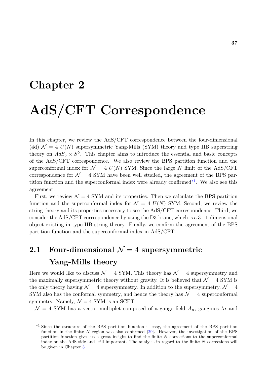# **Chapter 2**

# **AdS/CFT Correspondence**

In this chapter, we review the AdS/CFT correspondence between the four-dimensional (4d)  $\mathcal{N} = 4$   $U(N)$  supersymmetric Yang-Mills (SYM) theory and type IIB superstring theory on  $AdS_5 \times S^5$ . This chapter aims to introduce the essential and basic concepts of the AdS/CFT correspondence. We also review the BPS partition function and the superconformal index for  $\mathcal{N} = 4$   $U(N)$  SYM. Since the large *N* limit of the AdS/CFT correspondence for  $\mathcal{N} = 4$  SYM have been well studied, the agreement of the BPS partition function and the superconformal index were already confirmed<sup>\*1</sup>. We also see this agreement.

First, we review  $\mathcal{N} = 4$  SYM and its properties. Then we calculate the BPS partition function and the super[con](#page-36-0)formal index for  $\mathcal{N} = 4$   $U(N)$  SYM. Second, we review the string theory and its properties necessary to see the AdS/CFT correspondence. Third, we consider the AdS/CFT correspondence by using the D3-brane, which is a  $3+1$ -dimensional object existing in type IIB string theory. Finally, we confirm the agreement of the BPS partition function and the superconformal index in AdS/CFT.

# **2.1 Four-dimensional**  $\mathcal{N} = 4$  supersymmetric **Yang-Mills theory**

Here we would like to discuss  $\mathcal{N} = 4$  SYM. This theory has  $\mathcal{N} = 4$  supersymmetry and the maximally supersymmetric theory without gravity. It is believed that  $\mathcal{N}=4$  SYM is the only theory having  $\mathcal{N} = 4$  supersymmetry. In addition to the supersymmetry,  $\mathcal{N} = 4$ SYM also has the conformal symmetry, and hence the theory has  $\mathcal{N}=4$  superconformal symmetry. Namely,  $\mathcal{N} = 4$  SYM is an SCFT.

 $\mathcal{N} = 4$  SYM has a vector multiplet composed of a gauge field  $A_{\mu}$ , gauginos  $\lambda_I$  and

<span id="page-36-0"></span><sup>\*1</sup> Since the structure of the BPS partition function is easy, the agreement of the BPS partition function in the finite *N* region was also confirmed [29]. However, the investigation of the BPS partition function gives us a great insight to find the finite *N* corrections to the superconformal index on the AdS side and still important. The analysis in regard to the finite *N* corrections will be given in Chapter 3.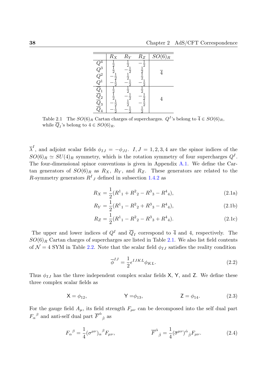|                                                                                                  | $\overline{R}_X$                               | $\bar{R}_Y$                                     | $R_Z$                                                         | $\overline{SO(6)}_R$ |
|--------------------------------------------------------------------------------------------------|------------------------------------------------|-------------------------------------------------|---------------------------------------------------------------|----------------------|
| $\begin{array}{c} Q^4 \ Q^3 \ Q^2 \end{array}$<br>Ş                                              | $rac{1}{2}$<br>$rac{1}{2}$<br>$rac{1}{2}$<br>5 | $\frac{1}{2}$<br>$\frac{1}{2}$<br>$\frac{1}{2}$ | $-\frac{1}{2}$<br>$\frac{1}{2}$<br>$\frac{1}{2}$<br>$\bar{2}$ | $\overline{4}$       |
| $\begin{array}{c} \overline{Q}_1 \ \overline{Q}_2 \ \overline{Q}_3 \ \overline{Q}_4 \end{array}$ | $\frac{1}{2}$ $\frac{1}{2}$ $\frac{1}{2}$      | $\frac{1}{2}$ $\frac{1}{2}$<br>$rac{1}{2}$      | $\frac{1}{2}$ $\frac{1}{2}$<br>$\frac{1}{2}$                  | 4                    |

Table 2.1 The  $SO(6)_R$  Cartan charges of supercharges.  $Q^I$ 's belong to  $\overline{4} \in SO(6)_R$ , while  $Q_I$ 's belong to  $4 \in SO(6)_R$ .

*λ*<sup>*I*</sup>, and adjoint scalar fields  $φ_{IJ} = -φ_{JI}$ . *I, J* = 1*,* 2*,* 3*,* 4 are the spinor indices of the  $SO(6)_R \simeq SU(4)_R$  symmetry, which is the rotation symmetry of four supercharges  $Q^I$ . The four-dimensional spinor conventions is given in Appendix A.1. We define the Cartan generators of  $SO(6)_R$  as  $R_X$ ,  $R_Y$ , and  $R_Z$ . These generators are related to the *R*-symmetry generators  $R^I{}_J$  defined in subsection 1.4.2 as

$$
R_X = \frac{1}{2}(R^1_1 + R^2_2 - R^3_3 - R^4_4),
$$
\n(2.1a)

$$
R_Y = \frac{1}{2}(R^1_{1} - R^2_{2} + R^3_{3} - R^4_{4}),
$$
\n(2.1b)

$$
R_Z = \frac{1}{2}(R^1_{1} - R^2_{2} - R^3_{3} + R^4_{4}).
$$
\n(2.1c)

The upper and lower indices of  $Q^I$  and  $\overline{Q}_I$  correspond to  $\overline{4}$  and 4, respectively. The  $SO(6)_R$  Cartan charges of supercharges are listed in Table 2.1. We also list field contents of  $\mathcal{N} = 4$  SYM in Table 2.2. Note that the scalar field  $\phi_{IJ}$  satisfies the reality condition

<span id="page-37-1"></span><span id="page-37-0"></span>
$$
\overline{\phi}^{IJ} = \frac{1}{2} \epsilon^{IJKL} \phi_{KL}.
$$
\n(2.2)

Thus  $\phi_{IJ}$  has the three independent complex scalar fields X, Y, and Z. We define these three complex scalar fields as

$$
X = \phi_{12}, \qquad \qquad Y = \phi_{13}, \qquad \qquad Z = \phi_{14}. \qquad (2.3)
$$

For the gauge field  $A_\mu$ , its field strength  $F_{\mu\nu}$  can be decomposed into the self dual part  $F_{\alpha}{}^{\beta}$  and anti-self dual part  $\overline{F}^{\dot{\alpha}}{}_{\dot{\beta}}$  as

$$
F_{\alpha}{}^{\beta} = \frac{1}{4} (\sigma^{\mu\nu})_{\alpha}{}^{\beta} F_{\mu\nu}, \qquad \overline{F}^{\dot{\alpha}}{}_{\dot{\beta}} = \frac{1}{4} (\overline{\sigma}^{\mu\nu})^{\dot{\alpha}}{}_{\dot{\beta}} F_{\mu\nu}.
$$
 (2.4)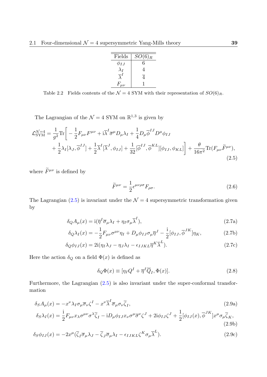| Fields       | $SO(6)_R$ |
|--------------|-----------|
| $\phi_{IJ}$  | 6         |
|              | 4         |
|              | 4         |
| $F_{\mu\nu}$ |           |

Table 2.2 Fields contents of the  $\mathcal{N} = 4$  SYM with their representation of  $SO(6)_R$ .

The Lagrangian of the  $\mathcal{N} = 4$  SYM on  $\mathbb{R}^{1,3}$  is given by

$$
\mathcal{L}_{\text{SYM}}^{\mathcal{N}=4} = \frac{1}{g^2} \text{Tr} \bigg[ -\frac{1}{2} F_{\mu\nu} F^{\mu\nu} + i \overline{\lambda}^I \overline{\sigma}^\mu D_\mu \lambda_I + \frac{1}{4} D_\mu \overline{\phi}^{IJ} D^\mu \phi_{IJ} + \frac{1}{2} \lambda_I [\lambda_J, \overline{\phi}^{IJ}] + \frac{1}{2} \overline{\lambda}^I [\overline{\lambda}^J, \phi_{IJ}] + \frac{1}{32} [\overline{\phi}^{IJ}, \overline{\phi}^{KL}] [\phi_{IJ}, \phi_{KL}] \bigg] + \frac{\theta}{16\pi^2} \text{Tr} (F_{\mu\nu} \widetilde{F}^{\mu\nu}),
$$
\n(2.5)

where  $\widetilde{F}^{\mu\nu}$  is defined by

<span id="page-38-0"></span>
$$
\widetilde{F}^{\mu\nu} = \frac{1}{2} \epsilon^{\mu\nu\rho\sigma} F_{\rho\sigma}.
$$
\n(2.6)

The Lagrangian (2.5) is invariant under the  $\mathcal{N}=4$  supersymmetric transformation given by

$$
\delta_Q A_\mu(x) = \mathrm{i}(\overline{\eta}^I \overline{\sigma}_\mu \lambda_I + \eta_I \sigma_\mu \overline{\lambda}^I),\tag{2.7a}
$$

$$
\delta_Q \lambda_I(x) = -\frac{1}{2} F_{\mu\nu} \sigma^{\mu\nu} \eta_I + D_\mu \phi_{IJ} \sigma_\mu \overline{\eta}^J - \frac{i}{2} [\phi_{IJ}, \overline{\phi}^{JK}] \eta_K, \tag{2.7b}
$$

$$
\delta_Q \phi_{IJ}(x) = 2i(\eta_I \lambda_J - \eta_J \lambda_I - \epsilon_{IJKL} \overline{\eta}^K \overline{\lambda}^L). \tag{2.7c}
$$

Here the action  $\delta_Q$  on a field  $\Phi(x)$  is defined as

<span id="page-38-2"></span><span id="page-38-1"></span>
$$
\delta_Q \Phi(x) \equiv [\eta_I Q^I + \overline{\eta}^I \overline{Q}_I, \Phi(x)]. \tag{2.8}
$$

Furthermore, the Lagrangian  $(2.5)$  is also invariant under the super-conformal transformation

$$
\delta_S A_\mu(x) = -x^\nu \lambda_I \sigma_\mu \overline{\sigma}_\nu \zeta^I - x^\nu \overline{\lambda}^I \overline{\sigma}_\mu \sigma_\nu \overline{\zeta}_I,\tag{2.9a}
$$

$$
\delta_S \lambda_I(x) = \frac{1}{2} F_{\mu\nu} x_\lambda \sigma^{\mu\nu} \sigma^\lambda \overline{\zeta}_I - i D_\mu \phi_{IJ} x_\nu \sigma^\mu \overline{\sigma}^\nu \zeta^J + 2i \phi_{IJ} \zeta^J + \frac{1}{2} [\phi_{IJ}(x), \overline{\phi}^{JK}] x^\mu \sigma_\mu \overline{\zeta}_K,
$$
\n(2.9b)

$$
\delta_S \phi_{IJ}(x) = -2x^\mu (\overline{\zeta}_I \overline{\sigma}_\mu \lambda_J - \overline{\zeta}_J \overline{\sigma}_\mu \lambda_I - \epsilon_{IJKL} \zeta^K \sigma_\mu \overline{\lambda}^L). \tag{2.9c}
$$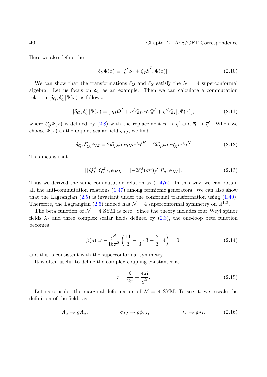Here we also define the

$$
\delta_S \Phi(x) \equiv [\zeta^I S_I + \overline{\zeta}_I \overline{S}^I, \Phi(x)]. \tag{2.10}
$$

We can show that the transformations  $\delta_Q$  and  $\delta_S$  satisfy the  $\mathcal{N} = 4$  superconformal algebra. Let us focus on  $\delta_Q$  as an example. Then we can calculate a commutation relation  $[\delta_Q, \delta_Q'] \Phi(x)$  as follows:

$$
[\delta_Q, \delta_Q'] \Phi(x) = [[\eta_I Q^I + \overline{\eta}^I Q_I, \eta_I' Q^I + \overline{\eta}'^I \overline{Q}_I], \Phi(x)],\tag{2.11}
$$

where  $\delta'_{Q}\Phi(x)$  is defined by (2.8) with the replacement  $\eta \to \eta'$  and  $\overline{\eta} \to \overline{\eta}'$ . When we choose  $\Phi(x)$  as the adjoint scalar field  $\phi_{IJ}$ , we find

$$
[\delta_Q, \delta'_Q]\phi_{IJ} = 2i\partial_\mu\phi_{IJ}\eta_K\sigma^\mu\overline{\eta}^{\prime K} - 2i\partial_\mu\phi_{IJ}\eta'_K\sigma^\mu\overline{\eta}^K.
$$
 (2.12)

This means that

$$
[\{\overline{Q}_I^{\dot{\alpha}}, Q_\beta^J\}, \phi_{KL}] = [-2\delta_I^J(\sigma^\mu)_{\beta}{}^{\dot{\alpha}} P_\mu, \phi_{KL}].
$$
\n(2.13)

Thus we derived the same commutation relation as  $(1.47a)$ . In this way, we can obtain all the anti-commutation relations (1.47) among fermionic generators. We can also show that the Lagrangian  $(2.5)$  is invariant under the conformal transformation using  $(1.40)$ . Therefore, the Lagrangian (2.5) indeed has  $\mathcal{N}=4$  su[percon](#page-23-0)formal symmetry on  $\mathbb{R}^{1,3}$ .

The beta function of  $\mathcal{N} = 4$  SY[M is z](#page-23-1)ero. Since the theory includes four Weyl spinor fields  $\lambda_I$  and three c[omp](#page-38-0)lex scalar fields defined by  $(2.3)$ , the one-loop beta fu[nction](#page-21-0) becomes

$$
\beta(g) \propto -\frac{g^3}{16\pi^2} \left( \frac{11}{3} - \frac{1}{3} \cdot 3 - \frac{2}{3} \cdot 4 \right) = 0, \tag{2.14}
$$

and this is consistent with the superconformal symmetry.

It is often useful to define the complex coupling constant *τ* as

<span id="page-39-0"></span>
$$
\tau = \frac{\theta}{2\pi} + \frac{4\pi i}{g^2}.\tag{2.15}
$$

Let us consider the marginal deformation of  $\mathcal{N} = 4$  SYM. To see it, we rescale the definition of the fields as

$$
A_{\mu} \to gA_{\mu}, \qquad \phi_{IJ} \to g\phi_{IJ}, \qquad \lambda_I \to g\lambda_I. \qquad (2.16)
$$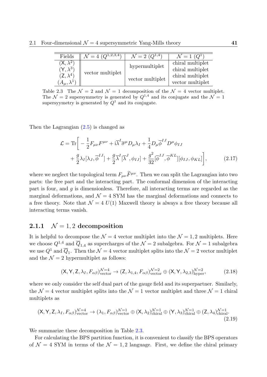| Fields                                               | $\mathcal{N}=4$ ( $Q^{1,2,3,4}$ ) | $\mathcal{N}=2$ $(Q^{1,4})$ | $\bar{\mathcal{N}}=1\,\,(Q^{1})$     |
|------------------------------------------------------|-----------------------------------|-----------------------------|--------------------------------------|
| $(\mathsf{X}, \lambda^2)$<br>$\mathsf{Y}, \lambda^3$ | vector multiplet                  | hypermultiplet              | chiral multiplet<br>chiral multiplet |
| $(Z, \lambda^4)$<br>$A_\mu, \lambda$                 |                                   | vector multiplet            | chiral multiplet<br>vector multiplet |

Table 2.3 The  $\mathcal{N} = 2$  and  $\mathcal{N} = 1$  decomposition of the  $\mathcal{N} = 4$  vector multiplet. The  $\mathcal{N} = 2$  supersymmetry is generated by  $Q^{1,4}$  and its conjugate and the  $\mathcal{N} = 1$ supersyymetry is generated by  $Q^1$  and its conjugate.

Then the Lagrangian  $(2.5)$  is changed as

<span id="page-40-1"></span>
$$
\mathcal{L} = \text{Tr}\bigg[ -\frac{1}{2}F_{\mu\nu}F^{\mu\nu} + i\overline{\lambda}^I\overline{\sigma}^{\mu}D_{\mu}\lambda_I + \frac{1}{4}D_{\mu}\overline{\phi}^{IJ}D^{\mu}\phi_{IJ} + \frac{g}{2}\lambda_I[\lambda_J, \overline{\phi}^{IJ}] + \frac{g}{2}\overline{\lambda}^I[\overline{\lambda}^J, \phi_{IJ}] + \frac{g^2}{32}[\overline{\phi}^{IJ}, \overline{\phi}^{KL}][\phi_{IJ}, \phi_{KL}]\bigg],
$$
(2.17)

where we neglect the topological term  $F_{\mu\nu}\tilde{F}^{\mu\nu}$ . Then we can split the Lagrangian into two parts: the free part and the interacting part. The conformal dimension of the interacting part is four, and *g* is dimensionless. Therefore, all interacting terms are regarded as the marginal deformations, and  $\mathcal{N}=4$  SYM has the marginal deformations and connects to a free theory. Note that  $\mathcal{N} = 4 U(1)$  Maxwell theory is always a free theory because all interacting terms vanish.

# **2.1.1**  $\mathcal{N} = 1, 2$  **decomposition**

It is helpful to decompose the  $\mathcal{N} = 4$  vector multiplet into the  $\mathcal{N} = 1, 2$  multiplets. Here we choose  $Q^{1,4}$  and  $\overline{Q}_{1,4}$  as supercharges of the  $\mathcal{N}=2$  subalgebra. For  $\mathcal{N}=1$  subalgebra we use  $Q^1$  and  $\overline{Q}_1$ . Then the  $\mathcal{N}=4$  vector multiplet splits into the  $\mathcal{N}=2$  vector multiplet and the  $\mathcal{N}=2$  hypermultiplet as follows:

<span id="page-40-0"></span>
$$
(\mathsf{X}, \mathsf{Y}, \mathsf{Z}, \lambda_I, F_{\alpha\beta})_{\text{vector}}^{\mathcal{N}=4} \to (\mathsf{Z}, \lambda_{1,4}, F_{\alpha\beta})_{\text{vector}}^{\mathcal{N}=2} \oplus (\mathsf{X}, \mathsf{Y}, \lambda_{2,3})_{\text{hyper}}^{\mathcal{N}=2},\tag{2.18}
$$

where we only consider the self dual part of the gauge field and its superpartner. Similarly, the  $\mathcal{N} = 4$  vector multiplet splits into the  $\mathcal{N} = 1$  vector multiplet and three  $\mathcal{N} = 1$  chiral multiplets as

$$
(\mathsf{X}, \mathsf{Y}, \mathsf{Z}, \lambda_I, F_{\alpha\beta})_{\text{vector}}^{\mathcal{N}=4} \to (\lambda_1, F_{\alpha\beta})_{\text{vector}}^{\mathcal{N}=1} \oplus (\mathsf{X}, \lambda_2)_{\text{chiral}}^{\mathcal{N}=1} \oplus (\mathsf{Y}, \lambda_3)_{\text{chiral}}^{\mathcal{N}=1} \oplus (\mathsf{Z}, \lambda_4)_{\text{chiral}}^{\mathcal{N}=1}.
$$
\n(2.19)

We summarize these decomposition in Table 2.3.

For calculating the BPS partition function, it is convenient to classify the BPS operators of  $\mathcal{N} = 4$  SYM in terms of the  $\mathcal{N} = 1, 2$  language. First, we define the chiral primary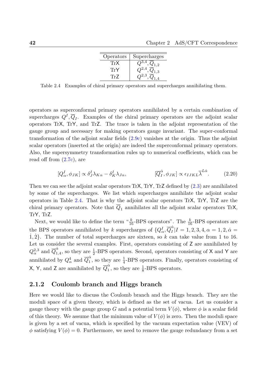| Operators      | Supercharges         |
|----------------|----------------------|
| TrX            | .4<br>$Q_{1,2}$      |
| 'I'rY          | $\overline{Q}_{1,3}$ |
| $^{\prime}$ F/ |                      |

<span id="page-41-0"></span>Table 2.4 Examples of chiral primary operators and supercharges annihilating them.

operators as superconformal primary operators annihilated by a certain combination of supercharges  $Q^I$ ,  $\overline{Q}_I$ . Examples of the chiral primary operators are the adjoint scalar operators TrX, TrY, and TrZ. The trace is taken in the adjoint representation of the gauge group and necessary for making operators gauge invariant. The super-conformal transformation of the adjoint scalar fields (2.9c) vanishes at the origin. Thus the adjoint scalar operators (inserted at the origin) are indeed the superconformal primary operators. Also, the supersymmetry transformation rules up to numerical coefficients, which can be read off from  $(2.7c)$ , are

$$
[Q_{\alpha}^{I}, \phi_{JK}] \propto \delta_{J}^{I} \lambda_{K\alpha} - \delta_{K}^{I} \lambda_{J\alpha}, \qquad [\overline{Q}_{I}^{\dot{\alpha}}, \phi_{JK}] \propto \epsilon_{IJKL} \overline{\lambda}^{L\dot{\alpha}}.
$$
 (2.20)

Then we can s[ee](#page-38-2) [the](#page-38-2) adjoint scalar operators TrX, TrY, TrZ defined by (2.3) are annihilated by some of the supercharges. We list which supercharges annihilate the adjoint scalar operators in Table 2.4. That is why the adjoint scalar operators TrX, TrY, TrZ are the chiral primary operators. Note that *Q*<sup>1</sup> annihilates all the adjoint sc[alar](#page-37-0) operators TrX, TrY, TrZ.

Next,we would l[ike](#page-41-0) to define the term  $\frac{u}{16}$ -BPS operators". The  $\frac{k}{16}$ -BPS operators are the BPS operators annihilated by *k* supercharges of  $\{Q^I_\alpha, \overline{Q}^{\dot{\alpha}}_I\}$  $\frac{\alpha}{I}$ |*I* = 1*,* 2*,* 3*,* 4*, α* = 1*,* 2*, α*<sup></sup> =  $\{1, 2\}$ . The number of total supercharges are sixteen, so k can take value from 1 to 16. Let us consider the several examples. First, operators consisting of Z are annihilated by  $Q_{\alpha}^{2,3}$  and  $\overline{Q}_{1}^{\dot{\alpha}}$  $\frac{\alpha}{1,4}$ , so they are  $\frac{1}{2}$ -BPS operators. Second, operators consisting of X and Y are annihilated by  $Q^4_\alpha$  and  $\overline{Q}^{\dot{\alpha}}_1$  $\frac{\alpha}{1}$ , so they are  $\frac{1}{4}$ -BPS operators. Finally, operators consisting of X, Y, and Z are annihilated by  $\overline{Q}_1^{\dot{\alpha}}$  $\frac{\alpha}{1}$ , so they are  $\frac{1}{8}$ -BPS operators.

# **2.1.2 Coulomb branch and Higgs branch**

Here we would like to discuss the Coulomb branch and the Higgs branch. They are the moduli space of a given theory, which is defined as the set of vacua. Let us consider a gauge theory with the gauge group *G* and a potential term  $V(\phi)$ , where  $\phi$  is a scalar field of this theory. We assume that the minimum value of  $V(\phi)$  is zero. Then the moduli space is given by a set of vacua, which is specified by the vacuum expectation value (VEV) of  $\phi$  satisfying  $V(\phi) = 0$ . Furthermore, we need to remove the gauge redundancy from a set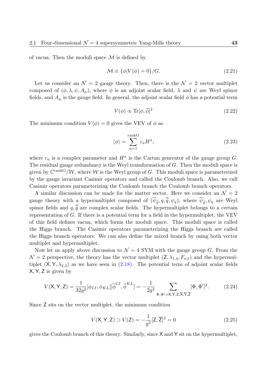of vacua. Then the moduli space *M* is defined by

$$
\mathcal{M} \equiv \{\phi|V(\phi) = 0\}/G. \tag{2.21}
$$

Let us consider an  $\mathcal{N} = 2$  gauge theory. Then, there is the  $\mathcal{N} = 2$  vector multiplet composed of  $(\phi, \lambda, \psi, A_\mu)$ , where  $\phi$  is an adjoint scalar field,  $\lambda$  and  $\psi$  are Weyl spinor fields, and  $A_\mu$  is the gauge field. In general, the adjoint scalar field  $\phi$  has a potential term

$$
V(\phi) \propto \text{Tr}[\phi, \overline{\phi}]^2 \tag{2.22}
$$

The minimum condition  $V(\phi) = 0$  gives the VEV of  $\phi$  as

$$
\langle \phi \rangle = \sum_{a=1}^{\text{rank}G} c_a H^a,\tag{2.23}
$$

where  $c_a$  is a complex parameter and  $H^a$  is the Cartan generator of the gauge group  $G$ . The residual gauge redundancy is the Weyl transformation of *G*. Then the moduli space is given by  $\mathbb{C}^{\text{rank}G}/\mathcal{W}$ , where  $\mathcal W$  is the Weyl group of *G*. This moduli space is parameterized by the gauge invariant Casimir operators and called the Coulomb branch. Also, we call Casimir operators parameterizing the Coulomb branch the Coulomb branch operators.

A similar discussion can be made for the matter sector. Here we consider an  $\mathcal{N}=2$ gauge theory with a hypermultiplet composed of  $(\psi_{\tilde{q}}, q, \tilde{q}, \psi_q)$ , where  $\psi_{\tilde{q}}, \psi_q$  are Weyl spinor fields and  $q, \overline{\tilde{q}}$  are complex scalar fields. The hypermultiplet belongs to a certain representation of *G*. If there is a potential term for a field in the hypermultiplet, the VEV of this field defines vacua, which forms the moduli space. This moduli space is called the Higgs branch. The Casimir operators parameterizing the Higgs branch are called the Higgs branch operators. We can also define the mixed branch by using both vector multiplet and hypermultiplet.

Now let us apply above discussion to  $\mathcal{N} = 4$  SYM with the gauge group *G*. From the  $\mathcal{N} = 2$  perspective, the theory has the vector multiplet  $(Z, \lambda_{1,4}, F_{\alpha\beta})$  and the hypermultiplet  $(X, Y, \lambda_{2,3})$  as we have seen in  $(2.18)$ . The potential term of adjoint scalar fields X*,* Y*,* Z is given by

$$
V(\mathsf{X}, \mathsf{Y}, \mathsf{Z}) = \frac{1}{32g^2} [\phi_{IJ}, \phi_{KL}] [\overline{\phi}^{IJ}, \overline{\phi}^{KL}] = -\frac{1}{2g^2} \sum_{\Phi, \Phi' = \mathsf{X}, \mathsf{Y}, \mathsf{Z}, \overline{\mathsf{X}}, \overline{\mathsf{Y}}, \overline{\mathsf{Z}}} [\Phi, \Phi']^2.
$$
(2.24)

Since Z sits on the vector multiplet, the minimum condition

<span id="page-42-0"></span>
$$
V(X, Y, Z) \supset V(Z) = -\frac{1}{g^2} [Z, \overline{Z}]^2 = 0
$$
\n(2.25)

gives the Coulomb branch of this theory. Similarly, since X and Y sit on the hypermultiplet,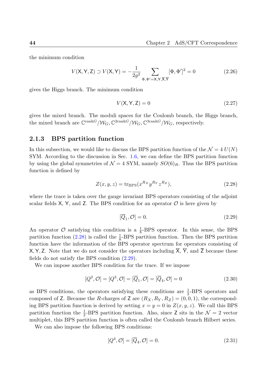the minimum condition

$$
V(\mathsf{X}, \mathsf{Y}, \mathsf{Z}) \supset V(\mathsf{X}, \mathsf{Y}) = -\frac{1}{2g^2} \sum_{\Phi, \Phi' = \mathsf{X}, \mathsf{Y}, \overline{\mathsf{X}}, \overline{\mathsf{Y}}} [\Phi, \Phi']^2 = 0
$$
 (2.26)

gives the Higgs branch. The minimum condition

$$
V(\mathsf{X}, \mathsf{Y}, \mathsf{Z}) = 0 \tag{2.27}
$$

gives the mixed branch. The moduli spaces for the Coulomb branch, the Higgs branch, the mixed branch are  $\mathbb{C}^{\text{rank}G}/\mathcal{W}_G$ ,  $\mathbb{C}^{\text{2rank}G}/\mathcal{W}_G$ ,  $\mathbb{C}^{\text{3rank}G}/\mathcal{W}_G$ , respectively.

## **2.1.3 BPS partition function**

In this subsection, we would like to discuss the BPS partition function of the  $\mathcal{N} = 4 U(N)$ SYM. According to the discussion in Sec. 1.6, we can define the BPS partition function by using the global symmetries of  $\mathcal{N} = 4$  SYM, namely  $SO(6)_R$ . Thus the BPS partition function is defined by

$$
Z(x, y, z) = \text{tr}_{\text{BPS}}(x^{R_X} y^{R_Y} z^{R_Z}),\tag{2.28}
$$

where the trace is taken over the gauge invariant BPS operators consisting of the adjoint scalar fields  $X$ ,  $Y$ , and  $Z$ . The BPS condition for an operator  $\mathcal O$  is here given by

<span id="page-43-1"></span><span id="page-43-0"></span>
$$
[\overline{Q}_1, \mathcal{O}] = 0. \tag{2.29}
$$

An operator  $\mathcal O$  satisfying this condition is a  $\frac{1}{8}$ -BPS operator. In this sense, the BPS partition function (2.28) is called the  $\frac{1}{8}$ -BPS partition function. Then the BPS partition function have the information of the BPS operator spectrum for operators consisting of  $X, Y, Z$ . Note that we do not consider the operators including  $\overline{X}, \overline{Y}$ , and  $\overline{Z}$  because these fields do not satisf[y the](#page-43-0) BPS condition (2.29).

We can impose another BPS condition for the trace. If we impose

$$
[Q^2, \mathcal{O}] = [Q^3, \mathcal{O}] = [\overline{Q}_1, \mathcal{O}] = [\overline{Q}_4, \mathcal{O}] = 0
$$
\n(2.30)

as BPS conditions, the operators satisfying these conditions are  $\frac{1}{2}$ -BPS operators and composed of Z. Because the *R*-charges of Z are  $(R_X, R_Y, R_Z) = (0, 0, 1)$ , the corresponding BPS partition function is derived by setting  $x = y = 0$  in  $Z(x, y, z)$ . We call this BPS partition function the  $\frac{1}{2}$ -BPS partition function. Also, since Z sits in the  $\mathcal{N}=2$  vector multiplet, this BPS partition function is often called the Coulomb branch Hilbert series.

We can also impose the following BPS conditions:

$$
[Q^4, \mathcal{O}] = [\overline{Q}_4, \mathcal{O}] = 0. \tag{2.31}
$$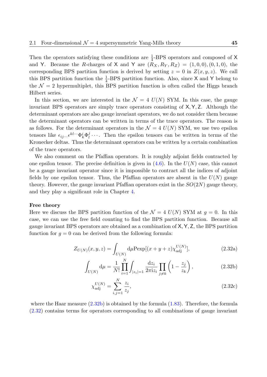Then the operators satisfying these conditions are  $\frac{1}{4}$ -BPS operators and composed of X and Y. Because the *R*-charges of X and Y are  $(R_X, R_Y, R_Z) = (1, 0, 0), (0, 1, 0)$ , the corresponding BPS partition function is derived by setting  $z = 0$  in  $Z(x, y, z)$ . We call this BPS partition function the  $\frac{1}{4}$ -BPS partition function. Also, since X and Y belong to the  $\mathcal{N}=2$  hypermultiplet, this BPS partition function is often called the Higgs branch Hilbert series.

In this section, we are interested in the  $\mathcal{N} = 4$   $U(N)$  SYM. In this case, the gauge invariant BPS operators are simply trace operators consisting of X*,* Y*,* Z. Although the determinant operators are also gauge invariant operators, we do not consider them because the determinant operators can be written in terms of the trace operators. The reason is as follows. For the determinant operators in the  $\mathcal{N} = 4$   $U(N)$  SYM, we use two epsilon tensors like  $\epsilon_{ij} ... \epsilon^{kl} ... \Phi_k^i \Phi_l^j$  $\ell_i^j \cdots$ . Then the epsilon tensors can be written in terms of the Kronecker deltas. Thus the determinant operators can be written by a certain combination of the trace operators.

We also comment on the Pfaffian operators. It is roughly adjoint fields contracted by one epsilon tensor. The precise definition is given in  $(4.6)$ . In the  $U(N)$  case, this cannot be a gauge invariant operator since it is impossible to contract all the indices of adjoint fields by one epsilon tensor. Thus, the Pfaffian operators are absent in the  $U(N)$  gauge theory. However, the gauge invariant Pfaffian operato[rs ex](#page-92-0)ist in the *SO*(2*N*) gauge theory, and they play a significant role in Chapter 4.

#### **Free theory**

Here we discuss the BPS partitio[n](#page-90-0) function of the  $\mathcal{N} = 4$   $U(N)$  SYM at  $q = 0$ . In this case, we can use the free field counting to find the BPS partition function. Because all gauge invariant BPS operators are obtained as a combination of X*,* Y*,* Z, the BPS partition function for  $q = 0$  can be derived from the following formula:

$$
Z_{U(N)}(x,y,z) = \int_{U(N)} d\mu \text{Pexp}[(x+y+z)\chi_{\text{adj}}^{U(N)}], \qquad (2.32a)
$$

$$
\int_{U(N)} \mathrm{d}\mu = \frac{1}{N!} \prod_{i=1}^{N} \int_{|z_i|=1} \frac{\mathrm{d}z_i}{2\pi i z_i} \prod_{j \neq k} \left(1 - \frac{z_j}{z_k}\right),\tag{2.32b}
$$

$$
\chi_{\rm adj}^{U(N)} = \sum_{i,j=1}^N \frac{z_i}{z_j},\tag{2.32c}
$$

where the Haar measure  $(2.32b)$  is obtained by the formula  $(1.83)$ . Therefore, the formula (2.32) contains terms for operators corresponding to all combinations of gauge invariant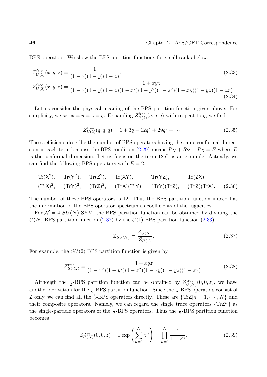<span id="page-45-2"></span><span id="page-45-1"></span>(2.34)

BPS operators. We show the BPS partition functions for small ranks below:

$$
Z_{U(1)}^{\text{free}}(x, y, z) = \frac{1}{(1-x)(1-y)(1-z)},
$$
\n
$$
Z_{U(2)}^{\text{free}}(x, y, z) = \frac{1+xyz}{(1-x)(1-y)(1-z)(1-x^2)(1-y^2)(1-z^2)(1-xy)(1-yz)(1-zx)}.
$$
\n(2.33)

Let us consider the physical meaning of the BPS partition function given above. For simplicity, we set  $x = y = z = q$ . Expanding  $Z_{U(2)}^{\text{free}}(q, q, q)$  with respect to q, we find

$$
Z_{U(2)}^{\text{free}}(q,q,q) = 1 + 3q + 12q^2 + 29q^3 + \cdots
$$
 (2.35)

The coefficients describe the number of BPS operators having the same conformal dimension in each term because the BPS condition  $(2.29)$  means  $R_X + R_Y + R_Z = E$  where *E* is the conformal dimension. Let us focus on the term  $12q^2$  as an example. Actually, we can find the following BPS operators with  $E = 2$ :

$$
\mathrm{Tr}(X^2), \quad \mathrm{Tr}(Y^2), \quad \mathrm{Tr}(Z^2), \quad \mathrm{Tr}(XY), \quad \mathrm{Tr}(YZ), \quad \mathrm{Tr}(ZX),
$$
  

$$
(\mathrm{Tr}X)^2, \quad (\mathrm{Tr}Y)^2, \quad (\mathrm{Tr}Z)^2, \quad (\mathrm{Tr}X)(\mathrm{Tr}Y), \quad (\mathrm{Tr}Y)(\mathrm{Tr}Z), \quad (\mathrm{Tr}Z)(\mathrm{Tr}X). \quad (2.36)
$$

The number of these BPS operators is 12. Thus the BPS partition function indeed has the information of the BPS operator spectrum as coefficients of the fugacities.

For  $\mathcal{N} = 4$  *SU(N)* SYM, the BPS partition function can be obtained by dividing the  $U(N)$  BPS partition function  $(2.32)$  by the  $U(1)$  BPS partition function  $(2.33)$ :

$$
Z_{SU(N)} = \frac{Z_{U(N)}}{Z_{U(1)}}.\t(2.37)
$$

For example, the *SU*(2) BPS partition function is given by

$$
Z_{SU(2)}^{\text{free}} = \frac{1 + xyz}{(1 - x^2)(1 - y^2)(1 - z^2)(1 - xy)(1 - yz)(1 - zx)}.\tag{2.38}
$$

Although the  $\frac{1}{2}$ -BPS partition function can be obtained by  $Z_{U(N)}^{\text{free}}$  $U(N)$ <sup> $(U(N)$ </sup> $(0, 0, z)$ , we have another derivation for the  $\frac{1}{2}$ -BPS partition function. Since the  $\frac{1}{2}$ -BPS operators consist of Z only, we can find all the  $\frac{1}{2}$ -BPS operators directly. These are  $\{TrZ|n=1,\dots,N\}$  and their composite operators. Namely, we can regard the single trace operators  $\{Tr Z^n\}$  as the single-particle operators of the  $\frac{1}{2}$ -BPS operators. Thus the  $\frac{1}{2}$ -BPS partition function becomes

<span id="page-45-0"></span>
$$
Z_{U(N)}^{\text{free}}(0,0,z) = \text{Pexp}\left(\sum_{n=1}^{N} z^n\right) = \prod_{n=1}^{N} \frac{1}{1 - z^n}.
$$
 (2.39)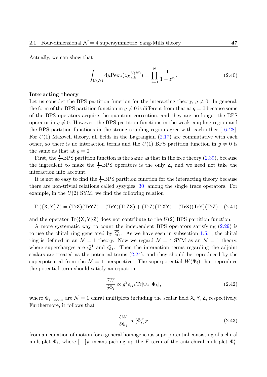Actually, we can show that

$$
\int_{U(N)} d\mu \text{Pexp}(z \chi_{\text{adj}}^{U(N)}) = \prod_{n=1}^{N} \frac{1}{1 - z^n}.
$$
\n(2.40)

#### **Interacting theory**

Let us consider the BPS partition function for the interacting theory,  $g \neq 0$ . In general, the form of the BPS partition function in  $g \neq 0$  is different from that at  $g = 0$  because some of the BPS operators acquire the quantum correction, and they are no longer the BPS operator in  $g \neq 0$ . However, the BPS partition functions in the weak coupling region and the BPS partition functions in the strong coupling region agree with each other [16, 28]. For  $U(1)$  Maxwell theory, all fields in the Lagrangian  $(2.17)$  are commutative with each other, so there is no interaction terms and the  $U(1)$  BPS partition function in  $g \neq 0$  is the same as that at  $q=0$ .

First, the  $\frac{1}{2}$ -BPS partition function is the same as tha[t in th](#page-40-1)e free theory (2.39), because the ingredient to make the  $\frac{1}{2}$ -BPS operators is the only Z, and we need not take the interaction into account.

It is not so easy to find the  $\frac{1}{8}$ -BPS partition function for the interacting [theor](#page-45-0)y because there are non-trivial relations called syzygies [30] among the single trace operators. For example, in the *U*(2) SYM, we find the following relation

$$
\operatorname{Tr}(\{X,Y\}Z) = (\operatorname{Tr}X)(\operatorname{Tr}YZ) + (\operatorname{Tr}Y)(\operatorname{Tr}ZX) + (\operatorname{Tr}Z)(\operatorname{Tr}XY) - (\operatorname{Tr}X)(\operatorname{Tr}Y)(\operatorname{Tr}Z). \tag{2.41}
$$

and the operator  $Tr({X,Y}Z)$  does not contribute to the  $U(2)$  BPS partition function.

A more systematic way to count the independent BPS operators satisfying (2.29) is to use the chiral ring generated by  $\overline{Q}_1$ . As we have seen in subsection 1.5.1, the chiral ring is defined in an  $\mathcal{N} = 1$  theory. Now we regard  $\mathcal{N} = 4$  SYM as an  $\mathcal{N} = 1$  theory, where supercharges are  $Q^1$  and  $\overline{Q}_1$ . Then the interaction terms regarding the [adjo](#page-43-1)int scalars are treated as the potential terms (2.24), and they should be re[produ](#page-29-0)ced by the superpotential from the  $\mathcal{N} = 1$  perspective. The superpotential  $W(\Phi_i)$  that reproduce the potential term should satisfy an equation

$$
\frac{\delta W}{\delta \Phi_i} \propto g^2 \epsilon_{ijk} \text{Tr}[\Phi_j, \Phi_k],\tag{2.42}
$$

where  $\Phi_{i=x,y,z}$  are  $\mathcal{N}=1$  chiral multiplets including the scalar field  $X, Y, Z$ , respectively. Furthermore, it follows that

$$
\frac{\delta W}{\delta \Phi_i} \propto [\Phi_i^*]_F \tag{2.43}
$$

from an equation of motion for a general homogeneous superpotential consisting of a chiral multiplet  $\Phi_i$ , where  $\begin{bmatrix} \n\end{bmatrix}$ *F* means picking up the *F*-term of the anti-chiral multiplet  $\Phi_i^*$ .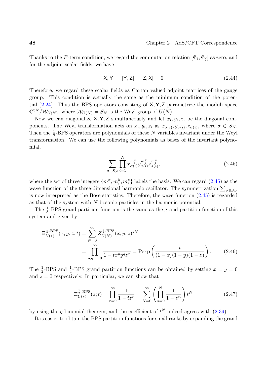Thanks to the *F*-term condition, we regard the commutation relation  $[\Phi_i, \Phi_j]$  as zero, and for the adjoint scalar fields, we have

<span id="page-47-0"></span>
$$
[X,Y] = [Y,Z] = [Z,X] = 0.
$$
\n(2.44)

Therefore, we regard these scalar fields as Cartan valued adjoint matrices of the gauge group. This condition is actually the same as the minimum condition of the potential (2.24). Thus the BPS operators consisting of X*,* Y*,* Z parametrize the moduli space  $\mathbb{C}^{3N}/\mathcal{W}_{U(N)}$ , where  $\mathcal{W}_{U(N)} = S_N$  is the Weyl group of  $U(N)$ .

Now we can diagonalize  $X, Y, Z$  simultaneously and let  $x_i, y_i, z_i$  be the diagonal compone[nts.](#page-42-0) The Weyl transformation acts on  $x_i, y_i, z_i$  as  $x_{\sigma(i)}, y_{\sigma(i)}, z_{\sigma(i)}$ , where  $\sigma \in S_N$ . Then the  $\frac{1}{8}$ -BPS operators are polynomials of these *N* variables invariant under the Weyl transformation. We can use the following polynomials as bases of the invariant polynomial.

$$
\sum_{\sigma \in S_N} \prod_{i=1}^N x_{\sigma(i)}^{m_i^x} y_{\sigma(i)}^{m_i^y} z_{\sigma(i)}^{m_i^z},
$$
\n(2.45)

where the set of three integers  $\{m_i^x, m_i^y\}$  $\{m_i^y, m_i^z\}$  labels the basis. We can regard  $(2.45)$  as the wave function of the three-dimensional harmonic oscillator. The symmetrization  $\sum_{\sigma \in S_N}$ is now interpreted as the Bose statistics. Therefore, the wave function (2.45) is regarded as that of the system with *N* bosonic particles in the harmonic potential.

The  $\frac{1}{8}$ -BPS grand partition function is the same as the grand partition function of this system and given by

$$
\Xi_{U(*)}^{\frac{1}{8}\text{-BPS}}(x,y,z;t) = \sum_{N=0}^{\infty} Z_{U(N)}^{\frac{1}{8}\text{-BPS}}(x,y,z)t^N
$$

$$
= \prod_{p,q,r=0}^{\infty} \frac{1}{1 - t x^p y^q z^r} = \text{Pexp}\left(\frac{t}{(1-x)(1-y)(1-z)}\right). \tag{2.46}
$$

The  $\frac{1}{2}$ -BPS and  $\frac{1}{4}$ -BPS grand partition functions can be obtained by setting  $x = y = 0$ and  $z = 0$  respectively. In particular, we can show that

$$
\Xi_{U(*)}^{\frac{1}{2}\text{-BPS}}(z;t) = \prod_{r=0}^{\infty} \frac{1}{1-tz^r} = \sum_{N=0}^{\infty} \left( \prod_{n=0}^{N} \frac{1}{1-z^n} \right) t^N \tag{2.47}
$$

by using the *q*-binomial theorem, and the coefficient of  $t^N$  indeed agrees with  $(2.39)$ .

It is easier to obtain the BPS partition functions for small ranks by expanding the grand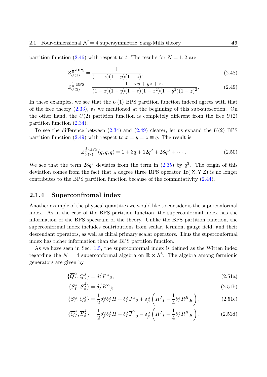partition function (2.46) with respect to *t*. The results for  $N = 1, 2$  are

$$
Z_{U(1)}^{\frac{1}{8}\text{-BPS}} = \frac{1}{(1-x)(1-y)(1-z)},\tag{2.48}
$$

$$
Z_{U(2)}^{\frac{1}{8}\text{-BPS}} = \frac{1+xy+yz+zx}{(1-x)(1-y)(1-z)(1-x^2)(1-y^2)(1-z)^2}.
$$
\n(2.49)

In these examples, we see that the *U*(1) BPS partition function indeed agrees with that of the free theory  $(2.33)$ , as we mentioned at the beginning of this sub-subsection. On the other hand, the  $U(2)$  partition function is completely different from the free  $U(2)$ partition function (2.34).

To see the differ[ence](#page-45-1) between (2.34) and (2.49) clearer, let us expand the *U*(2) BPS partition function (2.49) with respect to  $x = y = z \equiv q$ . The result is

<span id="page-48-0"></span>
$$
Z_{U(2)}^{\frac{1}{8}\text{-BPS}}(q,q,q) = 1 + 3q + 12q^2 + 28q^3 + \cdots
$$
 (2.50)

We see that the term  $28q^3$  deviates from the term in  $(2.35)$  by  $q^3$ . The origin of this deviation comes from the fact that a degree three BPS operator Tr([X*,* Y]Z) is no longer contributes to the BPS partition function because of the commutativity (2.44).

#### **2.1.4 Superconfromal index**

Another example of the physical quantities we would like to consider is the [supe](#page-47-0)rconformal index. As in the case of the BPS partition function, the superconformal index has the information of the BPS spectrum of the theory. Unlike the BPS partition function, the superconformal index includes contributions from scalar, fermion, gauge field, and their descendant operators, as well as chiral primary scalar operators. Thus the superconformal index has richer information than the BPS partition function.

As we have seen in Sec. 1.5, the superconformal index is defined as the Witten index regarding the  $\mathcal{N} = 4$  superconformal algebra on  $\mathbb{R} \times S^3$ . The algebra among fermionic generators are given by

$$
\{\overline{Q}_I^{\dot{\alpha}}, Q_{\alpha}^J\} = \delta_I^J P^{\dot{\alpha}}{}_{\beta},\tag{2.51a}
$$

$$
\{S_I^{\alpha}, \overline{S}_{\dot{\beta}}^J\} = \delta_I^J K^{\alpha}_{\dot{\beta}},\tag{2.51b}
$$

$$
\{S_I^{\alpha}, Q_{\beta}^J\} = \frac{1}{2} \delta_{\beta}^{\alpha} \delta_I^J H + \delta_I^J J^{\alpha}{}_{\beta} + \delta_{\beta}^{\alpha} \left( R^J{}_I - \frac{1}{4} \delta_I^J R^K{}_K \right), \tag{2.51c}
$$

$$
\{\overline{Q}_{I}^{\dot{\alpha}},\overline{S}_{\dot{\beta}}^{J}\} = \frac{1}{2}\delta_{\dot{\beta}}^{\dot{\alpha}}\delta_{I}^{J}H - \delta_{I}^{J}\overline{J}^{\dot{\alpha}}{}_{\dot{\beta}} - \delta_{\dot{\beta}}^{\dot{\alpha}}\left(R^{J}{}_{I} - \frac{1}{4}\delta_{I}^{J}R^{K}{}_{K}\right).
$$
 (2.51d)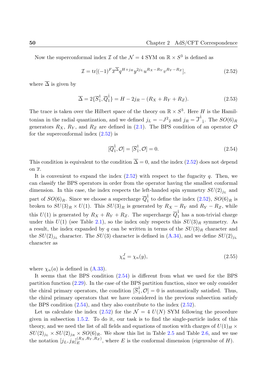Now the superconformal index  $\mathcal I$  of the  $\mathcal N = 4$  SYM on  $\mathbb R \times S^3$  is defined as

$$
\mathcal{I} = \text{tr}[(-1)^F \overline{x}^{\overline{\Delta}} q^{H+j_R} y^{2j_L} u^{R_X - R_Y} v^{R_Y - R_Z}], \qquad (2.52)
$$

where  $\overline{\Delta}$  is given by

$$
\overline{\Delta} = 2\{\overline{S}_1^1, \overline{Q}_1^1\} = H - 2j_R - (R_X + R_Y + R_Z). \tag{2.53}
$$

The trace is taken over the Hilbert space of the theory on  $\mathbb{R} \times S^3$ . Here *H* is the Hamiltonian in the radial quantization, and we defined  $j_L = -J^2{}_2$  and  $j_R = \overline{J}^{\dot{1}}$  $\text{i}$ . The  $SO(6)_R$ generators  $R_X$ ,  $R_Y$ , and  $R_Z$  are defined in (2.1). The BPS condition of an operator  $O$ for the superconformal index  $(2.52)$  is

<span id="page-49-1"></span><span id="page-49-0"></span>
$$
[\overline{Q}_1^{\dot{1}}, \mathcal{O}] = [\overline{S}_1^1, \mathcal{O}] = 0.
$$
\n(2.54)

This condition is equivalent to the condition  $\overline{\Delta} = 0$ , and the index (2.52) does not depend on  $\overline{x}$ .

It is convenient to expand the index (2.52) with respect to the fugacity *q*. Then, we can classify the BPS operators in order from the operator having [the sm](#page-49-0)allest conformal dimension. In this case, the index respects the left-handed spin symmetry  $SU(2)_{jL}$  and part of  $SO(6)_R$ . Since we choose a supe[rcharg](#page-49-0)e  $\overline{Q}_1^{\dot{1}}$  $\frac{1}{1}$  to define the index  $(2.52)$ ,  $SO(6)_R$  is broken to  $SU(3)_R \times U(1)$ . This  $SU(3)_R$  is generated by  $R_X - R_Y$  and  $R_Y - R_Z$ , while this  $U(1)$  is generated by  $R_X + R_Y + R_Z$ . The supercharge  $\overline{Q}_1^{\dot{1}}$  $\frac{1}{1}$  has a non-trivial charge under this  $U(1)$  (see Table 2.1), so the index only respects this  $SU(3)_R$  [sym](#page-49-0)metry. As a result, the index expanded by *q* can be written in terms of the  $SU(3)_R$  character and the  $SU(2)_{j_L}$  character. The  $SU(3)$  character is defined in  $(A.34)$ , and we define  $SU(2)_{j_L}$ character as

<span id="page-49-2"></span>
$$
\chi_n^J = \chi_n(y),\tag{2.55}
$$

where  $\chi_n(a)$  is defined in  $(A.33)$ .

It seems that the BPS condition (2.54) is different from what we used for the BPS partition function (2.29). In the case of the BPS partition function, since we only consider the chiral primary operat[ors, th](#page-129-0)e condition  $[\overline{S}_1^1, \mathcal{O}] = 0$  is automatically satisfied. Thus, the chiral primary operators that we [have](#page-49-1) considered in the previous subsection satisfy the BPS condition  $(2.54)$ , and they also contribute to the index  $(2.52)$ .

Let us calculate the index  $(2.52)$  for the  $\mathcal{N} = 4$   $U(N)$  SYM following the procedure given in subsection 1.5.2. To do it, our task is to find the single-particle index of this theory, and we nee[d the](#page-49-1) list of all fields and equations of motion [with c](#page-49-0)harges of  $U(1)_H \times$  $SU(2)_{jL} \times SU(2)_{jR} \times SO(6)_R$ [. We](#page-49-0) show this list in Table 2.5 and Table 2.6, and we use the notation  $[j_L, j_R]_E^{(R_X, R_Y, R_Z)}$  $E^{(R_X,R_Y,R_Z)}$  $E^{(R_X,R_Y,R_Z)}$ , where *E* is the conformal dimension (eigenvalue of *H*).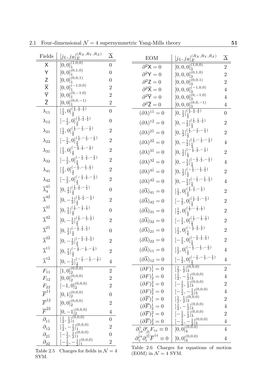| Fields                                                           | $\underbrace{[j_L,j_R]^{(R_X,R_Y,R_Z)}_{E}}$                                                                | $\overline{\Delta}$ | $\underbrace{[j_L,j_R]^{(R_X,R_Y,R_Z)}_{E}}$<br><b>EOM</b>                                                                                                                                                                                                                                                                                                                                                                                                                                         | $\overline{\Delta}$              |
|------------------------------------------------------------------|-------------------------------------------------------------------------------------------------------------|---------------------|----------------------------------------------------------------------------------------------------------------------------------------------------------------------------------------------------------------------------------------------------------------------------------------------------------------------------------------------------------------------------------------------------------------------------------------------------------------------------------------------------|----------------------------------|
| X                                                                | $[0,0]_1^{(1,0,0)}$                                                                                         | $\overline{0}$      | $[0,0,0]_3^{\overline{(1,0,0)}}$<br>$\partial^2 \mathsf{X} = 0$                                                                                                                                                                                                                                                                                                                                                                                                                                    | $\overline{2}$                   |
| Y                                                                | $[0,0]^{{\bar{(0,1,0)}}}_1$                                                                                 | $\boldsymbol{0}$    | $[0,0,0]^{\bar{(0,1,0)}}_{3}$<br>$\partial^2 \mathsf{Y}=0$                                                                                                                                                                                                                                                                                                                                                                                                                                         | $\overline{2}$                   |
|                                                                  | $\lbrack 0,0]^{(0,0,1)}_{\scriptscriptstyle{1}}$                                                            | 0                   | $[0,0,0]^{\bar{(0,0,1)}}_{3}$<br>$\partial^2 Z = 0$                                                                                                                                                                                                                                                                                                                                                                                                                                                | $\overline{2}$                   |
|                                                                  | $[0,0]^{(-1,0,0)}_{\scriptscriptstyle{1}}$                                                                  | $\boldsymbol{2}$    | $\left[0,0,0\right]_{3}^{(-1,0,0)}$<br>$\partial^2 \overline{X} = 0$                                                                                                                                                                                                                                                                                                                                                                                                                               | $\overline{4}$                   |
| $Z$ $\overline{X}$ $\overline{Y}$ $\overline{Z}$                 | $[0,0]^{{\bar (0},-1,0)}_1$                                                                                 | $\overline{2}$      | $[0,0,0]_3^{(0,-1,0)}$<br>$\partial^2 \overline{Y} = 0$                                                                                                                                                                                                                                                                                                                                                                                                                                            | $\overline{4}$                   |
|                                                                  | $[0,0]_1^{(0,0,-1)}$                                                                                        | $\overline{2}$      | $[0,0,0]^{\bar{(0,0,-1)}}_{3}$<br>$\partial^2 \overline{\mathsf{Z}}=0$                                                                                                                                                                                                                                                                                                                                                                                                                             | $\overline{4}$                   |
| $\lambda_{11}$                                                   | $\left[\frac{1}{2}, 0\right]_{\frac{3}{2}}^{\frac{\left(\frac{1}{2}, \frac{1}{2}, \frac{1}{2}\right)}{2}}$  | $\boldsymbol{0}$    | $[0, \frac{1}{2}]_{\frac{5}{2}}^{(\frac{1}{2}, \frac{1}{2}, \frac{1}{2})}$<br>$(\partial \lambda)^{1\dot{1}}=0$                                                                                                                                                                                                                                                                                                                                                                                    | $\boldsymbol{0}$                 |
| $\lambda_{12}$                                                   | $[-\frac{1}{2},0]^{(\frac{1}{2},\frac{1}{2},\frac{1}{2})}_{\frac{3}{2}}$                                    | $\boldsymbol{0}$    | $[0,-\frac{1}{2}]^{\left(\frac{1}{2},\frac{1}{2},\frac{1}{2}\right)}_{\frac{5}{2}}$<br>$(\partial \lambda)^{12} = 0$                                                                                                                                                                                                                                                                                                                                                                               | $\overline{2}$                   |
| $\lambda_{21}$                                                   | $[\frac{1}{2},0]^{(\frac{1}{2},-\frac{1}{2},-\frac{1}{2})}_{\frac{3}{2}}$                                   | $\overline{2}$      | $[0,\frac{1}{2}]^{\left(\frac{1}{2},-\frac{1}{2},-\frac{1}{2}\right)}_{\frac{5}{2}}$<br>$(\partial \lambda)^{2\dot{1}}=0$                                                                                                                                                                                                                                                                                                                                                                          | $\overline{2}$                   |
| $\lambda_{22}$                                                   | $[-\frac{1}{2},0]^{(\frac{1}{2},-\frac{1}{2},-\frac{1}{2})}_{\frac{3}{6}}$                                  | $\overline{2}$      | $[0,-\frac{1}{2}]^{\left(\frac{1}{2},-\frac{1}{2},-\frac{1}{2}\right)}_{\frac{5}{2}}$<br>$(\partial \lambda)^{2\dot{2}}=0$                                                                                                                                                                                                                                                                                                                                                                         | $\overline{4}$                   |
| $\lambda_{31}$                                                   | $[\frac{1}{2},0]_{\frac{3}{2}}^{(-\frac{1}{2},\frac{1}{2},-\frac{1}{2})}$                                   | $\overline{2}$      | $[0,\frac{1}{2}]_{\frac{5}{2}}^{(-\frac{4}{2},\frac{1}{2},-\frac{1}{2})}$<br>$(\partial \lambda)^{3\dot{1}} = 0$                                                                                                                                                                                                                                                                                                                                                                                   | $\overline{2}$                   |
| $\lambda_{32}$                                                   | $[-\frac{1}{2},0]_{\frac{3}{2}}^{(-\frac{1}{2},\frac{1}{2},-\frac{1}{2})}$                                  | $\overline{2}$      | $[0,-\frac{1}{2}]^{\left(-\frac{1}{2},\frac{1}{2},-\frac{1}{2}\right)}_{\frac{5}{2}}$<br>$(\partial \lambda)^{3\dot{2}}=0$                                                                                                                                                                                                                                                                                                                                                                         | $\overline{4}$                   |
| $\lambda_{41}$                                                   | $[\frac{1}{2},0]_{\frac{3}{2}}^{(-\frac{1}{2},-\frac{1}{2},\frac{1}{2})}$                                   | $\overline{2}$      | $[0,\frac{1}{2}]^{{-\frac{2}{3},-\frac{1}{2},\frac{1}{2}}}_{\frac{5}{2}}$<br>$(\partial \lambda)^{4\dot{1}} = 0$                                                                                                                                                                                                                                                                                                                                                                                   | $\overline{2}$                   |
| $\lambda_{42}$                                                   | $[-\frac{1}{2},0]_{\frac{3}{2}}^{(-\frac{1}{2},\frac{1}{2},-\frac{1}{2})}$                                  | $\overline{2}$      | $[0,-\frac{1}{2}]_{\frac{5}{2}}^{(-\frac{1}{2},-\frac{1}{2},\frac{1}{2})}$<br>$(\partial \lambda)^{4\dot 2}=0$                                                                                                                                                                                                                                                                                                                                                                                     | $\overline{4}$                   |
| $\overline{\lambda}_4^{4\dot{1}}$                                | $[0,\frac{1}{2}]^{\left(\frac{1}{2},\frac{1}{2},-\frac{1}{2}\right)}_{\frac{3}{2}}$                         | $\overline{0}$      | $[\frac{1}{2},0]_{\frac{5}{2}}^{(\frac{1}{2},\frac{1}{2},-\frac{1}{2})}$<br>$(\partial \overline{\lambda})_{41} = 0$                                                                                                                                                                                                                                                                                                                                                                               | $\overline{2}$                   |
| $\overline{\lambda}^{4\dot{2}}$                                  | $[0,-\frac{1}{2}]^{\left(\frac{1}{2},\frac{1}{2},-\frac{1}{2}\right)}_{\frac{3}{2}}$                        | $\overline{2}$      | $[-\frac{1}{2},0]_{\frac{5}{6}}^{(\frac{1}{2},\frac{1}{2},-\frac{1}{2})}$<br>$(\partial \overline{\lambda})_{42} = 0$                                                                                                                                                                                                                                                                                                                                                                              | $\overline{2}$                   |
| $\overline{\lambda}^{3\dot{1}}$                                  | $[0,\frac{1}{2}]^{\left(\frac{1}{2},-\frac{1}{2},\frac{1}{2}\right)}_{\frac{3}{2}}$                         | $\boldsymbol{0}$    | $[\frac{1}{2},0]^{(\frac{1}{2},-\frac{1}{2},\frac{1}{2})}_{\frac{5}{2}}$<br>$(\partial \overline{\lambda})_{31} = 0$                                                                                                                                                                                                                                                                                                                                                                               | $\boldsymbol{2}$                 |
| $\overline{\lambda}^{3\dot{2}}$                                  | $[0,-\frac{1}{2}]^{\left(\frac{1}{2},-\frac{1}{2},\frac{1}{2}\right)}_{\frac{3}{6}}$                        | $\overline{2}$      | $[-\frac{1}{2},0]_{\frac{5}{2}}^{(\frac{1}{2},-\frac{1}{2},\frac{1}{2})}$<br>$(\partial \overline{\lambda})_{32} = 0$                                                                                                                                                                                                                                                                                                                                                                              | $\overline{2}$                   |
| $\overline{\lambda}^{2\dot{1}}$                                  | $[0,\frac{1}{2}]_{\frac{3}{2}}^{(-\bar{\frac{1}{2}},\frac{1}{2},\frac{1}{2})}$                              | $\overline{0}$      | $[\frac{1}{2},0]_{\frac{5}{2}}^{(-\frac{1}{2},\frac{1}{2},\frac{1}{2})}$<br>$(\partial \lambda)_{21}=0$                                                                                                                                                                                                                                                                                                                                                                                            | $\overline{2}$                   |
| $\overline{\lambda}^{2\dot{2}}$                                  | $[0,-\frac{1}{2}]^{\left(-\frac{1}{2},\frac{1}{2},\frac{1}{2}\right)}_{\frac{3}{2}}$                        | $\overline{2}$      | $[-\frac{1}{2},0]_{\frac{5}{2}}^{(-\frac{1}{2},\frac{1}{2},\frac{1}{2})}$<br>$(\partial \overline{\lambda})_{22}=0$                                                                                                                                                                                                                                                                                                                                                                                | $\overline{2}$                   |
| $\overline{\lambda}^{1\dot{1}}$                                  | $[0,\frac{1}{2}]_{\frac{3}{2}}^{(-\frac{1}{2},-\frac{1}{2},-\frac{1}{2})}$                                  |                     | $[\frac{1}{2},0]_{\frac{5}{2}}^{(-\frac{4}{2},-\frac{1}{2},-\frac{1}{2})}$<br>$(\partial \lambda)_{11}=0$                                                                                                                                                                                                                                                                                                                                                                                          | $\overline{4}$                   |
| $\overline{\lambda}^{1\dot{2}}$                                  | $\frac{[0,-\frac{1}{2}]_{{\frac{3}{2}}}^{(-\frac{1}{2},-\frac{1}{2},-\frac{1}{2})}}{[1,0]_{2,-}^{(0,0,0)}}$ | $\overline{4}$      | $\frac{\left[-\frac{1}{2},0\right]_{\frac{5}{2}}^{(-\frac{1}{2},-\frac{1}{2},-\frac{1}{2})}}{\left[\frac{1}{2},\frac{1}{2}\right]_{3}^{(0,0,0)}}$<br>$(\partial \overline{\lambda})_{12}=0$                                                                                                                                                                                                                                                                                                        | $\overline{4}$                   |
| $F_{11}$                                                         |                                                                                                             | $\overline{2}$      | $(\partial F)^{\dot{1}}_1=0$                                                                                                                                                                                                                                                                                                                                                                                                                                                                       | $\overline{2}$                   |
| $\mathcal{F}_{12}$                                               | $[0, 0]_{2}^{\tilde{\mathbb{C}} 0, 0, 0)}$                                                                  | $\overline{2}$      | $\begin{array}{ll} (\partial F)^{\underline{i}}_2=0 & \left  \begin{array}{l} \frac{1}{2},-\frac{1}{2}]^3_3 \ (\partial F)^{\underline{j}}_4=0 & \left  \begin{array}{l} \frac{1}{2},-\frac{1}{2}]^3_3 \end{array}\right. \ (\partial F)^{\underline{j}}_2=0 & \left  \begin{array}{l} -\frac{1}{2},\frac{1}{2}]^{\{0,0,0\}}_3 \ (\partial F)^{\underline{j}}_2=0 & \left  \begin{array}{l} -\frac{1}{2},-\frac{1}{2}]^{\{0,0,0\}}_3 \end{array}\right. \ (\partial \overline{F})^{\underline{i}}$ | $\overline{4}$                   |
| $\frac{F_{22}}{F^{11}}$                                          | $[-1,0]_2^{(0,0,0)}$                                                                                        | $\overline{2}$      |                                                                                                                                                                                                                                                                                                                                                                                                                                                                                                    | $\overline{2}$                   |
|                                                                  | $[0,1]^{(0,0,0)}_{\bf 2}$                                                                                   | $\overline{0}$      |                                                                                                                                                                                                                                                                                                                                                                                                                                                                                                    | $\overline{4}$                   |
| $\overline{F}^{\dot{1}\dot{2}} \\ \overline{F}^{\dot{2}\dot{2}}$ | $[0,0]_2^{(0,0,0)}$                                                                                         | $\overline{2}$      |                                                                                                                                                                                                                                                                                                                                                                                                                                                                                                    | $\overline{2}$<br>$\overline{4}$ |
|                                                                  |                                                                                                             | $\overline{4}$      | $\begin{array}{ll} (\partial \overline{F})_2^{\bar{1}}=0 & \begin{bmatrix} 2/2 & 10(0,0) \\ 1/2 & -\frac{1}{2} \end{bmatrix}_3^{(0,0,0)} \\ (\partial \overline{F})_2^{\bar{2}}=0 & \begin{bmatrix} -\frac{1}{2}, \frac{1}{2} \end{bmatrix}_3^{(0,0,0)} \\ \begin{bmatrix} -\frac{1}{2}, \frac{1}{2} \end{bmatrix}_3^{(0,0,0)} \end{array}$                                                                                                                                                        | $\overline{2}$                   |
| $\overline{\partial_{1\dot{1}}}$                                 | $\frac{[0,-1]_2^{(0,0,0)}}{[\frac{1}{2},\frac{1}{2}]_1^{(0,0,0)}}$                                          | $\overline{0}$      |                                                                                                                                                                                                                                                                                                                                                                                                                                                                                                    | $\overline{4}$                   |
| $\partial_{12}$                                                  | $\left[\frac{1}{2}, \frac{-1}{2}\right]_1^{(0,0,0)}$                                                        | $\overline{2}$      | $\frac{(\partial \overline{F})_2^2 = 0}{\partial_{[\dot{\alpha}}^{\gamma} \partial_{[\dot{\beta}]}^{\epsilon} F_{\gamma \epsilon} \equiv 0} \begin{array}{ c } [-\frac{1}{2},-\frac{2}{2}]_3^{(0,0,0)} \\ [0,0]_4^{(0,0,0)} \end{array}$                                                                                                                                                                                                                                                           | $\overline{4}$                   |
| $\partial_{2\dot{1}}$                                            | $\bigl[-\frac{1}{2},\frac{\tilde{1}}{2}\bigr]^{(0,0,0)}_1$                                                  | $\overline{0}$      | $\partial_{\dot{\gamma}}^{[\alpha} \partial_{\dot{\epsilon}}^{\beta]} \overline{F}^{\dot{\gamma}\dot{\epsilon}} \equiv 0$<br>$[0,0]_4^{(0,0,0)}$                                                                                                                                                                                                                                                                                                                                                   | $\overline{4}$                   |
| $\partial_{2\dot{2}}$                                            | $\left[-\frac{1}{2}, -\frac{1}{2}\right]_1^{(0,0,0)}$                                                       | $\overline{2}$      | Table 2.6 Charges for equations of motion                                                                                                                                                                                                                                                                                                                                                                                                                                                          |                                  |

2.1 Four-dimensional  $\mathcal{N} = 4$  supersymmetric Yang-Mills theory **51** 

Table 2.5 Charges for fields in  $\mathcal{N}=4$ SYM.

Table 2.6 Charges for equations of motion (EOM) in  $\mathcal{N} = 4$  SYM.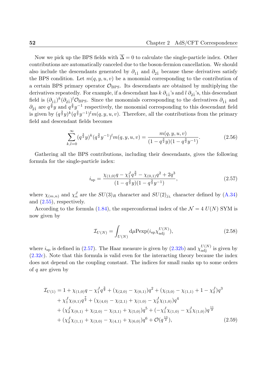Now we pick up the BPS fields with  $\overline{\Delta} = 0$  to calculate the single-particle index. Other contributions are automatically canceled due to the boson-fermion cancellation. We should also include the descendants generated by  $\partial_{11}$  and  $\partial_{21}$  because these derivatives satisfy the BPS condition. Let  $m(q, y, u, v)$  be a monomial corresponding to the contribution of a certain BPS primary operator  $\mathcal{O}_{BPS}$ . Its descendants are obtained by multiplying the derivatives repeatedly. For example, if a descendant has  $k \partial_{11}$ 's and  $l \partial_{21}$ 's, this descendant field is  $(\partial_{11})^k(\partial_{21})^l$ *O*<sub>BPS</sub>. Since the monomials corresponding to the derivatives  $\partial_{11}$  and  $\partial_{21}$  are  $q^{\frac{3}{2}}y$  and  $q^{\frac{3}{2}}y^{-1}$  respectively, the monomial corresponding to this descendant field is given by  $(q^{\frac{3}{2}}y)^k (q^{\frac{3}{2}}y^{-1})^l m(q, y, u, v)$ . Therefore, all the contributions from the primary field and descendant fields becomes

$$
\sum_{k,l=0}^{\infty} (q^{\frac{3}{2}}y)^k (q^{\frac{3}{2}}y^{-1})^l m(q, y, u, v) = \frac{m(q, y, u, v)}{(1 - q^{\frac{3}{2}}y)(1 - q^{\frac{3}{2}}y^{-1})}.
$$
\n(2.56)

Gathering all the BPS contributions, including their descendants, gives the following formula for the single-particle index:

$$
i_{\rm sp} = \frac{\chi_{(1,0)}q - \chi_1^J q^{\frac{3}{2}} - \chi_{(0,1)}q^2 + 2q^3}{(1 - q^{\frac{3}{2}}y)(1 - q^{\frac{3}{2}}y^{-1})},\tag{2.57}
$$

where  $\chi_{(m,n)}$  and  $\chi_n^J$  are the  $SU(3)_R$  character and  $SU(2)_{j_L}$  character defined by (A.34) and (2.55), respectively.

According to the formula (1.84), the superconformal index of the  $\mathcal{N} = 4$   $U(N)$  SYM is now given by

$$
\mathcal{I}_{U(N)} = \int_{U(N)} \mathrm{d}\mu \mathrm{Pexp}(i_{\mathrm{sp}} \chi_{\mathrm{adj}}^{U(N)}), \tag{2.58}
$$

where  $i_{sp}$  is defined in (2.57). The Haar measure is given by (2.32b) and  $\chi_{\text{adj}}^{U(N)}$  is given by (2.32c). Note that this formula is valid even for the interacting theory because the index does not depend on the coupling constant. The indices for small ranks up to some orders of *q* are given by

$$
\mathcal{I}_{U(1)} = 1 + \chi_{(1,0)}q - \chi_1^J q^{\frac{3}{2}} + (\chi_{(2,0)} - \chi_{(0,1)})q^2 + (\chi_{(3,0)} - \chi_{(1,1)} + 1 - \chi_2^J)q^3
$$
  
+  $\chi_1^J \chi_{(0,1)} q^{\frac{7}{2}} + (\chi_{(4,0)} - \chi_{(2,1)} + \chi_{(1,0)} - \chi_2^J \chi_{(1,0)})q^4$   
+  $(\chi_2^J \chi_{(0,1)} + \chi_{(2,0)} - \chi_{(3,1)} + \chi_{(5,0)})q^5 + (-\chi_1^J \chi_{(1,0)} - \chi_3^J \chi_{(1,0)})q^{\frac{11}{2}}$   
+  $(\chi_2^J \chi_{(1,1)} + \chi_{(3,0)} - \chi_{(4,1)} + \chi_{(6,0)})q^6 + \mathcal{O}(q^{\frac{13}{2}}),$  (2.59)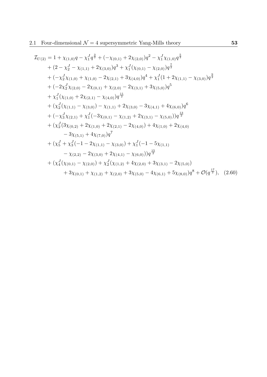$$
\mathcal{I}_{U(2)} = 1 + \chi_{(1,0)}q - \chi_{1}^{7}q^{\frac{3}{2}} + (-\chi_{(0,1)} + 2\chi_{(2,0)})q^{2} - \chi_{1}^{7}\chi_{(1,0)}q^{\frac{5}{2}}
$$
\n
$$
+ (2 - \chi_{2}^{7} - \chi_{(1,1)} + 2\chi_{(3,0)})q^{3} + \chi_{1}^{7}(\chi_{(0,1)} - \chi_{(2,0)})q^{\frac{7}{2}}
$$
\n
$$
+ (-\chi_{2}^{7}\chi_{(1,0)} + \chi_{(1,0)} - 2\chi_{(2,1)} + 3\chi_{(4,0)})q^{4} + \chi_{1}^{7}(1 + 2\chi_{(1,1)} - \chi_{(3,0)})q^{\frac{9}{2}}
$$
\n
$$
+ (-2\chi_{2}^{7}\chi_{(2,0)} - 2\chi_{(0,1)} + \chi_{(2,0)} - 2\chi_{(3,1)} + 3\chi_{(5,0)})q^{5}
$$
\n
$$
+ \chi_{1}^{7}(\chi_{(1,0)} + 2\chi_{(2,1)} - \chi_{(4,0)})q^{\frac{11}{2}}
$$
\n
$$
+ (\chi_{2}^{7}(\chi_{(1,1)} - \chi_{(3,0)}) - \chi_{(1,1)} + 2\chi_{(3,0)} - 3\chi_{(4,1)} + 4\chi_{(6,0)})q^{6}
$$
\n
$$
+ (-\chi_{3}^{7}\chi_{(2,1)} + \chi_{1}^{7}(-3\chi_{(0,1)} - \chi_{(1,2)} + 2\chi_{(3,1)} - \chi_{(5,0)})q^{\frac{13}{2}}
$$
\n
$$
+ (\chi_{2}^{7}(3\chi_{(0,2)} + 2\chi_{(1,0)} + 2\chi_{(2,1)} - 2\chi_{(4,0)}) + 4\chi_{(1,0)} + 2\chi_{(4,0)}
$$
\n
$$
- 3\chi_{(5,1)} + 4\chi_{(7,0)}q^{7}
$$
\n
$$
+ (\chi_{5}^{7} + \chi_{3}^{7}(-1 - 2\chi_{(1,1)} - \chi_{(3,0)}) + \chi_{1}^{7}(-1 - 5\chi_{(1,1)}
$$
\n<math display="</math>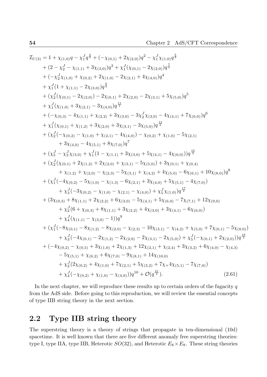$$
I_{U(3)} = 1 + \chi_{(1,0)}q - \chi_{1}^{J}q^{\frac{3}{2}} + (-\chi_{(0,1)} + 2\chi_{(2,0)})q^{2} - \chi_{1}^{J}\chi_{(1,0)}q^{\frac{5}{2}}
$$
  
+  $(2 - \chi_{2}^{J} - \chi_{(1,1)} + 3\chi_{(3,0)})q^{3} + \chi_{1}^{J}(\chi_{(0,1)} - 2\chi_{(2,0)})q^{\frac{7}{2}}$   
+  $(-\chi_{2}^{J}\chi_{(1,0)} + \chi_{(0,2)} + 2\chi_{(1,0)} - 2\chi_{(2,1)} + 4\chi_{(4,0)})q^4$   
+  $\chi_{1}^{J}(1 + \chi_{(1,1)} - 2\chi_{(3,0)})q^{\frac{3}{2}}$   
+  $(\chi_{2}^{J}(\chi_{(0,1)} - 2\chi_{(2,0)}) - 2\chi_{(0,1)} + 2\chi_{(2,0)} - 2\chi_{(3,1)} + 5\chi_{(5,0)})q^{5}$   
+  $\chi_{1}^{J}(\chi_{(1,0)} + 3\chi_{(2,1)} - 3\chi_{(4,0)})q^{\frac{13}{2}}$   
+  $(-\chi_{(0,3)} - 4\chi_{(1,1)} + \chi_{(2,2)} + 3\chi_{(3,0)} - 3\chi_{2}^{J}\chi_{(3,0)} - 4\chi_{(4,1)} + 7\chi_{(6,0)})q^{6}$   
+  $\chi_{1}^{J}(\chi_{(0,1)} + \chi_{(1,2)} + 3\chi_{(2,0)} + 3\chi_{(3,1)} - 3\chi_{(5,0)})q^{\frac{13}{2}}$   
+  $(\chi_{2}^{J}(-\chi_{(0,2)} - \chi_{(1,0)} + \chi_{(2,1)} - 4\chi_{(4,0)}) - \chi_{(0,2)} + \chi_{(1,0)} - 5\chi_{(2,1)}$   
+  $3\chi_{(4,0)} - 4\chi_{(5,1)} + 8\chi_{(7,0)})q^{7}$   
+  $(\chi_{2}^{J}(\chi_{(0,1)} + 2\chi_{(1,2)} + 2\chi_{(2,0)} + \chi_{(3,1)} - 5\$ 

In the next chapter, we will reproduce these results up to certain orders of the fugacity *q* from the AdS side. Before going to this reproduction, we will review the essential concepts of type IIB string theory in the next section.

# <span id="page-53-0"></span>**2.2 Type IIB string theory**

The superstring theory is a theory of strings that propagate in ten-dimensional (10d) spacetime. It is well known that there are five different anomaly free superstring theories: type I, type IIA, type IIB, Heterotic  $SO(32)$ , and Heterotic  $E_8 \times E_8$ . These string theories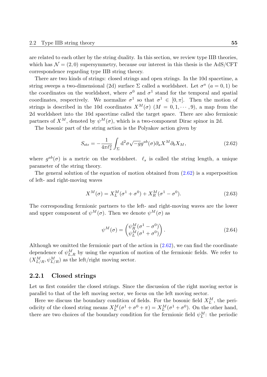are related to each other by the string duality. In this section, we review type IIB theories, which has  $\mathcal{N} = (2, 0)$  supersymmetry, because our interest in this thesis is the AdS/CFT correspondence regarding type IIB string theory.

There are two kinds of strings: closed strings and open strings. In the 10d spacetime, a string sweeps a two-dimensional (2d) surface  $\Sigma$  called a worldsheet. Let  $\sigma^a$  ( $a = 0, 1$ ) be the coordinates on the worldsheet, where  $\sigma^0$  and  $\sigma^1$  stand for the temporal and spatial coordinates, respectively. We normalize  $\sigma^1$  so that  $\sigma^1 \in [0, \pi]$ . Then the motion of strings is described in the 10d coordinates  $X^M(\sigma)$  ( $M = 0, 1, \dots, 9$ ), a map from the 2d worldsheet into the 10d spacetime called the target space. There are also fermionic partners of  $X^M$ , denoted by  $\psi^M(\sigma)$ , which is a two-component Dirac spinor in 2d.

The bosonic part of the string action is the Polyakov action given by

$$
S_{\rm str} = -\frac{1}{4\pi \ell_s^2} \int_{\Sigma} d^2 \sigma \sqrt{-g} g^{ab}(\sigma) \partial_a X^M \partial_b X_M, \qquad (2.62)
$$

where  $g^{ab}(\sigma)$  is a metric on the worldsheet.  $\ell_s$  is called the string length, a unique parameter of the string theory.

The general solution of the equation of motion obtained from  $(2.62)$  is a superposition of left- and right-moving waves

$$
X^{M}(\sigma) = X_{L}^{M}(\sigma^{1} + \sigma^{0}) + X_{R}^{M}(\sigma^{1} - \sigma^{0}).
$$
\n(2.63)

The corresponding fermionic partners to the left- and right-moving waves are the lower and upper component of  $\psi^M(\sigma)$ . Then we denote  $\psi^M(\sigma)$  as

$$
\psi^M(\sigma) = \begin{pmatrix} \psi_R^M(\sigma^1 - \sigma^0) \\ \psi_L^M(\sigma^1 + \sigma^0) \end{pmatrix} . \tag{2.64}
$$

Although we omitted the fermionic part of the action in (2.62), we can find the coordinate dependence of  $\psi_{L,R}^M$  by using the equation of motion of the fermionic fields. We refer to  $(X_{L/R}^M, \psi_{L/R}^M)$  as the left/right moving sector.

#### **2.2.1 Closed strings**

Let us first consider the closed strings. Since the discussion of the right moving sector is parallel to that of the left moving sector, we focus on the left moving sector.

Here we discuss the boundary condition of fields. For the bosonic field  $X_L^M$ , the periodicity of the closed string means  $X_L^M(\sigma^1 + \sigma^0 + \pi) = X_L^M(\sigma^1 + \sigma^0)$ . On the other hand, there are two choices of the boundary condition for the fermionic field  $\psi_L^M$ : the periodic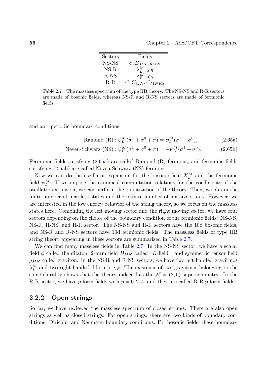| Sectors | Fields                       |
|---------|------------------------------|
| NS-NS   | $\phi$ , $B_{MN}$ , $g_{MN}$ |
| $NS-R$  | $\lambda^M_L, \chi_R$        |
| $R-NS$  | $\lambda_L^M, \chi_R$        |
| $R-R$   | $C, C_{MN}, C_{MNRS}$        |

<span id="page-55-2"></span>Table 2.7 The massless spectrum of the type IIB theory. The NS-NS and R-R sectors are made of bosonic fields, whereas NS-R and R-NS sectors are made of fermionic fields.

and anti-periodic boundary conditions

<span id="page-55-1"></span><span id="page-55-0"></span>Ramond (R) :  $\psi_L^M(\sigma^1 + \sigma^0 + \pi) = \psi_L^M(\sigma^1 + \sigma^0)$ )*,* (2.65a)

$$
\text{Neveu-Schwarz (NS)}: \psi_L^M(\sigma^1 + \sigma^0 + \pi) = -\psi_L^M(\sigma^1 + \sigma^0). \tag{2.65b}
$$

Fermionic fields satisfying (2.65a) are called Ramond (R) fermions, and fermionic fields satisfying (2.65b) are called Neveu-Schwarz (NS) fermions.

Now we can do the oscillator expansion for the bosonic field  $X_L^M$  and the fermionic field  $\psi_L^M$ . If we impose th[e cano](#page-55-0)nical commutation relations for the coefficients of the oscillatore[xpans](#page-55-1)ion, we can perform the quantization of the theory. Then, we obtain the finite number of massless states and the infinite number of massive states. However, we are interested in the low energy behavior of the string theory, so we focus on the massless states here. Combining the left moving sector and the right moving sector, we have four sectors depending on the choice of the boundary condition of the fermionic fields: NS-NS, NS-R, R-NS, and R-R sector. The NS-NS and R-R sectors have the 10d bosonic fields, and NS-R and R-NS sectors have 10d fermionic fields. The massless fields of type IIB string theory appearing in these sectors are summarized in Table 2.7.

We can find many massless fields in Table 2.7. In the NS-NS sector, we have a scalar field  $\phi$  called the dilaton, 2-form field  $B_{MN}$  called "B-field", and symmetric tensor field *gMN* called graviton. In the NS-R and R-NS sectors, we have tw[o lef](#page-55-2)t-handed gravitinos  $\lambda_L^M$  and two right-handed dilatinos  $\chi_R$ . The [exis](#page-55-2)tence of two gravitinos belonging to the same chirality shows that the theory indeed has the  $\mathcal{N} = (2,0)$  supersymmetry. In the R-R sector, we have *p*-form fields with  $p = 0, 2, 4$ , and they are called R-R *p*-form fields.

## **2.2.2 Open strings**

So far, we have reviewed the massless spectrum of closed strings. There are also open strings as well as closed strings. For open strings, there are two kinds of boundary conditions: Dirichlet and Neumann boundary conditions. For bosonic fields, these boundary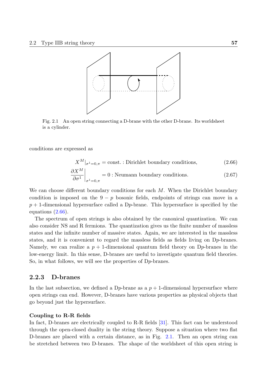

Fig. 2.1 An open string connecting a D-brane with the other D-brane. Its worldsheet is a cylinder.

conditions are expressed as

<span id="page-56-0"></span>
$$
X^M|_{\sigma^1=0,\pi} = \text{const.} : \text{Dirichlet boundary conditions}, \tag{2.66}
$$

$$
\left. \frac{\partial X^M}{\partial \sigma^1} \right|_{\sigma^1 = 0, \pi} = 0
$$
: Neumann boundary conditions. (2.67)

We can choose different boundary conditions for each *M*. When the Dirichlet boundary condition is imposed on the  $9 - p$  bosonic fields, endpoints of strings can move in a *p* + 1-dimensional hypersurface called a D*p*-brane. This hypersurface is specified by the equations (2.66).

The spectrum of open strings is also obtained by the canonical quantization. We can also consider NS and R fermions. The quantization gives us the finite number of massless states and [the i](#page-56-0)nfinite number of massive states. Again, we are interested in the massless states, and it is convenient to regard the massless fields as fields living on D*p*-branes. Namely, we can realize a  $p + 1$ -dimensional quantum field theory on D<sub>p</sub>-branes in the low-energy limit. In this sense, D-branes are useful to investigate quantum field theories. So, in what follows, we will see the properties of D*p*-branes.

#### **2.2.3 D-branes**

In the last subsection, we defined a D<sub>p</sub>-brane as a  $p + 1$ -dimensional hypersurface where open strings can end. However, D-branes have various properties as physical objects that go beyond just the hypersurface.

#### **Coupling to R-R fields**

In fact, D-branes are electrically coupled to R-R fields [31]. This fact can be understood through the open-closed duality in the string theory. Suppose a situation where two flat D-branes are placed with a certain distance, as in Fig. 2.1. Then an open string can be stretched between two D-branes. The shape of the [wo](#page-132-1)rldsheet of this open string is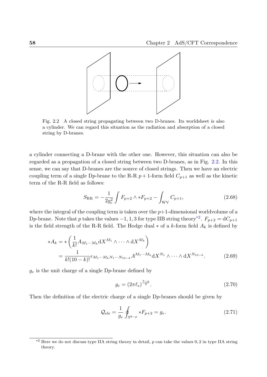

Fig. 2.2 A closed string propagating between two D-branes. Its worldsheet is also a cylinder. We can regard this situation as the radiation and absorption of a closed string by D-branes.

a cylinder connecting a D-brane with the other one. However, this situation can also be regarded as a propagation of a closed string between two D-branes, as in Fig. 2.2. In this sense, we can say that D-branes are the source of closed strings. Then we have an electric coupling term of a single D<sub>p</sub>-brane to the R-R  $p + 1$ -form field  $C_{p+1}$  as well as the kinetic term of the R-R field as follows:

$$
S_{\rm RR} = -\frac{1}{2g_e^2} \int F_{p+2} \wedge *F_{p+2} - \int_{\rm WV} C_{p+1},\tag{2.68}
$$

where the integral of the coupling term is taken over the  $p+1$ -dimensional worldvolume of a Dp-brane. Note that *p* takes the values  $-1, 1, 3$  for type IIB string theory<sup>\*2</sup>.  $F_{p+2} = dC_{p+1}$ is the field strength of the R-R field. The Hodge dual *∗* of a *k*-form field *A<sup>k</sup>* is defined by

$$
*A_k = *\left(\frac{1}{k!}A_{M_1\cdots M_k}dX^{M_1}\wedge \cdots \wedge dX^{M_k}\right)
$$
  
= 
$$
\frac{1}{k!(10-k)!}\epsilon_{M_1\cdots M_k N_1\cdots N_{10-k}}A^{M_1\cdots M_k}dX^{N_1}\wedge \cdots \wedge dX^{N_{10-k}}.
$$
 (2.69)

 $g_e$  is the unit charge of a single  $D_p$ -brane defined by

$$
g_e = (2\pi \ell_s)^{\frac{7-p}{2}}.
$$
\n(2.70)

Then the definition of the electric charge of a single D*p*-branes should be given by

$$
\mathcal{Q}_{\text{ele}} = \frac{1}{g_e} \oint_{S^{8-p}} *F_{p+2} = g_e.
$$
 (2.71)

<sup>\*2</sup> Here we do not discuss type IIA string theory in detail, *p* can take the values 0*,* 2 in type IIA string theory.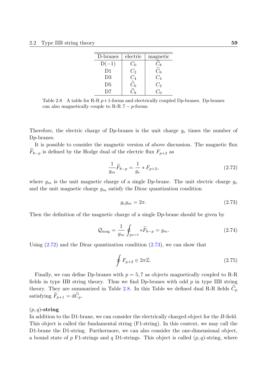| electric | magnetic                      |
|----------|-------------------------------|
| $C_0$    | $\mathcal{L}_8$               |
| $C_2$    | $\widetilde{C}_{6}$           |
|          | $C_{4}$                       |
|          | $C_2$                         |
|          |                               |
|          | $\frac{C_4}{\widetilde{C}_6}$ |

Table 2.8 A table for R-R *p*+1-forms and electrically coupled D*p*-branes. D*p*-branes can also magnetically couple to R-R 7 *− p*-forms.

Therefore, the electric charge of D*p*-branes is the unit charge *g<sup>e</sup>* times the number of D*p*-branes.

It is possible to consider the magnetic version of above discussion. The magnetic flux  $F_{8-p}$  is defined by the Hodge dual of the electric flux  $F_{p+2}$  as

$$
\frac{1}{g_m}\widetilde{F}_{8-p} = \frac{1}{g_e} * F_{p+2},
$$
\n(2.72)

where  $g_m$  is the unit magnetic charge of a single D<sub>p</sub>-brane. The unit electric charge  $g_e$ and the unit magnetic charge  $g_m$  satisfy the Dirac quantization condition

$$
g_e g_m = 2\pi. \tag{2.73}
$$

Then the definition of the magnetic charge of a single D*p*-brane should be given by

$$
\mathcal{Q}_{\text{mag}} = \frac{1}{g_m} \oint_{S^{p+2}} * \widetilde{F}_{8-p} = g_m. \tag{2.74}
$$

Using  $(2.72)$  and the Dirac quantization condition  $(2.73)$ , we can show that

<span id="page-58-0"></span>
$$
\oint F_{p+2} \in 2\pi \mathbb{Z}.\tag{2.75}
$$

Finally, we can define D<sub>p</sub>-branes with  $p = 5, 7$  as objects magnetically coupled to R-R fields in type IIB string theory. Thus we find D*p*-branes with odd *p* in type IIB string theory. They are summarized in Table 2.8. In this Table we defined dual R-R fields  $C_p$ satisfying  $\widetilde{F}_{p+1} = d\widetilde{C}_p$ .

#### (*p, q*)**-string**

In addition to the D1-brane, we can consider the electrically charged object for the *B*-field. This object is called the fundamental string (F1-string). In this context, we may call the D1-brane the D1-string. Furthermore, we can also consider the one-dimensional object, a bound state of  $p$  F1-strings and  $q$  D1-strings. This object is called  $(p, q)$ -string, where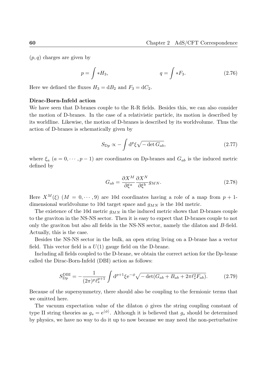(*p, q*) charges are given by

$$
p = \int *H_3, \t q = \int *F_3. \t (2.76)
$$

Here we defined the fluxes  $H_3 = dB_2$  and  $F_3 = dC_2$ .

#### **Dirac-Born-Infeld action**

We have seen that D-branes couple to the R-R fields. Besides this, we can also consider the motion of D-branes. In the case of a relativistic particle, its motion is described by its worldline. Likewise, the motion of D-branes is described by its worldvolume. Thus the action of D-branes is schematically given by

$$
S_{\text{D}p} \propto -\int \mathrm{d}^p \xi \sqrt{-\det G_{ab}},\tag{2.77}
$$

where  $\xi_a$  ( $a = 0, \dots, p-1$ ) are coordinates on D<sub>*p*</sub>-branes and  $G_{ab}$  is the induced metric defined by

<span id="page-59-0"></span>
$$
G_{ab} = \frac{\partial X^M}{\partial \xi^a} \frac{\partial X^N}{\partial \xi^b} g_{MN}.
$$
\n(2.78)

Here  $X^M(\xi)$  ( $M = 0, \dots, 9$ ) are 10d coordinates having a role of a map from  $p + 1$ dimensional worldvolume to 10d target space and *gMN* is the 10d metric.

The existence of the 10d metric *gMN* in the induced metric shows that D-branes couple to the graviton in the NS-NS sector. Then it is easy to expect that D-branes couple to not only the graviton but also all fields in the NS-NS sector, namely the dilaton and *B*-field. Actually, this is the case.

Besides the NS-NS sector in the bulk, an open string living on a D-brane has a vector field. This vector field is a  $U(1)$  gauge field on the D-brane.

Including all fields coupled to the D-brane, we obtain the correct action for the D*p*-brane called the Dirac-Born-Infeld (DBI) action as follows:

$$
S_{\rm Dp}^{\rm DBI} = -\frac{1}{(2\pi)^p \ell_s^{p+1}} \int \mathrm{d}^{p+1} \xi \mathrm{e}^{-\phi} \sqrt{-\det(G_{ab} + B_{ab} + 2\pi \ell_s^2 F_{ab})}.
$$
 (2.79)

Because of the supersymmetry, there should also be coupling to the fermionic terms that we omitted here.

The vacuum expectation value of the dilaton  $\phi$  gives the string coupling constant of type II string theories as  $g_s = e^{\langle \phi \rangle}$ . Although it is believed that  $g_s$  should be determined by physics, we have no way to do it up to now because we may need the non-perturbative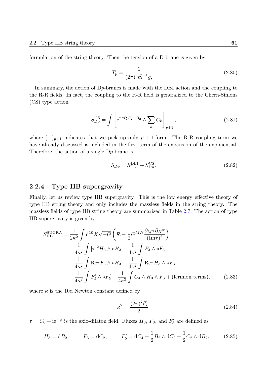formulation of the string theory. Then the tension of a D-brane is given by

$$
T_p = \frac{1}{(2\pi)^p \ell_s^{p+1} g_s}.
$$
\n(2.80)

In summary, the action of D*p*-branes is made with the DBI action and the coupling to the R-R fields. In fact, the coupling to the R-R field is generalized to the Chern-Simons (CS) type action

$$
S_{\rm Dp}^{\rm CS} = \int \left[ e^{2\pi \ell_s^2 F_2 + B_2} \wedge \sum_k C_k \right]_{p+1}, \qquad (2.81)
$$

where  $\begin{bmatrix} 1 \end{bmatrix}_{p+1}$  indicates that we pick up only  $p+1$ -form. The R-R coupling term we have already discussed is included in the first term of the expansion of the exponential. Therefore, the action of a single D*p*-brane is

$$
S_{\rm Dp} = S_{\rm Dp}^{\rm DBI} + S_{\rm Dp}^{\rm CS}.\tag{2.82}
$$

# **2.2.4 Type IIB supergravity**

Finally, let us review type IIB supergravity. This is the low energy effective theory of type IIB string theory and only includes the massless fields in the string theory. The massless fields of type IIB string theory are summarized in Table 2.7. The action of type IIB supergravity is given by

$$
S_{\text{IIB}}^{\text{SUGRA}} = \frac{1}{2\kappa^2} \int \mathrm{d}^{10} X \sqrt{-G} \left( \mathcal{R} - \frac{1}{2} G^{MN} \frac{\partial_M \tau \partial_N \overline{\tau}}{(\text{Im}\tau)^2} \right) - \frac{1}{4\kappa^2} \int |\tau|^2 H_3 \wedge * H_3 - \frac{1}{4\kappa^2} \int F_3 \wedge * F_3 - \frac{1}{4\kappa^2} \int \text{Re}\tau F_3 \wedge * H_3 - \frac{1}{4\kappa^2} \int \text{Re}\tau H_3 \wedge * F_3 - \frac{1}{4\kappa^2} \int F_5' \wedge * F_5' - \frac{1}{4\kappa^2} \int C_4 \wedge H_3 \wedge F_3 + \text{(fermion terms)}, \tag{2.83}
$$

where  $\kappa$  is the 10d Newton constant defined by

$$
\kappa^2 = \frac{(2\pi)^7 \ell_s^8}{2}.
$$
\n(2.84)

 $\tau = C_0 + i e^{-\phi}$  is the axio-dilaton field. Fluxes *H*<sub>3</sub>, *F*<sub>3</sub>, and *F*<sup>'</sup><sub>5</sub> are defined as

$$
H_3 = \mathrm{d}B_2, \qquad F_3 = \mathrm{d}C_2, \qquad F_5' = \mathrm{d}C_4 + \frac{1}{2}B_2 \wedge \mathrm{d}C_2 - \frac{1}{2}C_2 \wedge \mathrm{d}B_2. \tag{2.85}
$$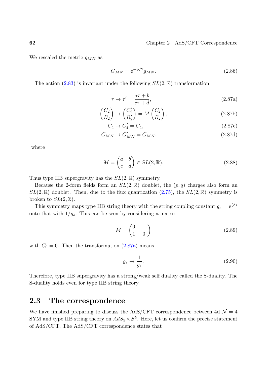We rescaled the metric *gMN* as

$$
G_{MN} = e^{-\phi/2} g_{MN}.\tag{2.86}
$$

The action  $(2.83)$  is invariant under the following  $SL(2,\mathbb{R})$  transformation

$$
\tau \to \tau' = \frac{a\tau + b}{c\tau + d},\tag{2.87a}
$$

$$
\begin{pmatrix} C_2 \\ B_2 \end{pmatrix} \rightarrow \begin{pmatrix} C_2' \\ B_2' \end{pmatrix} = M \begin{pmatrix} C_2 \\ B_2 \end{pmatrix},
$$
\n(2.87b)

$$
C_4 \to C_4' = C_4,\tag{2.87c}
$$

$$
G_{MN} \to G'_{MN} = G_{MN},\tag{2.87d}
$$

where

$$
M = \begin{pmatrix} a & b \\ c & d \end{pmatrix} \in SL(2, \mathbb{R}).
$$
 (2.88)

Thus type IIB supergravity has the *SL*(2*,* R) symmetry.

Because the 2-form fields form an  $SL(2,\mathbb{R})$  doublet, the  $(p,q)$  charges also form an  $SL(2,\mathbb{R})$  doublet. Then, due to the flux quantization (2.75), the  $SL(2,\mathbb{R})$  symmetry is broken to  $SL(2,\mathbb{Z})$ .

This symmetry maps type IIB string theory with the string coupling constant  $g_s = e^{(\phi)}$ onto that with  $1/g_s$ . This can be seen by considering a [matr](#page-58-0)ix

$$
M = \begin{pmatrix} 0 & -1 \\ 1 & 0 \end{pmatrix} \tag{2.89}
$$

with  $C_0 = 0$ . Then the transformation  $(2.87a)$  means

$$
g_s \to \frac{1}{g_s}.\tag{2.90}
$$

Therefore, type IIB supergravity has a strong/weak self duality called the S-duality. The S-duality holds even for type IIB string theory.

# **2.3 The correspondence**

We have finished preparing to discuss the AdS/CFT correspondence between 4d  $\mathcal{N}=4$ SYM and type IIB string theory on  $AdS_5 \times S^5$ . Here, let us confirm the precise statement of AdS/CFT. The AdS/CFT correspondence states that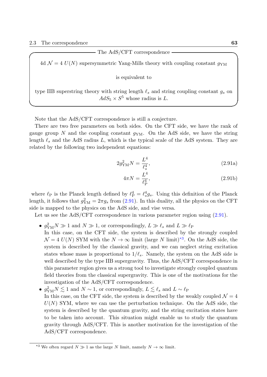The AdS/CFT correspondence

4d  $\mathcal{N} = 4$   $U(N)$  supersymmetric Yang-Mills theory with coupling constant  $g_{\rm YM}$ 

is equivalent to

type IIB superstring theory with string length *ℓ<sup>s</sup>* and string coupling constant *g<sup>s</sup>* on  $AdS_5 \times S^5$  whose radius is *L*.

**✒ ✑**

Note that the AdS/CFT correspondence is still a conjecture.

There are two free parameters on both sides. On the CFT side, we have the rank of gauge group N and the coupling constant  $q_{YM}$ . On the AdS side, we have the string length *ℓ<sup>s</sup>* and the AdS radius *L*, which is the typical scale of the AdS system. They are related by the following two independent equations:

$$
2g_{\text{YM}}^2 N = \frac{L^4}{\ell_s^4},\tag{2.91a}
$$

<span id="page-62-2"></span><span id="page-62-0"></span>
$$
4\pi N = \frac{L^4}{\ell_{\rm P}^4},\tag{2.91b}
$$

where  $\ell_P$  is the Planck length defined by  $\ell_P^4 = \ell_s^4 g_s$ . Using this definition of the Planck length, it follows that  $g_{\text{YM}}^2 = 2\pi g_s$  from (2.91). In this duality, all the physics on the CFT side is mapped to the physics on the AdS side, and vise versa.

Let us see the AdS/CFT correspondence in various parameter region using  $(2.91)$ .

- $g_{\text{YM}}^2 N \gg 1$  and  $N \gg 1$ , or corres[pondi](#page-62-0)ngly,  $L \gg \ell_s$  and  $L \gg \ell_{\text{P}}$ In this case, on the CFT side, the system is described by the strongly coupled  $\mathcal{N} = 4$  *U(N)* SYM with the  $N \to \infty$  limit (large *N* limit)<sup>\*3</sup>. On the Ad[S side](#page-62-0), the system is described by the classical gravity, and we can neglect string excitation states whose mass is proportional to  $1/\ell_s$ . Namely, the system on the AdS side is well described by the type IIB supergravity. Thus, the Ad[S/C](#page-62-1)FT correspondence in this parameter region gives us a strong tool to investigate strongly coupled quantum field theories from the classical supergravity. This is one of the motivations for the investigation of the AdS/CFT correspondence.
- $g_{\text{YM}}^2 N \lesssim 1$  and  $N \sim 1$ , or correspondingly,  $L \lesssim \ell_s$  and  $L \sim \ell_{\text{PB}}$ In this case, on the CFT side, the system is described by the weakly coupled  $\mathcal{N}=4$ *U*(*N*) SYM, where we can use the perturbation technique. On the AdS side, the system is described by the quantum gravity, and the string excitation states have to be taken into account. This situation might enable us to study the quantum gravity through AdS/CFT. This is another motivation for the investigation of the AdS/CFT correspondence.

<span id="page-62-1"></span><sup>&</sup>lt;sup>\*3</sup> We often regard  $N \gg 1$  as the large *N* limit, namely  $N \to \infty$  limit.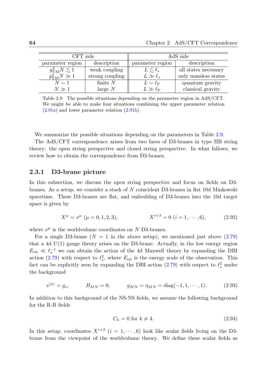| CFT side                       |                 | AdS side              |                      |  |
|--------------------------------|-----------------|-----------------------|----------------------|--|
| parameter region               | description     | parameter region      | description          |  |
| $g_{\text{YM}}^2 N \lesssim 1$ | weak coupling   | $L \lesssim \ell_s$   | all states necessary |  |
| $g_{\text{YM}}^2 N \gg 1$      | strong coupling | $L\gg\ell_s$          | only massless states |  |
| $N\sim 1$                      | finite $N$      | $L \sim \ell_{\rm P}$ | quantum gravity      |  |
| $N\gg 1$                       | large $N$       | $L\gg\ell_P$          | classical gravity    |  |

Table 2.9 The possible situations depending on the parameter region in AdS/CFT. We might be able to make four situations combining the upper parameter relation (2.91a) and lower parameter relation (2.91b).

We [summ](#page-62-2)arize the possible situations [depen](#page-62-0)ding on the parameters in Table 2.9.

The AdS/CFT correspondence arises from two faces of D3-branes in type IIB string theory: the open string perspective and closed string perspective. In what follows, we review how to obtain the correspondence from D3-branes.

## **2.3.1 D3-brane picture**

In this subsection, we discuss the open string perspective and focus on fields on D3 branes. As a setup, we consider a stack of *N* coincident D3-branes in flat 10d Minkowski spacetime. These D3-branes are flat, and embedding of D3-branes into the 10d target space is given by

$$
X^{\mu} = x^{\mu} \ (\mu = 0, 1, 2, 3), \qquad \qquad X^{i+3} = 0 \ (i = 1, \cdots, 6), \tag{2.92}
$$

where  $x^{\mu}$  is the worldvolume coordinates on *N* D3-branes.

For a single D3-brane  $(N = 1$  in the above setup), we mentioned just above  $(2.79)$ that a 4d  $U(1)$  gauge theory arises on the D3-brane. Actually, in the low energy region  $E_{\text{ob}} \ll \ell_s^{-1}$  we can obtain the action of the 4d Maxwell theory by expanding the DBI action (2.79) with respect to  $\ell_s^2$ , where  $E_{\text{ob}}$  is the energy scale of the observation. [This](#page-59-0) fact can be explicitly seen by expanding the DBI action  $(2.79)$  with respect to  $\ell_s^2$  under the background

$$
e^{\langle \phi \rangle} = g_s,
$$
  $B_{MN} = 0,$   $g_{MN} = \eta_{MN} = \text{diag}(-1, 1, \dots, 1).$  (2.93)

In addition to this background of the NS-NS fields, we assume the following background for the R-R fields

$$
C_k = 0 \text{ for } k \neq 4. \tag{2.94}
$$

In this setup, coordinates  $X^{i+3}$  ( $i = 1, \dots, 6$ ) look like scalar fields living on the D3brane from the viewpoint of the worldvolume theory. We define these scalar fields as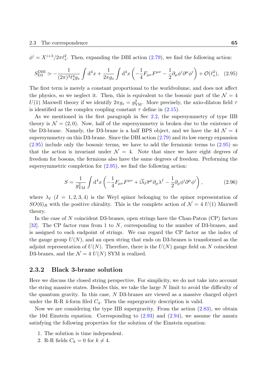$\phi^i = X^{i+3}/2\pi l_s^2$ . Then, expanding the DBI action (2.79), we find the following action:

$$
S_{\text{D3}}^{\text{DBI}} \simeq -\frac{1}{(2\pi)^3 \ell_s^4 g_s} \int \mathrm{d}^4 x + \frac{1}{2\pi g_s} \int \mathrm{d}^4 x \left( -\frac{1}{4} F_{\mu\nu} F^{\mu\nu} - \frac{1}{2} \partial_\mu \phi^i \partial^\mu \phi^i \right) + \mathcal{O}(\ell_s^2), \quad (2.95)
$$

The first term is merely a constant proportional to the worldvolume, and does not affect the physics, so we neglect it. Then, this is equivalent to the bosonic part of the  $\mathcal{N}=4$ *U*(1) Maxwell theory if we identify  $2\pi g_s = g_{\text{YM}}^2$ . More precisely, the axio-dilaton field  $\tau$ is identified as the complex coupling constant  $\tau$  define in  $(2.15)$ .

As we mentioned in the first paragraph in Sec 2.2, the supersymmetry of type IIB theory is  $\mathcal{N} = (2, 0)$ . Now, half of the supersymmetry is broken due to the existence of the D3-brane. Namely, the D3-brane is a half BPS obje[ct, an](#page-39-0)d we have the 4d  $\mathcal{N}=4$ supersymmetry on this D3-brane. Since the DBI action  $(2.79)$  and its low energy expansion (2.95) include only the bosonic terms, we have to add the fermionic terms to (2.95) so that the action is invariant under  $\mathcal{N} = 4$ . Note that since we have eight degrees of freedom for bosons, the fermions also have the same d[egree](#page-59-0)s of freedom. Performing the [super](#page-64-0)symmetric completion for  $(2.95)$ , we find the following action:

<span id="page-64-0"></span>
$$
S = \frac{1}{g_{\rm YM}^2} \int d^4x \left( -\frac{1}{4} F_{\mu\nu} F^{\mu\nu} + i \overline{\lambda}_I \overline{\sigma}^\mu \partial_\mu \lambda^I - \frac{1}{2} \partial_\mu \phi^i \partial^\mu \phi^i \right), \tag{2.96}
$$

where  $\lambda_I$  ( $I = 1, 2, 3, 4$ ) is the Weyl spinor belonging to the spinor representation of  $SO(6)_R$  with the positive chirality. This is the complete action of  $\mathcal{N}=4$  *U*(1) Maxwell theory.

In the case of *N* coincident D3-branes, open strings have the Chan-Paton (CP) factors [32]. The CP factor runs from 1 to *N*, corresponding to the number of D3-branes, and is assigned to each endpoint of strings. We can regard the CP factor as the index of the gauge group  $U(N)$ , and an open string that ends on D3-branes is transformed as the [adjo](#page-132-2)int representation of  $U(N)$ . Therefore, there is the  $U(N)$  gauge field on N coincident D3-branes, and the  $\mathcal{N} = 4$   $U(N)$  SYM is realized.

#### **2.3.2 Black 3-brane solution**

Here we discuss the closed string perspective. For simplicity, we do not take into account the string massive states. Besides this, we take the large *N* limit to avoid the difficulty of the quantum gravity. In this case, *N* D3-branes are viewed as a massive charged object under the R-R 4-form filed  $C_4$ . Then the supergravity description is valid.

Now we are considering the type IIB supergravity. From the action (2.83), we obtain the 10d Einstein equation. Corresponding to  $(2.93)$  and  $(2.94)$ , we assume the ansatz satisfying the following properties for the solution of the Einstein equation:

- 1. The solution is time independent.
- 2. R-R fields  $C_k = 0$  for  $k \neq 4$ .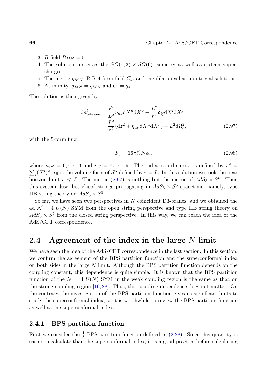- 3. *B*-field  $B_{MN} = 0$ .
- 4. The solution preserves the  $SO(1,3) \times SO(6)$  isometry as well as sixteen supercharges.
- 5. The metric  $g_{MN}$ , R-R 4-form field  $C_4$ , and the dilaton  $\phi$  has non-trivial solutions.
- 6. At infinity,  $g_{MN} = \eta_{MN}$  and  $e^{\phi} = g_s$ .

The solution is then given by

$$
ds_{3-brane}^2 = \frac{r^2}{L^2} \eta_{\mu\nu} dX^{\mu} dX^{\nu} + \frac{L^2}{r^2} \delta_{ij} dX^i dX^j
$$
  
= 
$$
\frac{L^2}{z^2} (dz^2 + \eta_{\mu\nu} dX^{\mu} dX^{\nu}) + L^2 d\Omega_5^2,
$$
 (2.97)

with the 5-form flux

<span id="page-65-0"></span>
$$
F_5 = 16\pi \ell_s^4 N \epsilon_5,\tag{2.98}
$$

where  $\mu, \nu = 0, \dots, 3$  and  $i, j = 4, \dots, 9$ . The radial coordinate r is defined by  $r^2 =$  $\sum_i (X^i)^2$ .  $\epsilon_5$  is the volume form of  $S^5$  defined by  $r = L$ . In this solution we took the near horizon limit  $r \ll L$ . The metric (2.97) is nothing but the metric of  $AdS_5 \times S^5$ . Then this system describes closed strings propagating in  $AdS_5 \times S^5$  spacetime, namely, type IIB string theory on  $AdS_5 \times S^5$ .

So far, we have seen two perspec[tives](#page-65-0) in *N* coincident D3-branes, and we obtained the 4d  $\mathcal{N} = 4$   $U(N)$  SYM from the open string perspective and type IIB string theory on  $AdS_5 \times S^5$  from the closed string perspective. In this way, we can reach the idea of the AdS/CFT correspondence.

# **2.4 Agreement of the index in the large** *N* **limit**

We have seen the idea of the AdS/CFT correspondence in the last section. In this section, we confirm the agreement of the BPS partition function and the superconformal index on both sides in the large *N* limit. Although the BPS partition function depends on the coupling constant, this dependence is quite simple. It is known that the BPS partition function of the  $\mathcal{N} = 4$   $U(N)$  SYM in the weak coupling region is the same as that on the strong coupling region [16, 28]. Thus, this coupling dependence does not matter. On the contrary, the investigation of the BPS partition function gives us significant hints to study the superconformal index, so it is worthwhile to review the BPS partition function as well as the superconfor[mal](#page-131-0) [inde](#page-132-3)x.

# **2.4.1 BPS partition function**

First we consider the  $\frac{1}{8}$ -BPS partition function defined in (2.28). Since this quantity is easier to calculate than the superconformal index, it is a good practice before calculating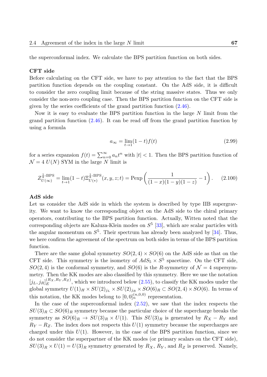the superconformal index. We calculate the BPS partition function on both sides.

#### **CFT side**

Before calculating on the CFT side, we have to pay attention to the fact that the BPS partition function depends on the coupling constant. On the AdS side, it is difficult to consider the zero coupling limit because of the string massive states. Thus we only consider the non-zero coupling case. Then the BPS partition function on the CFT side is given by the series coefficients of the grand partition function (2.46).

Now it is easy to evaluate the BPS partition function in the large *N* limit from the grand partition function (2.46). It can be read off from the grand partition function by using a formula

$$
a_{\infty} = \lim_{t \to 1} (1 - t) f(t)
$$
\n(2.99)

for a series expansion  $f(t) = \sum_{n=0}^{\infty} a_n t^n$  with  $|t| < 1$ . Then the BPS partition function of  $\mathcal{N} = 4$  *U(N)* SYM in the large *N* limit is

$$
Z_{U(\infty)}^{\frac{1}{8}\text{-BPS}} = \lim_{t \to 1} (1-t) \Xi_{U(*)}^{\frac{1}{8}\text{-BPS}}(x, y, z; t) = \text{Pexp}\left(\frac{1}{(1-x)(1-y)(1-z)} - 1\right). \tag{2.100}
$$

#### **AdS side**

Let us consider the AdS side in which the system is described by type IIB supergravity. We want to know the corresponding object on the AdS side to the chiral primary operators, contributing to the BPS partition function. Actually, Witten noted that the corresponding objects are Kaluza-Klein modes on *S* 5 [33], which are scalar particles with the angular momentum on  $S^5$ . Their spectrum has already been analyzed by  $[34]$ . Thus, we here confirm the agreement of the spectrum on both sides in terms of the BPS partition function.

There are the same global symmetry  $SO(2,4) \times SO(6)$  on the AdS side as [that](#page-132-4) on the CFT side. This symmetry is the isometry of  $AdS_5 \times S^5$  spacetime. On the CFT side,  $SO(2,4)$  is the conformal symmetry, and  $SO(6)$  is the *R*-symmetry of  $\mathcal{N}=4$  supersymmetry. Then the KK modes are also classified by this symmetry. Here we use the notation  $[j_L, j_R]_E^{(R_X, R_Y, R_Z)}$  $E(E_X, N_Y, N_Z)$ , which we introduced below  $(2.55)$ , to classify the KK modes under the global symmetry  $U(1)_H \times SU(2)_{j_L} \times SU(2)_{j_R} \times SO(6)_R \subset SO(2, 4) \times SO(6)$ . In terms of this notation, the KK modes belong to  $[0,0]_n^{(n,0,0)}$  representation.

In the case of the superconformal index  $(2.52)$ , we saw that the index respects the  $SU(3)_R \subset SO(6)_R$  symmetry because the particular choice of the supercharge breaks the symmetry as  $SO(6)_R \rightarrow SU(3)_R \times U(1)$ . This  $SU(3)_R$  is generated by  $R_X - R_Y$  and  $R_Y - R_Z$ . The index does not respects this  $U(1)$  symmetry because the supercharges are charged under this  $U(1)$ . However, in the case of the BPS partition function, since we do not consider the superpartner of the KK modes (or primary scalars on the CFT side),  $SU(3)_R \times U(1) = U(3)_R$  symmetry generated by  $R_X$ ,  $R_Y$ , and  $R_Z$  is preserved. Namely,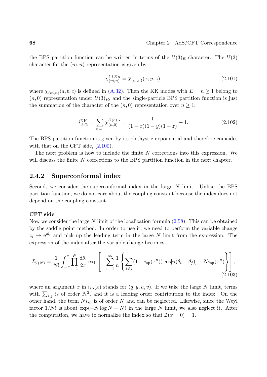the BPS partition function can be written in terms of the  $U(3)_R$  character. The  $U(3)$ character for the (*m, n*) representation is given by

$$
\chi_{(m,n)}^{U(3)_R} = \overline{\chi}_{(m,n)}(x, y, z),
$$
\n(2.101)

where  $\overline{\chi}_{(m,n)}(a, b, c)$  is defined in (A.32). Then the KK modes with  $E = n \ge 1$  belong to  $(n,0)$  representation under  $U(3)_R$ , and the single-particle BPS partition function is just the summation of the character of the  $(n, 0)$  representation over  $n \geq 1$ :

$$
i_{\text{BPS}}^{\text{KK}} = \sum_{n=1}^{\infty} \chi_{(n,0)}^{U(3)_R} = \frac{1}{(1-x)(1-y)(1-z)} - 1.
$$
 (2.102)

The BPS partition function is given by its plethystic exponential and therefore coincides with that on the CFT side,  $(2.100)$ .

The next problem is how to include the finite *N* corrections into this expression. We will discuss the finite *N* corrections to the BPS partition function in the next chapter.

## **2.4.2 Superconformal index**

Second, we consider the superconformal index in the large *N* limit. Unlike the BPS partition function, we do not care about the coupling constant because the index does not depend on the coupling constant.

#### **CFT side**

Now we consider the large *N* limit of the localization formula (2.58). This can be obtained by the saddle point method. In order to use it, we need to perform the variable change  $z_i \rightarrow e^{i\theta_i}$  and pick up the leading term in the large *N* limit from the expression. The expression of the index after the variable change becomes

$$
\mathcal{I}_{U(N)} = \frac{1}{N!} \int_{-\pi}^{\pi} \prod_{i=1}^{N} \frac{d\theta_i}{2\pi} \exp\left[-\sum_{n=1}^{\infty} \frac{1}{n} \left\{ \sum_{i \neq j} (1 - i_{\rm sp}(x^n)) \cos[n(\theta_i - \theta_j)] - Ni_{\rm sp}(x^n) \right\} \right],
$$
\n(2.103)

where an argument x in  $i_{sp}(x)$  stands for  $(q, y, u, v)$ . If we take the large N limit, terms with  $\sum_{i,j}$  is of order  $N^2$ , and it is a leading order contribution to the index. On the other hand, the term  $Ni_{sp}$  is of order  $N$  and can be neglected. Likewise, since the Weyl factor  $1/N!$  is about  $\exp(-N \log N + N)$  in the large *N* limit, we also neglect it. After the computation, we have to normalize the index so that  $\mathcal{I}(x=0) = 1$ .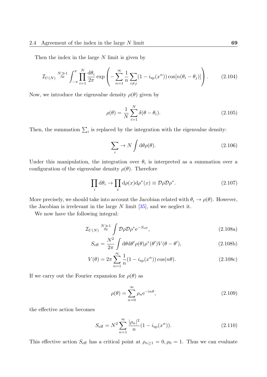Then the index in the large *N* limit is given by

$$
\mathcal{I}_{U(N)} \stackrel{N \gg 1}{\approx} \int_{-\pi}^{\pi} \prod_{i=1}^{N} \frac{\mathrm{d}\theta_i}{2\pi} \exp\left(-\sum_{n=1}^{\infty} \frac{1}{n} \sum_{i \neq j} (1 - i_{\rm sp}(x^n)) \cos[n(\theta_i - \theta_j)]\right). \tag{2.104}
$$

Now, we introduce the eigenvalue density  $\rho(\theta)$  given by

$$
\rho(\theta) = \frac{1}{N} \sum_{i=1}^{N} \delta(\theta - \theta_i).
$$
\n(2.105)

Then, the summation  $\sum_i$  is replaced by the integration with the eigenvalue density:

$$
\sum_{i} \to N \int d\theta \rho(\theta). \tag{2.106}
$$

Under this manipulation, the integration over  $\theta_i$  is interpreted as a summation over a configuration of the eigenvalue density  $\rho(\theta)$ . Therefore

$$
\prod_{i} d\theta_{i} \to \prod_{x} d\rho(x) d\rho^{*}(x) \equiv \mathcal{D}\rho \mathcal{D}\rho^{*}.
$$
\n(2.107)

More precisely, we should take into account the Jacobian related with  $\theta_i \to \rho(\theta)$ . However, the Jacobian is irrelevant in the large  $N$  limit  $[35]$ , and we neglect it.

We now have the following integral:

$$
\mathcal{I}_{U(N)} \stackrel{N \gg 1}{\approx} \int \mathcal{D}\rho \mathcal{D}\rho^* e^{-S_{\text{eff}}}, \tag{2.108a}
$$

$$
S_{\text{eff}} = \frac{N^2}{2\pi} \int d\theta d\theta' \rho(\theta) \rho^*(\theta') V(\theta - \theta'), \qquad (2.108b)
$$

$$
V(\theta) = 2\pi \sum_{n=1}^{\infty} \frac{1}{n} (1 - i_{\rm sp}(x^n)) \cos(n\theta).
$$
 (2.108c)

If we carry out the Fourier expansion for  $\rho(\theta)$  as

$$
\rho(\theta) = \sum_{n=0}^{\infty} \rho_n e^{-in\theta},
$$
\n(2.109)

the effective action becomes

$$
S_{\text{eff}} = N^2 \sum_{n=1}^{\infty} \frac{|\rho_n|^2}{n} (1 - i_{\text{sp}}(x^n)).
$$
 (2.110)

This effective action  $S_{\text{eff}}$  has a critical point at  $\rho_{n\geq 1} = 0, \rho_0 = 1$ . Thus we can evaluate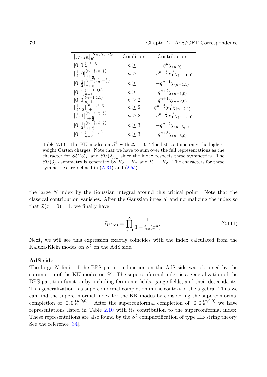| $[j_L,j_R]^{(R_X,\overline{R_Y},R_Z)}_E$                                               | Condition  | Contribution                                   |
|----------------------------------------------------------------------------------------|------------|------------------------------------------------|
| $[0,0]_n^{(n,\overline{0,0})}$                                                         | $n \geq 1$ | $q^n\chi_{(n,0)}$                              |
| $\left[\frac{1}{2},0\right]_{n+\frac{1}{2}}^{(n-\frac{1}{2},\frac{1}{2},\frac{1}{2})}$ | $n \geq 1$ | $-q^{n+\frac{1}{2}}\chi_1^J\chi_{(n-1,0)}$     |
| $[0,\frac{1}{2}]_{n+\frac{1}{2}}^{(n-\frac{1}{2},\frac{1}{2},-\frac{1}{2})}$           | $n \geq 1$ | $-q^{n+1}\chi_{(n-1,1)}$                       |
| $[0,1]_{n+1}^{(n-1,0,0)}$                                                              | $n \geq 1$ | $q^{n+2}\chi_{(n-1,0)}$                        |
| $[0,0]_{n+1}^{(n-1,1,1)}$                                                              | $n \geq 2$ | $q^{n+1}\chi_{(n-2,0)}$                        |
| $\left[\frac{1}{2},\frac{1}{2}\right]_{n+1}^{(n-1,1,0)}$                               | $n \geq 2$ | $q^{n+\frac{3}{2}}\chi_1^J\chi_{(n-2,1)}$      |
| $\left[\frac{1}{2},1\right]_{n+\frac{3}{2}}^{(n-\frac{3}{2},\frac{1}{2},\frac{1}{2})}$ | $n \geq 2$ | $-a^{n+\frac{5}{2}}\chi_{1}^{J}\chi_{(n-2,0)}$ |
| $[0,\frac{1}{2}]_{n+\frac{3}{2}}^{(n-\frac{3}{2},\frac{3}{2},\frac{1}{2})}$            | $n \geq 3$ | $-q^{n+2}\chi_{(n-3,1)}$                       |
| $[0,1]_{n+2}^{(n-2,1,1)}$                                                              | $n \geq 3$ | $q^{n+3}\chi_{(n-3,0)}$                        |

<span id="page-69-0"></span>Table 2.10 The KK modes on  $S^5$  with  $\overline{\Delta} = 0$ . This list contains only the highest weight Cartan charges. Note that we have to sum over the full representations as the character for  $SU(3)_R$  and  $SU(2)_{jL}$  since the index respects these symmetries. The  $SU(3)_R$  symmetry is generated by  $R_X - R_Y$  and  $R_Y - R_Z$ . The characters for these symmetries are defined in  $(A.34)$  and  $(2.55)$ .

the large *N* index by the Ga[ussian](#page-129-1) inte[gral](#page-49-2) around this critical point. Note that the classical contribution vanishes. After the Gaussian integral and normalizing the index so that  $\mathcal{I}(x=0) = 1$ , we finally have

$$
\mathcal{I}_{U(\infty)} = \prod_{n=1}^{\infty} \frac{1}{1 - i_{\rm sp}(x^n)}.
$$
\n(2.111)

Next, we will see this expression exactly coincides with the index calculated from the Kaluza-Klein modes on  $S^5$  on the AdS side.

#### **AdS side**

The large *N* limit of the BPS partition function on the AdS side was obtained by the summation of the KK modes on *S* 5 . The superconformal index is a generalization of the BPS partition function by including fermionic fields, gauge fields, and their descendants. This generalization is a superconformal completion in the context of the algebra. Thus we can find the superconformal index for the KK modes by considering the superconformal completion of  $[0,0]_n^{(n,0,0)}$ . After the superconformal completion of  $[0,0]_n^{(n,0,0)}$  we have representations listed in Table 2.10 with its contribution to the superconformal index. These representations are also found by the  $S<sup>5</sup>$  compactification of type IIB string theory. See the reference [34].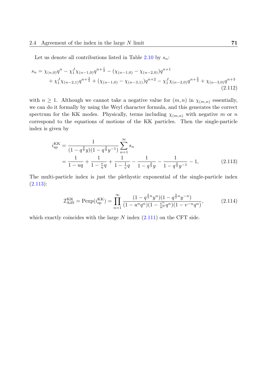Let us denote all contributions listed in Table 2.10 by *sn*:

$$
s_n = \chi_{(n,0)}q^n - \chi_1^J \chi_{(n-1,0)}q^{n+\frac{1}{2}} - (\chi_{(n-1,0)} - \chi_{(n-2,0)})q^{n+1} + \chi_1^J \chi_{(n-2,1)}q^{n+\frac{3}{2}} + (\chi_{(n-1,0)} - \chi_{(n-3,1)})q^{n+2} - \chi_1^J \chi_{(n-2,0)}q^{n+\frac{5}{2}} + \chi_{(n-3,0)}q^{n+3}
$$
\n(2.112)

with  $n \geq 1$ . Although we cannot take a negative value for  $(m, n)$  in  $\chi_{(m,n)}$  essentially, we can do it formally by using the Weyl character formula, and this generates the correct spectrum for the KK modes. Physically, terms including  $\chi_{(m,n)}$  with negative *m* or *n* correspond to the equations of motions of the KK particles. Then the single-particle index is given by

$$
i_{\rm sp}^{\rm KK} = \frac{1}{(1 - q^{\frac{3}{2}}y)(1 - q^{\frac{3}{2}}y^{-1})} \sum_{n=1}^{\infty} s_n
$$
  
= 
$$
\frac{1}{1 - uq} + \frac{1}{1 - \frac{v}{u}q} + \frac{1}{1 - \frac{1}{v}q} - \frac{1}{1 - q^{\frac{3}{2}}y} - \frac{1}{1 - q^{\frac{3}{2}}y^{-1}} - 1,
$$
 (2.113)

The multi-particle index is just the plethystic exponential of the single-particle index  $(2.113):$ 

$$
\mathcal{I}_{\text{AdS}}^{\text{KK}} = \text{Pexp}(i_{\text{sp}}^{\text{KK}}) = \prod_{n=1}^{\infty} \frac{(1 - q^{\frac{3}{2}n} y^n)(1 - q^{\frac{3}{2}n} y^{-n})}{(1 - u^n q^n)(1 - \frac{v^n}{u^n} q^n)(1 - v^{-n} q^n)},\tag{2.114}
$$

which exactly coincides with the large *N* index (2.111) on the CFT side.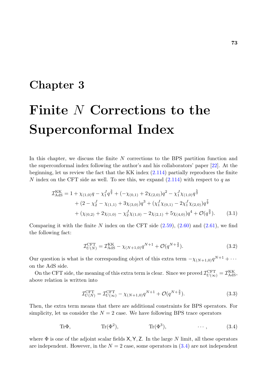# <span id="page-72-0"></span>**Chapter 3**

# **Finite** *N* **Corrections to the Superconformal Index**

In this chapter, we discuss the finite *N* corrections to the BPS partition function and the superconformal index following the author's and his collaborators' paper [22]. At the beginning, let us review the fact that the KK index (2.114) partially reproduces the finite *N* index on the CFT side as well. To see this, we expand (2.114) with respect to *q* as

$$
\mathcal{I}_{AdS}^{KK} = 1 + \chi_{(1,0)}q - \chi_1^J q^{\frac{3}{2}} + (-\chi_{(0,1)} + 2\chi_{(2,0)})q^2 - \chi_1^J \chi_{(1,0)}q^{\frac{5}{2}} \n+ (2 - \chi_2^J - \chi_{(1,1)} + 3\chi_{(3,0)})q^3 + (\chi_1^J \chi_{(0,1)} - 2\chi_1^J \chi_{(2,0)})q^{\frac{7}{2}} \n+ (\chi_{(0,2)} + 2\chi_{(1,0)} - \chi_2^J \chi_{(1,0)} - 2\chi_{(2,1)} + 5\chi_{(4,0)})q^4 + \mathcal{O}(q^{\frac{9}{2}}).
$$
\n(3.1)

Comparing it with the finite *N* index on the CFT side (2.59), (2.60) and (2.61), we find the following fact:

$$
\mathcal{I}_{U(N)}^{\text{CFT}} = \mathcal{I}_{\text{AdS}}^{\text{KK}} - \chi_{(N+1,0)} q^{N+1} + \mathcal{O}(q^{N+\frac{3}{2}}). \tag{3.2}
$$

Our question is what is the corresponding object of this extra term  $-\chi_{(N+1,0)}q^{N+1} + \cdots$ on the AdS side.

On the CFT side, the meaning of this extra term is clear. Since we proved  $\mathcal{I}_{U(\infty)}^{\text{CFT}} = \mathcal{I}_{\text{AdS}}^{\text{KK}},$ above relation is written into

$$
\mathcal{I}_{U(N)}^{\text{CFT}} = \mathcal{I}_{U(\infty)}^{\text{CFT}} - \chi_{(N+1,0)} q^{N+1} + \mathcal{O}(q^{N+\frac{3}{2}}). \tag{3.3}
$$

Then, the extra term means that there are additional constraints for BPS operators. For simplicity, let us consider the  $N = 2$  case. We have following BPS trace operators

$$
Tr\Phi, \qquad Tr(\Phi^2), \qquad Tr(\Phi^3), \qquad \cdots, \qquad (3.4)
$$

where Φ is one of the adjoint scalar fields X*,* Y*,* Z. In the large *N* limit, all these operators are independent. However, in the  $N=2$  case, some operators in  $(3.4)$  are not independent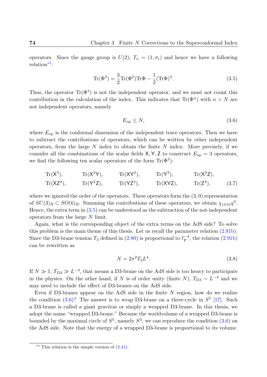operators. Since the gauge group is  $U(2)$ ,  $T_a = (1, \sigma_i)$  and hence we have a following relation<sup>\*1</sup>:

$$
\text{Tr}(\Phi^3) = \frac{3}{2}\text{Tr}(\Phi^2)\text{Tr}\Phi - \frac{1}{2}(\text{Tr}\Phi)^3.
$$
 (3.5)

Thus, the operator  $\text{Tr}(\Phi^3)$  is not the independent operator, and we must not count this contribution in the calculation of the index. This indicates that  $\text{Tr}(\Phi^n)$  with  $n > N$  are not independent operators, namely

<span id="page-73-1"></span><span id="page-73-0"></span>
$$
E_{\rm op} \le N,\tag{3.6}
$$

where  $E_{\text{op}}$  is the conformal dimension of the independent trace operators. Then we have to subtract the contributions of operators, which can be written by other independent operators, from the large *N* index to obtain the finite *N* index. More precisely, if we consider all the combinations of the scalar fields  $X, Y, Z$  to construct  $E_{op} = 3$  operators, we find the following ten scalar operators of the form  $\text{Tr}(\Phi^3)$ :

$$
\begin{array}{llll}\n\operatorname{Tr}(X^3), & \operatorname{Tr}(X^2Y), & \operatorname{Tr}(XY^2), & \operatorname{Tr}(Y^3), & \operatorname{Tr}(X^2Z), \\
\operatorname{Tr}(XZ^2), & \operatorname{Tr}(Y^2Z), & \operatorname{Tr}(YZ^2), & \operatorname{Tr}(XYZ), & \operatorname{Tr}(Z^3), & \end{array}\n\tag{3.7}
$$

where we ignored the order of the operators. These operators form the  $(3,0)$  representation of  $SU(3)_R \subset SO(6)_R$ . Summing the contributions of these operators, we obtain  $\chi_{(3,0)}q^3$ . Hence, the extra term in (3.5) can be understood as the subtraction of the not-independent operators from the large *N* limit.

Again, what is the corresponding object of the extra terms on the AdS side? To solve this problem is the main [them](#page-73-0)e of this thesis. Let us recall the parameter relation (2.91b). Since the D3-brane tension  $T_3$  defined in (2.80) is proportional to  $\ell_P^{-4}$  $_{\text{P}}^{-4}$ , the relation  $(2.91b)$ can be rewritten as

$$
N = 2\pi^2 T_3 L^4. \tag{3.8}
$$

If  $N \gg 1$ ,  $T_{D3} \gg L^{-4}$ , that means a D3-brane on the AdS side is too heavy to participate in the physics. On the other hand, if *N* is of order unity (finite *N*),  $T_{D3} \sim L^{-4}$  and we may need to include the effect of D3-branes on the AdS side.

Even if D3-branes appear on the AdS side in the finite *N* region, how do we realize the condition  $(3.6)$ ? The answer is to wrap D3-brane on a three-cycle in  $S^5$  [17]. Such a D3-brane is called a giant graviton or simply a wrapped D3-brane. In this thesis, we adopt the name "wrapped D3-brane." Because the worldvolume of a wrapped D3-brane is bounded by th[e ma](#page-73-1)ximal circle of  $S^5$ , namely  $S^3$ , we can reproduce the condition  $(3.6)$  on the AdS side. Note that the energy of a wrapped D3-brane is proportional to its volume.

 $*1$  This relation is the simple version of  $(2.41)$ .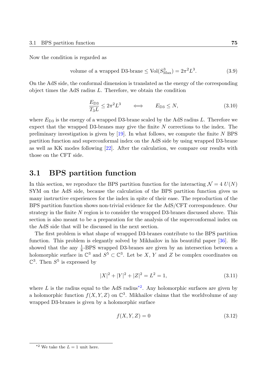Now the condition is regarded as

volume of a wrapped D3-brane 
$$
\leq
$$
 Vol $(S_{\text{Max}}^3) = 2\pi^2 L^3$ . (3.9)

On the AdS side, the conformal dimension is translated as the energy of the corresponding object times the AdS radius *L*. Therefore, we obtain the condition

$$
\frac{E_{\text{D3}}}{T_3 L} \le 2\pi^2 L^3 \qquad \Longleftrightarrow \qquad E_{\text{D3}} \le N,\tag{3.10}
$$

where  $E_{D3}$  is the energy of a wrapped D3-brane scaled by the AdS radius  $L$ . Therefore we expect that the wrapped D3-branes may give the finite *N* corrections to the index. The preliminary investigation is given by [19]. In what follows, we compute the finite *N* BPS partition function and superconformal index on the AdS side by using wrapped D3-brane as well as KK modes following [22]. After the calculation, we compare our results with those on the CFT side.

# **3.1 BPS partition [fu](#page-131-1)nction**

In this section, we reproduce the BPS partition function for the interacting  $\mathcal{N} = 4$   $U(N)$ SYM on the AdS side, because the calculation of the BPS partition function gives us many instructive experiences for the index in spite of their ease. The reproduction of the BPS partition function shows non-trivial evidence for the AdS/CFT correspondence. Our strategy in the finite *N* region is to consider the wrapped D3-branes discussed above. This section is also meant to be a preparation for the analysis of the superconformal index on the AdS side that will be discussed in the next section.

The first problem is what shape of wrapped D3-branes contribute to the BPS partition function. This problem is elegantly solved by Mikhailov in his beautiful paper [36]. He showed that the any  $\frac{1}{8}$ -BPS wrapped D3-branes are given by an intersection between a holomorphic surface in  $\mathbb{C}^3$  and  $S^5 \subset \mathbb{C}^3$ . Let be *X*, *Y* and *Z* be complex coordinates on  $\mathbb{C}^3$ . Then  $S^5$  is expressed by

$$
|X|^2 + |Y|^2 + |Z|^2 = L^2 = 1,
$$
\n(3.11)

where  $L$  is the radius equal to the AdS radius<sup>\*2</sup>. Any holomorphic surfaces are given by a holomorphic function  $f(X, Y, Z)$  on  $\mathbb{C}^3$ . Mikhailov claims that the worldvolume of any wrapped D3-branes is given by a holomorphic surface

$$
f(X, Y, Z) = 0\tag{3.12}
$$

<sup>&</sup>lt;sup>\*2</sup> We take the  $L = 1$  unit here.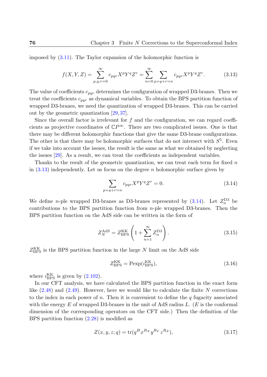imposed by (3.11). The Taylor expansion of the holomorphic function is

$$
f(X,Y,Z) = \sum_{p,q,r=0}^{\infty} c_{pqr} X^p Y^q Z^r = \sum_{n=0}^{\infty} \sum_{p+q+r=n} c_{pqr} X^p Y^q Z^r.
$$
 (3.13)

The value of coefficients *cpqr* determines the configuration of wrapped D3-branes. Then we treat the coefficients *cpqr* as dynamical variables. To obtain the BPS partition function of wrapped D3-branes, we need the quantization of wrapped D3-branes. This can be carried out by the geometric quantization [29, 37].

Since the overall factor is irrelevant for *f* and the configuration, we can regard coefficients as projective coordinates of  $\mathbb{C}P^{\infty}$ . There are two complicated issues. One is that there may be different holomorphic [fun](#page-132-0)[cti](#page-133-0)ons that give the same D3-brane configurations. The other is that there may be holomorphic surfaces that do not intersect with  $S<sup>5</sup>$ . Even if we take into account the issues, the result is the same as what we obtained by neglecting the issues [29]. As a result, we can treat the coefficients as independent variables.

Thanks to the result of the geometric quantization, we can treat each term for fixed *n* in (3.13) independently. Let us focus on the degree *n* holomorphic surface given by

$$
\sum_{p+q+r=n} c_{pqr} X^p Y^q Z^r = 0.
$$
\n
$$
(3.14)
$$

We define *n*-ple wrapped D3-branes as D3-branes represented by  $(3.14)$ . Let  $Z_n^{\text{D3}}$  be contributions to the BPS partition function from *n*-ple wrapped D3-branes. Then the BPS partition function on the AdS side can be written in the form of

$$
Z_N^{\text{AdS}} = Z_{\text{BPS}}^{\text{KK}} \left( 1 + \sum_{n=1}^{\infty} Z_n^{\text{D3}} \right). \tag{3.15}
$$

 $Z_{\text{BPS}}^{\text{KK}}$  is the BPS partition function in the large *N* limit on the AdS side

$$
Z_{\rm BPS}^{\rm KK} = \text{Pexp}(i_{\rm BPS}^{\rm KK}),\tag{3.16}
$$

where  $i_{\text{BPS}}^{\text{KK}}$  is given by  $(2.102)$ .

In our CFT analysis, we have calculated the BPS partition function in the exact form like (2.48) and (2.49). However, here we would like to calculate the finite *N* corrections to the index in each po[wer of](#page-67-0) *n*. Then it is convenient to define the *q* fugacity associated with the energy *E* of wrapped D3-branes in the unit of AdS radius *L*. (*E* is the conformal dime[nsion](#page-48-0) of th[e cor](#page-48-1)responding operators on the CFT side.) Then the definition of the BPS partition function (2.28) is modified as

<span id="page-75-0"></span>
$$
Z(x, y, z; q) = \text{tr}(q^H x^{Rx} y^{R_Y} z^{R_Z}),
$$
\n(3.17)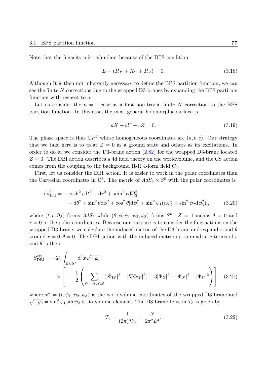Note that the fugacity *q* is redundant because of the BPS condition

$$
E - (R_X + R_Y + R_Z) = 0.
$$
\n(3.18)

Although It is then not inherently necessary to define the BPS partition function, we can see the finite *N* corrections due to the wrapped D3-branes by expanding the BPS partition function with respect to *q*.

Let us consider the  $n = 1$  case as a first non-trivial finite  $N$  correction to the BPS partition function. In this case, the most general holomorphic surface is

$$
aX + bY + cZ = 0.\t\t(3.19)
$$

The phase space is thus  $\mathbb{C}P^2$  whose homogeneous coordinates are  $(a, b, c)$ . Our strategy that we take here is to treat  $Z = 0$  as a ground state and others as its excitations. In order to do it, we consider the D3-brane action (2.82) for the wrapped D3-brane located *Z* = 0. The DBI action describes a 4d field theory on the worldvolume, and the CS action comes from the couping to the background R-R 4-form field *C*4.

First, let us consider the DBI action. It is easi[er to](#page-60-1) work in the polar coordinates than the Cartesian coordinates in  $\mathbb{C}^3$ . The metric of  $AdS_5 \times S^5$  with the polar coordinates is

$$
ds_{10d}^{2} = -\cosh^{2} r dt^{2} + dr^{2} + \sinh^{2} r d\Omega_{3}^{2}
$$
  
+ 
$$
d\theta^{2} + \sin^{2} \theta d\phi^{2} + \cos^{2} \theta [d\psi_{1}^{2} + \sin^{2} \psi_{1} (d\psi_{2}^{2} + \sin^{2} \psi_{2} d\psi_{3}^{2})],
$$
(3.20)

where  $(t, r, \Omega_3)$  forms  $AdS_5$  while  $(\theta, \phi, \psi_1, \psi_2, \psi_3)$  forms  $S^5$ .  $Z = 0$  means  $\theta = 0$  and  $r = 0$  in the polar coordinates. Because our purpose is to consider the fluctuations on the wrapped D3-brane, we calculate the induced metric of the D3-brane and expand *r* and *θ* around  $r = 0, \theta = 0$ . The DBI action with the induced metric up to quadratic terms of *r* and  $\theta$  is then

$$
S_{\text{DBI}}^{\text{D3}} = -T_3 \int_{\mathbb{R} \times S^3} d^4 x \sqrt{-g_0}
$$
  
 
$$
\times \left[ 1 - \frac{1}{2} \left( \sum_{W=X,Y,Z} (|\dot{\Phi}_W|^2 - |\nabla \Phi_W|^2) + 3|\Phi_Z|^2 - |\Phi_X|^2 - |\Phi_Y|^2 \right) \right], \quad (3.21)
$$

where  $x^a = (t, \psi_1, \psi_2, \psi_3)$  is the worldvolume coordinates of the wrapped D3-brane and  $\sqrt{-g_0} = \sin^2 \psi_1 \sin \psi_2$  is its volume element. The D3-brane tension *T*<sub>3</sub> is given by

$$
T_3 = \frac{1}{(2\pi)^3 \ell_{\rm P}^4} = \frac{N}{2\pi^2 L^4}.
$$
\n(3.22)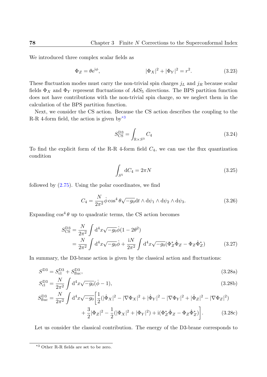We introduced three complex scalar fields as

$$
\Phi_Z = \theta e^{i\phi}, \qquad |\Phi_X|^2 + |\Phi_Y|^2 = r^2. \tag{3.23}
$$

These fluctuation modes must carry the non-trivial spin charges *j<sup>L</sup>* and *j<sup>R</sup>* because scalar fields  $\Phi_X$  and  $\Phi_Y$  represent fluctuations of  $AdS_5$  directions. The BPS partition function does not have contributions with the non-trivial spin charge, so we neglect them in the calculation of the BPS partition function.

Next, we consider the CS action. Because the CS action describes the coupling to the R-R 4-form field, the action is given by  $*3$ 

$$
S_{\rm CS}^{\rm D3} = \int_{\mathbb{R} \times S^3} C_4 \tag{3.24}
$$

To find the explicit form of the R-R 4-form field  $C_4$ , we can use the flux quantization condition

$$
\int_{S^5} dC_4 = 2\pi N \tag{3.25}
$$

followed by  $(2.75)$ . Using the polar coordinates, we find

$$
C_4 = \frac{N}{2\pi^2} \dot{\phi} \cos^4 \theta \sqrt{-g_0} dt \wedge d\psi_1 \wedge d\psi_2 \wedge d\psi_3.
$$
 (3.26)

Expanding  $\cos^4 \theta$  up to quadratic terms, the CS action becomes

$$
S_{\text{CS}}^{\text{D3}} = \frac{N}{2\pi^2} \int \mathrm{d}^4 x \sqrt{-g_0} \dot{\phi} (1 - 2\theta^2)
$$
  
= 
$$
\frac{N}{2\pi^2} \int \mathrm{d}^4 x \sqrt{-g_0} \dot{\phi} + \frac{\mathrm{i} N}{2\pi^2} \int \mathrm{d}^4 x \sqrt{-g_0} (\Phi_Z^* \dot{\Phi}_Z - \Phi_Z \dot{\Phi}_Z^*)
$$
(3.27)

In summary, the D3-brane action is given by the classical action and fluctuations:

$$
S^{\rm D3} = S_{\rm cl}^{\rm D3} + S_{\rm fluc}^{\rm D3},\tag{3.28a}
$$

$$
S_{\rm cl}^{\rm D3} = \frac{N}{2\pi^2} \int d^4x \sqrt{-g_0} (\dot{\phi} - 1), \tag{3.28b}
$$

$$
S_{\text{fluc}}^{\text{D3}} = \frac{N}{2\pi^2} \int \mathrm{d}^4 x \sqrt{-g_0} \left[ \frac{1}{2} (|\dot{\Phi}_X|^2 - |\nabla \Phi_X|^2 + |\dot{\Phi}_Y|^2 - |\nabla \Phi_Y|^2 + |\dot{\Phi}_Z|^2 - |\nabla \Phi_Z|^2) + \frac{3}{2} |\Phi_Z|^2 - \frac{1}{2} (|\Phi_X|^2 + |\Phi_Y|^2) + i(\Phi_Z^* \dot{\Phi}_Z - \Phi_Z \dot{\Phi}_Z^*) \right]. \tag{3.28c}
$$

Let us consider the classical contribution. The energy of the D3-brane corresponds to

<span id="page-77-0"></span><sup>\*3</sup> Other R-R fields are set to be zero.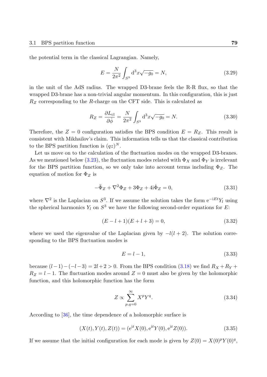the potential term in the classical Lagrangian. Namely,

$$
E = \frac{N}{2\pi^2} \int_{S^3} d^3x \sqrt{-g_0} = N,
$$
\n(3.29)

in the unit of the AdS radius. The wrapped D3-brane feels the R-R flux, so that the wrapped D3-brane has a non-trivial angular momentum. In this configuration, this is just *R<sup>Z</sup>* corresponding to the *R*-charge on the CFT side. This is calculated as

$$
R_Z = \frac{\partial L_{\rm cl}}{\partial \dot{\phi}} = \frac{N}{2\pi^2} \int_{S^3} d^3x \sqrt{-g_0} = N.
$$
 (3.30)

Therefore, the  $Z = 0$  configuration satisfies the BPS condition  $E = R_Z$ . This result is consistent with Mikhailov's claim. This information tells us that the classical contribution to the BPS partition function is  $(qz)^N$ .

Let us move on to the calculation of the fluctuation modes on the wrapped D3-branes. As we mentioned below (3.23), the fluctuation modes related with  $\Phi_X$  and  $\Phi_Y$  is irrelevant for the BPS partition function, so we only take into account terms including  $\Phi_Z$ . The equation of motion for  $\Phi_Z$  is

$$
-\ddot{\Phi}_Z + \nabla^2 \Phi_Z + 3\Phi_Z + 4i\dot{\Phi}_Z = 0,
$$
\n(3.31)

where *∇*<sup>2</sup> is the Laplacian on *S* 3 . If we assume the solution takes the form e*<sup>−</sup>*i*EtY<sup>l</sup>* using the spherical harmonics  $Y_l$  on  $S^3$  we have the following second-order equations for  $E$ :

$$
(E - l + 1)(E + l + 3) = 0,\t(3.32)
$$

where we used the eigenvalue of the Laplacian given by *−l*(*l* + 2). The solution corresponding to the BPS fluctuation modes is

$$
E = l - 1,\tag{3.33}
$$

because  $(l-1) - (l-3) = 2l+2 > 0$ . From the BPS condition (3.18) we find  $R_X + R_Y +$  $R_Z = l - 1$ . The fluctuation modes around  $Z = 0$  must also be given by the holomorphic function, and this holomorphic function has the form

$$
Z \propto \sum_{p,q=0}^{\infty} X^p Y^q. \tag{3.34}
$$

According to [36], the time dependence of a holomorphic surface is

$$
(X(t), Y(t), Z(t)) = (e^{it} X(0), e^{it} Y(0), e^{it} Z(0)).
$$
\n(3.35)

If we assume [that](#page-133-1) the initial configuration for each mode is given by  $Z(0) = X(0)^p Y(0)^q$ ,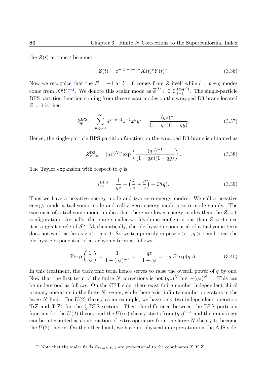the  $Z(t)$  at time t becomes

$$
Z(t) = e^{-i(p+q-1)t} X(t)^p Y(t)^q.
$$
\n(3.36)

Now we recognize that the  $E = -1$  at  $l = 0$  comes from *Z* itself while  $l = p + q$  modes come from  $X^p Y^{q*4}$ . We denote this scalar mode as  $\overline{\phi}^{(l)} : [0,0]_{l-1}^{(p,q,0)}$ . The single-particle BPS partition function coming from these scalar modes on the wrapped D3-brane located  $Z = 0$  is then

$$
i_{\rm sp}^{\rm BPS} = \sum_{p,q=0}^{\infty} q^{p+q-1} z^{-1} x^p y^q = \frac{(qz)^{-1}}{(1-qx)(1-qy)}.
$$
 (3.37)

Hence, the single-particle BPS partition function on the wrapped D3-brane is obtained as

$$
Z_{Z=0}^{\text{D3}} = (qz)^N \text{Pexp}\left(\frac{(qz)^{-1}}{(1-qx)(1-qy)}\right). \tag{3.38}
$$

The Taylor expansion with respect to *q* is

<span id="page-79-0"></span>
$$
i_{\rm sp}^{\rm BPS} = \frac{1}{qz} + \left(\frac{x}{z} + \frac{y}{z}\right) + \mathcal{O}(q). \tag{3.39}
$$

Thus we have a negative energy mode and two zero energy modes. We call a negative energy mode a tachyonic mode and call a zero energy mode a zero mode simply. The existence of a tachyonic mode implies that there are lower energy modes than the  $Z=0$ configuration. Actually, there are smaller worldvolume configurations than  $Z = 0$  since it is a great circle of *S* 5 . Mathematically, the plethystic exponential of a tachyonic term does not work as far as  $z < 1, q < 1$ . So we temporarily impose  $z > 1, q > 1$  and treat the plethystic exponential of a tachyonic term as follows:

<span id="page-79-1"></span>
$$
\text{Pexp}\left(\frac{1}{qz}\right) = \frac{1}{1 - (qz)^{-1}} = -\frac{qz}{1 - qz} = -qz\text{Pexp}(qz). \tag{3.40}
$$

In this treatment, the tachyonic term hence serves to raise the overall power of *q* by one. Now that the first term of the finite *N* corrections is not  $(qz)^N$  but  $-(qz)^{N+1}$ . This can be understood as follows. On the CFT side, there exist finite number independent chiral primary operators in the finite *N* region, while there exist infinite number operators in the large *N* limit. For *U*(2) theory as an example, we have only two independent operators TrZ and TrZ<sup>2</sup> for the  $\frac{1}{2}$ -BPS sectors. Then the difference between the BPS partition function for the  $U(2)$  theory and the  $U(\infty)$  theory starts from  $(qz)^{2+1}$  and the minus sign can be interpreted as a subtraction of extra operators from the large *N* theory to become the *U*(2) theory. On the other hand, we have no physical interpretation on the AdS side.

<sup>&</sup>lt;sup>\*4</sup> Note that the scalar fields  $\Phi_{W=X,Y,Z}$  are proportional to the coordinates *X*, *Y*, *Z*.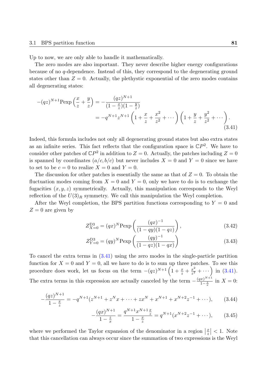Up to now, we are only able to handle it mathematically.

The zero modes are also important. They never describe higher energy configurations because of no *q*-dependence. Instead of this, they correspond to the degenerating ground states other than  $Z = 0$ . Actually, the plethystic exponential of the zero modes contains all degenerating states:

$$
-(qz)^{N+1} \text{Pexp}\left(\frac{x}{z} + \frac{y}{z}\right) = -\frac{(qz)^{N+1}}{(1 - \frac{x}{z})(1 - \frac{y}{z})}
$$
  
=  $-q^{N+1} z^{N+1} \left(1 + \frac{x}{z} + \frac{x^2}{z^2} + \cdots\right) \left(1 + \frac{y}{z} + \frac{y^2}{z^2} + \cdots\right).$  (3.41)

Indeed, this formula includes not only all degenerating ground states but also extra states as an infinite series. This fact reflects that the configuration space is  $\mathbb{C}P^2$ . We have to consider other patches of  $\mathbb{C}P^2$  in addition to  $Z = 0$ . Actually, the patches including  $Z = 0$ is spanned by coordinates  $(a/c, b/c)$  but never includes  $X = 0$  and  $Y = 0$  since we have to set to be  $c = 0$  to realize  $X = 0$  and  $Y = 0$ .

The discussion for other patches is essentially the same as that of  $Z = 0$ . To obtain the fluctuation modes coming from  $X = 0$  and  $Y = 0$ , only we have to do is to exchange the fugacities (*x, y, z*) symmetrically. Actually, this manipulation corresponds to the Weyl reflection of the  $U(3)_R$  symmetry. We call this manipulation the Weyl completion.

After the Weyl completion, the BPS partition functions corresponding to  $Y = 0$  and  $Z = 0$  are given by

<span id="page-80-0"></span>
$$
Z_{X=0}^{\text{D3}} = (qx)^N \text{Pexp}\left(\frac{(qx)^{-1}}{(1-qy)(1-qz)}\right),\tag{3.42}
$$

$$
Z_{Y=0}^{\text{D3}} = (qy)^N \text{Pexp}\left(\frac{(qy)^{-1}}{(1-qz)(1-qx)}\right)
$$
 (3.43)

To cancel the extra terms in (3.41) using the zero modes in the single-particle partition function for  $X = 0$  and  $Y = 0$ , all we have to do is to sum up three patches. To see this procedure does work, let us focus on the term  $-(qz)^{N+1} \left(1 + \frac{x}{z} + \frac{x^2}{z^2}\right)$  $\left(\frac{x^2}{z^2} + \cdots \right)$  in (3.41). The extra terms in this expre[ssion](#page-80-0) are actually canceled by the term  $-\frac{(qx)^{N+1}}{1-\tilde{z}}$  $\frac{x}{1-\frac{z}{x}}$  in  $X=0$ :

$$
-\frac{(qz)^{N+1}}{1-\frac{x}{z}} = -q^{N+1}(z^{N+1} + z^N x + \dots + zx^N + x^{N+1} + x^{N+2} z^{-1} + \dots), \tag{3.44}
$$

$$
-\frac{(qx)^{N+1}}{1-\frac{z}{x}} = \frac{q^{N+1}x^{N+1}\frac{x}{z}}{1-\frac{x}{z}} = q^{N+1}(x^{N+2}z^{-1} + \cdots),\qquad(3.45)
$$

where we performed the Taylor expansion of the denominator in a region  $\left|\frac{x}{z}\right| < 1$ . Note that this cancellation can always occur since the summation of two expressions is the Weyl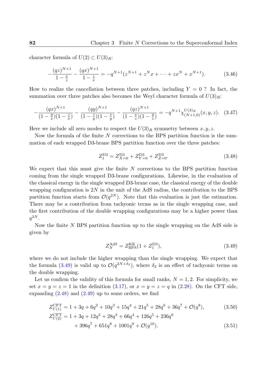character formula of  $U(2) \subset U(3)_R$ :

$$
-\frac{(qz)^{N+1}}{1-\frac{x}{z}} - \frac{(qx)^{N+1}}{1-\frac{z}{x}} = -q^{N+1}(z^{N+1} + z^N x + \dots + zx^N + x^{N+1}).\tag{3.46}
$$

How to realize the cancellation between three patches, including  $Y = 0$ ? In fact, the summation over three patches also becomes the Weyl character formula of  $U(3)_R$ :

$$
-\frac{(qx)^{N+1}}{(1-\frac{y}{x})(1-\frac{z}{x})} - \frac{(qy)^{N+1}}{(1-\frac{z}{y})(1-\frac{x}{y})} - \frac{(qz)^{N+1}}{(1-\frac{x}{z})(1-\frac{y}{z})} = -q^{N+1}\chi_{(N+1,0)}^{U(3)_R}(x,y,z). \tag{3.47}
$$

Here we include all zero modes to respect the  $U(3)_R$  symmetry between  $x, y, z$ .

Now the formula of the finite *N* corrections to the BPS partition function is the summation of each wrapped D3-brane BPS partition function over the three patches:

$$
Z_1^{D3} = Z_{X=0}^{D3} + Z_{Y=0}^{D3} + Z_{Z=0}^{D3}.
$$
\n(3.48)

We expect that this must give the finite *N* corrections to the BPS partition function coming from the single wrapped D3-brane configurations. Likewise, in the evaluation of the classical energy in the single wrapped D3-brane case, the classical energy of the double wrapping configuration is  $2N$  in the unit of the AdS radius, the contribution to the BPS partition function starts from  $\mathcal{O}(q^{2N})$ . Note that this evaluation is just the estimation. There may be a contribution from tachyonic terms as in the single wrapping case, and the first contribution of the double wrapping configurations may be a higher power than  $q^{2N}$ .

Now the finite *N* BPS partition function up to the single wrapping on the AdS side is given by

<span id="page-81-2"></span><span id="page-81-1"></span><span id="page-81-0"></span>
$$
Z_N^{\text{AdS}} = Z_{\text{BPS}}^{\text{KK}} (1 + Z_1^{\text{D3}}), \tag{3.49}
$$

where we do not include the higher wrapping than the single wrapping. We expect that the formula (3.49) is valid up to  $\mathcal{O}(q^{2N+\delta_2})$ , where  $\delta_2$  is an effect of tachyonic terms on the double wrapping.

Let us confirm the validity of this formula for small ranks,  $N = 1, 2$ . For simplicity, we set  $x = y = z = 1$  $x = y = z = 1$  in the definition  $(3.17)$ , or  $x = y = z = q$  in  $(2.28)$ . On the CFT side, expanding  $(2.48)$  and  $(2.49)$  up to some orders, we find

$$
Z_{U(1)}^{\text{CFT}} = 1 + 3q + 6q^2 + 10q^3 + 15q^4 + 21q^5 + 28q^6 + 36q^7 + \mathcal{O}(q^8),
$$
\n
$$
Z_{U(2)}^{\text{CFT}} = 1 + 3q + 12q^2 + 28q^3 + 66q^4 + 126q^5 + 236q^6
$$
\n(3.50)

$$
+ 396q7 + 651q8 + 1001q9 + \mathcal{O}(q10).
$$
 (3.51)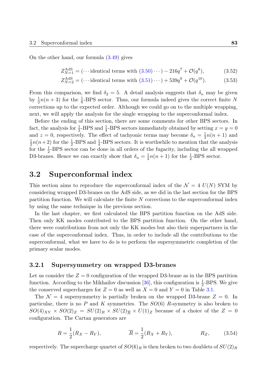On the other hand, our formula (3.49) gives

$$
Z_{N=1}^{\text{AdS}} = (\cdots \text{identical terms with } (3.50)\cdots) - 216q^7 + \mathcal{O}(q^8), \tag{3.52}
$$

$$
Z_{N=2}^{\text{AdS}} = (\cdots \text{identical terms with } (3.51)\cdots) + 539q^{9} + \mathcal{O}(q^{10}). \tag{3.53}
$$

From this comparison, we find  $\delta_2 = 5$ . A deta[il ana](#page-81-1)lysis suggests that  $\delta_n$  may be given by  $\frac{1}{2}n(n+3)$  for the  $\frac{1}{8}$ -BPS sector. Thus, our [form](#page-81-2)ula indeed gives the correct finite *N* corrections up to the expected order. Although we could go on to the multiple wrapping, next, we will apply the analysis for the single wrapping to the superconformal index.

Before the ending of this section, there are some comments for other BPS sectors. In fact, the analysis for  $\frac{1}{2}$ -BPS and  $\frac{1}{4}$ -BPS sectors immediately obtained by setting  $x = y = 0$ and  $z = 0$ , respectively. The effect of tachyonic terms may become  $\delta_n = \frac{1}{2}$  $\frac{1}{2}n(n+1)$  and  $\overline{1}$  $\frac{1}{2}n(n+2)$  for the  $\frac{1}{2}$ -BPS and  $\frac{1}{4}$ -BPS sectors. It is worthwhile to mention that the analysis for the  $\frac{1}{2}$ -BPS sector can be done in all orders of the fugacity, including the all wrapped D3-branes. Hence we can exactly show that  $\delta_n = \frac{1}{2}$  $\frac{1}{2}n(n+1)$  for the  $\frac{1}{2}$ -BPS sector.

# **3.2 Superconformal index**

This section aims to reproduce the superconformal index of the  $\mathcal{N} = 4$   $U(N)$  SYM by considering wrapped D3-branes on the AdS side, as we did in the last section for the BPS partition function. We will calculate the finite *N* corrections to the superconformal index by using the same technique in the previous section.

In the last chapter, we first calculated the BPS partition function on the AdS side. Then only KK modes contributed to the BPS partition function. On the other hand, there were contributions from not only the KK modes but also their superpartners in the case of the superconformal index. Thus, in order to include all the contributions to the superconformal, what we have to do is to perform the supersymmetric completion of the primary scalar modes.

## **3.2.1 Supersymmetry on wrapped D3-branes**

Let us consider the  $Z = 0$  configuration of the wrapped D3-brane as in the BPS partition function. According to the Mikhailov discussion [36], this configuration is  $\frac{1}{2}$ -BPS. We give the conserved supercharges for  $Z = 0$  as well as  $X = 0$  and  $Y = 0$  in Table 3.1.

The  $\mathcal{N} = 4$  supersymmetry is partially broken on the wrapped D3-brane  $Z = 0$ . In particular, there is no *P* and *K* symmetries. T[he](#page-133-1) *SO*(6) *R*-symmetry is also broken to  $SO(4)_{XY} \times SO(2)_Z = SU(2)_R \times SU(2)_{\overline{R}} \times U(1)_Z$  because of a choice [of th](#page-83-0)e  $Z = 0$ configuration. The Cartan generators are

<span id="page-82-0"></span>
$$
R = \frac{1}{2}(R_X - R_Y), \qquad \overline{R} = \frac{1}{2}(R_X + R_Y), \qquad R_Z, \qquad (3.54)
$$

respectively. The supercharge quartet of  $SO(6)_R$  is then broken to two doublets of  $SU(2)_R$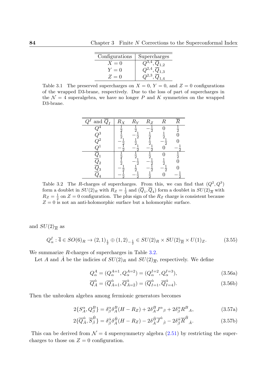| Configurations | Supercharges                      |
|----------------|-----------------------------------|
| $X=0$          | ,4<br>$\cdot$ .2                  |
| $Y=0$          | $\cdot$<br>$,\underline{9}_{1,3}$ |
| $Z=0$          |                                   |

Table 3.1 The preserved supercharges on  $X = 0$ ,  $Y = 0$ , and  $Z = 0$  configurations of the wrapped D3-brane, respectively. Due to the loss of part of supercharges in the  $\mathcal{N} = 4$  superalgebra, we have no longer *P* and *K* symmetries on the wrapped D3-brane.

<span id="page-83-0"></span>

<span id="page-83-1"></span>Table 3.2 The *R*-charges of supercharges. From this, we can find that  $(Q^2, Q^3)$ form a doublet in  $SU(2)_R$  with  $R_Z = \frac{1}{2}$  $\frac{1}{2}$  and  $(Q_1, Q_4)$  form a doublet in  $SU(2)_{\overline{R}}$  with  $R_Z = \frac{1}{2}$  $\frac{1}{2}$  on  $Z = 0$  configuration. The plus sign of the  $R_Z$  charge is consistent because  $Z = 0$  is not an anti-holomorphic surface but a holomorphic surface.

and  $SU(2)_{\overline{R}}$  as

$$
Q_{\alpha}^{I}: \overline{4} \in SO(6)_R \to (2,1)_{\frac{1}{2}} \oplus (1,2)_{-\frac{1}{2}} \in SU(2)_R \times SU(2)_{\overline{R}} \times U(1)_Z. \tag{3.55}
$$

We summarize *R*-charges of supercharges in Table 3.2.

Let *A* and  $\dot{A}$  be the indicies of  $SU(2)_R$  and  $SU(2)_{\overline{R}}$ , respectively. We define

$$
Q_{\alpha}^{A} = (Q_{\alpha}^{A=1}, Q_{\alpha}^{A=2}) = (Q_{\alpha}^{I=2}, Q_{\alpha}^{I=3}),
$$
\n(3.56a)

<span id="page-83-2"></span>
$$
\overline{Q}_{\dot{A}}^{\dot{\alpha}} = (\overline{Q}_{\dot{A}=1}^{\dot{\alpha}}, \overline{Q}_{\dot{A}=\dot{2}}^{\dot{\alpha}}) = (\overline{Q}_{I=1}^{\dot{\alpha}}, \overline{Q}_{I=4}^{\dot{\alpha}}).
$$
\n(3.56b)

Then the unbroken algebra among fermionic generators becomes

$$
2\{S_A^{\alpha}, Q_{\beta}^B\} = \delta_{\beta}^{\alpha} \delta_A^B (H - R_Z) + 2\delta_A^B J^{\alpha}{}_{\beta} + 2\delta_{\beta}^{\alpha} R^B{}_A, \tag{3.57a}
$$

$$
2\{\overline{Q}_{\dot{A}}^{\dot{\alpha}},\overline{S}_{\dot{\beta}}^{\dot{B}}\} = \delta_{\dot{\beta}}^{\dot{\alpha}}\delta_{\dot{A}}^{\dot{B}}(H - R_Z) - 2\delta_{\dot{A}}^{\dot{B}}\overline{J}^{\dot{\alpha}}{}_{\dot{\beta}} - 2\delta_{\dot{\beta}}^{\dot{\alpha}}\overline{R}^{\dot{B}}{}_{\dot{A}}.\tag{3.57b}
$$

This can be derived from  $\mathcal{N} = 4$  supersymmetry algebra (2.51) by restricting the supercharges to those on  $Z = 0$  configuration.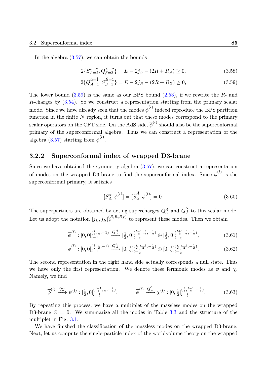In the algebra  $(3.57)$ , we can obtain the bounds

$$
2\{S_{A=2}^{\alpha=2}, Q_{\beta=2}^{B=2}\} = E - 2j_L - (2R + R_Z) \ge 0,
$$
\n(3.58)

<span id="page-84-0"></span>
$$
2\{\overline{Q}_{A=1}^{\dot{\alpha}=1}, \overline{S}_{\dot{\beta}=1}^{\dot{B}=1}\} = E - 2j_R - (2\overline{R} + R_Z) \ge 0,
$$
\n(3.59)

The lower bound (3.59) is the same as our BPS bound (2.53), if we rewrite the *R*- and *R*-charges by  $(3.54)$ . So we construct a representation starting from the primary scalar mode. Since we have already seen that the modes  $\overline{\phi}^{(l)}$  indeed reproduce the BPS partition function in the fini[te](#page-84-0) *N* region, it turns out that these m[odes](#page-49-0) correspond to the primary scalar operato[rs on](#page-82-0) the CFT side. On the AdS side,  $\overline{\phi}^{(l)}$  should also be the superconformal primary of the superconformal algebra. Thus we can construct a representation of the algebra (3.57) starting from  $\overline{\phi}^{(l)}$ .

## **3.2.2 Superconformal index of wrapped D3-brane**

Since we [have](#page-83-2) obtained the symmetry algebra (3.57), we can construct a representation of modes on the wrapped D3-brane to find the superconformal index. Since  $\overline{\phi}^{(l)}$  is the superconformal primary, it satisfies

$$
[S_A^{\alpha}, \overline{\phi}^{(l)}] = [\overline{S}_{\dot{\alpha}}^{\dot{A}}, \overline{\phi}^{(l)}] = 0.
$$
\n(3.60)

The superpartners are obtained by acting supercharges  $Q^A_\alpha$  and  $\overline{Q}^{\dot{\alpha}}_{\dot{A}}$  to this scalar mode. Let us adopt the notation  $[j_L, j_R]_E^{(R,R,R_Z)}$  $E$ <sup> $(K,R,R_Z)$ </sup> to represent these modes. Then we obtain

$$
\overline{\phi}^{(l)} : [0,0]_{l-1}^{(\frac{l}{2},\frac{l}{2},-1)} \xrightarrow{Q^A_{\alpha}} [\frac{1}{2},0]_{l-\frac{1}{2}}^{(\frac{l-1}{2},\frac{l}{2},-\frac{1}{2})} \oplus [\frac{1}{2},0]_{l-\frac{1}{2}}^{(\frac{l+1}{2},\frac{l}{2},-\frac{1}{2})}, \tag{3.61}
$$

$$
\overline{\phi}^{(l)} : [0,0]_{l-1}^{(\frac{l}{2},\frac{l}{2},-1)} \xrightarrow{\overline{Q}_{\underline{A}}^{\dot{\alpha}}} [0,\frac{1}{2}]_{l-\frac{1}{2}}^{(\frac{l}{2},\frac{l-1}{2},-\frac{1}{2})} \oplus [0,\frac{1}{2}]_{l-\frac{1}{2}}^{(\frac{l}{2},\frac{l+1}{2},-\frac{1}{2})}.
$$
\n(3.62)

The second representation in the right hand side actually corresponds a null state. Thus we have only the first representation. We denote these fermionic modes as  $\psi$  and  $\bar{\chi}$ . Namely, we find

$$
\overline{\phi}^{(l)} \xrightarrow{Q^A_{\alpha}} \psi^{(l)} : [\frac{1}{2}, 0]_{l - \frac{1}{2}}^{(\frac{l - 1}{2}, \frac{l}{2}, -\frac{1}{2})}, \qquad \overline{\phi}^{(l)} \xrightarrow{\overline{Q}^{\dot{\alpha}}_{\dot{A}}} \overline{\chi}^{(l)} : [0, \frac{1}{2}]_{l - \frac{1}{2}}^{(\frac{l}{2}, \frac{l - 1}{2}, -\frac{1}{2})}.
$$
 (3.63)

By repeating this process, we have a multiplet of the massless modes on the wrapped D3-brane  $Z = 0$ . We summarize all the modes in Table 3.3 and the structure of the multiplet in Fig. 3.1.

We have finished the classification of the massless modes on the wrapped D3-brane. Next, let us compute the single-particle index of the worldv[olum](#page-85-0)e theory on the wrapped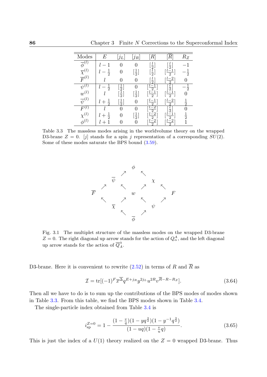| Modes                   | E                      | ĴL                                 | $j_R\vert$                    | $\, R \,$                                                    |                                                               | $R_Z$          |
|-------------------------|------------------------|------------------------------------|-------------------------------|--------------------------------------------------------------|---------------------------------------------------------------|----------------|
| $\overline{\phi}^{(l)}$ |                        | 0                                  | 0                             |                                                              | $\frac{l}{2}$                                                 | 1              |
| $\overline{\chi}^{(l)}$ | $\frac{1}{2}$          | 0                                  | $\lfloor \frac{1}{2} \rfloor$ | $\left[\frac{l}{2}\right]$                                   | $\left[\frac{l-1}{2}\right]$                                  | $-\frac{1}{2}$ |
| $\overline{F}^{(l)}$    |                        | 0                                  | 0                             | $\frac{l}{2}$                                                | $^{-2}$<br>5                                                  |                |
| $\psi^{(l)}$            | l<br>$\frac{1}{2}$     |                                    | 0                             |                                                              |                                                               | $-\frac{1}{2}$ |
| $w^{(l)}$               |                        | $\frac{1}{2}$ ]<br>$\frac{1}{2}$ ] | $\left[\frac{1}{2}\right]$    | $\left[\frac{l-1}{2}\right]$<br>$\left[\frac{l-1}{2}\right]$ | $\begin{bmatrix} \overline{l} \\ \frac{l-1}{2} \end{bmatrix}$ |                |
| $\overline{\psi}^{(l)}$ |                        | $\frac{1}{2}$                      | $\overline{0}$                | $\left[\frac{l-1}{2}\right]$                                 | $l-2$<br>$\overline{2}$                                       | $\frac{1}{2}$  |
| (l)                     |                        | $\overline{0}$                     | 0                             | $\left[\frac{l-2}{2}\right]$                                 | $\frac{l}{2}$                                                 | 0              |
| $\chi^{(l)}$            | $\frac{1}{2}$<br>$l +$ | 0                                  | $\frac{1}{2}$                 | $\underline{l-2}$<br>$\overline{2}$                          | $i-1$<br>$\overline{2}$                                       | $\frac{1}{2}$  |
| $\phi^{(l)}$            |                        |                                    |                               | $\underline{\iota-2}$<br>$\overline{2}$                      | $\underline{\iota-2}$<br>$\bar{2}$                            |                |

Table 3.3 The massless modes arising in the worldvolume theory on the wrapped D3-brane  $Z = 0$ . [j] stands for a spin j representation of a corresponding  $SU(2)$ . Some of these modes saturate the BPS bound (3.59).

<span id="page-85-0"></span>

Fig. 3.1 The multiplet structure of the massless modes on the wrapped D3-brane  $Z = 0$ . The right diagonal up arrow stands for the action of  $Q^A_\alpha$ , and the left diagonal up arrow stands for the action of  $\overline{Q}_{\dot{A}}^{\dot{\alpha}}$ .

D3-brane. Here it is convenient to rewrite  $(2.52)$  in terms of *R* and  $\overline{R}$  as

$$
\mathcal{I} = \text{tr}[(-1)^F \overline{x}^{\overline{\Delta}} q^{E+j_R} y^{2j_L} u^{2R} v^{\overline{R}-R-R_Z}].
$$
\n(3.64)

Then all we have to do is to sum up the co[ntribu](#page-49-1)tions of the BPS modes of modes shown in Table 3.3. From this table, we find the BPS modes shown in Table 3.4.

The single-particle index obtained from Table 3.4 is

<span id="page-85-1"></span>
$$
i_{\rm sp}^{Z=0} = 1 - \frac{(1 - \frac{v}{q})(1 - yq^{\frac{3}{2}})(1 - y^{-1}q^{\frac{3}{2}})}{(1 - uq)(1 - \frac{v}{u}q)}.\tag{3.65}
$$

This is just the index of a  $U(1)$  theory realized on the  $Z=0$  wrapped D3-brane. Thus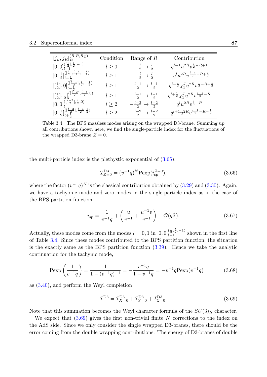| $[j_L,j_R]^{(R,\overline{R},R_Z)}_E$                                                                              | Condition  | Range of $R$                               | Contribution                                                     |
|-------------------------------------------------------------------------------------------------------------------|------------|--------------------------------------------|------------------------------------------------------------------|
| $[0,0]_{l=1}^{(\lceil \frac{l}{2}\rceil,\frac{l}{2},-1)}$                                                         | $l \geq 0$ | $-\frac{l}{2} \rightarrow \frac{l}{2}$     | $q^{l-1}u^{2R}v^{\frac{l}{2}-R+1}$                               |
| $[0, \frac{1}{2}]_{l-\frac{1}{2}}^{(\lceil \frac{l}{2}\rceil, \frac{l-1}{2}, -\frac{1}{2})}$                      | $l \geq 1$ | $-\frac{l}{2} \rightarrow \frac{l}{2}$     | $-q^l u^{2R} v^{\frac{l-1}{2}-R+\frac{1}{2}}$                    |
| $\left[\left[\frac{1}{2}\right],0\right]_{l=\frac{1}{2}}^{(\left[\frac{l-1}{2}\right],\frac{l}{2},-\frac{1}{2})}$ | $l\geq 1$  | $-\frac{l-1}{2} \rightarrow \frac{l-1}{2}$ | $-q^{l-\frac{1}{2}}\chi_1^J u^{2R}v^{\frac{l}{2}-R+\frac{1}{2}}$ |
| $\left[\left[\frac{1}{2}\right],\frac{1}{2}\right]_{l}^{(\left[\frac{l-2}{2}\right],\frac{l-1}{2},0)}$            | l > 1      | $-\frac{l-1}{2} \rightarrow \frac{l-1}{2}$ | $q^{l+\frac{1}{2}} \chi_1^J u^{2R} v^{\frac{l-1}{2}-R}$          |
| $[0,0]_l^{(\lceil \frac{l-2}{2}\rceil,\frac{l}{2},0)}$                                                            | $l\geq 2$  | $-\frac{l-2}{2} \rightarrow \frac{l-2}{2}$ | $q^lu^{2R}v^{\frac{l}{2}-R}$                                     |
| $[0, \frac{1}{2}]_{l+\frac{1}{2}}^{(\left[\frac{l-2}{2}\right], \frac{l-1}{2}, \frac{1}{2})}$                     | $l\geq 2$  | $-\frac{l-2}{2} \rightarrow \frac{l-2}{2}$ | $\label{eq:3.10} -q^{l+1}u^{2R}v^{\frac{l-1}{2}-R-\frac{1}{2}}$  |

<span id="page-86-0"></span>Table 3.4 The BPS massless modes arising on the wrapped D3-brane. Summing up all contributions shown here, we find the single-particle index for the fluctuations of the wrapped D3-brane  $Z = 0$ .

the multi-particle index is the plethystic exponential of  $(3.65)$ :

$$
\mathcal{I}_{Z=0}^{\text{D3}} = (v^{-1}q)^N \text{Pexp}(i_{\text{sp}}^{Z=0}),\tag{3.66}
$$

where the factor  $(v^{-1}q)^N$  is the classical contribution obta[ined](#page-85-1) by (3.29) and (3.30). Again, we have a tachyonic mode and zero modes in the single-particle index as in the case of the BPS partition function:

$$
i_{\rm sp} = \frac{1}{v^{-1}q} + \left(\frac{u}{v^{-1}} + \frac{u^{-1}v}{v^{-1}}\right) + \mathcal{O}(q^{\frac{1}{2}}). \tag{3.67}
$$

Actually, these modes come from the modes  $l = 0, 1$  in  $[0, 0]_{l=1}^{(\frac{l}{2}, \frac{l}{2}, -1)}$  $\frac{\sqrt{2}, \sqrt{2}, -1}{l-1}$  shown in the first line of Table 3.4. Since these modes contributed to the BPS partition function, the situation is the exactly same as the BPS partition function (3.39). Hence we take the analytic continuation for the tachynic mode,

$$
\operatorname{Pexp}\left(\frac{1}{v^{-1}q}\right) = \frac{1}{1 - (v^{-1}q)^{-1}} = -\frac{v^{-1}q}{1 - v^{-1}q} = -v^{-1}q\operatorname{Pexp}(v^{-1}q) \tag{3.68}
$$

as (3.40), and perform the Weyl completion

<span id="page-86-1"></span>
$$
\mathcal{I}^{D3} = \mathcal{I}_{X=0}^{D3} + \mathcal{I}_{Y=0}^{D3} + \mathcal{I}_{Z=0}^{D3}.
$$
\n(3.69)

No[te tha](#page-79-1)t this summation becomes the Weyl character formula of the  $SU(3)_R$  character.

We expect that (3.69) gives the first non-trivial finite *N* corrections to the index on the AdS side. Since we only consider the single wrapped D3-branes, there should be the error coming from the double wrapping contributions. The energy of D3-branes of double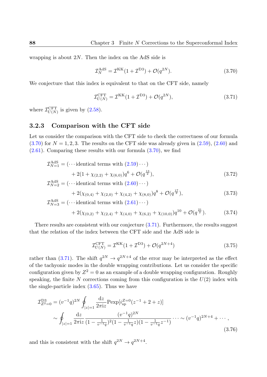wrapping is about 2*N*. Then the index on the AdS side is

$$
\mathcal{I}_N^{\text{AdS}} = \mathcal{I}^{\text{KK}}(1 + \mathcal{I}^{\text{D3}}) + \mathcal{O}(q^{2N}).\tag{3.70}
$$

We conjecture that this index is equivalent to that on the CFT side, namely

<span id="page-87-1"></span><span id="page-87-0"></span>
$$
\mathcal{I}_{U(N)}^{\text{CFT}} = \mathcal{I}^{\text{KK}}(1 + \mathcal{I}^{\text{D3}}) + \mathcal{O}(q^{2N}),\tag{3.71}
$$

where  $\mathcal{I}_{U(N)}^{\text{CFT}}$  $U(N)$  is given by  $(2.58)$ .

## **3.2.3 Comparison with the CFT side**

Let us consider the comp[arison](#page-51-1) with the CFT side to check the correctness of our formula  $(3.70)$  for  $N = 1, 2, 3$ . The results on the CFT side was already given in  $(2.59)$ ,  $(2.60)$  and  $(2.61)$ . Comparing these results with our formula  $(3.70)$ , we find

$$
\mathcal{I}_{N=1}^{\text{AdS}} = (\cdots \text{identical terms with } (2.59)\cdots) \n+ 2(1 + \chi_{(2,2)} + \chi_{(6,0)})q^6 + \mathcal{O}(q^{\frac{13}{2}}),
$$
\n(3.72)

$$
\mathcal{I}_{N=2}^{\text{AdS}} = (\cdots \text{identical terms with } (2.60)\cdots) \n+ 2(\chi_{(0,4)} + \chi_{(2,0)} + \chi_{(4,2)} + \chi_{(8,0)})q^{8} + \mathcal{O}(q^{\frac{17}{2}}),
$$
\n(3.73)

$$
\mathcal{I}_{N=3}^{\text{AdS}} = (\cdots \text{identical terms with } (2.61)\cdots)
$$
  
+2( $\chi$ <sub>(0,2)</sub> +  $\chi$ <sub>(2,4)</sub> +  $\chi$ <sub>(4,0)</sub> +  $\chi$ <sub>(6,2)</sub> +  $\chi$ <sub>(10,0)</sub>) $q$ <sup>10</sup> +  $\mathcal{O}(q^{\frac{21}{2}})$ . (3.74)

There results are consistent with our co[njectu](#page-53-0)re (3.71). Furthermore, the results suggest that the relation of the index between the CFT side and the AdS side is

$$
\mathcal{I}_{U(N)}^{\text{CFT}} = \mathcal{I}^{\text{KK}}(1 + \mathcal{I}^{\text{D3}}) + \mathcal{O}(q^{2N+4})
$$
\n(3.75)

rather than (3.71). The shift  $q^{2N} \to q^{2N+4}$  of the error may be interpreted as the effect of the tachyonic modes in the double wrapping contributions. Let us consider the specific configuration given by  $Z^2 = 0$  as an example of a double wrapping configuration. Roughly speaking, th[e finit](#page-87-1)e  $N$  corrections coming from this configuration is the  $U(2)$  index with the single-particle index (3.65). Thus we have

$$
\mathcal{I}_{Z^2=0}^{\text{D3}} = (v^{-1}q)^{2N} \oint_{|z|=1} \frac{\mathrm{d}z}{2\pi i z} \text{P} \exp[i_{\text{sp}}^{Z=0}(z^{-1}+2+z)]
$$
\n
$$
\sim \oint_{|z|=1} \frac{\mathrm{d}z}{2\pi i z} \frac{(v^{-1}q)^{2N}}{(1-\frac{1}{v^{-1}q})^2 (1-\frac{1}{v^{-1}q}z)(1-\frac{1}{v^{-1}q}z^{-1})} \cdots \sim (v^{-1}q)^{2N+4} + \cdots , \tag{3.76}
$$

and this is consistent with the shift  $q^{2N} \rightarrow q^{2N+4}$ .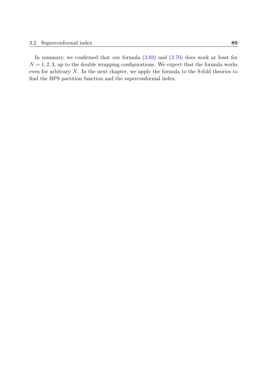In summary, we confirmed that our formula  $(3.69)$  and  $(3.70)$  does work at least for  $N = 1, 2, 3$ , up to the double wrapping configurations. We expect that the formula works even for arbitrary *N*. In the next chapter, we apply the formula to the S-fold theories to find the BPS partition function and the superco[nform](#page-86-1)al ind[ex.](#page-87-0)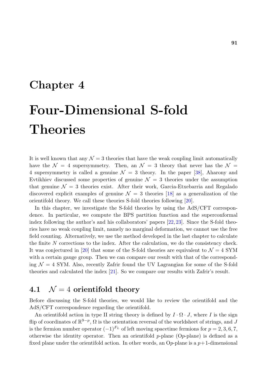# **Chapter 4**

# **Four-Dimensional S-fold Theories**

It is well known that any  $\mathcal{N} = 3$  theories that have the weak coupling limit automatically have the  $\mathcal{N} = 4$  supersymmetry. Then, an  $\mathcal{N} = 3$  theory that never has the  $\mathcal{N} =$ 4 supersymmetry is called a genuine  $\mathcal{N} = 3$  theory. In the paper [38], Aharony and Evtikhiev discussed some properties of genuine  $\mathcal{N} = 3$  theories under the assumption that genuine  $\mathcal{N} = 3$  theories exist. After their work, Garcia-Etxebarria and Regalado discovered explicit examples of genuine  $\mathcal{N} = 3$  theories [18] as a ge[nera](#page-133-2)lization of the orientifold theory. We call these theories S-fold theories following [20].

In this chapter, we investigate the S-fold theories by using the AdS/CFT correspondence. In particular, we compute the BPS partition fun[ctio](#page-131-2)n and the superconformal index following the author's and his collaborators' papers [22, 23]. [Sin](#page-131-3)ce the S-fold theories have no weak coupling limit, namely no marginal deformation, we cannot use the free field counting. Alternatively, we use the method developed in the last chapter to calculate the finite *N* corrections to the index. After the calculation[, w](#page-131-1)[e do](#page-132-1) the consistency check. It was conjectured in [20] that some of the S-fold theories are equivalent to  $\mathcal{N}=4$  SYM with a certain gauge group. Then we can compare our result with that of the corresponding  $\mathcal{N}=4$  SYM. Also, recently Zafrir found the UV Lagrangian for some of the S-fold theories and calculate[d th](#page-131-3)e index [21]. So we compare our results with Zafrir's result.

# **4.1**  $\mathcal{N} = 4$  orientifol[d t](#page-131-4)heory

Before discussing the S-fold theories, we would like to review the orientifold and the AdS/CFT correspondence regarding the orientifold.

An orientifold action in type II string theory is defined by  $I \cdot \Omega \cdot J$ , where *I* is the sign flip of coordinates of R 9*−p* , Ω is the orientation reversal of the worldsheet of strings, and *J* is the fermion number operator  $(-1)^{F_L}$  of left moving spacetime fermions for  $p = 2, 3, 6, 7$ , otherwise the identity operator. Then an orientifold *p*-plane (O*p*-plane) is defined as a fixed plane under the orientifold action. In other words, an  $Op$ -plane is a  $p+1$ -dimensional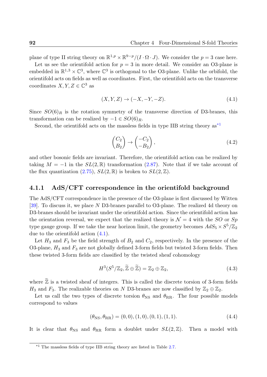plane of type II string theory on  $\mathbb{R}^{1,p} \times \mathbb{R}^{9-p} / (I \cdot \Omega \cdot J)$ . We consider the  $p = 3$  case here.

Let us see the orientifold action for  $p = 3$  in more detail. We consider an O3-plane is embedded in  $\mathbb{R}^{1,3} \times \mathbb{C}^3$ , where  $\mathbb{C}^3$  is orthogonal to the O3-plane. Unlike the orbifold, the orientifold acts on fields as well as coordinates. First, the orientifold acts on the transverse coordinates  $X, Y, Z \in \mathbb{C}^3$  as

$$
(X, Y, Z) \rightarrow (-X, -Y, -Z). \tag{4.1}
$$

Since  $SO(6)_R$  is the rotation symmetry of the transverse direction of D3-branes, this transformation can be realized by  $-1 \in SO(6)_R$ .

Second, the orientifold acts on the massless fields in type IIB string theory  $as^*{}^1$ 

<span id="page-91-0"></span>
$$
\begin{pmatrix} C_2 \\ B_2 \end{pmatrix} \rightarrow \begin{pmatrix} -C_2 \\ -B_2 \end{pmatrix},\tag{4.2}
$$

and other bosonic fields are invariant. Therefore, the orientifold action can be realized by taking  $M = -1$  in the  $SL(2,\mathbb{R})$  transformation (2.87). Note that if we take account of the flux quantization  $(2.75)$ ,  $SL(2,\mathbb{R})$  is broken to  $SL(2,\mathbb{Z})$ .

## **4.1.1 AdS/CFT correspondence in [the](#page-61-0) orientifold background**

The AdS/CFT corres[ponde](#page-58-0)nce in the presence of the O3-plane is first discussed by Witten [39]. To discuss it, we place *N* D3-branes parallel to O3-plane. The realized 4d theory on D3-branes should be invariant under the orientifold action. Since the orientifold action has the orientation reversal, we expect that the realized theory is  $\mathcal{N}=4$  with the *SO* or *Sp* [typ](#page-133-3)e gauge group. If we take the near horizon limit, the geometry becomes  $AdS_5 \times S^5/\mathbb{Z}_2$ due to the orientifold action (4.1).

Let  $H_3$  and  $F_3$  be the field strength of  $B_2$  and  $C_2$ , respectively. In the presence of the O3-plane,  $H_3$  and  $F_3$  are not globally defined 3-form fields but twisted 3-form fields. Then these twisted 3-form fields ar[e cla](#page-91-0)ssified by the twisted sheaf cohomology

$$
H^3(S^5/\mathbb{Z}_2, \widetilde{\mathbb{Z}} \oplus \widetilde{\mathbb{Z}}) = \mathbb{Z}_2 \oplus \mathbb{Z}_2, \tag{4.3}
$$

where  $\widetilde{\mathbb{Z}}$  is a twisted sheaf of integers. This is called the discrete torsion of 3-form fields *H*<sub>3</sub> and *F*<sub>3</sub>. The realizable theories on *N* D3-branes are now classified by  $\mathbb{Z}_2 \oplus \mathbb{Z}_2$ .

Let us call the two types of discrete torsion  $\theta_{\text{NS}}$  and  $\theta_{\text{RR}}$ . The four possible models correspond to values

$$
(\theta_{\rm NS}, \theta_{\rm RR}) = (0, 0), (1, 0), (0, 1), (1, 1). \tag{4.4}
$$

It is clear that  $\theta_{\text{NS}}$  and  $\theta_{\text{RR}}$  form a doublet under  $SL(2,\mathbb{Z})$ . Then a model with

<sup>\*&</sup>lt;sup>1</sup> The massless fields of type IIB string theory are listed in Table 2.7.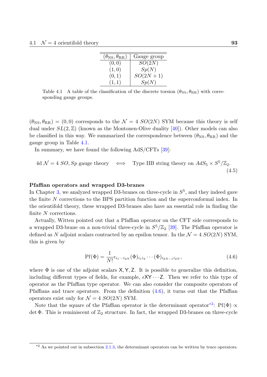| $(\theta_{\rm NS},\theta_{\rm RR})$ | Gauge group  |
|-------------------------------------|--------------|
| (0, 0)                              | SO(2N)       |
| (1,0)                               | Sp(N)        |
| (0,1)                               | $SO(2N + 1)$ |
| (1,1)                               | Sp(N)        |

<span id="page-92-0"></span>Table 4.1 A table of the classification of the discrete torsion  $(\theta_{\text{NS}}, \theta_{\text{RR}})$  with corresponding gauge groups.

 $(\theta_{\text{NS}}, \theta_{\text{RR}}) = (0, 0)$  corresponds to the  $\mathcal{N} = 4$  *SO*(2*N*) SYM because this theory is self dual under  $SL(2,\mathbb{Z})$  (known as the Montonen-Olive duality [40]). Other models can also be classified in this way. We summarized the correspondence between  $(\theta_{\rm NS}, \theta_{\rm RR})$  and the gauge group in Table 4.1.

In summary, we have found the following AdS/CFTs [39]:

4d 
$$
\mathcal{N} = 4
$$
 *SO*, *Sp* gauge theory  $\iff$  Type IIB string theory on  $AdS_5 \times S^5/\mathbb{Z}_2$ .  
(4.5)

## **Pfaffian operators and wrapped D3-branes**

In Chapter 3, we analyzed wrapped D3-branes on three-cycle in  $S^5$ , and they indeed gave the finite *N* corrections to the BPS partition function and the superconformal index. In the orientifold theory, these wrapped D3-branes also have an essential role in finding the finite *N* co[rre](#page-72-0)ctions.

Actually, Witten pointed out that a Pfaffian operator on the CFT side corresponds to a wrapped D3-brane on a non-trivial three-cycle in  $S^5/\mathbb{Z}_2$  [39]. The Pfaffian operator is defined as N adjoint scalars contracted by an epsilon tensor. In the  $\mathcal{N} = 4$   $SO(2N)$  SYM, this is given by

<span id="page-92-1"></span>
$$
Pf(\Phi) = \frac{1}{N!} \epsilon_{i_1 \cdots i_{2N}} (\Phi)_{i_1 i_2} \cdots (\Phi)_{i_{2N-1} i_{2N}},
$$
\n(4.6)

where  $\Phi$  is one of the adjoint scalars  $X, Y, Z$ . It is possible to generalize this definition, including different types of fields, for example,  $\epsilon XY \cdots Z$ . Then we refer to this type of operator as the Pfaffian type operator. We can also consider the composite operators of Pfaffians and trace operators. From the definition  $(4.6)$ , it turns out that the Pfaffian operators exist only for  $\mathcal{N} = 4$  *SO*(2*N*) SYM.

Note that the square of the Pfaffian operator is the determinant operator<sup>\*2</sup>: Pf( $\Phi$ )  $\propto$ det  $\Phi$ . This is reminiscent of  $\mathbb{Z}_2$  structure. In fact, th[e wr](#page-92-1)apped D3-branes on three-cycle

 $*$ <sup>2</sup> As we pointed out in subsection 2.1.3, the determinant operators can be written by trace operators.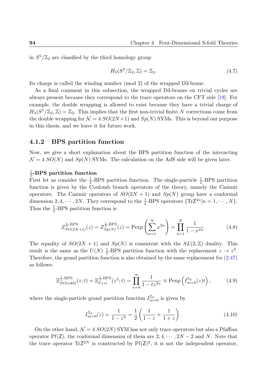in  $S^5/\mathbb{Z}_2$  are classified by the third homology group

$$
H_3(S^3/\mathbb{Z}_2, \mathbb{Z}) = \mathbb{Z}_2.
$$
\n
$$
(4.7)
$$

Its charge is called the winding number (mod 2) of the wrapped D3-brane.

As a final comment in this subsection, the wrapped D3-branes on trivial cycles are always present because they correspond to the trace operators on the CFT side [19]. For example, the double wrapping is allowed to exist because they have a trivial charge of  $H_3(S^5/\mathbb{Z}_2, \mathbb{Z}) = \mathbb{Z}_2$ . This implies that the first non-trivial finite *N* corrections come from the double wrapping for  $\mathcal{N} = 4$   $SO(2N+1)$  and  $Sp(N)$  SYMs. This is beyond our [pu](#page-131-5)rpose in this thesis, and we leave it for future work.

## **4.1.2 BPS partition function**

Now, we give a short explanation about the BPS partition function of the interacting  $\mathcal{N} = 4$  *SO*(*N*) and *Sp*(*N*) SYMs. The calculation on the AdS side will be given later.

#### 1 2 **-BPS partition function**

First let us consider the  $\frac{1}{2}$ -BPS partition function. The single-particle  $\frac{1}{2}$ -BPS partition function is given by the Coulomb branch operators of the theory, namely the Casimir operators. The Casimir operators of  $SO(2N + 1)$  and  $Sp(N)$  group have a conformal dimension 2, 4,  $\cdots$ , 2*N*. They correspond to the  $\frac{1}{2}$ -BPS operators  $\{TrZ^{2n}|n = 1, \cdots, N\}$ . Thus the  $\frac{1}{2}$ -BPS partition function is

$$
Z_{SO(2N+1)}^{\frac{1}{2}\text{-BPS}}(z) = Z_{Sp(N)}^{\frac{1}{2}\text{-BPS}}(z) = \text{Pexp}\left(\sum_{n=1}^{N} x^{2n}\right) = \prod_{n=1}^{N} \frac{1}{1 - x^{2n}}.\tag{4.8}
$$

The equality of  $SO(2N + 1)$  and  $Sp(N)$  is consistent with the  $SL(2, \mathbb{Z})$  duality. This result is the same as the  $U(N)$   $\frac{1}{2}$  $\frac{1}{2}$ -BPS partition function with the replacement  $z \to z^2$ . Therefore, the grand partition function is also obtained by the same replacement for (2.47) as follows:

$$
\Xi_{SO(\text{odd})}^{\frac{1}{2}\text{-BPS}}(z;t) = \Xi_{U(*)}^{\frac{1}{2}\text{-BPS}}(z^2;t) = \prod_{n=0}^{\infty} \frac{1}{1 - tz^{2n}} \equiv \text{Pexp}\left(I_{m=0}^{\mathbb{Z}_2}(z)t\right),\tag{4.9}
$$

where the single-particle grand partition function  $I_{m=0}^{\mathbb{Z}_2}$  is given by

<span id="page-93-0"></span>
$$
I_{m=0}^{\mathbb{Z}_2}(z) = \frac{1}{1-z^2} = \frac{1}{2} \left( \frac{1}{1-z} + \frac{1}{1+z} \right). \tag{4.10}
$$

On the other hand,  $\mathcal{N} = 4$   $SO(2N)$  SYM has not only trace operators but also a Pfaffian operator Pf(Z), the conformal dimension of them are  $2, 4, \cdots, 2N-2$  and N. Note that the trace operator  $Tr Z^{2N}$  is constructed by  $Pf(Z)^2$ , it is not the independent operator,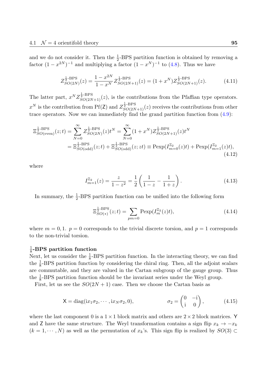and we do not consider it. Then the  $\frac{1}{2}$ -BPS partition function is obtained by removing a factor  $(1 - x^{2N})^{-1}$  and multiplying a factor  $(1 - x^N)^{-1}$  to  $(4.8)$ . Thus we have

$$
Z_{SO(2N)}^{\frac{1}{2}\text{-BPS}}(z) = \frac{1 - x^{2N}}{1 - x^N} Z_{SO(2N+1)}^{\frac{1}{2}\text{-BPS}}(z) = (1 + x^N) Z_{SO(2N+1)}^{\frac{1}{2}\text{-BPS}}(z). \tag{4.11}
$$

The latter part,  $x^N Z_{SO(2N+1)}^{\frac{1}{2}\text{-BPS}}(z)$ , is the contributions from the Pfaffian type operators.  $x^N$  is the contribution from Pf(Z) and  $Z_{SO(2N+1)}^{\frac{1}{2}\text{-BPS}}(z)$  receives the contributions from other trace operators. Now we can immediately find the grand partition function from (4.9):

$$
\Xi_{SO(\text{even})}^{\frac{1}{2}\text{-BPS}}(z;t) = \sum_{N=0}^{\infty} Z_{SO(2N)}^{\frac{1}{2}\text{-BPS}}(z)t^N = \sum_{N=0}^{\infty} (1+x^N) Z_{SO(2N+1)}^{\frac{1}{2}\text{-BPS}}(z)t^N
$$
  
= 
$$
\Xi_{SO(\text{odd})}^{\frac{1}{2}\text{-BPS}}(z;t) + \Xi_{SO(\text{odd})}^{\frac{1}{2}\text{-BPS}}(z;t) \equiv \text{Pexp}(I_{m=0}^{\mathbb{Z}_2}(z)t) + \text{Pexp}(I_{m=1}^{\mathbb{Z}_2}(z)t),
$$
(4.12)

where

$$
I_{m=1}^{\mathbb{Z}_2}(z) = \frac{z}{1-z^2} = \frac{1}{2} \left( \frac{1}{1-z} - \frac{1}{1+z} \right). \tag{4.13}
$$

In summary, the  $\frac{1}{2}$ -BPS partition function can be unified into the following form

<span id="page-94-0"></span>
$$
\Xi_{SO(*)}^{\frac{1}{2}\text{-BPS}}(z;t) = \sum_{pm=0} \text{Pexp}(I_m^{\mathbb{Z}_2}(z)t),\tag{4.14}
$$

where  $m = 0, 1$ .  $p = 0$  corresponds to the trivial discrete torsion, and  $p = 1$  corresponds to the non-trivial torsion.

#### 1 8 **-BPS partition function**

Next, let us consider the  $\frac{1}{8}$ -BPS partition function. In the interacting theory, we can find the  $\frac{1}{8}$ -BPS partition function by considering the chiral ring. Then, all the adjoint scalars are commutable, and they are valued in the Cartan subgroup of the gauge group. Thus the  $\frac{1}{8}$ -BPS partition function should be the invariant series under the Weyl group.

First, let us see the  $SO(2N+1)$  case. Then we choose the Cartan basis as

$$
X = diag(ix_1\sigma_2, \cdots, ix_N\sigma_2, 0), \qquad \sigma_2 = \begin{pmatrix} 0 & -i \\ i & 0 \end{pmatrix}, \qquad (4.15)
$$

where the last component 0 is a  $1 \times 1$  block matrix and others are  $2 \times 2$  block matrices. Y and Z have the same structure. The Weyl transformation contains a sign flip  $x_k \to -x_k$  $(k = 1, \dots, N)$  as well as the permutation of  $x_k$ 's. This sign flip is realized by  $SO(3) \subset$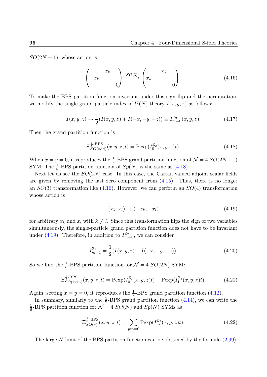$SO(2N+1)$ , whose action is

<span id="page-95-1"></span>
$$
\begin{pmatrix} x_k \\ -x_k \\ 0 \end{pmatrix} \xrightarrow{SO(3)} \begin{pmatrix} -x_k \\ x_k \\ 0 \end{pmatrix} . \tag{4.16}
$$

To make the BPS partition function invariant under this sign flip and the permutation, we modify the single grand particle index of  $U(N)$  theory  $I(x, y, z)$  as follows:

$$
I(x, y, z) \to \frac{1}{2}(I(x, y, z) + I(-x, -y, -z)) \equiv I_{m=0}^{\mathbb{Z}_2}(x, y, z). \tag{4.17}
$$

Then the grand partition function is

$$
\Xi_{SO(\text{odd})}^{\frac{1}{8}\text{-BPS}}(x,y,z;t) = \text{Pexp}(I_0^{\mathbb{Z}_2}(x,y,z)t). \tag{4.18}
$$

When  $x = y = 0$ , it reproduces the  $\frac{1}{2}$ -BPS grand partition function of  $\mathcal{N} = 4$   $SO(2N + 1)$ SYM. The  $\frac{1}{8}$ -BPS partition function of  $Sp(N)$  is the same as (4.18).

Next let us see the  $SO(2N)$  case. In this case, the Cartan valued adjoint scalar fields are given by removing the last zero component from (4.15). Thus, there is no longer an *SO*(3) transformation like (4.16). However, we can perfor[m an](#page-95-0) *SO*(4) transformation whose action is

<span id="page-95-0"></span>
$$
(x_k, x_l) \rightarrow (-x_k, -x_l) \tag{4.19}
$$

for arbitrary  $x_k$  and  $x_l$  with  $k \neq l$ . Since this transformation flips the sign of two variables simultaneously, the single-particle grand partition function does not have to be invariant under (4.19). Therefore, in addition to  $I_{m=0}^{\mathbb{Z}_2}$ , we can consider

$$
I_{m=1}^{\mathbb{Z}_2} = \frac{1}{2}(I(x, y, z) - I(-x, -y, -z)).\tag{4.20}
$$

So we find the  $\frac{1}{8}$ -BPS partition function for  $\mathcal{N} = 4$  *SO*(2*N*) SYM:

$$
\Xi_{SO(\text{even})}^{\frac{1}{8}\text{-BPS}}(x,y,z;t) = \text{Pexp}(I_0^{\mathbb{Z}_2}(x,y,z)t) + \text{Pexp}(I_1^{\mathbb{Z}_2}(x,y,z)t). \tag{4.21}
$$

Again, setting  $x = y = 0$ , it reproduces the  $\frac{1}{2}$ -BPS grand partition function (4.12).

In summary, similarly to the  $\frac{1}{2}$ -BPS grand partition function (4.14), we can write the  $\overline{1}$  $\frac{1}{8}$ -BPS partition function for  $\mathcal{N} = 4$  *SO*(*N*) and *Sp*(*N*) SYMs as

<span id="page-95-2"></span>
$$
\Xi_{SO(*)}^{\frac{1}{8}\text{-BPS}}(x,y,z;t) = \sum_{pm=0} \text{Pexp}(I_m^{\mathbb{Z}_2}(x,y,z)t). \tag{4.22}
$$

The large *N* limit of the BPS partition function can be obtained by the formula (2.99).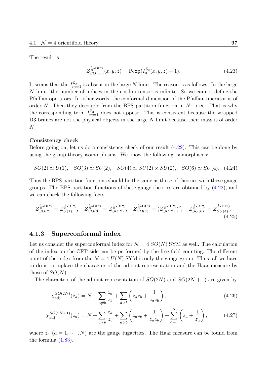The result is

$$
Z_{SO(\infty)}^{\frac{1}{8}\text{-BPS}}(x,y,z) = \text{Pexp}(I_0^{\mathbb{Z}_2}(x,y,z) - 1).
$$
 (4.23)

It seems that the  $I_{m=1}^{\mathbb{Z}_2}$  is absent in the large *N* limit. The reason is as follows. In the large *N* limit, the number of indices in the epsilon tensor is infinite. So we cannot define the Pfaffian operators. In other words, the conformal dimension of the Pfaffian operator is of order *N*. Then they decouple from the BPS partition function in  $N \to \infty$ . That is why the corresponding term  $I_{m=1}^{\mathbb{Z}_2}$  does not appear. This is consistent because the wrapped D3-branes are not the physical objects in the large *N* limit because their mass is of order *N*.

### **Consistency check**

Before going on, let us do a consistency check of our result (4.22). This can be done by using the group theory isomorphisms. We know the following isomorphisms:

$$
SO(2) \simeq U(1), \quad SO(3) \simeq SU(2), \quad SO(4) \simeq SU(2) \times SU(2), \quad SO(6) \simeq SU(4). \tag{4.24}
$$

Thus the BPS partition functions should be the same as those of theories with these gauge groups. The BPS partition functions of these gauge theories are obtained by (4.22), and we can check the following facts:

$$
Z_{SO(2)}^{\frac{1}{8}\text{-BPS}} = Z_{U(1)}^{\frac{1}{8}\text{-BPS}}, \quad Z_{SO(3)}^{\frac{1}{8}\text{-BPS}} = Z_{SU(2)}^{\frac{1}{8}\text{-BPS}}, \quad Z_{SO(4)}^{\frac{1}{8}\text{-BPS}} = (Z_{SU(2)}^{\frac{1}{8}\text{-BPS}})^2, \quad Z_{SO(6)}^{\frac{1}{8}\text{-BPS}} = Z_{SU(4)}^{\frac{1}{8}\text{-BPS}}.
$$
\n
$$
(4.25)
$$

## **4.1.3 Superconformal index**

Let us consider the superconformal index for  $\mathcal{N} = 4$  *SO(N)* SYM as well. The calculation of the index on the CFT side can be performed by the free field counting. The different point of the index from the  $\mathcal{N} = 4$   $U(N)$  SYM is only the gauge group. Thus, all we have to do is to replace the character of the adjoint representation and the Haar measure by those of *SO*(*N*).

The characters of the adjoint representation of  $SO(2N)$  and  $SO(2N + 1)$  are given by

$$
\chi_{\text{adj}}^{SO(2N)}(z_a) = N + \sum_{a \neq b} \frac{z_a}{z_b} + \sum_{a > b} \left( z_a z_b + \frac{1}{z_a z_b} \right),\tag{4.26}
$$

$$
\chi_{\text{adj}}^{SO(2N+1)}(z_a) = N + \sum_{a \neq b} \frac{z_a}{z_b} + \sum_{a > b} \left( z_a z_b + \frac{1}{z_a z_b} \right) + \sum_{a=1}^N \left( z_a + \frac{1}{z_a} \right),\tag{4.27}
$$

where  $z_a$  ( $a = 1, \dots, N$ ) are the gauge fugacities. The Haar measure can be found from the formula  $(1.83)$ .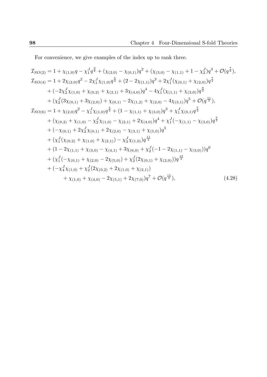For convenience, we give examples of the index up to rank three.

$$
\mathcal{I}_{SO(2)} = 1 + \chi_{(1,0)}q - \chi_{1}^{7}q^{\frac{3}{2}} + (\chi_{(2,0)} - \chi_{(0,1)})q^{2} + (\chi_{(3,0)} - \chi_{(1,1)} + 1 - \chi_{2}^{7})q^{3} + \mathcal{O}(q^{\frac{7}{2}}),
$$
\n
$$
\mathcal{I}_{SO(4)} = 1 + 2\chi_{(2,0)}q^{2} - 2\chi_{1}^{7}\chi_{(1,0)}q^{\frac{5}{2}} + (2 - 2\chi_{(1,1)})q^{3} + 2\chi_{1}^{7}(\chi_{(0,1)} + \chi_{(2,0)})q^{\frac{7}{2}}
$$
\n
$$
+ (-2\chi_{2}^{7}\chi_{(1,0)} + \chi_{(0,2)} + \chi_{(2,1)} + 3\chi_{(4,0)})q^{4} - 4\chi_{1}^{7}(\chi_{(1,1)} + \chi_{(3,0)})q^{\frac{9}{2}}
$$
\n
$$
+ (\chi_{2}^{7}(3\chi_{(0,1)} + 3\chi_{(2,0)}) + \chi_{(0,1)} - 2\chi_{(1,2)} + \chi_{(2,0)} - 4\chi_{(3,1)})q^{5} + \mathcal{O}(q^{\frac{11}{2}}),
$$
\n
$$
\mathcal{I}_{SO(6)} = 1 + \chi_{(2,0)}q^{2} - \chi_{1}^{7}\chi_{(1,0)}q^{\frac{5}{2}} + (1 - \chi_{(1,1)} + \chi_{(3,0)})q^{3} + \chi_{1}^{7}\chi_{(0,1)}q^{\frac{7}{2}}
$$
\n
$$
+ (\chi_{(0,2)} + \chi_{(1,0)} - \chi_{2}^{7}\chi_{(1,0)} - \chi_{(2,1)} + 2\chi_{(4,0)})q^{4} + \chi_{1}^{7}(-\chi_{(1,1)} - \chi_{(3,0)})q^{\frac{9}{2}}
$$
\n
$$
+ (-\chi_{(0,1)} + 2\chi_{2}^{7}\chi_{(0,1)} + 2\chi_{(2,0)} - \chi_{(3,1)} + \chi_{(5,0)})q^{5}
$$
\n
$$
+ (\chi_{1}^{7}(\chi_{(0,2)} + \chi_{(1,0)} + \chi_{(2,1)}) - \chi
$$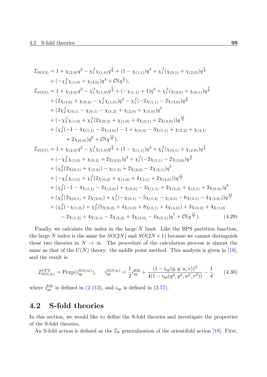$$
I_{SO(3)} = 1 + \chi_{(2,0)}q^{2} - \chi_{1}^{J}\chi_{(1,0)}q^{\frac{5}{2}} + (1 - \chi_{(1,1)})q^{3} + \chi_{1}^{J}(\chi_{(0,1)} + \chi_{(2,0)})q^{\frac{7}{2}}
$$
  
+  $(-\chi_{2}^{J}\chi_{(1,0)} + \chi_{(4,0)})q^{4} + \mathcal{O}(q^{\frac{9}{2}}),$   

$$
I_{SO(5)} = 1 + \chi_{(2,0)}q^{2} - \chi_{1}^{J}\chi_{(1,0)}q^{\frac{5}{2}} + (-\chi_{(1,1)} + 1)q^{3} + \chi_{1}^{J}(\chi_{(2,0)} + \chi_{(0,1)})q^{\frac{7}{2}}
$$
  
+  $(2\chi_{(4,0)} + \chi_{(0,2)} - \chi_{2}^{J}\chi_{(1,0)})q^{4} - \chi_{1}^{J}(-2\chi_{(1,1)} - 2\chi_{(3,0)})q^{\frac{9}{2}}$   
+  $(2\chi_{2}^{J}\chi_{(0,1)} - \chi_{(0,1)} - \chi_{(1,2)} + \chi_{(2,0)} + \chi_{(5,0)})q^{5}$   
+  $(-\chi_{3}^{J}\chi_{(1,0)} + \chi_{1}^{J}(2\chi_{(0,2)} + \chi_{(1,0)} + 4\chi_{(2,1)} + 2\chi_{(4,0)}))q^{\frac{11}{2}}$   
+  $(\chi_{2}^{J}(-1 - 4\chi_{(1,1)} - 3\chi_{(3,0)}) - 1 + \chi_{(0,3)} - 3\chi_{(1,1)} + \chi_{(2,2)} + \chi_{(4,1)}$   
+  $2\chi_{(6,0)}q^{6} + \mathcal{O}(q^{\frac{13}{2}}),$   

$$
I_{SO(7)} = 1 + \chi_{(2,0)}q^{2} - \chi_{1}^{J}\chi_{(1,0)}q^{\frac{5}{2}} + (1 - \chi_{(1,1)})q^{3} + \chi_{1}^{J}(\chi_{(0,1)} + \chi_{(2,0)})q^{\frac{7}{2}}
$$
  
+  $(-\chi_{2}^{J}\chi_{(1,0)} + \chi_{(0,2)} + 2\chi_{(4,0)})q^{$ 

Finally, we calculate the index in the large *N* limit. Like the BPS partition function, the large N index is the same for  $SO(2N)$  and  $SO(2N+1)$  because we cannot distinguish these two theories in  $N \to \infty$ . The procedure of the calculation process is almost the same as that of the  $U(N)$  theory: the saddle point method. This analysis is given in [19], and the result is

$$
\mathcal{I}_{SO(\infty)}^{\text{CFT}} = \text{Pexp}(i_{\text{sp}}^{SO(\infty)}), \quad i_{\text{sp}}^{SO(\infty)} = \frac{1}{2}i_{\text{sp}}^{\text{KK}} + \frac{(1 - i_{\text{sp}}(q, y, u, v))^2}{4(1 - i_{\text{sp}}(q^2, y^2, u^2, v^2))} - \frac{1}{4}, \quad (4.30)
$$

where  $i_{\rm sp}^{\rm KK}$  is defined in (2.113), and  $i_{\rm sp}$  is defined in (2.57).

# **4.2 S-fold the[orie](#page-70-1)s**

In this section, we would like to define the S-fold theories and investigate the properties of the S-fold theories.

An S-fold action is defined as the  $\mathbb{Z}_k$  generalization of the orientifold action [18]. First,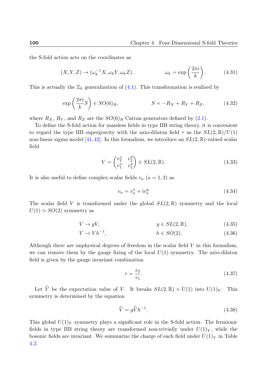the S-fold action acts on the coordinates as

$$
(X, Y, Z) \to (\omega_k^{-1} X, \omega_k Y, \omega_k Z), \qquad \omega_k = \exp\left(\frac{2\pi i}{k}\right). \tag{4.31}
$$

This is actually the  $\mathbb{Z}_k$  generalization of  $(4.1)$ . This transformation is realized by

$$
\exp\left(\frac{2\pi i}{k}S\right) \in SO(6)_R, \qquad S = -R_X + R_Y + R_Z, \qquad (4.32)
$$

where  $R_X$ ,  $R_Y$ , and  $R_Z$  are the  $SO(6)_R$  Catran generators defined by (2.1).

To define the S-fold action for massless fields in type IIB string theory, it is convenient to regard the type IIB supergravity with the axio-dilaton field  $\tau$  as the  $SL(2,\mathbb{R})/U(1)$ non-linear sigma model [41,42]. In this formalism, we introduce an  $SL(2,\mathbb{R})$  $SL(2,\mathbb{R})$  $SL(2,\mathbb{R})$ -valued scalar field

<span id="page-99-1"></span>
$$
V = \begin{pmatrix} v_2^x & v_2^y \\ v_1^x & v_1^y \end{pmatrix} \in SL(2, \mathbb{R}).
$$
 (4.33)

It is also useful to define complex scalar fields  $v_a$   $(a = 1, 2)$  as

<span id="page-99-0"></span>
$$
v_a = v_a^x + \mathrm{i}v_a^y \tag{4.34}
$$

The scalar field V is transformed under the global  $SL(2,\mathbb{R})$  symmetry and the local  $U(1) \simeq SO(2)$  symmetry as

$$
V \to gV, \qquad g \in SL(2, \mathbb{R}), \qquad (4.35)
$$

$$
V \to V h^{-1}, \qquad h \in SO(2). \tag{4.36}
$$

Although there are unphysical degrees of freedom in the scalar field *V* in this formalism, we can remove them by the gauge fixing of the local  $U(1)$  symmetry. The axio-dilaton field is given by the gauge invariant combination

$$
\tau = \frac{v_2}{v_1}.\tag{4.37}
$$

Let  $\hat{V}$  be the expectation value of *V*. It breaks  $SL(2,\mathbb{R}) \times U(1)$  into  $U(1)_Y$ . This symmetry is determined by the equation

$$
\widehat{V} = g\widehat{V}h^{-1}.\tag{4.38}
$$

This global  $U(1)_Y$  symmetry plays a significant role in the S-fold action. The fermionic fields in type IIB string theory are transformed non-trivially under  $U(1)_Y$ , while the bosonic fields are invariant. We summarize the charge of each field under  $U(1)_Y$  in Table 4.2.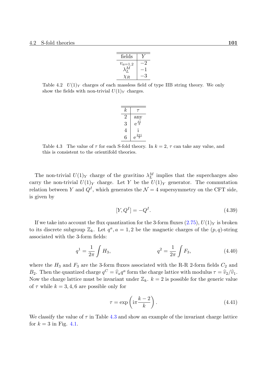| fields                              |  |
|-------------------------------------|--|
|                                     |  |
| $\stackrel{v_{a=1,2}}{\lambda_L^M}$ |  |
| $\chi_{R}$                          |  |

Table 4.2  $U(1)_Y$  charges of each massless field of type IIB string theory. We only show the fields with non-trivial  $U(1)_Y$  charges.

| $\boldsymbol{k}$ |                         |
|------------------|-------------------------|
|                  | $\operatorname{any}$    |
| 3                | $e^{\frac{\pi i}{3}}$   |
| 4                | l                       |
|                  | $\frac{2\pi i}{3}$<br>е |

Table 4.3 The value of  $\tau$  for each S-fold theory. In  $k = 2$ ,  $\tau$  can take any value, and this is consistent to the orientifold theories.

The non-trivial  $U(1)_Y$  charge of the gravitino  $\lambda_L^M$  implies that the supercharges also carry the non-trivial  $U(1)_Y$  charge. Let Y be the  $U(1)_Y$  generator. The commutation relation between *Y* and  $Q<sup>I</sup>$ , which generates the  $\mathcal{N}=4$  supersymmetry on the CFT side, is given by

$$
[Y, Q^I] = -Q^I. \tag{4.39}
$$

If we take into account the flux quantization for the 3-form fluxes  $(2.75)$ ,  $U(1)_Y$  is broken to its discrete subgroup  $\mathbb{Z}_k$ . Let  $q^a$ ,  $a = 1, 2$  be the magnetic charges of the  $(p, q)$ -string associated with the 3-form fields:

$$
q^1 = \frac{1}{2\pi} \int H_3, \qquad q^2 = \frac{1}{2\pi} \int F_3, \qquad (4.40)
$$

where the  $H_3$  and  $F_3$  are the 3-form fluxes associated with the R-R 2-form fields  $C_2$  and *B*<sub>2</sub>. Then the quantized charge  $q^C = \hat{v}_a q^a$  form the charge lattice with modulus  $\tau = \hat{v}_2/\hat{v}_1$ .<br>Now the charge lattice wust be inverient under  $\mathbb{Z}$ ,  $b = 2$  is pessible for the generic value. Now the charge lattice must be invariant under  $\mathbb{Z}_k$ .  $k = 2$  is possible for the generic value of  $\tau$  while  $k = 3, 4, 6$  are possible only for

$$
\tau = \exp\left(i\pi \frac{k-2}{k}\right). \tag{4.41}
$$

We classify the value of  $\tau$  in Table 4.3 and show an example of the invariant charge lattice for  $k = 3$  in Fig. 4.1.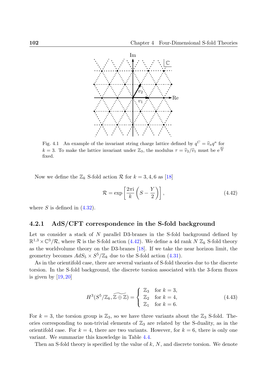

Fig. 4.1 An example of the invariant string charge lattice defined by  $q^C = \hat{v}_a q^a$  for *k* = 3. To make the lattice invariant under  $\mathbb{Z}_3$ , the modulus  $\tau = \hat{v}_2/\hat{v}_1$  must be  $e^{\frac{\pi i}{3}}$ fixed.

Now we define the  $\mathbb{Z}_k$  S-fold action  $\mathcal R$  for  $k = 3, 4, 6$  as [18]

<span id="page-101-0"></span>
$$
\mathcal{R} = \exp\left[\frac{2\pi i}{k} \left(S - \frac{Y}{2}\right)\right],\tag{4.42}
$$

where  $S$  is defined in  $(4.32)$ .

## **4.2.1 AdS/CFT correspondence in the S-fold background**

<span id="page-101-1"></span>Let us consider a sta[ck](#page-99-0) [of](#page-99-0) *N* parallel D3-branes in the S-fold background defined by  $\mathbb{R}^{1,3} \times \mathbb{C}^3/\mathcal{R}$ , where  $\mathcal R$  is the S-fold action (4.42). We define a 4d rank  $N \mathbb{Z}_k$  S-fold theory as the worldvolume theory on the D3-branes [18]. If we take the near horizon limit, the geometry becomes  $AdS_5 \times S^5/\mathbb{Z}_k$  due to the S-fold action (4.31).

As in the orientifold case, there are sever[al var](#page-101-0)iants of S-fold theories due to the discrete torsion. In the S-fold background, the discret[e to](#page-131-2)rsion associated with the 3-form fluxes is given by  $[19, 20]$ 

$$
H^{3}(S^{5}/\mathbb{Z}_{k}, \widetilde{\mathbb{Z} \oplus \mathbb{Z}}) = \begin{cases} \mathbb{Z}_{3} & \text{for } k = 3, \\ \mathbb{Z}_{2} & \text{for } k = 4, \\ \mathbb{Z}_{1} & \text{for } k = 6. \end{cases}
$$
(4.43)

For  $k = 3$ , the torsion group is  $\mathbb{Z}_3$ , so we have three variants about the  $\mathbb{Z}_3$  S-fold. Theories corresponding to non-trivial elements of  $\mathbb{Z}_3$  are related by the S-duality, as in the orientifold case. For  $k = 4$ , there are two variants. However, for  $k = 6$ , there is only one variant. We summarize this knowledge in Table 4.4.

Then an S-fold theory is specified by the value of *k*, *N*, and discrete torsion. We denote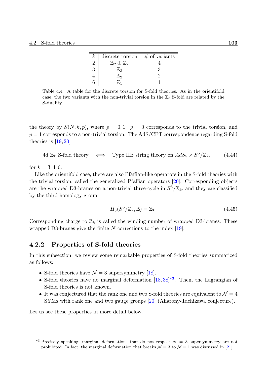| $\kappa$ | discrete torsion                 | $\#$ of variants |
|----------|----------------------------------|------------------|
|          | $\mathbb{Z}_2\oplus\mathbb{Z}_2$ |                  |
| 3        | $\mathbb{Z}_3$                   |                  |
|          | $\mathbb{Z}_2$                   |                  |
|          |                                  |                  |

Table 4.4 A table for the discrete torsion for S-fold theories. As in the orientifold case, the two variants with the non-trivial torsion in the  $\mathbb{Z}_3$  S-fold are related by the S-duality.

the theory by  $S(N, k, p)$ , where  $p = 0, 1$ .  $p = 0$  corresponds to the trivial torsion, and  $p = 1$  corresponds to a non-trivial torsion. The AdS/CFT correspondence regarding S-fold theories is [19, 20]

 $4d \mathbb{Z}_k$  S-fold theory  $\iff$  Type IIB string theory on  $AdS_5 \times S^5$ */*Z*k.* (4.44)

for  $k = 3, 4, 6$ .

Like the orientifold case, there are also Pfaffian-like operators in the S-fold theories with the trivial torsion, called the generalized Pfaffian operators [20]. Corresponding objects are the wrapped D3-branes on a non-trivial three-cycle in  $S^5/\mathbb{Z}_k$ , and they are classified by the third homology group

$$
H_3(S^5/\mathbb{Z}_k, \mathbb{Z}) = \mathbb{Z}_k. \tag{4.45}
$$

Corresponding charge to  $\mathbb{Z}_k$  is called the winding number of wrapped D3-branes. These wrapped D3-branes give the finite *N* corrections to the index [19].

## **4.2.2 Properties of S-fold theories**

In this subsection, we review some remarkable properties of [S-fo](#page-131-5)ld theories summarized as follows:

- S-fold theories have  $\mathcal{N}=3$  supersymmetry [18].
- S-fold theories have no marginal deformation  $[18, 38]^{*3}$ . Then, the Lagrangian of S-fold theories is not known.
- It was conjectured that the rank one and two [S-f](#page-131-2)old theories are equivalent to  $\mathcal{N}=4$ SYMs with rank one and two gauge groups [20[\] \(A](#page-131-2)[ha](#page-133-2)[ron](#page-102-0)y-Tachikawa conjecture).

Let us see these properties in more detail below.

<span id="page-102-0"></span><sup>&</sup>lt;sup>\*3</sup> Precisely speaking, marginal deformations that do not respect  $\mathcal{N} = 3$  supersymmetry are not prohibited. In fact, the marginal deformation that breaks  $\mathcal{N} = 3$  to  $\mathcal{N} = 1$  was discussed in [21].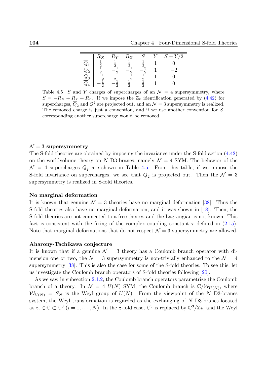|                            | $R_X$ | $R_Y$ | $R_Z$ |  | $Y\overline{}/2$<br>$S =$ |
|----------------------------|-------|-------|-------|--|---------------------------|
|                            |       |       |       |  |                           |
| $\frac{Q}{\overline{Q}_2}$ |       |       |       |  |                           |
| $\frac{Q_3}{Q}$            |       |       |       |  |                           |
|                            |       |       |       |  |                           |

Table 4.5 *S* and *Y* charges of supercharges of an  $\mathcal{N} = 4$  supersymmetry, where  $S = -R_X + R_Y + R_Z$ . If we impose the  $\mathbb{Z}_k$  identification generated by (4.42) for supercharges,  $\overline{Q}_2$  and  $Q^2$  are projected out, and an  $\mathcal{N}=3$  supersymmetry is realized. The removed charge is just a convention, and if we use another convention for *S*, corresponding another supercharge would be removed.

## $\mathcal{N}=3$  supersymmetry

The S-fold theories are obtained by imposing the invariance under the S-fold action (4.42) on the worldvolume theory on *N* D3-branes, namely  $\mathcal{N} = 4$  SYM. The behavior of the  $\mathcal{N} = 4$  supercharges  $\overline{Q}_I$  are shown in Table 4.5. From this table, if we impose the S-fold invariance on supercharges, we see that  $\overline{Q}_2$  is projected out. Then the  $\mathcal{N} = 3$  $\mathcal{N} = 3$ supersymmetry is realized in S-fold theories.

## **No marginal deformation**

It is known that genuine  $\mathcal{N} = 3$  theories have no marginal deformation [38]. Thus the S-fold theories also have no marginal deformation, and it was shown in [18]. Then, the S-fold theories are not connected to a free theory, and the Lagrangian is not known. This fact is consistent with the fixing of the complex coupling constant  $\tau$  de[fine](#page-133-2)d in (2.15). Note that marginal deformations that do not respect  $\mathcal{N}=3$  supersymme[try](#page-131-2) are allowed.

## **Aharony-Tachikawa conjecture**

It is known that if a genuine  $\mathcal{N} = 3$  theory has a Coulomb branch operator with dimension one or two, the  $\mathcal{N} = 3$  supersymmetry is non-trivially enhanced to the  $\mathcal{N} = 4$ supersymmetry [38]. This is also the case for some of the S-fold theories. To see this, let us investigate the Coulomb branch operators of S-fold theories following [20].

As we saw in subsection 2.1.2, the Coulomb branch operators parametrize the Coulomb branch of a the[ory.](#page-133-2) In  $\mathcal{N} = 4$   $U(N)$  SYM, the Coulomb branch is  $\mathbb{C}/\mathcal{W}_{U(N)}$ , where  $W_{U(N)} = S_N$  is th[e](#page-131-3) Weyl group of  $U(N)$ . From the viewpoint of the *N* D3-branes system, the Weyl transfor[matio](#page-41-0)n is regarded as the exchanging of *N* D3-branes located at  $z_i \in \mathbb{C} \subset \mathbb{C}^3$   $(i = 1, \dots, N)$ . In the S-fold case,  $\mathbb{C}^3$  is replaced by  $\mathbb{C}^3/\mathbb{Z}_k$ , and the Weyl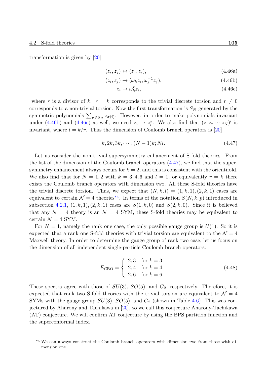transformation is given by [20]

$$
(z_i, z_j) \leftrightarrow (z_j, z_i), \tag{4.46a}
$$

$$
(z_i, z_j) \to (\omega_k z_i, \omega_k^{-1} z_j), \tag{4.46b}
$$

$$
z_i \to \omega_k^r z_i,\tag{4.46c}
$$

where *r* is a divisor of *k*.  $r = k$  corresponds to the trivial discrete torsion and  $r \neq 0$ corresponds to a non-trivial torsion. Now the first transformation is  $S_N$  generated by the symmetric polynomials  $\sum_{\sigma \in S_N} z_{\sigma(i)}$ . However, in order to make polynomials invariant under (4.46b) and (4.46c) as well, we need  $z_i \to z_i^k$ . We also find that  $(z_1 z_2 \cdots z_N)^l$  is invariant, where  $l = k/r$ . Thus the dimension of Coulomb branch operators is [20]

<span id="page-104-0"></span>
$$
k, 2k, 3k, \cdots, (N-1)k; Nl. \tag{4.47}
$$

Let us consider the non-trivial supersymmetry enhancement of S-fold theor[ies.](#page-131-3) From the list of the dimension of the Coulomb branch operators  $(4.47)$ , we find that the supersymmetry enhancement always occurs for  $k = 2$ , and this is consistent with the orientifold. We also find that for  $N = 1, 2$  with  $k = 3, 4, 6$  and  $l = 1$ , or equivalently  $r = k$  there exists the Coulomb branch operators with dimension two. [All t](#page-104-0)hese S-fold theories have the trivial discrete torsion. Thus, we expect that  $(N, k, l) = (1, k, 1), (2, k, 1)$  cases are equivalent to certain  $\mathcal{N} = 4$  theories<sup>\*4</sup>. In terms of the notation  $S(N, k, p)$  introduced in subsection 4.2.1,  $(1, k, 1), (2, k, 1)$  cases are  $S(1, k, 0)$  and  $S(2, k, 0)$ . Since it is believed that any  $\mathcal{N} = 4$  theory is an  $\mathcal{N} = 4$  SYM, these S-fold theories may be equivalent to certain  $\mathcal{N}=4$  SYM.

For  $N = 1$ , namely the rank one case, the only possible gauge group is  $U(1)$ . So it is expected that a rank one S-fold theories with trivial torsion are equivalent to the  $\mathcal{N}=4$ Maxwell theory. In order to determine the gauge group of rank two case, let us focus on the dimension of all independent single-particle Coulomb branch operators:

$$
E_{\text{CBO}} = \begin{cases} 2,3 & \text{for } k = 3, \\ 2,4 & \text{for } k = 4, \\ 2,6 & \text{for } k = 6. \end{cases} \tag{4.48}
$$

These spectra agree with those of *SU*(3), *SO*(5), and *G*2, respectively. Therefore, it is expected that rank two S-fold theories with the trivial torsion are equivalent to  $\mathcal{N}=4$ SYMs with the gauge group  $SU(3)$ ,  $SO(5)$ , and  $G_2$  (shown in Table 4.6). This was conjectured by Aharony and Tachikawa in [20], so we call this conjecture Aharony-Tachikawa (AT) conjecture. We will confirm AT conjecture by using the BPS partition function and the superconformal index.

<sup>\*4</sup> We can always construct the Coulomb branch operators with dimension two from those with dimension one.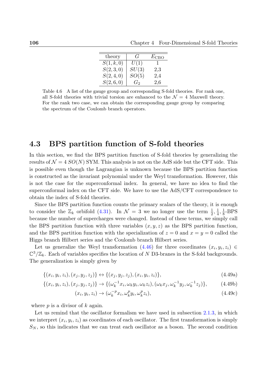| theory     | $\mathcal{L}_{\mathcal{I}}$ | $E_{\text{CBO}}$ |
|------------|-----------------------------|------------------|
| S(1, k, 0) | U(1)                        |                  |
| S(2,3,0)   | SU(3)                       | 2,3              |
| S(2,4,0)   | SO(5)                       | 2,4              |
| S(2,6,0)   | $G_2$                       | 2,6              |

Table 4.6 A list of the gauge group and corresponding S-fold theories. For rank one, all S-fold theories with trivial torsion are enhanced to the  $\mathcal{N}=4$  Maxwell theory. For the rank two case, we can obtain the corresponding gauge group by comparing the spectrum of the Coulomb branch operators.

# **4.3 BPS partition function of S-fold theories**

In this section, we find the BPS partition function of S-fold theories by generalizing the results of  $\mathcal{N} = 4$  *SO(N)* SYM. This analysis is not on the AdS side but the CFT side. This is possible even though the Lagrangian is unknown because the BPS partition function is constructed as the invariant polynomial under the Weyl transformation. However, this is not the case for the superconformal index. In general, we have no idea to find the superconformal index on the CFT side. We have to use the AdS/CFT correspondence to obtain the index of S-fold theories.

Since the BPS partition function counts the primary scalars of the theory, it is enough to consider the  $\mathbb{Z}_k$  orbifold (4.31). In  $\mathcal{N} = 3$  we no longer use the term  $\frac{1}{2}, \frac{1}{4}$  $\frac{1}{4}$ ,  $\frac{1}{8}$  $\frac{1}{8}$ -BPS because the number of supercharges were changed. Instead of these terms, we simply call the BPS partition function with three variables  $(x, y, z)$  as the BPS partition function, and the BPS partition functi[on wi](#page-99-1)th the specialization of  $z = 0$  and  $x = y = 0$  called the Higgs branch Hilbert series and the Coulomb branch Hilbert series.

Let us generalize the Weyl transformation  $(4.46)$  for three coordinates  $(x_i, y_i, z_i) \in$  $\mathbb{C}^3/\mathbb{Z}_k$ . Each of variables specifies the location of *N* D3-branes in the S-fold backgrounds. The generalization is simply given by

$$
\{(x_i, y_i, z_i), (x_j, y_j, z_j)\} \leftrightarrow \{(x_j, y_j, z_j), (x_i, y_i, z_i)\},\tag{4.49a}
$$

$$
\{(x_i, y_i, z_i), (x_j, y_j, z_j)\} \to \{(\omega_k^{-1}x_i, \omega_k y_i, \omega_k z_i), (\omega_k x_j, \omega_k^{-1}y_j, \omega_k^{-1}z_j)\},\tag{4.49b}
$$

<span id="page-105-0"></span>
$$
(x_i, y_i, z_i) \rightarrow (\omega_k^{-p} x_i, \omega_k^p y_i, \omega_k^p z_i), \qquad (4.49c)
$$

where *p* is a divisor of *k* again.

Let us remind that the oscillator formalism we have used in subsection 2.1.3, in which we interpret  $(x_i, y_i, z_i)$  as coordinates of each oscillator. The first transformation is simply  $S_N$ , so this indicates that we can treat each oscillator as a boson. The second condition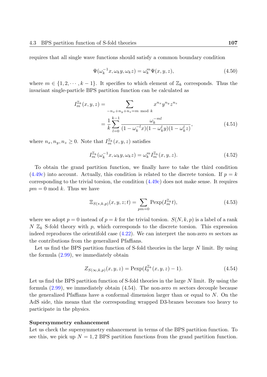requires that all single wave functions should satisfy a common boundary condition

$$
\Psi(\omega_k^{-1}x, \omega_k y, \omega_k z) = \omega_k^m \Psi(x, y, z), \qquad (4.50)
$$

where  $m \in \{1, 2, \dots, k-1\}$ . It specifies to which element of  $\mathbb{Z}_k$  corresponds. Thus the invariant single-particle BPS partition function can be calculated as

$$
I_m^{\mathbb{Z}_k}(x, y, z) = \sum_{\substack{-n_x + n_y + n_z = m \bmod k}} x^{n_x} y^{n_y} z^{n_z}
$$
  
= 
$$
\frac{1}{k} \sum_{l=0}^{k-1} \frac{\omega_k^{-ml}}{(1 - \omega_k^{-l} x)(1 - \omega_k^{l} y)(1 - \omega_k^{l} z)},
$$
(4.51)

where  $n_x, n_y, n_z \geq 0$ . Note that  $I_m^{\mathbb{Z}_k}(x, y, z)$  satisfies

$$
I_m^{\mathbb{Z}_k}(\omega_k^{-1}x, \omega_k y, \omega_k z) = \omega_k^m I_m^{\mathbb{Z}_k}(x, y, z).
$$
\n(4.52)

To obtain the grand partition function, we finally have to take the third condition  $(4.49c)$  into account. Actually, this condition is related to the discrete torsion. If  $p = k$ corresponding to the trivial torsion, the condition (4.49c) does not make sense. It requires  $pm = 0$  mod k. Thus we have

$$
\Xi_{S(*,k,p)}(x,y,z;t) = \sum_{pm=0} \text{Pexp}(I_m^{\mathbb{Z}_k}t),\tag{4.53}
$$

where we adopt  $p = 0$  instead of  $p = k$  for the trivial torsion.  $S(N, k, p)$  is a label of a rank  $N \mathbb{Z}_k$  S-fold theory with p, which corresponds to the discrete torsion. This expression indeed reproduces the orientifold case (4.22). We can interpret the non-zero *m* sectors as the contributions from the generalized Pfaffians.

Let us find the BPS partition function of S-fold theories in the large *N* limit. By using the formula (2.99), we immediately ob[tain](#page-95-2)

$$
Z_{S(\infty,k,p)}(x,y,z) = \text{Pexp}(I_0^{\mathbb{Z}_k}(x,y,z) - 1).
$$
\n(4.54)

Let us find t[he BP](#page-66-0)S partition function of S-fold theories in the large *N* limit. By using the formula (2.99), we immediately obtain (4.54). The non-zero *m* sectors decouple because the generalized Pfaffians have a conformal dimension larger than or equal to *N*. On the AdS side, this means that the corresponding wrapped D3-branes becomes too heavy to participa[te in](#page-66-0) the physics.

## **Supersymmetry enhancement**

Let us check the supersymmetry enhancement in terms of the BPS partition function. To see this, we pick up  $N = 1,2$  BPS partition functions from the grand partition function.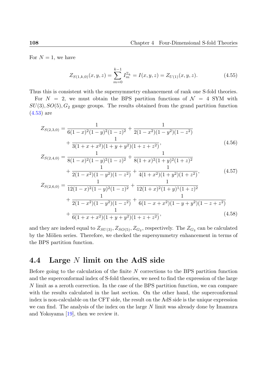For  $N=1$ , we have

$$
Z_{S(1,k,0)}(x,y,z) = \sum_{m=0}^{k-1} I_m^{\mathbb{Z}_k} = I(x,y,z) = Z_{U(1)}(x,y,z). \tag{4.55}
$$

Thus this is consistent with the supersymmetry enhancement of rank one S-fold theories.

For  $N = 2$ , we must obtain the BPS partition functions of  $\mathcal{N} = 4$  SYM with  $SU(3)$ ,  $SO(5)$ ,  $G_2$  gauge groups. The results obtained from the grand partition function (4.53) are

$$
Z_{S(2,3,0)} = \frac{1}{6(1-x)^2(1-y)^2(1-z)^2} + \frac{1}{2(1-x^2)(1-y^2)(1-z^2)} + \frac{1}{3(1+x+x^2)(1+y+y^2)(1+z+z^2)},
$$
\n(4.56)

$$
Z_{S(2,4,0)} = \frac{1}{8(1-x)^2(1-y)^2(1-z)^2} + \frac{1}{8(1+x)^2(1+y)^2(1+z)^2} + \frac{1}{2(1-x^2)(1-y^2)(1-z^2)} + \frac{1}{4(1+x^2)(1+y^2)(1+z^2)},
$$
(4.57)

$$
Z_{S(2,6,0)} = \frac{1}{12(1-x)^2(1-y)^2(1-z)^2} + \frac{1}{12(1+x)^2(1+y)^1(1+z)^2} + \frac{1}{2(1-x^2)(1-y^2)(1-z^2)} + \frac{1}{6(1-x+x^2)(1-y+y^2)(1-z+z^2)} + \frac{1}{6(1+x+x^2)(1+y+y^2)(1+z+z^2)},
$$
(4.58)

and they are indeed equal to  $Z_{SU(3)}, Z_{SO(5)}, Z_{G_2}$ , respectively. The  $Z_{G_2}$  can be calculated by the Mölien series. Therefore, we checked the supersymmetry enhancement in terms of the BPS partition function.

# **4.4 Large** *N* **limit on the AdS side**

Before going to the calculation of the finite *N* corrections to the BPS partition function and the superconformal index of S-fold theories, we need to find the expression of the large *N* limit as a zeroth correction. In the case of the BPS partition function, we can compare with the results calculated in the last section. On the other hand, the superconformal index is non-calculable on the CFT side, the result on the AdS side is the unique expression we can find. The analysis of the index on the large *N* limit was already done by Imamura and Yokoyama [19], then we review it.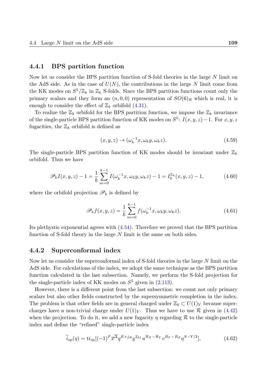#### **4.4.1 BPS partition function**

Now let us consider the BPS partition function of S-fold theories in the large *N* limit on the AdS side. As in the case of  $U(N)$ , the contributions in the large N limit come from the KK modes on  $S^5/\mathbb{Z}_k$  in  $\mathbb{Z}_k$  S-folds. Since the BPS partition functions count only the primary scalars and they form an  $(n, 0, 0)$  representation of  $SO(6)_R$  which is real, it is enough to consider the effect of  $\mathbb{Z}_k$  orbifold (4.31).

To realize the  $\mathbb{Z}_k$  orbifold for the BPS partition function, we impose the  $\mathbb{Z}_k$  invariance of the single-particle BPS partition function of KK modes on  $S^5$ :  $I(x, y, z) - 1$ . For  $x, y, z$ fugacities, the  $\mathbb{Z}_k$  orbifold is defined as

$$
(x, y, z) \rightarrow (\omega_k^{-1} x, \omega_k y, \omega_k z). \tag{4.59}
$$

The single-particle BPS partition function of KK modes should be invariant under  $\mathbb{Z}_k$ orbifold. Thus we have

$$
\mathscr{P}_k I(x, y, z) - 1 = \frac{1}{k} \sum_{m=0}^{k-1} I(\omega_k^{-1} x, \omega_k y, \omega_k z) - 1 = I_0^{\mathbb{Z}_k}(x, y, z) - 1,
$$
\n(4.60)

where the orbifold projection  $\mathscr{P}_k$  is defined by

<span id="page-108-0"></span>
$$
\mathscr{P}_k f(x, y, z) = \frac{1}{k} \sum_{m=0}^{k-1} f(\omega_k^{-1} x, \omega_k y, \omega_k z).
$$
 (4.61)

Its plethystic exponential agrees with (4.54). Therefore we proved that the BPS partition function of S-fold theory in the large *N* limit is the same on both sides.

#### **4.4.2 Superconformal inde[x](#page-106-0)**

Now let us consider the superconformal index of S-fold theories in the large *N* limit on the AdS side. For calculations of the index, we adopt the same technique as the BPS partition function calculated in the last subsection. Namely, we perform the S-fold projection for the single-particle index of KK modes on  $S<sup>5</sup>$  given in  $(2.113)$ .

However, there is a different point from the last subsection: we count not only primary scalars but also other fields constructed by the supersymmetric completion in the index. The problem is that other fields are in general charged [under](#page-70-0)  $\mathbb{Z}_k \subset U(1)_Y$  because supercharges have a non-trivial charge under  $U(1)_Y$ . Thus we have to use  $\mathcal R$  given in (4.42) when the projection. To do it, we add a new fugacity *η* regarding *R* to the single-particle index and define the "refined" single-particle index

$$
\widetilde{i}_{sp}(\eta) = \text{tr}_{sp}[(-1)^{F} \overline{x}^{\overline{\Delta}} q^{E+j_{R}} y^{2j_{L}} u^{R_{X} - R_{Y}} v^{R_{Y} - R_{Z}} \eta^{S - Y/2}], \qquad (4.62)
$$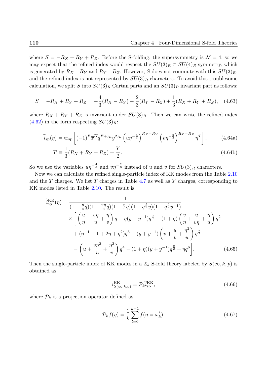where  $S = -R_X + R_Y + R_Z$ . Before the S-folding, the supersymmetry is  $\mathcal{N} = 4$ , so we may expect that the refined index would respect the  $SU(3)_R \subset SU(4)_R$  symmetry, which is generated by  $R_X - R_Y$  and  $R_Y - R_Z$ . However, *S* does not commute with this  $SU(3)_R$ , and the refined index is not represented by  $SU(3)_R$  characters. To avoid this troublesome calculation, we split *S* into  $SU(3)_R$  Cartan parts and an  $SU(3)_R$  invariant part as follows:

$$
S = -R_X + R_Y + R_Z = -\frac{4}{3}(R_X - R_Y) - \frac{2}{3}(R_Y - R_Z) + \frac{1}{3}(R_X + R_Y + R_Z), \quad (4.63)
$$

where  $R_X + R_Y + R_Z$  is invariant under  $SU(3)_R$ . Then we can write the refined index  $(4.62)$  in the form respecting  $SU(3)_R$ :

$$
\widetilde{i}_{\rm sp}(\eta) = \text{tr}_{\rm sp} \left[ (-1)^F \overline{x}^{\overline{\Delta}} q^{E+j_R} y^{2j_L} \left( u \eta^{-\frac{4}{3}} \right)^{R_X - R_Y} \left( v \eta^{-\frac{2}{3}} \right)^{R_Y - R_Z} \eta^T \right],\tag{4.64a}
$$

$$
T = \frac{1}{3}(R_X + R_Y + R_Z) + \frac{Y}{2}.
$$
\n(4.64b)

So we use the variables  $u\eta^{-\frac{4}{3}}$  and  $v\eta^{-\frac{2}{3}}$  instead of *u* and *v* for  $SU(3)_R$  characters.

Now we can calculate the refined single-particle index of KK modes from the Table 2.10 and the *T* charges. We list *T* charges in Table 4.7 as well as *Y* charges, corresponding to KK modes listed in Table 2.10. The result is

$$
\widetilde{i}_{sp}^{\text{KK}}(\eta) = \frac{1}{(1 - \frac{\eta}{u}q)(1 - \frac{v\eta}{u}q)(1 - \frac{\eta}{v}q)(1 - q^{\frac{3}{2}}y)(1 - q^{\frac{3}{2}}y^{-1})} \times \left[ \left(\frac{u}{\eta} + \frac{v\eta}{u} + \frac{\eta}{v}\right)q - \eta(y + y^{-1})q^{\frac{3}{2}} - (1 + \eta)\left(\frac{v}{\eta} + \frac{u}{v\eta} + \frac{\eta}{u}\right)q^2 + (\eta^{-1} + 1 + 2\eta + \eta^2)q^3 + (y + y^{-1})\left(v + \frac{u}{v} + \frac{\eta^2}{u}\right)q^{\frac{7}{2}} - \left(u + \frac{v\eta^2}{u} + \frac{\eta^2}{v}\right)q^4 - (1 + \eta)(y + y^{-1})q^{\frac{9}{2}} + \eta q^6 \right].
$$
\n(4.65)

Then the single-particle index of KK modes in a  $\mathbb{Z}_k$  S-fold theory labeled by  $S(\infty, k, p)$  is obtained as

$$
i_{S(\infty,k,p)}^{\text{KK}} = \mathcal{P}_k \tilde{i}_{\text{sp}}^{\text{KK}},\tag{4.66}
$$

where  $P_k$  is a projection operator defined as

$$
\mathcal{P}_k f(\eta) = \frac{1}{k} \sum_{l=0}^{k-1} f(\eta = \omega_k^l).
$$
 (4.67)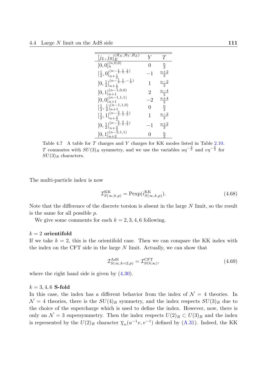| $[j_L,j_R]^{(\overline{R_X},R_Y,R_Z)}_E$                                                                  | V    | Ί'              |
|-----------------------------------------------------------------------------------------------------------|------|-----------------|
| $[0,0]_n^{(n,\overline{0,0})}$                                                                            |      | $\frac{n}{3}$   |
| $[\frac{1}{2},0]_{n+\frac{1}{2}}^{(n-\frac{1}{2},\frac{1}{2},\frac{1}{2})}$                               |      | $\frac{n+2}{3}$ |
| $[0,\frac{1}{2}]_{n+\frac{1}{2}}^{(n-\frac{1}{2},\frac{1}{2},-\frac{1}{2})}$                              | L    | $\frac{n-2}{3}$ |
| $[0,1]_{n+1}^{(n-1,0,0)}$                                                                                 | 2    | $\frac{n-4}{3}$ |
| $[0,0]_{n+1}^{(n-1,1,1)}$                                                                                 | - ') | $\frac{n+4}{3}$ |
| $\left[\frac{1}{2},\frac{1}{2}\right]_{n+1}^{(n-1,1,0)}$                                                  | 0    | $rac{n}{3}$     |
| $-\frac{3}{2},\frac{1}{2},\frac{1}{2})$<br>$\left[\frac{1}{2},1\right]_{n+\frac{3}{2}}^{(n-\frac{1}{2})}$ |      | $\frac{n-2}{3}$ |
| $[0,\frac{1}{2}]_{n+\frac{3}{2}}^{(n-\frac{2}{2},\frac{3}{2},\frac{1}{2})}$                               |      | $\frac{n+2}{3}$ |
| $[0,1]^{(n-\tilde{2},1,1)}_{n+2}$                                                                         |      |                 |

<span id="page-110-0"></span>Table 4.7 A table for *T* charges and *Y* charges for KK modes listed in Table 2.10. *T* commutes with  $SU(3)_R$  symmetry, and we use the variables  $u\eta^{-\frac{4}{3}}$  and  $v\eta^{-\frac{2}{3}}$  for *SU*(3)*<sup>R</sup>* characters.

The multi-particle index is now

$$
\mathcal{I}_{S(\infty,k,p)}^{\text{KK}} = \text{Pexp}(i_{S(\infty,k,p)}^{\text{KK}}). \tag{4.68}
$$

Note that the difference of the discrete torsion is absent in the large *N* limit, so the result is the same for all possible *p*.

We give some comments for each  $k = 2, 3, 4, 6$  following.

#### *k* = 2 **orientifold**

If we take  $k = 2$ , this is the orientifold case. Then we can compare the KK index with the index on the CFT side in the large *N* limit. Actually, we can show that

$$
\mathcal{I}_{S(\infty,k=2,p)}^{\text{AdS}} = \mathcal{I}_{SO(\infty)}^{\text{CFT}},\tag{4.69}
$$

where the right hand side is given by  $(4.30)$ .

#### $k = 3, 4, 6$  **S-fold**

In this case, the index has a differen[t beh](#page-98-0)avior from the index of  $\mathcal{N}=4$  theories. In  $\mathcal{N} = 4$  theories, there is the  $SU(4)_R$  symmetry, and the index respects  $SU(3)_R$  due to the choice of the supercharge which is used to define the index. However, now, there is only an  $\mathcal{N} = 3$  supersymmetry. Then the index respects  $U(2)_R \subset U(3)_R$  and the index is represented by the  $U(2)_R$  character  $\overline{\chi}_n(u^{-1}v, v^{-1})$  defined by  $(A.31)$ . Indeed, the KK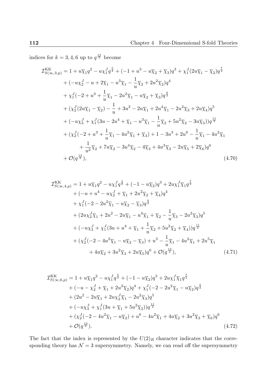indices for  $k = 3, 4, 6$  up to  $q^{\frac{13}{2}}$  become

$$
\mathcal{I}_{S(\infty,3,p)}^{KK} = 1 + u\overline{\chi}_{1}q^{2} - u\chi_{1}^{J}q^{\frac{5}{2}} + (-1 + u^{3} - u\overline{\chi}_{2} + \overline{\chi}_{3})q^{3} + \chi_{1}^{J}(2u\overline{\chi}_{1} - \overline{\chi}_{2})q^{\frac{7}{2}}
$$
  
+ 
$$
(-u\chi_{2}^{J} - u + 2\overline{\chi}_{1} - u^{3}\overline{\chi}_{1} - \frac{1}{u}\overline{\chi}_{2} + 2u^{2}\overline{\chi}_{2})q^{4}
$$
  
+ 
$$
\chi_{1}^{J}(-2 + u^{3} + \frac{1}{u}\overline{\chi}_{1} - 2u^{2}\overline{\chi}_{1} - u\overline{\chi}_{2} + \overline{\chi}_{3})q^{\frac{9}{2}}
$$
  
+ 
$$
(\chi_{2}^{J}(2u\overline{\chi}_{1} - \overline{\chi}_{2}) - \frac{1}{u} + 3u^{2} - 2u\overline{\chi}_{1} + 2u^{4}\overline{\chi}_{1} - 2u^{2}\overline{\chi}_{3} + 2u\overline{\chi}_{4})q^{5}
$$
  
+ 
$$
(-u\chi_{3}^{J} + \chi_{1}^{J}(3u - 2u^{4} + \overline{\chi}_{1} - u^{3}\overline{\chi}_{1} - \frac{1}{u}\overline{\chi}_{2} + 5u^{2}\overline{\chi}_{2} - 3u\overline{\chi}_{3}))q^{\frac{11}{2}}
$$
  
+ 
$$
(\chi_{2}^{J}(-2 + u^{3} + \frac{1}{u}\overline{\chi}_{1} - 4u^{2}\overline{\chi}_{1} + \overline{\chi}_{3}) + 1 - 3u^{3} + 2u^{6} - \frac{1}{u}\overline{\chi}_{1} - 4u^{2}\overline{\chi}_{1} + \frac{1}{u^{2}}\overline{\chi}_{2} + 7u\overline{\chi}_{2} - 3u^{4}\overline{\chi}_{2} - 4\overline{\chi}_{3} + 4u^{3}\overline{\chi}_{3} - 2u\overline{\chi}_{5} + 2\overline{\chi}_{6})q^{6}
$$
  
+ 
$$
\mathcal{O}(q^{\frac{13}{2}}), \qquad (4.70)
$$

$$
\mathcal{I}_{S(\infty,4,p)}^{KK} = 1 + u\overline{\chi}_1 q^2 - u\chi_1^J q^{\frac{5}{2}} + (-1 - u\overline{\chi}_2)q^3 + 2u\chi_1^J \overline{\chi}_1 q^{\frac{7}{2}} \n+ (-u + u^4 - u\chi_2^J + \overline{\chi}_1 + 2u^2 \overline{\chi}_2 + \overline{\chi}_4)q^4 \n+ \chi_1^J (-2 - 2u^2 \overline{\chi}_1 - u\overline{\chi}_2 - \overline{\chi}_3)q^{\frac{9}{2}} \n+ (2u\chi_2^J \overline{\chi}_1 + 2u^2 - 2u\overline{\chi}_1 - u^4 \overline{\chi}_1 + \overline{\chi}_2 - \frac{1}{u} \overline{\chi}_3 - 2u^2 \overline{\chi}_3)q^5 \n+ (-u\chi_3^J + \chi_1^J (3u + u^4 + \overline{\chi}_1 + \frac{1}{u} \overline{\chi}_2 + 5u^2 \overline{\chi}_2 + \overline{\chi}_4))q^{\frac{11}{2}} \n+ (\chi_2^J (-2 - 4u^2 \overline{\chi}_1 - u\overline{\chi}_2 - \overline{\chi}_3) + u^3 - \frac{1}{u} \overline{\chi}_1 - 4u^2 \overline{\chi}_1 + 2u^5 \overline{\chi}_1 + 4u\overline{\chi}_2 + 3u^2 \overline{\chi}_3 + 2u\overline{\chi}_5)q^6 + \mathcal{O}(q^{\frac{13}{2}}),
$$
\n(4.71)

$$
\mathcal{I}_{S(\infty,6,p)}^{\text{KK}} = 1 + u\overline{\chi}_1 q^2 - u\chi_1^J q^{\frac{5}{2}} + (-1 - u\overline{\chi}_2)q^3 + 2u\chi_1^J \overline{\chi}_1 q^{\frac{7}{2}} \n+ (-u - \chi_2^J + \overline{\chi}_1 + 2u^2 \overline{\chi}_2)q^4 + \chi_1^J (-2 - 2u^2 \overline{\chi}_1 - u\overline{\chi}_2)q^{\frac{9}{2}} \n+ (2u^2 - 2u\overline{\chi}_1 + 2u\chi_2^J \overline{\chi}_1 - 2u^2 \overline{\chi}_3)q^5 \n+ (-u\chi_3^J + \chi_1^J (3u + \overline{\chi}_1 + 5u^2 \overline{\chi}_2))q^{\frac{11}{2}} \n+ (\chi_2^J (-2 - 4u^2 \overline{\chi}_1 - u\overline{\chi}_2) + u^6 - 4u^2 \overline{\chi}_1 + 4u\overline{\chi}_2 + 3u^2 \overline{\chi}_3 + \overline{\chi}_6)q^6 \n+ \mathcal{O}(q^{\frac{13}{2}}).
$$
\n(4.72)

The fact that the index is represented by the  $U(2)_R$  character indicates that the corresponding theory has  $\mathcal{N}=3$  supersymmetry. Namely, we can read off the supersymmetry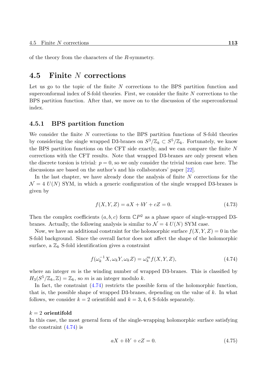of the theory from the characters of the *R*-symmetry.

### **4.5 Finite** *N* **corrections**

Let us go to the topic of the finite *N* corrections to the BPS partition function and superconformal index of S-fold theories. First, we consider the finite *N* corrections to the BPS partition function. After that, we move on to the discussion of the superconformal index.

#### **4.5.1 BPS partition function**

We consider the finite *N* corrections to the BPS partition functions of S-fold theories by considering the single wrapped D3-branes on  $S^3/\mathbb{Z}_k \subset S^5/\mathbb{Z}_k$ . Fortunately, we know the BPS partition functions on the CFT side exactly, and we can compare the finite *N* corrections with the CFT results. Note that wrapped D3-branes are only present when the discrete torsion is trivial:  $p = 0$ , so we only consider the trivial torsion case here. The discussions are based on the author's and his collaborators' paper [22].

In the last chapter, we have already done the analysis of finite *N* corrections for the  $\mathcal{N} = 4$   $U(N)$  SYM, in which a generic configuration of the single wrapped D3-branes is given by

$$
f(X, Y, Z) = aX + bY + cZ = 0.
$$
\n(4.73)

Then the complex coefficients  $(a, b, c)$  form  $\mathbb{C}P^2$  as a phase space of single-wrapped D3branes. Actually, the following analysis is similar to  $\mathcal{N} = 4$   $U(N)$  SYM case.

Now, we have an additional constraint for the holomorphic surface  $f(X, Y, Z) = 0$  in the S-fold background. Since the overall factor does not affect the shape of the holomorphic surface, a  $\mathbb{Z}_k$  S-fold identification gives a constraint

$$
f(\omega_k^{-1}X, \omega_k Y, \omega_k Z) = \omega_k^m f(X, Y, Z), \qquad (4.74)
$$

where an integer *m* is the winding number of wrapped D3-branes. This is classified by  $H_3(S^5/\mathbb{Z}_k, \mathbb{Z}) = \mathbb{Z}_k$ , so *m* is an integer modulo *k*.

In fact, the constraint (4.74) restricts the possible form of the holomorphic function, that is, the possible shape of wrapped D3-branes, depending on the value of *k*. In what follows, we consider  $k = 2$  orientifold and  $k = 3, 4, 6$  S-folds separately.

#### *k* = 2 **orientifold**

In this case, the most general form of the single-wrapping holomorphic surface satisfying the constraint  $(4.74)$  is

<span id="page-112-0"></span>
$$
aX + bY + cZ = 0.\t\t(4.75)
$$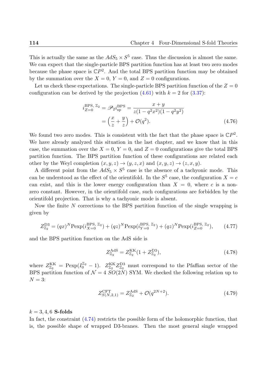This is actually the same as the  $AdS_5 \times S^5$  case. Thus the discussion is almost the same. We can expect that the single-particle BPS partition function has at least two zero modes because the phase space is  $\mathbb{C}P^2$ . And the total BPS partition function may be obtained by the summation over the  $X = 0$ ,  $Y = 0$ , and  $Z = 0$  configurations.

Let us check these expectations. The single-particle BPS partition function of the  $Z = 0$ configuration can be derived by the projection  $(4.61)$  with  $k = 2$  for  $(3.37)$ :

$$
i_{Z=0}^{\text{BPS, Z}_2} = \mathscr{P}_2 i_{\text{sp}}^{\text{BPS}} = \frac{x+y}{z(1-q^2x^2)(1-q^2y^2)}
$$

$$
= \left(\frac{x}{z} + \frac{y}{z}\right) + \mathcal{O}(q^2). \tag{4.76}
$$

We found two zero modes. This is consistent with the fact that the phase space is  $\mathbb{C}P^2$ . We have already analyzed this situation in the last chapter, and we know that in this case, the summation over the  $X = 0$ ,  $Y = 0$ , and  $Z = 0$  configurations give the total BPS partition function. The BPS partition function of these configurations are related each other by the Weyl completion  $(x, y, z) \rightarrow (y, z, x)$  and  $(x, y, z) \rightarrow (z, x, y)$ .

A different point from the  $AdS_5 \times S^5$  case is the absence of a tachyonic mode. This can be understood as the effect of the orientifold. In the  $S^5$  case, the configuration  $X = c$ can exist, and this is the lower energy configuration than  $X = 0$ , where c is a nonzero constant. However, in the orientifold case, such configurations are forbidden by the orientifold projection. That is why a tachyonic mode is absent.

Now the finite *N* corrections to the BPS partition function of the single wrapping is given by

$$
Z_{\mathbb{Z}_2}^{\text{D3}} = (qx)^N \text{Pexp}(i_{X=0}^{\text{BPS}, \mathbb{Z}_2}) + (qz)^N \text{Pexp}(i_{Y=0}^{\text{BPS}, \mathbb{Z}_2}) + (qz)^N \text{Pexp}(i_{Z=0}^{\text{BPS}, \mathbb{Z}_2}), \qquad (4.77)
$$

and the BPS partition function on the AdS side is

$$
Z_{\mathbb{Z}_2}^{\text{AdS}} = Z_{\mathbb{Z}_2}^{\text{KK}} (1 + Z_{\mathbb{Z}_2}^{\text{D3}}), \tag{4.78}
$$

where  $Z_{\mathbb{Z}_2}^{\text{KK}}$  $\frac{K}{Z_2}$  = Pexp( $I_0^{Z_2}$  – 1).  $Z_{Z_2}^{KK}$  $\frac{\partial^2 K}{\partial \mathbb{Z}_2} Z_{\mathbb{Z}_2}^{\text{D3}}$  $\frac{D3}{Z_2}$  must correspond to the Pfaffian sector of the BPS partition function of  $\mathcal{N} = 4$  *SO*(2*N*) SYM. We checked the following relation up to  $N = 3$ :

$$
Z_{S(N,2,1)}^{\text{CFT}} = Z_{\mathbb{Z}_2}^{\text{AdS}} + \mathcal{O}(q^{2N+2}).
$$
\n(4.79)

#### $k = 3, 4, 6$  **S-folds**

In fact, the constraint  $(4.74)$  restricts the possible form of the holomorphic function, that is, the possible shape of wrapped D3-branes. Then the most general single wrapped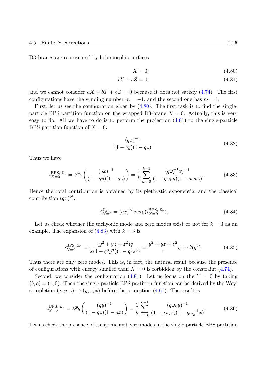D3-branes are represented by holomorphic surfaces

$$
X = 0,\t(4.80)
$$

$$
bY + cZ = 0,\t\t(4.81)
$$

and we cannot consider  $aX + bY + cZ = 0$  because it does not satisfy (4.74). The first configurations have the winding number  $m = -1$ , and the second one has  $m = 1$ .

First, let us see the configuration given by  $(4.80)$ . The first task is to find the singleparticle BPS partition function on the wrapped D3-brane  $X = 0$ . Actu[ally,](#page-112-0) this is very easy to do. All we have to do is to perform the projection  $(4.61)$  to the single-particle BPS partition function of  $X = 0$ :

<span id="page-114-0"></span>
$$
\frac{(qx)^{-1}}{(1-qy)(1-qz)}.\t(4.82)
$$

Thus we have

$$
i_{X=0}^{\text{BPS, Z}_k} = \mathscr{P}_k\left(\frac{(qx)^{-1}}{(1-qy)(1-qz)}\right) = \frac{1}{k} \sum_{m=0}^{k-1} \frac{(q\omega_k^{-1}x)^{-1}}{(1-q\omega_k y)(1-q\omega_k z)}.
$$
(4.83)

Hence the total contribution is obtained by its plethystic exponential and the classical contribution  $(qx)^N$ :

$$
Z_{X=0}^{\mathbb{Z}_k} = (qx)^N \text{Pexp}(i_{X=0}^{\text{BPS}, \mathbb{Z}_k}).
$$
\n(4.84)

Let us check whether the tachyonic mode and zero modes exist or not for *k* = 3 as an example. The expansion of  $(4.83)$  with  $k = 3$  is

$$
i_{X=0}^{\text{BPS, Z3}} = \frac{(y^2 + yz + z^2)q}{x(1 - q^3y^3)(1 - q^3z^3)} = \frac{y^2 + yz + z^2}{x}q + \mathcal{O}(q^2). \tag{4.85}
$$

Thus there are only zero modes. This is, in fact, the natural result because the presence of configurations with energy smaller than  $X = 0$  is forbidden by the constraint  $(4.74)$ .

Second, we consider the configuration  $(4.81)$ . Let us focus on the  $Y = 0$  by taking  $(b, c) = (1, 0)$ . Then the single-particle BPS partition function can be derived by the Weyl completion  $(x, y, z) \rightarrow (y, z, x)$  before the projection  $(4.61)$ . The result is

$$
i_{Y=0}^{\text{BPS, Z}_k} = \mathscr{P}_k\left(\frac{(qy)^{-1}}{(1-qz)(1-qx)}\right) = \frac{1}{k} \sum_{m=0}^{k-1} \frac{(q\omega_k y)^{-1}}{(1-q\omega_k z)(1-q\omega_k^{-1}x)}.
$$
(4.86)

Let us check the presence of tachyonic and zero modes in the single-particle BPS partition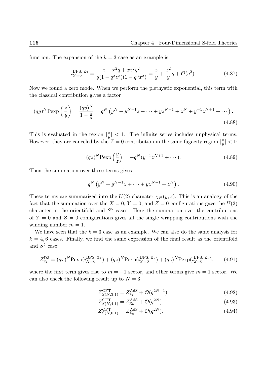function. The expansion of the  $k = 3$  case as an example is

$$
i_{Y=0}^{\text{BPS, Z}_3} = \frac{z + x^2 q + x z^2 q^2}{y(1 - q^3 z^3)(1 - q^3 x^3)} = \frac{z}{y} + \frac{x^2}{y} q + \mathcal{O}(q^2). \tag{4.87}
$$

Now we found a zero mode. When we perform the plethystic exponential, this term with the classical contribution gives a factor

$$
(qy)^N \text{Pexp}\left(\frac{z}{y}\right) = \frac{(qy)^N}{1 - \frac{z}{y}} = q^N \left(y^N + y^{N-1}z + \dots + yz^{N-1} + z^N + y^{-1}z^{N+1} + \dots\right).
$$
\n(4.88)

This is evaluated in the region  $\frac{z}{n}$  $\frac{z}{y}$  | < 1. The infinite series includes unphysical terms. However, they are canceled by the  $Z = 0$  contribution in the same fugacity region  $\frac{z}{n}$  $\frac{z}{y}$ |  $< 1$ :

$$
(qz)^N \text{Pexp}\left(\frac{y}{z}\right) = -q^N (y^{-1} z^{N+1} + \dots).
$$
 (4.89)

Then the summation over these terms gives

$$
q^N \left( y^N + y^{N-1} z + \dots + y z^{N-1} + z^N \right). \tag{4.90}
$$

These terms are summarized into the  $U(2)$  character  $\chi_N(y, z)$ . This is an analogy of the fact that the summation over the  $X = 0$ ,  $Y = 0$ , and  $Z = 0$  configurations gave the  $U(3)$ character in the orientifold and  $S<sup>5</sup>$  cases. Here the summation over the contributions of  $Y = 0$  and  $Z = 0$  configurations gives all the single wrapping contributions with the winding number  $m = 1$ .

We have seen that the  $k = 3$  case as an example. We can also do the same analysis for  $k = 4, 6$  cases. Finally, we find the same expression of the final result as the orientifold and  $S^5$  case:

$$
Z_{\mathbb{Z}_k}^{\text{D3}} = (qx)^N \text{Pexp}(i_{X=0}^{\text{BPS, }\mathbb{Z}_k}) + (qz)^N \text{Pexp}(i_{Y=0}^{\text{BPS, }\mathbb{Z}_k}) + (qz)^N \text{Pexp}(i_{Z=0}^{\text{BPS, }\mathbb{Z}_k}),\qquad(4.91)
$$

where the first term gives rise to  $m = -1$  sector, and other terms give  $m = 1$  sector. We can also check the following result up to  $N = 3$ .

$$
Z_{S(N,3,1)}^{\text{CFT}} = Z_{\mathbb{Z}_k}^{\text{AdS}} + \mathcal{O}(q^{2N+1}),\tag{4.92}
$$

$$
Z_{S(N,4,1)}^{\text{CFT}} = Z_{\mathbb{Z}_k}^{\text{AdS}} + \mathcal{O}(q^{2N}),\tag{4.93}
$$

$$
Z_{S(N,6,1)}^{\text{CFT}} = Z_{\mathbb{Z}_k}^{\text{AdS}} + \mathcal{O}(q^{2N}).
$$
\n(4.94)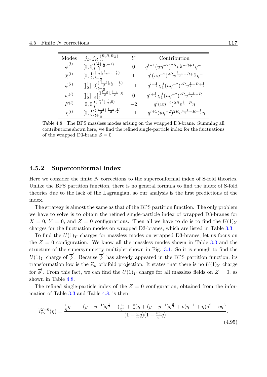| Modes                   | $[j_L,j_R]^{(R,\bar R,R_Z)}_E$                                                                                             | Y              | Contribution                                                               |
|-------------------------|----------------------------------------------------------------------------------------------------------------------------|----------------|----------------------------------------------------------------------------|
| $\overline{\phi}^{(l)}$ | $[0,0]_{l=1}^{(\lceil \frac{l}{2}\rceil,\frac{l}{2},-1)}$                                                                  | $\overline{0}$ | $q^{l-1}(u\eta^{-2})^{2R}v^{\frac{l}{2}-R+1}\eta^{-1}$                     |
| $\overline{\chi}^{(l)}$ | $[0, \frac{1}{2}]_{l-\frac{1}{2}}^{(\lfloor \frac{l}{2} \rfloor, \frac{l-1}{2}, -\frac{1}{2})}$                            |                | $-q^{l}(u\eta^{-2})^{2R}v^{\frac{l-1}{2}-R+\frac{1}{2}}\eta^{-1}$          |
| $\psi^{(l)}$            | $\left[\left[\frac{1}{2}\right],0\right]_{l-\frac{1}{2}}^{(\frac{7}{2}-1,\frac{1}{2},-\frac{1}{2})}$                       | $^{-1}$        | $-q^{l-\frac{1}{2}}\chi_1^J(u\eta^{-2})^{2R}v^{\frac{l}{2}-R+\frac{1}{2}}$ |
| $w^{(l)}$               | $\left[\left[\frac{1}{2}\right], \frac{1}{2}\right]$ $\left[\frac{\left[\frac{l-2}{2}\right], \frac{l-1}{2}, 0\right)}{l}$ | $\theta$       | $q^{l+\frac{1}{2}} \chi_1^J (u\eta^{-2})^{2R} v^{\frac{l-1}{2}-R}$         |
| $F^{(l)}$               | $[0,0]_l^{(\lceil \frac{l-2}{2}\rceil,\frac{l}{2},0)}$                                                                     | $-2$           | $q^{l}(u\eta^{-2})^{2R}v^{\frac{l}{2}-R}\eta$                              |
| $\chi^{(l)}$            | $[0,\frac{1}{2}]_{l+\frac{1}{2}}^{(\lceil \frac{l-2}{2}\rceil,\frac{l-1}{2},\frac{1}{2})}$                                 | $^{-1}$        | $-q^{l+1}(u\eta^{-2})^{2R}v^{\frac{l-1}{2}-R-\frac{1}{2}}\eta$             |

<span id="page-116-0"></span>Table 4.8 The BPS massless modes arising on the wrapped D3-brane. Summing all contributions shown here, we find the refined single-particle index for the fluctuations of the wrapped D3-brane  $Z = 0$ .

#### **4.5.2 Superconformal index**

Here we consider the finite *N* corrections to the superconformal index of S-fold theories. Unlike the BPS partition function, there is no general formula to find the index of S-fold theories due to the lack of the Lagrangian, so our analysis is the first predictions of the index.

The strategy is almost the same as that of the BPS partition function. The only problem we have to solve is to obtain the refined single-particle index of wrapped D3-branes for  $X = 0$ ,  $Y = 0$ , and  $Z = 0$  configurations. Then all we have to do is to find the  $U(1)<sub>Y</sub>$ charges for the fluctuation modes on wrapped D3-branes, which are listed in Table 3.3.

To find the *U*(1)*<sup>Y</sup>* charges for massless modes on wrapped D3-branes, let us focus on the  $Z = 0$  configuration. We know all the massless modes shown in Table 3.3 and the structure of the supersymmetry multiplet shown in Fig. 3.1. So it is enough to fi[nd th](#page-85-0)e  $U(1)_Y$  charge of  $\overline{\phi}^l$ . Because  $\overline{\phi}^l$  has already appeared in the BPS partition function, its transformation low is the  $\mathbb{Z}_k$  orbifold projection. It states that there is no  $U(1)_Y$  $U(1)_Y$  $U(1)_Y$  charge for  $\overline{\phi}^l$ . From this fact, we can find the  $U(1)_Y$  charge for [all](#page-85-1) massless fields on  $Z=0$ , as shown in Table 4.8.

The refined single-particle index of the  $Z = 0$  configuration, obtained from the information of Table 3.3 and Table 4.8, is then

$$
\widetilde{i}_{\rm sp}^{Z=0}(\eta) = \frac{\frac{v}{\eta}q^{-1} - (y + y^{-1})q^{\frac{1}{2}} - (\frac{u}{\eta^2} + \frac{v}{u})q + (y + y^{-1})q^{\frac{3}{2}} + v(\eta^{-1} + \eta)q^2 - \eta q^3}{(1 - \frac{u}{\eta}q)(1 - \frac{v\eta}{u}q)}.
$$
\n(4.95)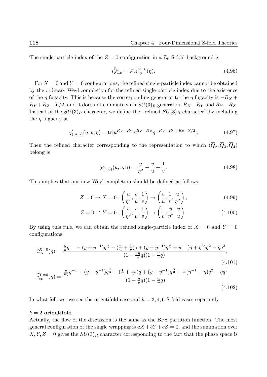The single-particle index of the  $Z = 0$  configuration in a  $\mathbb{Z}_k$  S-fold background is

$$
i_{Z=0}^{\mathbb{Z}_k} = \mathcal{P}_k \tilde{i}_{\rm sp}^{Z=0}(\eta). \tag{4.96}
$$

For  $X = 0$  and  $Y = 0$  configurations, the refined single-particle index cannot be obtained by the ordinary Weyl completion for the refined single-particle index due to the existence of the *η* fugacity. This is because the corresponding generator to the *η* fugacity is *−R<sup>X</sup>* +  $R_Y + R_Z - Y/2$ , and it does not commute with  $SU(3)_R$  generators  $R_X - R_Y$  and  $R_Y - R_Z$ . Instead of the  $SU(3)_R$  character, we define the "refined  $SU(3)_R$  character" by including the  $\eta$  fugacity as

$$
\chi'_{(m,n)}(u,v,\eta) = \text{tr}[u^{Rx-R_Y}v^{R_Y - R_Z}\eta^{-R_X + R_Y + R_Z - Y/2}].\tag{4.97}
$$

Then the refined character corresponding to the representation to which  $(Q_2, Q_3, Q_4)$ belong is

$$
\chi'_{(1,0)}(u,v,\eta) = \frac{u}{\eta^2} + \frac{v}{u} + \frac{1}{v}.\tag{4.98}
$$

This implies that our new Weyl completion should be defined as follows:

$$
Z = 0 \to X = 0 : \left(\frac{u}{\eta^2}, \frac{v}{u}, \frac{1}{v}\right) \to \left(\frac{v}{u}, \frac{1}{v}, \frac{u}{\eta^2}\right),\tag{4.99}
$$

$$
Z = 0 \to Y = 0 : \left(\frac{u}{\eta^2}, \frac{v}{u}, \frac{1}{v}\right) \to \left(\frac{1}{v}, \frac{u}{\eta^2}, \frac{v}{u}\right). \tag{4.100}
$$

By using this rule, we can obtain the refined single-particle index of  $X = 0$  and  $Y = 0$ configurations:

$$
\widetilde{i}_{sp}^{X=0}(\eta) = \frac{\frac{\eta}{u}q^{-1} - (y + y^{-1})q^{\frac{1}{2}} - (\frac{v}{u} + \frac{1}{v})q + (y + y^{-1})q^{\frac{3}{2}} + u^{-1}(\eta + \eta^{3})q^{2} - \eta q^{3}}{(1 - \frac{v\eta}{u}q)(1 - \frac{\eta}{v}q)} ,
$$
\n
$$
\widetilde{i}_{sp}^{Y=0}(\eta) = \frac{\frac{u}{v\eta}q^{-1} - (y + y^{-1})q^{\frac{1}{2}} - (\frac{1}{v} + \frac{u}{\eta^{2}})q + (y + y^{-1})q^{\frac{3}{2}} + \frac{u}{v}(\eta^{-1} + \eta)q^{2} - \eta q^{3}}{(1 - \frac{\eta}{v}q)(1 - \frac{u}{\eta}q)} .
$$
\n(4.101)

$$
(4.102)
$$

In what follows, we see the orientifold case and  $k = 3, 4, 6$  S-fold cases separately.

#### *k* = 2 **orientifold**

Actually, the flow of the discussion is the same as the BPS partition function. The most general configuration of the single wrapping is  $aX + bY + cZ = 0$ , and the summation over  $X, Y, Z = 0$  gives the  $SU(3)_R$  character corresponding to the fact that the phase space is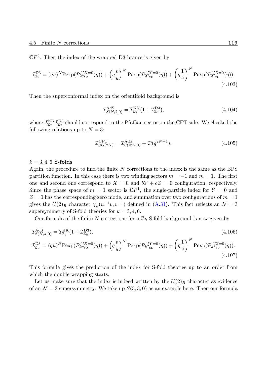$\mathbb{C}P^2$ . Then the index of the wrapped D3-branes is given by

$$
\mathcal{I}_{\mathbb{Z}_2}^{\text{D3}} = (qu)^N \text{Pexp}(\mathcal{P}_2 \tilde{i}_{\text{sp}}^X = 0(\eta)) + \left(q\frac{v}{u}\right)^N \text{Pexp}(\mathcal{P}_2 \tilde{i}_{\text{sp}}^Y = 0(\eta)) + \left(q\frac{1}{v}\right)^N \text{Pexp}(\mathcal{P}_2 \tilde{i}_{\text{sp}}^Z = 0(\eta)).\tag{4.103}
$$

Then the superconformal index on the orientifold background is

$$
\mathcal{I}_{S(N,2,0)}^{\text{AdS}} = \mathcal{I}_{\mathbb{Z}_2}^{\text{KK}} (1 + \mathcal{I}_{\mathbb{Z}_2}^{\text{D3}}),\tag{4.104}
$$

where  $\mathcal{I}^{\text{KK}}_{\mathbb{Z}_2}$ <sup>KK</sup>Z<sup>D3</sup>  $\frac{D3}{Z_2}$  should correspond to the Pfaffian sector on the CFT side. We checked the following relations up to  $N = 3$ :

<span id="page-118-0"></span>
$$
\mathcal{I}_{SO(2N)}^{\text{CFT}} = \mathcal{I}_{S(N,2,0)}^{\text{AdS}} + \mathcal{O}(q^{2N+1}).\tag{4.105}
$$

#### $k = 3, 4, 6$  **S-folds**

Again, the procedure to find the finite *N* corrections to the index is the same as the BPS partition function. In this case there is two winding sectors *m* = *−*1 and *m* = 1. The first one and second one correspond to  $X = 0$  and  $bY + cZ = 0$  configuration, respectively. Since the phase space of  $m = 1$  sector is  $\mathbb{C}P^1$ , the single-particle index for  $Y = 0$  and  $Z = 0$  has the corresponding zero mode, and summation over two configurations of  $m = 1$ gives the  $U(2)_R$  character  $\overline{\chi}_n(u^{-1}v, v^{-1})$  defined in (A.31). This fact reflects an  $\mathcal{N}=3$ supersymmetry of S-fold theories for  $k = 3, 4, 6$ .

Our formula of the finite N corrections for a  $\mathbb{Z}_k$  S-fold background is now given by

$$
\mathcal{I}_{S(N,k,0)}^{\text{AdS}} = \mathcal{I}_{\mathbb{Z}_k}^{\text{KK}} (1 + \mathcal{I}_{\mathbb{Z}_k}^{\text{D3}}),
$$
\n
$$
\mathcal{I}_{\mathbb{Z}_k}^{\text{D3}} = (qu)^N \text{Pexp}(\mathcal{P}_k \tilde{i}_{\text{sp}}^{X=0}(\eta)) + \left(q\frac{v}{u}\right)^N \text{Pexp}(\mathcal{P}_k \tilde{i}_{\text{sp}}^{Y=0}(\eta)) + \left(q\frac{1}{v}\right)^N \text{Pexp}(\mathcal{P}_k \tilde{i}_{\text{sp}}^{Z=0}(\eta)).
$$
\n(4.107)

This formula gives the prediction of the index for S-fold theories up to an order from which the double wrapping starts.

Let us make sure that the index is indeed written by the  $U(2)_R$  character as evidence of an  $\mathcal{N} = 3$  supersymmetry. We take up  $S(3,3,0)$  as an example here. Then our formula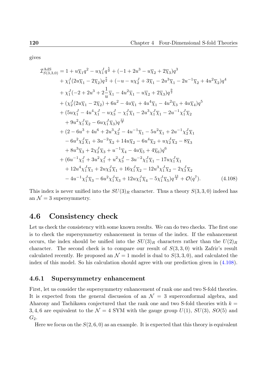gives

$$
\mathcal{I}_{S(3,3,0)}^{\text{AdS}} = 1 + u\overline{\chi}_{1}q^{2} - u\chi_{1}^{J}q^{\frac{5}{2}} + (-1 + 2u^{3} - u\overline{\chi}_{2} + 2\overline{\chi}_{3})q^{3} \n+ \chi_{1}^{J}(2u\overline{\chi}_{1} - 2\overline{\chi}_{2})q^{\frac{7}{2}} + (-u - u\chi_{2}^{J} + 3\overline{\chi}_{1} - 2u^{3}\overline{\chi}_{1} - 2u^{-1}\overline{\chi}_{2} + 4u^{2}\overline{\chi}_{2})q^{4} \n+ \chi_{1}^{J}(-2 + 2u^{3} + 2\frac{1}{u}\overline{\chi}_{1} - 4u^{2}\overline{\chi}_{1} - u\overline{\chi}_{2} + 2\overline{\chi}_{3})q^{\frac{9}{2}} \n+ (\chi_{2}^{J}(2u\overline{\chi}_{1} - 2\overline{\chi}_{2}) + 6u^{2} - 4u\overline{\chi}_{1} + 4u^{4}\overline{\chi}_{1} - 4u^{2}\overline{\chi}_{3} + 4u\overline{\chi}_{4})q^{5} \n+ (5u\chi_{1}^{J} - 4u^{4}\chi_{1}^{J} - u\chi_{3}^{J} - \chi_{1}^{J}\overline{\chi}_{1} - 2u^{3}\chi_{1}^{J}\overline{\chi}_{1} - 2u^{-1}\chi_{1}^{J}\overline{\chi}_{2} \n+ 9u^{2}\chi_{1}^{J}\overline{\chi}_{2} - 6u\chi_{1}^{J}\overline{\chi}_{3})q^{\frac{11}{2}} \n+ (2 - 6u^{3} + 4u^{6} + 2u^{3}\chi_{2}^{J} - 4u^{-1}\overline{\chi}_{1} - 5u^{2}\overline{\chi}_{1} + 2u^{-1}\chi_{2}^{J}\overline{\chi}_{1} \n- 6u^{2}\chi_{2}^{J}\overline{\chi}_{1} + 3u^{-2}\overline{\chi}_{2} + 14u\overline{\chi}_{2} - 6u^{4}\overline{\chi}_{2} + u\chi_{2}^{J}\overline{\chi}_{2} - 8\overline{\chi}_{3} \n+ 8u^{3}\overline{\chi}_{3} + 2\chi_{2}^{J}\overline{\chi}_{3} + u^{-1}\overline{\chi
$$

<span id="page-119-0"></span>This index is never unified into the  $SU(3)_R$  character. Thus a theory  $S(3,3,0)$  indeed has an  $\mathcal{N}=3$  supersymmetry.

### **4.6 Consistency check**

Let us check the consistency with some known results. We can do two checks. The first one is to check the supersymmetry enhancement in terms of the index. If the enhancement occurs, the index should be unified into the  $SU(3)_R$  characters rather than the  $U(2)_R$ character. The second check is to compare our result of  $S(3,3,0)$  with Zafrir's result calculated recently. He proposed an  $\mathcal{N}=1$  model is dual to  $S(3,3,0)$ , and calculated the index of this model. So his calculation should agree with our prediction given in (4.108).

#### **4.6.1 Supersymmetry enhancement**

First, let us consider the supersymmetry enhancement of rank one and two S-fold t[heories](#page-119-0). It is expected from the general discussion of an  $\mathcal{N} = 3$  superconformal algebra, and Aharony and Tachikawa conjectured that the rank one and two S-fold theories with  $k =$ 3, 4, 6 are equivalent to the  $\mathcal{N} = 4$  SYM with the gauge group  $U(1)$ ,  $SU(3)$ ,  $SO(5)$  and *G*2.

Here we focus on the  $S(2, 6, 0)$  as an example. It is expected that this theory is equivalent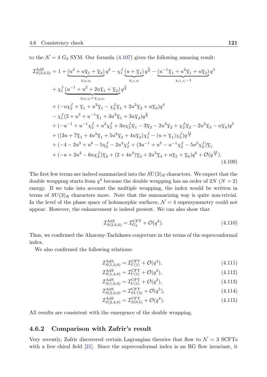to the  $\mathcal{N} = 4$   $G_2$  SYM. Our formula  $(4.107)$  gives the following amazing result:

$$
\mathcal{I}_{S(2,6,0)}^{\text{AdS}} = 1 + \underbrace{(u^2 + u\overline{\chi}_1 + \overline{\chi}_2)}_{\chi_{(2,0)}} q^2 - \chi_1^J \underbrace{(u + \overline{\chi}_1)}_{\chi_{(1,0)}} q^{\frac{5}{2}} - \underbrace{(u^{-1}\overline{\chi}_1 + u^2\overline{\chi}_1 + u\overline{\chi}_2)}_{\chi_{(1,1)} - 1} q^3
$$
\n
$$
+ \chi_1^J \underbrace{(u^{-1} + u^2 + 2u\overline{\chi}_1 + \overline{\chi}_2)}_{\chi_{(0,1)} + \chi_{(2,0)}} q^{\frac{7}{2}}
$$
\n
$$
+ (-u\chi_2^J + \overline{\chi}_1 + u^3\overline{\chi}_1 - \chi_2^J\overline{\chi}_1 + 2u^2\overline{\chi}_2 + u\overline{\chi}_3) q^4
$$
\n
$$
- \chi_1^J (2 + u^3 + u^{-1}\overline{\chi}_1 + 3u^2\overline{\chi}_1 + 3u\overline{\chi}_2) q^{\frac{9}{2}}
$$
\n
$$
+ (-u^{-1} + u^{-1}\chi_2^J + u^2\chi_2^J + 3u\chi_2^J\overline{\chi}_1 - 3\overline{\chi}_2 - 2u^3\overline{\chi}_2 + \chi_2^J\overline{\chi}_2 - 2u^2\overline{\chi}_3 - u\overline{\chi}_4) q^5
$$
\n
$$
+ ((3u + 7\overline{\chi}_1 + 4u^3\overline{\chi}_1 + 5u^2\overline{\chi}_2 + 4u\overline{\chi}_3)\chi_1^J - (u + \overline{\chi}_1)\chi_3^J) q^{\frac{11}{2}}
$$
\n
$$
+ (-4 - 2u^3 + u^6 - 5\chi_2^J - 2u^3\chi_2^J + (3u^{-1} + u^5 - u^{-1}\chi_2^J - 5u^2\chi_2^J)\overline{\chi}_1
$$
\n
$$
+ (-u + 2u^4 - 6u\chi_2^J)\overline{\chi}_2 + (2 + 4u^3)\overline{\chi}_3 + 2u^2\overline{\chi}_4 + u\overline{\chi}_5 + \overline{\chi}_6) q^6 + \mathcal{O}(
$$

The first few terms are indeed summarized into the  $SU(3)_R$  characters. We expect that the double wrapping starts from  $q^4$  because the double wrapping has an order of 2*N* ( $N = 2$ ) energy. If we take into account the multiple wrapping, the index would be written in terms of  $SU(3)_R$  characters more. Note that the summarizing way is quite non-trivial. In the level of the phase space of holomorphic surfaces,  $\mathcal{N}=4$  supersymmetry could not appear. However, the enhancement is indeed present. We can also show that

$$
\mathcal{I}_{S(2,6,0)}^{\text{AdS}} = \mathcal{I}_{G_2}^{\text{CFT}} + \mathcal{O}(q^4). \tag{4.110}
$$

Thus, we confirmed the Aharony-Tachikawa conjecture in the terms of the superconformal index.

We also confirmed the following relations:

$$
\mathcal{I}_{S(1,3,0)}^{\text{AdS}} = \mathcal{I}_{U(1)}^{\text{CFT}} + \mathcal{O}(q^3),\tag{4.111}
$$

$$
\mathcal{I}_{S(1,4,0)}^{\text{AdS}} = \mathcal{I}_{U(1)}^{\text{CFT}} + \mathcal{O}(q^2),\tag{4.112}
$$

$$
\mathcal{I}_{S(1,6,0)}^{\text{AdS}} = \mathcal{I}_{U(1)}^{\text{CFT}} + \mathcal{O}(q^2),\tag{4.113}
$$

$$
\mathcal{I}_{S(2,3,0)}^{\text{AdS}} = \mathcal{I}_{SU(3)}^{\text{CFT}} + \mathcal{O}(q^5),\tag{4.114}
$$

$$
\mathcal{I}_{S(2,4,0)}^{\text{AdS}} = \mathcal{I}_{SO(5)}^{\text{CFT}} + \mathcal{O}(q^4). \tag{4.115}
$$

All results are consistent with the emergence of the double wrapping.

#### **4.6.2 Comparison with Zafrir's result**

Very recently, Zafrir discovered certain Lagrangian theories that flow to  $\mathcal{N}=3$  SCFTs with a free chiral field [21]. Since the superconformal index is an RG flow invariant, it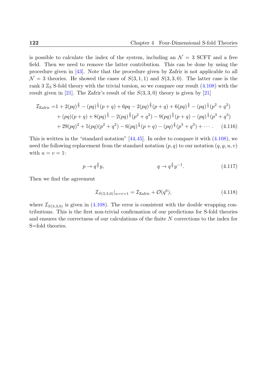is possible to calculate the index of the system, including an  $\mathcal{N} = 3$  SCFT and a free field. Then we need to remove the latter contribution. This can be done by using the procedure given in [43]. Note that the procedure given by Zafrir is not applicable to all  $\mathcal{N} = 3$  theories. He showed the cases of  $S(3,1,1)$  and  $S(3,3,0)$ . The latter case is the rank 3  $\mathbb{Z}_3$  S-fold theory with the trivial torsion, so we compare our result (4.108) with the result given in [21]. [Th](#page-133-0)e Zafrir's result of the  $S(3,3,0)$  theory is given by [21]

$$
\mathcal{I}_{Zaffir} = 1 + 2(pq)^{\frac{2}{3}} - (pq)^{\frac{1}{3}}(p+q) + 6pq - 2(pq)^{\frac{2}{3}}(p+q) + 6(pq)^{\frac{4}{3}} - (pq)^{\frac{1}{3}}(p^2+q^2) \n+ (pq)(p+q) + 8(pq)^{\frac{5}{3}} - 2(pq)^{\frac{2}{3}}(p^2+q^2) - 9(pq)^{\frac{4}{3}}(p+q) - (pq)^{\frac{1}{3}}(p^3+q^3) \n+ 29(pq)^2 + 5(pq)(p^2+q^2) - 6(pq)^{\frac{5}{3}}(p+q) - (pq)^{\frac{2}{3}}(p^3+q^3) + \cdots
$$
\n(4.116)

This is written in the "standard notation"  $[44,45]$ . In order to compare it with  $(4.108)$ , we need the following replacement from the standard notation  $(p, q)$  to our notation  $(q, y, u, v)$ with  $u = v = 1$ :

$$
p \to q^{\frac{3}{2}}y,\qquad \qquad q \to q^{\frac{3}{2}}y^{-1}.\tag{4.117}
$$

Then we find the agreement

$$
\mathcal{I}_{S(3,3,0)}|_{u=v=1} = \mathcal{I}_{\text{Zafrir}} + \mathcal{O}(q^6),\tag{4.118}
$$

where  $\mathcal{I}_{S(3,3,0)}$  is given in (4.108). The error is consistent with the double wrapping contributions. This is the first non-trivial confirmation of our predictions for S-fold theories and ensures the correctness of our calculations of the finite *N* corrections to the index for S=fold theories.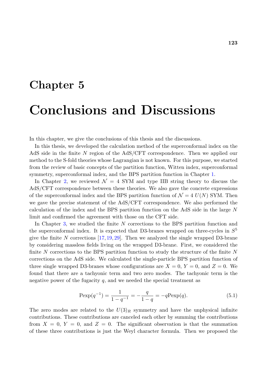# **Chapter 5**

# **Conclusions and Discussions**

In this chapter, we give the conclusions of this thesis and the discussions.

In this thesis, we developed the calculation method of the superconformal index on the AdS side in the finite *N* region of the AdS/CFT correspondence. Then we applied our method to the S-fold theories whose Lagrangian is not known. For this purpose, we started from the review of basic concepts of the partition function, Witten index, superconformal symmetry, superconformal index, and the BPS partition function in Chapter 1.

In Chapter 2, we reviewed  $\mathcal{N} = 4$  SYM and type IIB string theory to discuss the AdS/CFT correspondence between these theories. We also gave the concrete expressions of the superconformal index and the BPS partition function of  $\mathcal{N}=4$   $U(N)$  [SY](#page-8-0)M. Then we gave the p[rec](#page-36-0)ise statement of the AdS/CFT correspondence. We also performed the calculation of the index and the BPS partition function on the AdS side in the large *N* limit and confirmed the agreement with those on the CFT side.

In Chapter 3, we studied the finite *N* corrections to the BPS partition function and the superconformal index. It is expected that D3-branes wrapped on three-cycles in *S* 5 give the finite *N* corrections [17, 19, 29]. Then we analyzed the single wrapped D3-brane by considerin[g m](#page-72-0)assless fields living on the wrapped D3-brane. First, we considered the finite *N* corrections to the BPS partition function to study the structure of the finite *N* corrections on the AdS side. [We](#page-131-1) [ca](#page-131-2)[lcul](#page-132-0)ated the single-particle BPS partition function of three single wrapped D3-branes whose configurations are  $X = 0, Y = 0$ , and  $Z = 0$ . We found that there are a tachyonic term and two zero modes. The tachyonic term is the negative power of the fugacity  $q$ , and we needed the special treatment as

<span id="page-122-0"></span>
$$
\text{Pexp}(q^{-1}) = \frac{1}{1 - q^{-1}} = -\frac{q}{1 - q} = -q\text{Pexp}(q). \tag{5.1}
$$

The zero modes are related to the  $U(3)_R$  symmetry and have the unphysical infinite contributions. These contributions are canceled each other by summing the contributions from  $X = 0$ ,  $Y = 0$ , and  $Z = 0$ . The significant observation is that the summation of these three contributions is just the Weyl character formula. Then we proposed the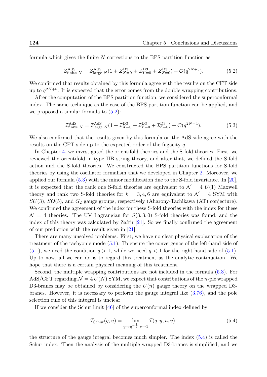formula which gives the finite *N* corrections to the BPS partition function as

<span id="page-123-0"></span>
$$
Z_{\text{finite }N}^{\text{AdS}} = Z_{\text{large }N}^{\text{AdS}} (1 + Z_{X=0}^{\text{D3}} + Z_{Y=0}^{\text{D3}} + Z_{Z=0}^{\text{D3}}) + \mathcal{O}(q^{2N+5}). \tag{5.2}
$$

We confirmed that results obtained by this formula agree with the results on the CFT side up to  $q^{2N+5}$ . It is expected that the error comes from the double wrapping contributions.

After the computation of the BPS partition function, we considered the superconformal index. The same technique as the case of the BPS partition function can be applied, and we proposed a similar formula to  $(5.2)$ :

<span id="page-123-1"></span>
$$
\mathcal{I}^{\text{AdS}}_{\text{finite }N} = \mathcal{I}^{\text{AdS}}_{\text{large }N} (1 + \mathcal{I}^{\text{D3}}_{X=0} + \mathcal{I}^{\text{D3}}_{Y=0} + \mathcal{I}^{\text{D3}}_{Z=0}) + \mathcal{O}(q^{2N+4}). \tag{5.3}
$$

We also confirmed that the result[s giv](#page-123-0)en by this formula on the AdS side agree with the results on the CFT side up to the expected order of the fugacity *q*.

In Chapter 4, we investigated the orientifold theories and the S-fold theories. First, we reviewed the orientifold in type IIB string theory, and after that, we defined the S-fold action and the S-fold theories. We constructed the BPS partition functions for S-fold theories by u[sin](#page-90-0)g the oscillator formalism that we developed in Chapter 2. Moreover, we applied our formula  $(5.3)$  with the minor modification due to the S-fold invariance. In [20], it is expected that the rank one S-fold theories are equivalent to  $\mathcal{N} = 4 U(1)$  Maxwell theory and rank two S-fold theories for  $k = 3, 4, 6$  $k = 3, 4, 6$  $k = 3, 4, 6$  are equivalent to  $\mathcal{N} = 4$  SYM with *SU*(3), *SO*(5), and *[G](#page-123-1)*<sup>2</sup> gauge groups, respectively (Aharony-Tachikawa (AT) conject[ure\)](#page-131-3). We confirmed the agreement of the index for these S-fold theories with the index for these  $\mathcal{N} = 4$  theories. The UV Lagrangian for  $S(3,3,0)$  S-fold theories was found, and the index of this theory was calculated by Zafrir [21]. So we finally confirmed the agreement of our prediction with the result given in [21].

There are many unsolved problems. First, we have no clear physical explanation of the treatment of the tachyonic mode (5.1). To en[sure](#page-131-0) the convergence of the left-hand side of  $(5.1)$ , [we](#page-131-0) need the condition  $q > 1$ , while we need  $q < 1$  for the right-hand side of  $(5.1)$ . Up to now, all we can do is to regard this treatment as the analytic continuation. We hope that there is a certain physi[cal m](#page-122-0)eaning of this treatment.

[Se](#page-122-0)cond, the multiple wrapping contributions are not included in the formula (5.3)[. Fo](#page-122-0)r  $AdS/CFT$  regarding  $\mathcal{N} = 4 U(N)$  SYM, we expect that contributions of the *n*-ple wrapped D3-branes may be obtained by considering the *U*(*n*) gauge theory on the wrapped D3 branes. However, it is necessary to perform the gauge integral like (3.76), and [the](#page-123-1) pole selection rule of this integral is unclear.

If we consider the Schur limit  $|46|$  of the superconformal index defined by

$$
\mathcal{I}_{Schur}(q, u) = \lim_{y \to q^{-\frac{1}{2}}, v \to 1} \mathcal{I}(q, y, u, v), \tag{5.4}
$$

the structure of the gauge integral becomes much simpler. The index (5.4) is called the Schur index. Then the analysis of the multiple wrapped D3-branes is simplified, and we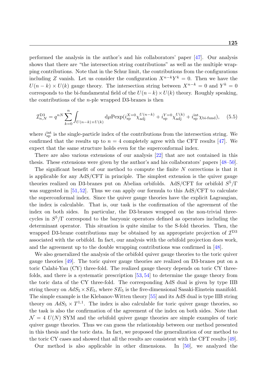performed the analysis in the author's and his collaborators' paper [47]. Our analysis shows that there are "the intersection string contributions" as well as the multiple wrapping contributions. Note that in the Schur limit, the contributions from the configurations including *Z* vanish. Let us consider the configuration  $X^{n-k}Y^k = 0$ . [Th](#page-133-1)en we have the  $U(n-k) \times U(k)$  gauge theory. The intersection string between  $X^{n-k} = 0$  and  $Y^k = 0$ corresponds to the bi-fundamental field of the  $U(n-k) \times U(k)$  theory. Roughly speaking, the contributions of the *n*-ple wrapped D3-branes is then

$$
\mathcal{I}_{n,N}^{\text{D3}} = q^{nN} \sum_{k=0}^{n} \int_{U(n-k) \times U(k)} \mathrm{d}\mu \text{P} \exp(i_{\text{sp}}^{X=0} \chi_{\text{adj}}^{U(n-k)} + i_{\text{sp}}^{Y=0} \chi_{\text{adj}}^{U(k)} + i_{\text{sp}}^{\text{int}} \chi_{\text{bi-fund}}), \quad (5.5)
$$

where  $i_{\rm sp}^{\rm int}$  is the single-particle index of the contributions from the intersection string. We confirmed that the results up to  $n = 4$  completely agree with the CFT results [47]. We expect that the same structure holds even for the superconformal index.

There are also various extensions of our analysis [22] that are not contained in this thesis. These extensions were given by the author's and his collaborators' papers [\[48](#page-133-1)–50].

The significant benefit of our method to compute the finite *N* corrections is that it is applicable for any AdS/CFT in principle. The sim[ple](#page-131-4)st extension is the quiver gauge theories realized on D3-branes put on Abelian orbifolds. AdS/CFT for orbifol[d](#page-133-2) *S* 5 *[/](#page-134-0)*Γ was suggested in [51, 52]. Thus we can apply our formula to this AdS/CFT to calculate the superconformal index. Since the quiver gauge theories have the explicit Lagrangian, the index is calculable. That is, our task is the confirmation of the agreement of the index on both si[des.](#page-134-1) [I](#page-134-2)n particular, the D3-branes wrapped on the non-trivial threecycles in *S* 5 */*Γ correspond to the baryonic operators defined as operators including the determinant operator. This situation is quite similar to the S-fold theories. Then, the wrapped D3-brane contributions may be obtained by an appropriate projection of *I* D3 associated with the orbifold. In fact, our analysis with the orbifold projection does work, and the agreement up to the double wrapping contributions was confirmed in [48].

We also generalized the analysis of the orbifold quiver gauge theories to the toric quiver gauge theories [49]. The toric quiver gauge theories are realized on D3-branes put on a toric Calabi-Yau (CY) three-fold. The realized gauge theory depends on toric [CY](#page-133-2) threefolds, and there is a systematic prescription [53, 54] to determine the gauge theory from the toric data [of t](#page-134-3)he CY three-fold. The corresponding AdS dual is given by type IIB string theory on  $AdS_5 \times SE_5$ , where  $SE_5$  is the five-dimensional Sasaki-Einstein manifold. The simple example is the Klebanov-Witten t[heo](#page-134-4)[ry \[](#page-134-5)55] and its AdS dual is type IIB string theory on  $AdS_5 \times T^{1,1}$ . The index is also calculable for toric quiver gauge theories, so the task is also the confirmation of the agreement of the index on both sides. Note that  $\mathcal{N} = 4$   $U(N)$  SYM and [the](#page-134-6) orbifold quiver gauge theories are simple examples of toric quiver gauge theories. Thus we can guess the relationship between our method presented in this thesis and the toric data. In fact, we proposed the generalization of our method to the toric CY cases and showed that all the results are consistent with the CFT results [49].

Our method is also applicable in other dimensions. In [50], we analyzed the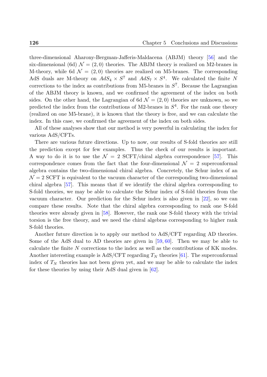three-dimensional Aharony-Bergman-Jafferis-Maldacena (ABJM) theory [56] and the six-dimensional (6d)  $\mathcal{N} = (2,0)$  theories. The ABJM theory is realized on M2-branes in M-theory, while 6d  $\mathcal{N} = (2,0)$  theories are realized on M5-branes. The corresponding AdS duals are M-theory on  $AdS_4 \times S^7$  and  $AdS_7 \times S^4$ . We calculated [the](#page-134-7) finite N corrections to the index as contributions from M5-branes in  $S<sup>7</sup>$ . Because the Lagrangian of the ABJM theory is known, and we confirmed the agreement of the index on both sides. On the other hand, the Lagrangian of 6d  $\mathcal{N} = (2,0)$  theories are unknown, so we predicted the index from the contributions of M2-branes in *S* 4 . For the rank one theory (realized on one M5-brane), it is known that the theory is free, and we can calculate the index. In this case, we confirmed the agreement of the index on both sides.

All of these analyses show that our method is very powerful in calculating the index for various AdS/CFTs.

There are various future directions. Up to now, our results of S-fold theories are still the prediction except for few examples. Thus the check of our results is important. A way to do it is to use the  $\mathcal{N} = 2$  SCFT/chiral algebra correspondence [57]. This correspondence comes from the fact that the four-dimensional  $\mathcal{N}=2$  superconformal algebra contains the two-dimensional chiral algebra. Concretely, the Schur index of an  $\mathcal{N}=2$  SCFT is equivalent to the vacuum character of the corresponding two-d[ime](#page-134-8)nsional chiral algebra [57]. This means that if we identify the chiral algebra corresponding to S-fold theories, we may be able to calculate the Schur index of S-fold theories from the vacuum character. Our prediction for the Schur index is also given in [22], so we can compare these [res](#page-134-8)ults. Note that the chiral algebra corresponding to rank one S-fold theories were already given in [58]. However, the rank one S-fold theory with the trivial torsion is the free theory, and we need the chiral algebras corresponding [to](#page-131-4) higher rank S-fold theories.

Another future direction ist[o a](#page-134-9)pply our method to AdS/CFT regarding AD theories. Some of the AdS dual to AD theories are given in [59, 60]. Then we may be able to calculate the finite *N* corrections to the index as well as the contributions of KK modes. Another interesting example is  $AdS/CFT$  regarding  $T_N$  theories [61]. The superconformal index of  $T_N$  theories has not been given yet, and we [ma](#page-134-10)[y be](#page-135-0) able to calculate the index for these theories by using their AdS dual given in [62].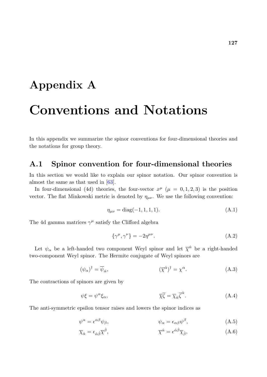# **Appendix A**

# **Conventions and Notations**

In this appendix we summarize the spinor conventions for four-dimensional theories and the notations for group theory.

### **A.1 Spinor convention for four-dimensional theories**

In this section we would like to explain our spinor notation. Our spinor convention is almost the same as that used in [63].

In four-dimensional (4d) theories, the four-vector  $x^{\mu}$  ( $\mu = 0, 1, 2, 3$ ) is the position vector. The flat Minkowski metric is denoted by  $\eta_{\mu\nu}$ . We use the following convention:

$$
\eta_{\mu\nu} = \text{diag}(-1, 1, 1, 1). \tag{A.1}
$$

The 4d gamma matrices  $\gamma^{\mu}$  satisfy the Clifford algebra

$$
\{\gamma^{\mu}, \gamma^{\nu}\} = -2\eta^{\mu\nu}.\tag{A.2}
$$

Let  $\psi_{\alpha}$  be a left-handed two component Weyl spinor and let  $\bar{\chi}^{\dot{\alpha}}$  be a right-handed two-component Weyl spinor. The Hermite conjugate of Weyl spinors are

$$
(\psi_{\alpha})^{\dagger} = \overline{\psi}_{\dot{\alpha}}, \qquad (\overline{\chi}^{\dot{\alpha}})^{\dagger} = \chi^{\alpha}.
$$
 (A.3)

The contractions of spinors are given by

$$
\psi \xi = \psi^{\alpha} \xi_{\alpha}, \qquad \overline{\chi} \overline{\zeta} = \overline{\chi}_{\dot{\alpha}} \overline{\zeta}^{\dot{\alpha}}.
$$
 (A.4)

The anti-symmetric epsilon tensor raises and lowers the spinor indices as

$$
\psi^{\alpha} = \epsilon^{\alpha\beta}\psi_{\beta}, \qquad \psi_{\alpha} = \epsilon_{\alpha\beta}\psi^{\beta}, \qquad (A.5)
$$

$$
\overline{\chi}_{\dot{\alpha}} = \epsilon_{\dot{\alpha}\dot{\beta}} \overline{\chi}^{\dot{\beta}}, \qquad \overline{\chi}^{\dot{\alpha}} = \epsilon^{\dot{\alpha}\dot{\beta}} \overline{\chi}_{\dot{\beta}}, \qquad (A.6)
$$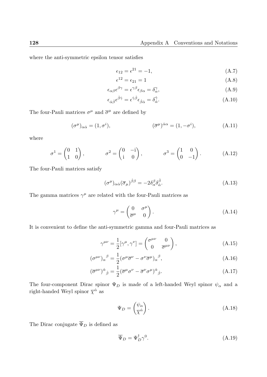where the anti-symmetric epsilon tensor satisfies

$$
\epsilon_{12} = \epsilon^{21} = -1,\tag{A.7}
$$

$$
\epsilon^{12} = \epsilon_{21} = 1\tag{A.8}
$$

$$
\epsilon_{\alpha\beta}\epsilon^{\beta\gamma} = \epsilon^{\gamma\beta}\epsilon_{\beta\alpha} = \delta^{\gamma}_{\alpha},\tag{A.9}
$$

$$
\epsilon_{\dot{\alpha}\dot{\beta}}\epsilon^{\dot{\beta}\dot{\gamma}} = \epsilon^{\dot{\gamma}\dot{\beta}}\epsilon_{\dot{\beta}\dot{\alpha}} = \delta^{\dot{\gamma}}_{\dot{\alpha}}.\tag{A.10}
$$

The four-Pauli matrices  $\sigma^{\mu}$  and  $\bar{\sigma}^{\mu}$  are defined by

$$
(\sigma^{\mu})_{\alpha\dot{\alpha}} = (1, \sigma^{i}), \qquad (\overline{\sigma}^{\mu})^{\dot{\alpha}\alpha} = (1, -\sigma^{i}), \qquad (A.11)
$$

where

$$
\sigma^1 = \begin{pmatrix} 0 & 1 \\ 1 & 0 \end{pmatrix}, \qquad \sigma^2 = \begin{pmatrix} 0 & -i \\ i & 0 \end{pmatrix}, \qquad \sigma^3 = \begin{pmatrix} 1 & 0 \\ 0 & -1 \end{pmatrix}.
$$
 (A.12)

The four-Pauli matrices satisfy

$$
(\sigma^{\mu})_{\alpha\dot{\alpha}}(\overline{\sigma}_{\mu})^{\dot{\beta}\beta} = -2\delta^{\beta}_{\alpha}\delta^{\dot{\beta}}_{\dot{\alpha}}.
$$
\n(A.13)

The gamma matrices  $\gamma^{\mu}$  are related with the four-Pauli matrices as

$$
\gamma^{\mu} = \begin{pmatrix} 0 & \sigma^{\mu} \\ \overline{\sigma}^{\mu} & 0 \end{pmatrix} . \tag{A.14}
$$

It is convenient to define the anti-symmetric gamma and four-Pauli matrices as

$$
\gamma^{\mu\nu} = \frac{1}{2} [\gamma^{\mu}, \gamma^{\nu}] = \begin{pmatrix} \sigma^{\mu\nu} & 0 \\ 0 & \overline{\sigma}^{\mu\nu} \end{pmatrix}, \tag{A.15}
$$

$$
(\sigma^{\mu\nu})_{\alpha}{}^{\beta} = \frac{1}{2} (\sigma^{\mu}\overline{\sigma}^{\nu} - \sigma^{\nu}\overline{\sigma}^{\mu})_{\alpha}{}^{\beta}, \tag{A.16}
$$

$$
(\overline{\sigma}^{\mu\nu})^{\dot{\alpha}}{}_{\dot{\beta}} = \frac{1}{2} (\overline{\sigma}^{\mu} \sigma^{\nu} - \overline{\sigma}^{\nu} \sigma^{\mu})^{\dot{\alpha}}{}_{\dot{\beta}}.
$$
\n(A.17)

The four-component Dirac spinor Ψ*<sup>D</sup>* is made of a left-handed Weyl spinor *ψ<sup>α</sup>* and a right-handed Weyl spinor  $\overline{\chi}^{\dot{\alpha}}$  as

$$
\Psi_D = \begin{pmatrix} \psi_\alpha \\ \overline{\chi}^{\dot{\alpha}} \end{pmatrix} . \tag{A.18}
$$

The Dirac conjugate  $\overline{\Psi}_D$  is defined as

$$
\overline{\Psi}_D = \Psi_D^{\dagger} \gamma^0. \tag{A.19}
$$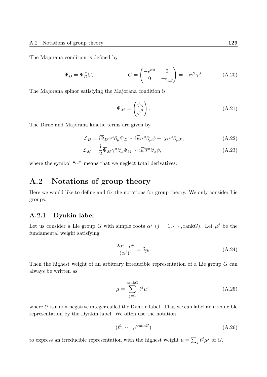The Majorana condition is defined by

$$
\overline{\Psi}_D = \Psi_D^T C, \qquad \qquad C = \begin{pmatrix} -\epsilon^{\alpha\beta} & 0\\ 0 & -\epsilon_{\dot{\alpha}\dot{\beta}} \end{pmatrix} = -i\gamma^2\gamma^0. \qquad (A.20)
$$

The Majorana spinor satisfying the Majorana condition is

$$
\Psi_M = \begin{pmatrix} \psi_\alpha \\ \overline{\psi}^{\dot{\alpha}} \end{pmatrix} . \tag{A.21}
$$

The Dirac and Majorana kinetic terms are given by

$$
\mathcal{L}_D = i \overline{\Psi}_D \gamma^\mu \partial_\mu \Psi_D \sim i \overline{\psi} \overline{\sigma}^\mu \partial_\mu \psi + i \overline{\chi} \overline{\sigma}^\mu \partial_\mu \chi, \tag{A.22}
$$

$$
\mathcal{L}_M = \frac{\mathrm{i}}{2} \overline{\Psi}_M \gamma^\mu \partial_\mu \Psi_M \sim \mathrm{i} \overline{\psi} \overline{\sigma}^\mu \partial_\mu \psi, \tag{A.23}
$$

where the symbol "*∼*" means that we neglect total derivatives.

## **A.2 Notations of group theory**

Here we would like to define and fix the notations for group theory. We only consider Lie groups.

#### **A.2.1 Dynkin label**

Let us consider a Lie group *G* with simple roots  $\alpha^{j}$  ( $j = 1, \cdots, \text{rank }G$ ). Let  $\mu^{j}$  be the fundamental weight satisfying

$$
\frac{2\alpha^j \cdot \mu^k}{(\alpha^j)^2} = \delta_{jk}.\tag{A.24}
$$

Then the highest weight of an arbitrary irreducible representation of a Lie group *G* can always be written as

$$
\mu = \sum_{j=1}^{\text{rank}G} \ell^j \mu^j,\tag{A.25}
$$

where  $\ell^j$  is a non-negative integer called the Dynkin label. Thus we can label an irreducible representation by the Dynkin label. We often use the notation

$$
(\ell^1, \cdots, \ell^{\text{rank}G}) \tag{A.26}
$$

to express an irreducible representation with the highest weight  $\mu = \sum_j \ell^j \mu^j$  of *G*.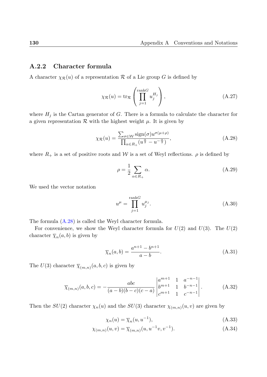#### **A.2.2 Character formula**

A character  $\chi_{\mathcal{R}}(u)$  of a representation  $\mathcal R$  of a Lie group  $G$  is defined by

$$
\chi_{\mathcal{R}}(u) = \text{tr}_{\mathcal{R}}\left(\prod_{j=1}^{\text{rank}G} u_j^{H_j}\right),\tag{A.27}
$$

where  $H_j$  is the Cartan generator of  $G$ . There is a formula to calculate the character for a given representation  $R$  with the highest weight  $\mu$ . It is given by

$$
\chi_{\mathcal{R}}(u) = \frac{\sum_{\sigma \in \mathcal{W}} \text{sign}(\sigma) u^{\sigma(\mu + \rho)}}{\prod_{\alpha \in R_+} (u^{\frac{\alpha}{2}} - u^{-\frac{\alpha}{2}})},\tag{A.28}
$$

where  $R_+$  is a set of positive roots and W is a set of Weyl reflections.  $\rho$  is defined by

$$
\rho = \frac{1}{2} \sum_{\alpha \in R_+} \alpha.
$$
\n(A.29)

We used the vector notation

$$
u^{\mu} = \prod_{j=1}^{\text{rank}G} u_j^{\mu_j}.
$$
\n(A.30)

The formula (A.28) is called the Weyl character formula.

For convenience, we show the Weyl character formula for  $U(2)$  and  $U(3)$ . The  $U(2)$ character  $\overline{\chi}_n(a, b)$  is given by

$$
\overline{\chi}_n(a,b) = \frac{a^{n+1} - b^{n+1}}{a - b}.
$$
\n(A.31)

The  $U(3)$  character  $\overline{\chi}_{(m,n)}(a,b,c)$  is given by

$$
\overline{\chi}_{(m,n)}(a,b,c) = -\frac{abc}{(a-b)(b-c)(c-a)} \begin{vmatrix} a^{m+1} & 1 & a^{-n-1} \\ b^{m+1} & 1 & b^{-n-1} \\ c^{m+1} & 1 & c^{-n-1} \end{vmatrix} .
$$
 (A.32)

Then the  $SU(2)$  character  $\chi_n(u)$  and the  $SU(3)$  character  $\chi_{(m,n)}(u, v)$  are given by

$$
\chi_n(u) = \overline{\chi}_n(u, u^{-1}),\tag{A.33}
$$

$$
\chi_{(m,n)}(u,v) = \overline{\chi}_{(m,n)}(u, u^{-1}v, v^{-1}).
$$
\n(A.34)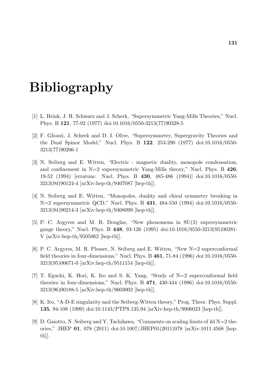# **Bibliography**

- [1] L. Brink, J. H. Schwarz and J. Scherk, "Supersymmetric Yang-Mills Theories," Nucl. Phys. B **121**, 77-92 (1977) doi:10.1016/0550-3213(77)90328-5
- [2] F. Gliozzi, J. Scherk and D. I. Olive, "Supersymmetry, Supergravity Theories and the Dual Spinor Model," Nucl. Phys. B **122**, 253-290 (1977) doi:10.1016/0550- 3213(77)90206-1
- [3] N. Seiberg and E. Witten, "Electric magnetic duality, monopole condensation, and confinement in N=2 supersymmetric Yang-Mills theory," Nucl. Phys. B **426**, 19-52 (1994) [erratum: Nucl. Phys. B **430**, 485-486 (1994)] doi:10.1016/0550- 3213(94)90124-4 [arXiv:hep-th/9407087 [hep-th]].
- [4] N. Seiberg and E. Witten, "Monopoles, duality and chiral symmetry breaking in N=2 supersymmetric QCD," Nucl. Phys. B **431**, 484-550 (1994) doi:10.1016/0550- 3213(94)90214-3 [arXiv:hep-th/9408099 [hep-th]].
- [5] P. C. Argyres and M. R. Douglas, "New phenomena in SU(3) supersymmetric gauge theory," Nucl. Phys. B **448**, 93-126 (1995) doi:10.1016/0550-3213(95)00281- V [arXiv:hep-th/9505062 [hep-th]].
- [6] P. C. Argyres, M. R. Plesser, N. Seiberg and E. Witten, "New N=2 superconformal field theories in four-dimensions," Nucl. Phys. B **461**, 71-84 (1996) doi:10.1016/0550- 3213(95)00671-0 [arXiv:hep-th/9511154 [hep-th]].
- [7] T. Eguchi, K. Hori, K. Ito and S. K. Yang, "Study of N=2 superconformal field theories in four-dimensions," Nucl. Phys. B **471**, 430-444 (1996) doi:10.1016/0550- 3213(96)00188-5 [arXiv:hep-th/9603002 [hep-th]].
- [8] K. Ito, "A-D-E singularity and the Seiberg-Witten theory," Prog. Theor. Phys. Suppl. **135**, 94-108 (1999) doi:10.1143/PTPS.135.94 [arXiv:hep-th/9906023 [hep-th]].
- [9] D. Gaiotto, N. Seiberg and Y. Tachikawa, "Comments on scaling limits of 4d  $N=2$  theories," JHEP **01**, 078 (2011) doi:10.1007/JHEP01(2011)078 [arXiv:1011.4568 [hepth]].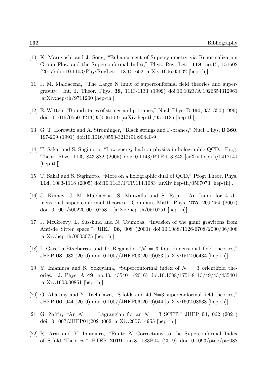- [10] K. Maruyoshi and J. Song, "Enhancement of Supersymmetry via Renormalization Group Flow and the Superconformal Index," Phys. Rev. Lett. **118**, no.15, 151602 (2017) doi:10.1103/PhysRevLett.118.151602 [arXiv:1606.05632 [hep-th]].
- [11] J. M. Maldacena, "The Large N limit of superconformal field theories and supergravity," Int. J. Theor. Phys. **38**, 1113-1133 (1999) doi:10.1023/A:1026654312961  $[\text{arXiv:hep-th}/9711200$   $[\text{hep-th}].$
- [12] E. Witten, "Bound states of strings and p-branes," Nucl. Phys. B **460**, 335-350 (1996) doi:10.1016/0550-3213(95)00610-9 [arXiv:hep-th/9510135 [hep-th]].
- [13] G. T. Horowitz and A. Strominger, "Black strings and P-branes," Nucl. Phys. B **360**, 197-209 (1991) doi:10.1016/0550-3213(91)90440-9
- [14] T. Sakai and S. Sugimoto, "Low energy hadron physics in holographic QCD," Prog. Theor. Phys. **113**, 843-882 (2005) doi:10.1143/PTP.113.843 [arXiv:hep-th/0412141 [hep-th]].
- [15] T. Sakai and S. Sugimoto, "More on a holographic dual of QCD," Prog. Theor. Phys. **114**, 1083-1118 (2005) doi:10.1143/PTP.114.1083 [arXiv:hep-th/0507073 [hep-th]].
- [16] J. Kinney, J. M. Maldacena, S. Minwalla and S. Raju, "An Index for 4 dimensional super conformal theories," Commun. Math. Phys. **275**, 209-254 (2007) doi:10.1007/s00220-007-0258-7 [arXiv:hep-th/0510251 [hep-th]].
- <span id="page-131-1"></span>[17] J. McGreevy, L. Susskind and N. Toumbas, "Invasion of the giant gravitons from Anti-de Sitter space," JHEP **06**, 008 (2000) doi:10.1088/1126-6708/2000/06/008 [arXiv:hep-th/0003075 [hep-th]].
- [18] I. Garc<sup> $\alpha$ </sup>ia-Etxebarria and D. Regalado,  $\mathcal{N} = 3$  four dimensional field theories," JHEP **03**, 083 (2016) doi:10.1007/JHEP03(2016)083 [arXiv:1512.06434 [hep-th]].
- <span id="page-131-2"></span>[19] Y. Imamura and S. Yokoyama, "Superconformal index of  $\mathcal{N}=3$  orientifold theories," J. Phys. A **49**, no.43, 435401 (2016) doi:10.1088/1751-8113/49/43/435401 [arXiv:1603.00851 [hep-th]].
- <span id="page-131-3"></span>[20] O. Aharony and Y. Tachikawa, "S-folds and 4d N=3 superconformal field theories," JHEP **06**, 044 (2016) doi:10.1007/JHEP06(2016)044 [arXiv:1602.08638 [hep-th]].
- <span id="page-131-0"></span>[21] G. Zafrir, "An  $\mathcal{N} = 1$  Lagrangian for an  $\mathcal{N} = 3$  SCFT," JHEP **01**, 062 (2021) doi:10.1007/JHEP01(2021)062 [arXiv:2007.14955 [hep-th]].
- <span id="page-131-4"></span>[22] R. Arai and Y. Imamura, "Finite *N* Corrections to the Superconformal Index of S-fold Theories," PTEP **2019**, no.8, 083B04 (2019) doi:10.1093/ptep/ptz088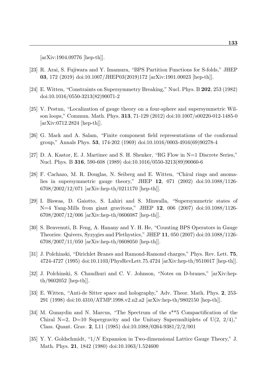[arXiv:1904.09776 [hep-th]].

- [23] R. Arai, S. Fujiwara and Y. Imamura, "BPS Partition Functions for S-folds," JHEP **03**, 172 (2019) doi:10.1007/JHEP03(2019)172 [arXiv:1901.00023 [hep-th]].
- [24] E. Witten, "Constraints on Supersymmetry Breaking," Nucl. Phys. B **202**, 253 (1982) doi:10.1016/0550-3213(82)90071-2
- [25] V. Pestun, "Localization of gauge theory on a four-sphere and supersymmetric Wilson loops," Commun. Math. Phys. **313**, 71-129 (2012) doi:10.1007/s00220-012-1485-0 [arXiv:0712.2824 [hep-th]].
- [26] G. Mack and A. Salam, "Finite component field representations of the conformal group," Annals Phys. **53**, 174-202 (1969) doi:10.1016/0003-4916(69)90278-4
- [27] D. A. Kastor, E. J. Martinec and S. H. Shenker, "RG Flow in N=1 Discrete Series," Nucl. Phys. B **316**, 590-608 (1989) doi:10.1016/0550-3213(89)90060-6
- [28] F. Cachazo, M. R. Douglas, N. Seiberg and E. Witten, "Chiral rings and anomalies in supersymmetric gauge theory," JHEP **12**, 071 (2002) doi:10.1088/1126- 6708/2002/12/071 [arXiv:hep-th/0211170 [hep-th]].
- <span id="page-132-0"></span>[29] I. Biswas, D. Gaiotto, S. Lahiri and S. Minwalla, "Supersymmetric states of N=4 Yang-Mills from giant gravitons," JHEP **12**, 006 (2007) doi:10.1088/1126- 6708/2007/12/006 [arXiv:hep-th/0606087 [hep-th]].
- [30] S. Benvenuti, B. Feng, A. Hanany and Y. H. He, "Counting BPS Operators in Gauge Theories: Quivers, Syzygies and Plethystics," JHEP **11**, 050 (2007) doi:10.1088/1126-  $6708/2007/11/050$  [arXiv:hep-th/0608050 [hep-th]].
- [31] J. Polchinski, "Dirichlet Branes and Ramond-Ramond charges," Phys. Rev. Lett. **75**, 4724-4727 (1995) doi:10.1103/PhysRevLett.75.4724 [arXiv:hep-th/9510017 [hep-th]].
- [32] J. Polchinski, S. Chaudhuri and C. V. Johnson, "Notes on D-branes," [arXiv:hepth/9602052 [hep-th]].
- [33] E. Witten, "Anti-de Sitter space and holography," Adv. Theor. Math. Phys. **2**, 253- 291 (1998) doi:10.4310/ATMP.1998.v2.n2.a2 [arXiv:hep-th/9802150 [hep-th]].
- [34] M. Gunaydin and N. Marcus, "The Spectrum of the s\*\*5 Compactification of the Chiral N=2, D=10 Supergravity and the Unitary Supermultiplets of U(2,  $2/4$ )," Class. Quant. Grav. **2**, L11 (1985) doi:10.1088/0264-9381/2/2/001
- [35] Y. Y. Goldschmidt, "1/*N* Expansion in Two-dimensional Lattice Gauge Theory," J. Math. Phys. **21**, 1842 (1980) doi:10.1063/1.524600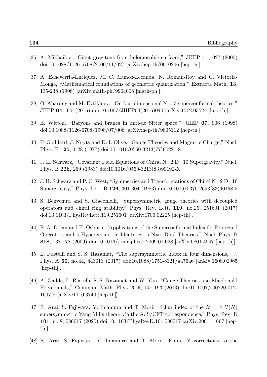- [36] A. Mikhailov, "Giant gravitons from holomorphic surfaces," JHEP **11**, 027 (2000) doi:10.1088/1126-6708/2000/11/027 [arXiv:hep-th/0010206 [hep-th]].
- [37] A. Echeverria-Enriquez, M. C. Munoz-Lecanda, N. Roman-Roy and C. Victoria-Monge, "Mathematical foundations of geometric quantization," Extracta Math. **13**, 135-238 (1998) [arXiv:math-ph/9904008 [math-ph]].
- [38] O. Aharony and M. Evtikhiev, "On four dimensional  $N = 3$  superconformal theories," JHEP **04**, 040 (2016) doi:10.1007/JHEP04(2016)040 [arXiv:1512.03524 [hep-th]].
- [39] E. Witten, "Baryons and branes in anti-de Sitter space," JHEP **07**, 006 (1998) doi:10.1088/1126-6708/1998/07/006 [arXiv:hep-th/9805112 [hep-th]].
- [40] P. Goddard, J. Nuyts and D. I. Olive, "Gauge Theories and Magnetic Charge," Nucl. Phys. B **125**, 1-28 (1977) doi:10.1016/0550-3213(77)90221-8
- [41] J. H. Schwarz, "Covariant Field Equations of Chiral N=2 D=10 Supergravity," Nucl. Phys. B **226**, 269 (1983) doi:10.1016/0550-3213(83)90192-X
- [42] J. H. Schwarz and P. C. West, "Symmetries and Transformations of Chiral N=2 D=10 Supergravity," Phys. Lett. B **126**, 301-304 (1983) doi:10.1016/0370-2693(83)90168-5
- <span id="page-133-0"></span>[43] S. Benvenuti and S. Giacomelli, "Supersymmetric gauge theories with decoupled operators and chiral ring stability," Phys. Rev. Lett. **119**, no.25, 251601 (2017) doi:10.1103/PhysRevLett.119.251601 [arXiv:1706.02225 [hep-th]].
- [44] F. A. Dolan and H. Osborn, "Applications of the Superconformal Index for Protected Operators and q-Hypergeometric Identities to N=1 Dual Theories," Nucl. Phys. B **818**, 137-178 (2009) doi:10.1016/j.nuclphysb.2009.01.028 [arXiv:0801.4947 [hep-th]].
- [45] L. Rastelli and S. S. Razamat, "The supersymmetric index in four dimensions," J. Phys. A **50**, no.44, 443013 (2017) doi:10.1088/1751-8121/aa76a6 [arXiv:1608.02965 [hep-th]].
- [46] A. Gadde, L. Rastelli, S. S. Razamat and W. Yan, "Gauge Theories and Macdonald Polynomials," Commun. Math. Phys. **319**, 147-193 (2013) doi:10.1007/s00220-012- 1607-8 [arXiv:1110.3740 [hep-th]].
- <span id="page-133-1"></span>[47] R. Arai, S. Fujiwara, Y. Imamura and T. Mori, "Schur index of the  $\mathcal{N} = 4$   $U(N)$ supersymmetric Yang-Mills theory via the AdS/CFT correspondence," Phys. Rev. D **101**, no.8, 086017 (2020) doi:10.1103/PhysRevD.101.086017 [arXiv:2001.11667 [hepth]].
- <span id="page-133-2"></span>[48] R. Arai, S. Fujiwara, Y. Imamura and T. Mori, "Finite *N* corrections to the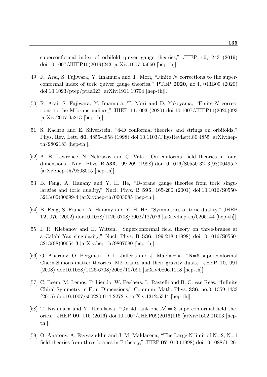superconformal index of orbifold quiver gauge theories," JHEP **10**, 243 (2019) doi:10.1007/JHEP10(2019)243 [arXiv:1907.05660 [hep-th]].

- <span id="page-134-3"></span>[49] R. Arai, S. Fujiwara, Y. Imamura and T. Mori, "Finite *N* corrections to the superconformal index of toric quiver gauge theories," PTEP **2020**, no.4, 043B09 (2020) doi:10.1093/ptep/ptaa023 [arXiv:1911.10794 [hep-th]].
- <span id="page-134-0"></span>[50] R. Arai, S. Fujiwara, Y. Imamura, T. Mori and D. Yokoyama, "Finite-*N* corrections to the M-brane indices," JHEP **11**, 093 (2020) doi:10.1007/JHEP11(2020)093 [arXiv:2007.05213 [hep-th]].
- <span id="page-134-1"></span>[51] S. Kachru and E. Silverstein, "4-D conformal theories and strings on orbifolds," Phys. Rev. Lett. **80**, 4855-4858 (1998) doi:10.1103/PhysRevLett.80.4855 [arXiv:hepth/9802183 [hep-th]].
- <span id="page-134-2"></span>[52] A. E. Lawrence, N. Nekrasov and C. Vafa, "On conformal field theories in fourdimensions," Nucl. Phys. B **533**, 199-209 (1998) doi:10.1016/S0550-3213(98)00495-7 [arXiv:hep-th/9803015 [hep-th]].
- <span id="page-134-4"></span>[53] B. Feng, A. Hanany and Y. H. He, "D-brane gauge theories from toric singularities and toric duality," Nucl. Phys. B **595**, 165-200 (2001) doi:10.1016/S0550- 3213(00)00699-4 [arXiv:hep-th/0003085 [hep-th]].
- <span id="page-134-5"></span>[54] B. Feng, S. Franco, A. Hanany and Y. H. He, "Symmetries of toric duality," JHEP **12**, 076 (2002) doi:10.1088/1126-6708/2002/12/076 [arXiv:hep-th/0205144 [hep-th]].
- <span id="page-134-6"></span>[55] I. R. Klebanov and E. Witten, "Superconformal field theory on three-branes at a Calabi-Yau singularity," Nucl. Phys. B **536**, 199-218 (1998) doi:10.1016/S0550- 3213(98)00654-3 [arXiv:hep-th/9807080 [hep-th]].
- <span id="page-134-7"></span>[56] O. Aharony, O. Bergman, D. L. Jafferis and J. Maldacena, "N=6 superconformal Chern-Simons-matter theories, M2-branes and their gravity duals," JHEP **10**, 091  $(2008)$  doi:10.1088/1126-6708/2008/10/091 [arXiv:0806.1218 [hep-th]].
- <span id="page-134-8"></span>[57] C. Beem, M. Lemos, P. Liendo, W. Peelaers, L. Rastelli and B. C. van Rees, "Infinite Chiral Symmetry in Four Dimensions," Commun. Math. Phys. **336**, no.3, 1359-1433 (2015) doi:10.1007/s00220-014-2272-x [arXiv:1312.5344 [hep-th]].
- <span id="page-134-9"></span>[58] T. Nishinaka and Y. Tachikawa, "On 4d rank-one *N* = 3 superconformal field theories," JHEP **09**, 116 (2016) doi:10.1007/JHEP09(2016)116 [arXiv:1602.01503 [hepth]].
- <span id="page-134-10"></span>[59] O. Aharony, A. Fayyazuddin and J. M. Maldacena, "The Large N limit of  $N=2$ ,  $N=1$ field theories from three-branes in F theory," JHEP **07**, 013 (1998) doi:10.1088/1126-